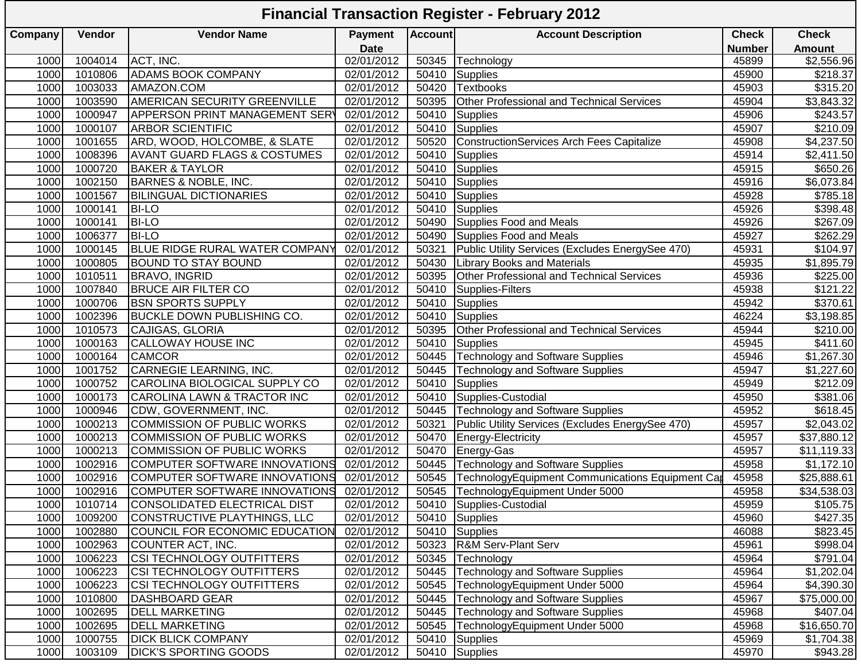## **Company Vendor Vendor Name Payment Date**<br>02/01/2012 **Account Account Description Check Number Check Amount**<br>\$2,556.96 1000| 1004014 |ACT, INC. | 02/01/2012 | 50345 |Technology \$2,556.96 1000 1010806 ADAMS BOOK COMPANY 102/01/2012 50410 Supplies 1000 1010806 45900 \$218.37 1000| 1003033 |AMAZON.COM | 02/01/2012 | 50420 |Textbooks \$315.20 1000 1003590 AMERICAN SECURITY GREENVILLE 02/01/2012 50395 Other Professional and Technical Services 195904 45904<br>1000 1000947 APPERSON PRINT MANAGEMENT SER 02/01/2012 50410 Supplies 1000 1000947 APPERSON PRINT MANAGEMENT SERV 02/01/2012 50410 Supplies 45906 45906 45906 \$243.57 1000 1000107 ARBOR SCIENTIFIC 02/01/2012 50410 Supplies 45907 \$210.09 1000 1001655 ARD, WOOD, HOLCOMBE, & SLATE 02/01/2012 50520 ConstructionServices Arch Fees Capitalize 45908 45908 02/01/1008396 | AVANT GUARD FLAGS & COSTUMES | 02/01/2012 | 50410 | Supplies | 1000 | 1008396 | AVANT GUARD FLAGS & COSTUMES | 02/01/2012 | 50410 | Supplies | 1000720 | BAKER & TAYLOR | 02/01/2012 | 50410 | Supplies | 1000 1000| 1000720 |BAKER & TAYLOR | 02/01/2012 | 50410 |Supplies \$650.26 1000 1002150 BARNES & NOBLE, INC. 02/01/2012 50410 Supplies 45916 \$6,073.84 1000 1001567 BILINGUAL DICTIONARIES 20201/2012 50410 Supplies 45928 1000| 1000141 |BI-LO | 02/01/2012 | 50410 |Supplies \$398.48 1000 1000141 BI-LO **1000141 BI-LO** 102/01/2012 50490 Supplies Food and Meals 1000 1000141 BI-LO 1000 1006377 BI-LO 1006377 DI-LO 1006377 BI-LO 102/01/2012 50490 Supplies Food and Meals 1000 1006377 161-LO<br>1000 1000145 BLUE RIDGE RURAL WATER COMPANY 02/01/2012 50321 Public Utility Services (Excludes EnergySee 470) 1000 1000145 BLUE RIDGE RURAL WATER COMPANY 02/01/2012 50321 Public Utility Services (Excludes EnergySee 470) 45931<br>1000 1000805 BOUND TO STAY BOUND 102/01/2012 50430 Library Books and Materials 1000 1000805 BOUND TO STAY BOUND 102/01/2012 50430 Library Books and Materials 1000 1000805 16045935 1000 1000 1000 1010511 BRAVO, INGRID 02/01/2012 50395 Other Professional and Technical Services 45936 \$225.00 1000 1007840 BRUCE AIR FILTER CO 02/01/2012 50410 Supplies-Filters 45938 \$121.22 1000 1000706 BSN SPORTS SUPPLY 102/01/2012 50410 Supplies 45942<br>1000 1002396 BUCKLE DOWN PUBLISHING CO. 02/01/2012 50410 Supplies 46224 1000 1002396 BUCKLE DOWN PUBLISHING CO. (2/01/2012 50410 Supplies 1998) 46224 53,198.85 1000 1010573 CAJIGAS, GLORIA 202/01/2012 50395 Other Professional and Technical Services 105944 45944 45945 \$2<br>1000 1000163 CALLOWAY HOUSE INC 202/01/2012 50410 Supplies 45945 45945 45945 4411.60 1000 1000163 CALLOWAY HOUSE INC 102/01/2012 50410 Supplies 45945 45945 45945 4411.60 1000 1000164 CAMCOR 31,267.30<br>1000 1001752 CARNEGIE LEARNING, INC. 202/01/2012 50445 Technology and Software Supplies 45947 45947 \$1,227.60 1000 1001752 CARNEGIE LEARNING, INC. | 02/01/2012 50445 Technology and Software Supplies | 45947 | \$1,227.60 1000 1000752 CAROLINA BIOLOGICAL SUPPLY CO | 02/01/2012 | 50410 Supplies | 45949 | 45949 | \$212.09 1000 1000173 CAROLINA LAWN & TRACTOR INC 02/01/2012 50410 Supplies-Custodial 45950 \$381.06 1000 1000946 CDW, GOVERNMENT, INC. 102/01/2012 50445 Technology and Software Supplies 1000946 CDW, GOVERNMENT, INC<br>1000 1000213 COMMISSION OF PUBLIC WORKS 02/01/2012 50321 Public Utility Services (Excludes EnergySee 470) 4 1000 1000213 COMMISSION OF PUBLIC WORKS 02/01/2012 50321 Public Utility Services (Excludes EnergySee 470) 45957 \$2,043.02 1000 1000213 COMMISSION OF PUBLIC WORKS (02/01/2012 50470 Energy-Electricity 1000 1000213 45957 \$37,880.12 1000 1000213 COMMISSION OF PUBLIC WORKS 02/01/2012 50470 Energy-Gas 1000 1000213 COMMISSION OF PUBLIC WORKS 02<br>1000 1002916 COMPUTER SOFTWARE INNOVATIONS 02/01/2012 50445 Technology and Software Supplies 45958 45958 \$1,172 1000 1002916 COMPUTER SOFTWARE INNOVATIONS 02/01/2012 50445 Technology and Software Supplies 1002916 (COMPUTER SOFTWARE INNOVATIONS 02/01/2012 50545 Technology Equipment Communications Equipment Can 45958 \$25,888.61 1000 1002916 COMPUTER SOFTWARE INNOVATIONS 02/01/2012 50545 TechnologyEquipment Communications Equipment Can 45958 | \$25,888.61 1000 1002916 COMPUTER SOFTWARE INNOVATIONS 02/01/2012 50545 TechnologyEquipment Under 5000 45958 45958 \$34,538.03<br>1000 1010714 CONSOLIDATED ELECTRICAL DIST 02/01/2012 50410 Supplies-Custodial 45959 45959 \$105.75 1000 1010714 CONSOLIDATED ELECTRICAL DIST (02/01/2012 50410 Supplies-Custodial 1000 1010714  $\sim$  45959 \$105.75 1000 1009200 CONSTRUCTIVE PLAYTHINGS, LLC 02/01/2012 50410 Supplies 45960 \$427.35 1000 1002880 COUNCIL FOR ECONOMIC EDUCATION 02/01/2012 50410 Supplies 1000 1002880 46088 5823.45<br>1000 1002963 COUNTER ACT. INC. 102/01/2012 50323 R&M Serv-Plant Serv 1000 1002963 COUNTER ACT. INC. 1000 1002963 COUNTER ACT, INC. 02/01/2012 50323 R&M Serv-Plant Serv 45961 \$998.04 1000 1006223 CSI TECHNOLOGY OUTFITTERS 02/01/2012 50345 Technology 45964 \$791.04 1000 1006223 CSI TECHNOLOGY OUTFITTERS 02/01/2012 50445 Technology and Software Supplies 45964 \$1,202.04 1000 1006223 CSI TECHNOLOGY OUTFITTERS | 02/01/2012 | 50545 TechnologyEquipment Under 5000 | 45964 1000 1010800 DASHBOARD GEAR 202/01/2012 50445 Technology and Software Supplies 1010800 DASHBOARD GEAR 1000 1002695 DELL MARKETING 22/01/2012 50445 Technology and Software Supplies 1002695 DELL MARKETING 1002695 1<br>1000 1002695 DELL MARKETING 202/01/2012 50545 Technology Equipment Under 5000 45968 \$16,650.70 1000 1002695 DELL MARKETING 02/01/2012 50545 TechnologyEquipment Under 5000 45968 \$16,650.70 1000 1000755 DICK BLICK COMPANY 102/01/2012 50410 Supplies 31,704.38 1000 1003109 DICK'S SPORTING GOODS 202/01/2012 50410 Supplies 45970 45970 45970 \$943.28 **Financial Transaction Register - February 2012**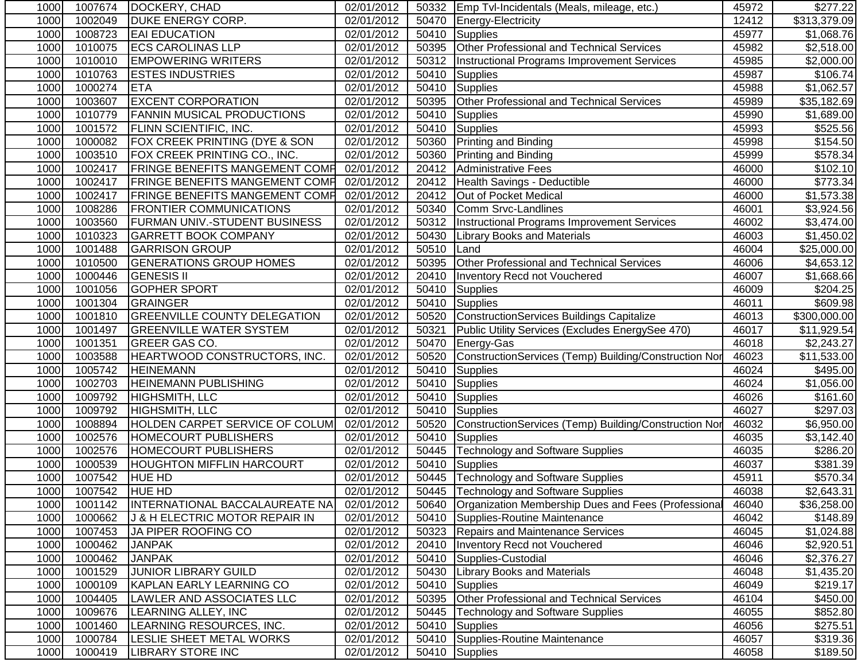| 1000 | 1007674        | DOCKERY, CHAD                         | 02/01/2012 |       | 50332   Emp Tvl-Incidentals (Meals, mileage, etc.)    | 45972 | \$277.22     |
|------|----------------|---------------------------------------|------------|-------|-------------------------------------------------------|-------|--------------|
| 1000 | 1002049        | <b>DUKE ENERGY CORP.</b>              | 02/01/2012 | 50470 | Energy-Electricity                                    | 12412 | \$313,379.09 |
| 1000 | 1008723        | <b>EAI EDUCATION</b>                  | 02/01/2012 | 50410 | Supplies                                              | 45977 | \$1,068.76   |
| 1000 | 1010075        | <b>ECS CAROLINAS LLP</b>              | 02/01/2012 | 50395 | Other Professional and Technical Services             | 45982 | \$2,518.00   |
| 1000 | 1010010        | <b>EMPOWERING WRITERS</b>             | 02/01/2012 | 50312 | Instructional Programs Improvement Services           | 45985 | \$2,000.00   |
| 1000 | 1010763        | <b>ESTES INDUSTRIES</b>               | 02/01/2012 | 50410 | Supplies                                              | 45987 | \$106.74     |
| 1000 | 1000274        | <b>ETA</b>                            | 02/01/2012 | 50410 | Supplies                                              | 45988 | \$1,062.57   |
| 1000 | 1003607        | <b>EXCENT CORPORATION</b>             | 02/01/2012 | 50395 | Other Professional and Technical Services             | 45989 | \$35,182.69  |
| 1000 | 1010779        | <b>FANNIN MUSICAL PRODUCTIONS</b>     | 02/01/2012 | 50410 | Supplies                                              | 45990 | \$1,689.00   |
| 1000 | 1001572        | <b>FLINN SCIENTIFIC, INC.</b>         | 02/01/2012 | 50410 | Supplies                                              | 45993 | \$525.56     |
| 1000 | 1000082        | FOX CREEK PRINTING (DYE & SON         | 02/01/2012 | 50360 | <b>Printing and Binding</b>                           | 45998 | \$154.50     |
| 1000 | 1003510        | FOX CREEK PRINTING CO., INC.          | 02/01/2012 | 50360 | Printing and Binding                                  | 45999 | \$578.34     |
| 1000 | 1002417        | <b>FRINGE BENEFITS MANGEMENT COMP</b> | 02/01/2012 | 20412 | Administrative Fees                                   | 46000 | \$102.10     |
| 1000 | 1002417        | <b>FRINGE BENEFITS MANGEMENT COMP</b> | 02/01/2012 | 20412 | Health Savings - Deductible                           | 46000 | \$773.34     |
| 1000 | 1002417        | <b>FRINGE BENEFITS MANGEMENT COMP</b> | 02/01/2012 | 20412 | Out of Pocket Medical                                 | 46000 | \$1,573.38   |
| 1000 | 1008286        | <b>FRONTIER COMMUNICATIONS</b>        | 02/01/2012 | 50340 | Comm Srvc-Landlines                                   | 46001 | \$3,924.56   |
| 1000 | 1003560        | <b>FURMAN UNIV.-STUDENT BUSINESS</b>  | 02/01/2012 | 50312 | Instructional Programs Improvement Services           | 46002 | \$3,474.00   |
| 1000 | 1010323        | <b>GARRETT BOOK COMPANY</b>           | 02/01/2012 | 50430 | <b>Library Books and Materials</b>                    | 46003 | \$1,450.02   |
| 1000 | 1001488        | <b>GARRISON GROUP</b>                 | 02/01/2012 | 50510 | Land                                                  | 46004 | \$25,000.00  |
| 1000 | 1010500        | <b>GENERATIONS GROUP HOMES</b>        | 02/01/2012 | 50395 | Other Professional and Technical Services             | 46006 | \$4,653.12   |
| 1000 | 1000446        | <b>GENESIS II</b>                     | 02/01/2012 | 20410 | Inventory Recd not Vouchered                          | 46007 | \$1,668.66   |
| 1000 | 1001056        | <b>GOPHER SPORT</b>                   | 02/01/2012 | 50410 | <b>Supplies</b>                                       | 46009 | \$204.25     |
| 1000 | 1001304        | GRAINGER                              | 02/01/2012 | 50410 | Supplies                                              | 46011 | \$609.98     |
| 1000 | 1001810        | <b>GREENVILLE COUNTY DELEGATION</b>   | 02/01/2012 | 50520 | <b>ConstructionServices Buildings Capitalize</b>      | 46013 | \$300,000.00 |
| 1000 | 1001497        | <b>GREENVILLE WATER SYSTEM</b>        | 02/01/2012 | 50321 | Public Utility Services (Excludes EnergySee 470)      | 46017 | \$11,929.54  |
| 1000 | 1001351        | GREER GAS CO.                         | 02/01/2012 | 50470 | Energy-Gas                                            | 46018 | \$2,243.27   |
| 1000 | 1003588        | HEARTWOOD CONSTRUCTORS, INC.          | 02/01/2012 | 50520 | ConstructionServices (Temp) Building/Construction Nor | 46023 | \$11,533.00  |
| 1000 | 1005742        | <b>HEINEMANN</b>                      | 02/01/2012 | 50410 | Supplies                                              | 46024 | \$495.00     |
| 1000 | 1002703        | <b>HEINEMANN PUBLISHING</b>           | 02/01/2012 | 50410 | Supplies                                              | 46024 | \$1,056.00   |
| 1000 | 1009792        | HIGHSMITH, LLC                        | 02/01/2012 | 50410 | Supplies                                              | 46026 | \$161.60     |
| 1000 | 1009792        | HIGHSMITH, LLC                        | 02/01/2012 | 50410 | <b>Supplies</b>                                       | 46027 | \$297.03     |
| 1000 | 1008894        | HOLDEN CARPET SERVICE OF COLUM        | 02/01/2012 | 50520 | ConstructionServices (Temp) Building/Construction Nor | 46032 | \$6,950.00   |
| 1000 | 1002576        | <b>HOMECOURT PUBLISHERS</b>           | 02/01/2012 | 50410 | Supplies                                              | 46035 | \$3,142.40   |
| 1000 | 1002576        | <b>HOMECOURT PUBLISHERS</b>           | 02/01/2012 |       | 50445   Technology and Software Supplies              | 46035 | \$286.20     |
| 1000 | 1000539        | <b>HOUGHTON MIFFLIN HARCOURT</b>      | 02/01/2012 | 50410 | Supplies                                              | 46037 | \$381.39     |
| 1000 | 1007542        | <b>HUE HD</b>                         | 02/01/2012 |       | 50445   Technology and Software Supplies              | 45911 | \$570.34     |
| 1000 | 1007542 HUE HD |                                       | 02/01/2012 |       | 50445 Technology and Software Supplies                | 46038 | \$2,643.31   |
| 1000 | 1001142        | INTERNATIONAL BACCALAUREATE NA        | 02/01/2012 | 50640 | Organization Membership Dues and Fees (Professional   | 46040 | \$36,258.00  |
| 1000 | 1000662        | J & H ELECTRIC MOTOR REPAIR IN        | 02/01/2012 | 50410 | Supplies-Routine Maintenance                          | 46042 | \$148.89     |
| 1000 | 1007453        | JA PIPER ROOFING CO                   | 02/01/2012 | 50323 | Repairs and Maintenance Services                      | 46045 | \$1,024.88   |
| 1000 | 1000462        | <b>JANPAK</b>                         | 02/01/2012 |       | 20410   Inventory Recd not Vouchered                  | 46046 | \$2,920.51   |
| 1000 | 1000462        | <b>JANPAK</b>                         | 02/01/2012 |       | 50410 Supplies-Custodial                              | 46046 | \$2,376.27   |
| 1000 | 1001529        | <b>JUNIOR LIBRARY GUILD</b>           | 02/01/2012 | 50430 | <b>Library Books and Materials</b>                    | 46048 | \$1,435.20   |
| 1000 | 1000109        | KAPLAN EARLY LEARNING CO              | 02/01/2012 | 50410 | Supplies                                              | 46049 | \$219.17     |
| 1000 | 1004405        | LAWLER AND ASSOCIATES LLC             | 02/01/2012 | 50395 | <b>Other Professional and Technical Services</b>      | 46104 | \$450.00     |
| 1000 | 1009676        | LEARNING ALLEY, INC                   | 02/01/2012 | 50445 | <b>Technology and Software Supplies</b>               | 46055 | \$852.80     |
| 1000 | 1001460        | LEARNING RESOURCES, INC.              | 02/01/2012 | 50410 | <b>Supplies</b>                                       | 46056 | \$275.51     |
| 1000 | 1000784        | LESLIE SHEET METAL WORKS              | 02/01/2012 | 50410 | Supplies-Routine Maintenance                          | 46057 | \$319.36     |
| 1000 | 1000419        | <b>LIBRARY STORE INC</b>              | 02/01/2012 |       | 50410 Supplies                                        | 46058 | \$189.50     |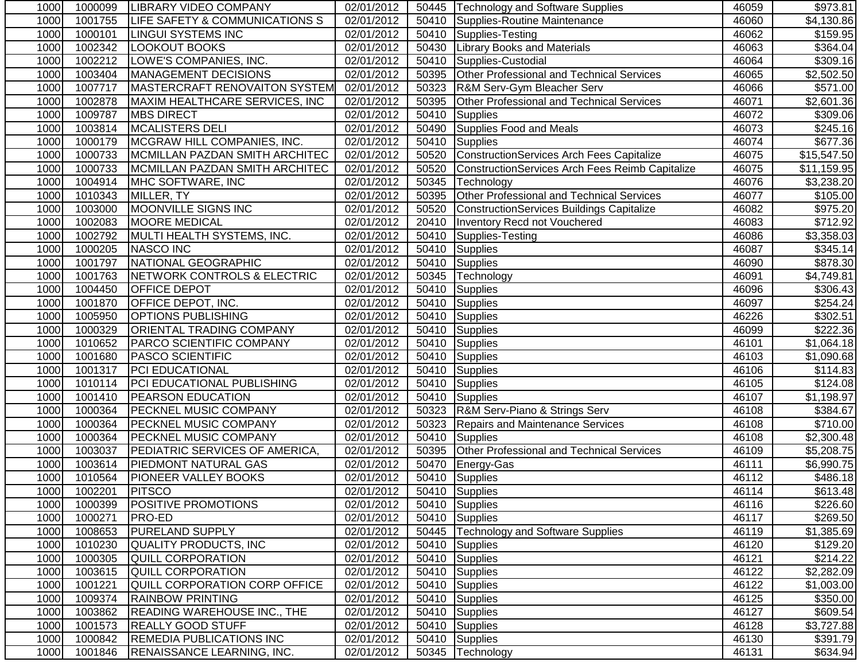| 1000 | 1000099 | <b>ILIBRARY VIDEO COMPANY</b>         | 02/01/2012 |       | 50445   Technology and Software Supplies         | 46059 | \$973.81                |
|------|---------|---------------------------------------|------------|-------|--------------------------------------------------|-------|-------------------------|
| 1000 | 1001755 | LIFE SAFETY & COMMUNICATIONS S        | 02/01/2012 | 50410 | Supplies-Routine Maintenance                     | 46060 | $\overline{\$4,130.86}$ |
| 1000 | 1000101 | <b>LINGUI SYSTEMS INC</b>             | 02/01/2012 | 50410 | Supplies-Testing                                 | 46062 | \$159.95                |
| 1000 | 1002342 | LOOKOUT BOOKS                         | 02/01/2012 | 50430 | <b>Library Books and Materials</b>               | 46063 | \$364.04                |
| 1000 | 1002212 | LOWE'S COMPANIES, INC.                | 02/01/2012 | 50410 | Supplies-Custodial                               | 46064 | \$309.16                |
| 1000 | 1003404 | MANAGEMENT DECISIONS                  | 02/01/2012 | 50395 | <b>Other Professional and Technical Services</b> | 46065 | \$2,502.50              |
| 1000 | 1007717 | MASTERCRAFT RENOVAITON SYSTEM         | 02/01/2012 | 50323 | R&M Serv-Gym Bleacher Serv                       | 46066 | \$571.00                |
| 1000 | 1002878 | MAXIM HEALTHCARE SERVICES, INC        | 02/01/2012 | 50395 | <b>Other Professional and Technical Services</b> | 46071 | \$2,601.36              |
| 1000 | 1009787 | <b>MBS DIRECT</b>                     | 02/01/2012 | 50410 | Supplies                                         | 46072 | \$309.06                |
| 1000 | 1003814 | <b>MCALISTERS DELI</b>                | 02/01/2012 | 50490 | Supplies Food and Meals                          | 46073 | \$245.16                |
| 1000 | 1000179 | MCGRAW HILL COMPANIES, INC.           | 02/01/2012 | 50410 | Supplies                                         | 46074 | \$677.36                |
| 1000 | 1000733 | MCMILLAN PAZDAN SMITH ARCHITEC        | 02/01/2012 | 50520 | ConstructionServices Arch Fees Capitalize        | 46075 | \$15,547.50             |
| 1000 | 1000733 | MCMILLAN PAZDAN SMITH ARCHITEC        | 02/01/2012 | 50520 | ConstructionServices Arch Fees Reimb Capitalize  | 46075 | \$11,159.95             |
| 1000 | 1004914 | MHC SOFTWARE, INC                     | 02/01/2012 | 50345 | Technology                                       | 46076 | \$3,238.20              |
| 1000 | 1010343 | MILLER, TY                            | 02/01/2012 | 50395 | Other Professional and Technical Services        | 46077 | \$105.00                |
| 1000 | 1003000 | MOONVILLE SIGNS INC                   | 02/01/2012 | 50520 | ConstructionServices Buildings Capitalize        | 46082 | \$975.20                |
| 1000 | 1002083 | <b>MOORE MEDICAL</b>                  | 02/01/2012 | 20410 | Inventory Recd not Vouchered                     | 46083 | \$712.92                |
| 1000 | 1002792 | MULTI HEALTH SYSTEMS, INC.            | 02/01/2012 | 50410 | Supplies-Testing                                 | 46086 | \$3,358.03              |
| 1000 | 1000205 | NASCO INC                             | 02/01/2012 | 50410 | Supplies                                         | 46087 | \$345.14]               |
| 1000 | 1001797 | NATIONAL GEOGRAPHIC                   | 02/01/2012 | 50410 | Supplies                                         | 46090 | \$878.30                |
| 1000 | 1001763 | NETWORK CONTROLS & ELECTRIC           | 02/01/2012 | 50345 | Technology                                       | 46091 | \$4,749.81              |
| 1000 | 1004450 | <b>OFFICE DEPOT</b>                   | 02/01/2012 | 50410 | Supplies                                         | 46096 | \$306.43                |
| 1000 | 1001870 | <b>OFFICE DEPOT, INC.</b>             | 02/01/2012 | 50410 | Supplies                                         | 46097 | 3254.24                 |
| 1000 | 1005950 | <b>OPTIONS PUBLISHING</b>             | 02/01/2012 |       | 50410 Supplies                                   | 46226 | \$302.51                |
| 1000 | 1000329 | <b>ORIENTAL TRADING COMPANY</b>       | 02/01/2012 | 50410 | Supplies                                         | 46099 | \$222.36                |
| 1000 | 1010652 | <b>PARCO SCIENTIFIC COMPANY</b>       | 02/01/2012 | 50410 | Supplies                                         | 46101 | \$1,064.18              |
| 1000 | 1001680 | <b>PASCO SCIENTIFIC</b>               | 02/01/2012 | 50410 | Supplies                                         | 46103 | \$1,090.68              |
| 1000 | 1001317 | PCI EDUCATIONAL                       | 02/01/2012 | 50410 | Supplies                                         | 46106 | \$114.83                |
| 1000 | 1010114 | PCI EDUCATIONAL PUBLISHING            | 02/01/2012 | 50410 | Supplies                                         | 46105 | \$124.08                |
| 1000 | 1001410 | <b>PEARSON EDUCATION</b>              | 02/01/2012 | 50410 | Supplies                                         | 46107 | \$1,198.97              |
| 1000 | 1000364 | <b>PECKNEL MUSIC COMPANY</b>          | 02/01/2012 |       | 50323 R&M Serv-Piano & Strings Serv              | 46108 | \$384.67                |
| 1000 | 1000364 | <b>PECKNEL MUSIC COMPANY</b>          | 02/01/2012 | 50323 | Repairs and Maintenance Services                 | 46108 | \$710.00                |
| 1000 | 1000364 | <b>PECKNEL MUSIC COMPANY</b>          | 02/01/2012 | 50410 | Supplies                                         | 46108 | $\overline{$2,300.48}$  |
| 1000 | 1003037 | <b>PEDIATRIC SERVICES OF AMERICA,</b> | 02/01/2012 |       | 50395 Other Professional and Technical Services  | 46109 | \$5,208.75              |
| 1000 | 1003614 | <b>PIEDMONT NATURAL GAS</b>           | 02/01/2012 | 50470 | Energy-Gas                                       | 46111 | \$6,990.75              |
| 1000 | 1010564 | <b>PIONEER VALLEY BOOKS</b>           | 02/01/2012 | 50410 | Supplies                                         | 46112 | \$486.18                |
| 1000 | 1002201 | PITSCO                                | 02/01/2012 |       | 50410 Supplies                                   | 46114 | \$613.48                |
| 1000 | 1000399 | <b>POSITIVE PROMOTIONS</b>            | 02/01/2012 |       | 50410 Supplies                                   | 46116 | \$226.60                |
| 1000 | 1000271 | <b>PRO-ED</b>                         | 02/01/2012 |       | 50410 Supplies                                   | 46117 | \$269.50                |
| 1000 | 1008653 | <b>PURELAND SUPPLY</b>                | 02/01/2012 | 50445 | Technology and Software Supplies                 | 46119 | \$1,385.69              |
| 1000 | 1010230 | QUALITY PRODUCTS, INC                 | 02/01/2012 |       | 50410 Supplies                                   | 46120 | \$129.20                |
| 1000 | 1000305 | QUILL CORPORATION                     | 02/01/2012 |       | 50410 Supplies                                   | 46121 | \$214.22                |
| 1000 | 1003615 | QUILL CORPORATION                     | 02/01/2012 | 50410 | Supplies                                         | 46122 | \$2,282.09              |
| 1000 | 1001221 | <b>QUILL CORPORATION CORP OFFICE</b>  | 02/01/2012 | 50410 | Supplies                                         | 46122 | \$1,003.00              |
| 1000 | 1009374 | <b>RAINBOW PRINTING</b>               | 02/01/2012 | 50410 | Supplies                                         | 46125 | \$350.00                |
| 1000 | 1003862 | <b>READING WAREHOUSE INC., THE</b>    | 02/01/2012 |       | 50410 Supplies                                   | 46127 | \$609.54                |
| 1000 | 1001573 | <b>REALLY GOOD STUFF</b>              | 02/01/2012 | 50410 | Supplies                                         | 46128 | \$3,727.88              |
| 1000 | 1000842 | <b>REMEDIA PUBLICATIONS INC</b>       | 02/01/2012 |       | 50410 Supplies                                   | 46130 | \$391.79                |
| 1000 | 1001846 | <b>RENAISSANCE LEARNING, INC.</b>     | 02/01/2012 |       | 50345 Technology                                 | 46131 | \$634.94                |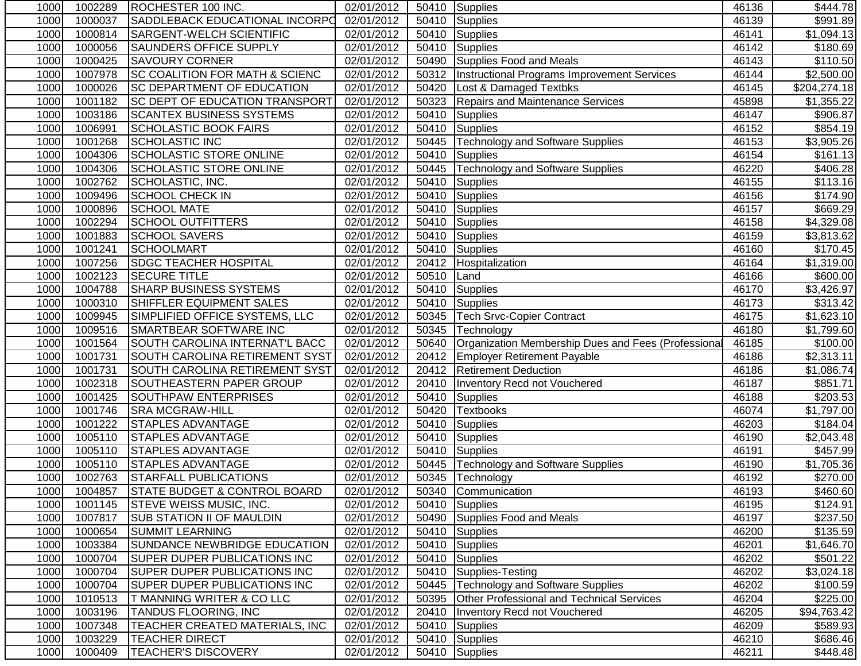| 1000 | 1002289 | ROCHESTER 100 INC.                        | 02/01/2012              |       | 50410 Supplies                                      | 46136 | \$444.78             |
|------|---------|-------------------------------------------|-------------------------|-------|-----------------------------------------------------|-------|----------------------|
| 1000 | 1000037 | SADDLEBACK EDUCATIONAL INCORPO            | 02/01/2012              | 50410 | Supplies                                            | 46139 | \$991.89             |
| 1000 | 1000814 | <b>SARGENT-WELCH SCIENTIFIC</b>           | 02/01/2012              | 50410 | Supplies                                            | 46141 | \$1,094.13           |
| 1000 | 1000056 | SAUNDERS OFFICE SUPPLY                    | $\overline{02/01}/2012$ | 50410 | Supplies                                            | 46142 | $\overline{$}180.69$ |
| 1000 | 1000425 | <b>SAVOURY CORNER</b>                     | 02/01/2012              |       | 50490 Supplies Food and Meals                       | 46143 | \$110.50             |
| 1000 | 1007978 | <b>SC COALITION FOR MATH &amp; SCIENC</b> | 02/01/2012              |       | 50312   Instructional Programs Improvement Services | 46144 | \$2,500.00           |
| 1000 | 1000026 | SC DEPARTMENT OF EDUCATION                | 02/01/2012              |       | 50420   Lost & Damaged Textbks                      | 46145 | \$204,274.18         |
| 1000 | 1001182 | SC DEPT OF EDUCATION TRANSPORT            | 02/01/2012              | 50323 | Repairs and Maintenance Services                    | 45898 | \$1,355.22           |
| 1000 | 1003186 | <b>SCANTEX BUSINESS SYSTEMS</b>           | 02/01/2012              | 50410 | Supplies                                            | 46147 | \$906.87             |
| 1000 | 1006991 | <b>SCHOLASTIC BOOK FAIRS</b>              | 02/01/2012              | 50410 | Supplies                                            | 46152 | \$854.19             |
| 1000 | 1001268 | <b>SCHOLASTIC INC</b>                     | 02/01/2012              | 50445 | <b>Technology and Software Supplies</b>             | 46153 | \$3,905.26           |
| 1000 | 1004306 | SCHOLASTIC STORE ONLINE                   | 02/01/2012              | 50410 | <b>Supplies</b>                                     | 46154 | \$161.13             |
| 1000 | 1004306 | <b>SCHOLASTIC STORE ONLINE</b>            | 02/01/2012              | 50445 | Technology and Software Supplies                    | 46220 | \$406.28             |
| 1000 | 1002762 | SCHOLASTIC, INC.                          | 02/01/2012              | 50410 | Supplies                                            | 46155 | \$113.16             |
| 1000 | 1009496 | <b>SCHOOL CHECK IN</b>                    | 02/01/2012              |       | 50410 Supplies                                      | 46156 | \$174.90             |
| 1000 | 1000896 | <b>SCHOOL MATE</b>                        | 02/01/2012              | 50410 | Supplies                                            | 46157 | \$669.29             |
| 1000 | 1002294 | <b>SCHOOL OUTFITTERS</b>                  | 02/01/2012              | 50410 | Supplies                                            | 46158 | \$4,329.08           |
| 1000 | 1001883 | <b>SCHOOL SAVERS</b>                      | 02/01/2012              | 50410 | Supplies                                            | 46159 | \$3,813.62           |
| 1000 | 1001241 | <b>SCHOOLMART</b>                         | 02/01/2012              | 50410 | Supplies                                            | 46160 | \$170.45             |
| 1000 | 1007256 | <b>SDGC TEACHER HOSPITAL</b>              | 02/01/2012              | 20412 | Hospitalization                                     | 46164 | \$1,319.00           |
| 1000 | 1002123 | <b>SECURE TITLE</b>                       | 02/01/2012              | 50510 | Land                                                | 46166 | \$600.00             |
| 1000 | 1004788 | <b>SHARP BUSINESS SYSTEMS</b>             | 02/01/2012              | 50410 | Supplies                                            | 46170 | \$3,426.97           |
| 1000 | 1000310 | SHIFFLER EQUIPMENT SALES                  | 02/01/2012              |       | 50410 Supplies                                      | 46173 | \$313.42             |
| 1000 | 1009945 | SIMPLIFIED OFFICE SYSTEMS, LLC            | 02/01/2012              | 50345 | <b>Tech Srvc-Copier Contract</b>                    | 46175 | \$1,623.10           |
| 1000 | 1009516 | SMARTBEAR SOFTWARE INC                    | 02/01/2012              | 50345 | Technology                                          | 46180 | \$1,799.60           |
| 1000 | 1001564 | SOUTH CAROLINA INTERNAT'L BACC            | 02/01/2012              | 50640 | Organization Membership Dues and Fees (Professional | 46185 | \$100.00             |
| 1000 | 1001731 | SOUTH CAROLINA RETIREMENT SYST            | 02/01/2012              | 20412 | <b>Employer Retirement Payable</b>                  | 46186 | \$2,313.11           |
| 1000 | 1001731 | SOUTH CAROLINA RETIREMENT SYST            | 02/01/2012              | 20412 | <b>Retirement Deduction</b>                         | 46186 | \$1,086.74           |
| 1000 | 1002318 | SOUTHEASTERN PAPER GROUP                  | 02/01/2012              | 20410 | Inventory Recd not Vouchered                        | 46187 | \$851.71             |
| 1000 | 1001425 | SOUTHPAW ENTERPRISES                      | 02/01/2012              | 50410 | Supplies                                            | 46188 | \$203.53             |
| 1000 | 1001746 | <b>SRA MCGRAW-HILL</b>                    | 02/01/2012              | 50420 | <b>Textbooks</b>                                    | 46074 | \$1,797.00           |
| 1000 | 1001222 | <b>STAPLES ADVANTAGE</b>                  | 02/01/2012              | 50410 | Supplies                                            | 46203 | \$184.04             |
| 1000 | 1005110 | <b>STAPLES ADVANTAGE</b>                  | 02/01/2012              |       | 50410 Supplies                                      | 46190 | \$2,043.48           |
| 1000 | 1005110 | <b>STAPLES ADVANTAGE</b>                  | 02/01/2012              | 50410 | Supplies                                            | 46191 | \$457.99             |
| 1000 | 1005110 | <b>STAPLES ADVANTAGE</b>                  | 02/01/2012              |       | 50445   Technology and Software Supplies            | 46190 | \$1,705.36           |
| 1000 | 1002763 | <b>STARFALL PUBLICATIONS</b>              | 02/01/2012              |       | 50345 Technology                                    | 46192 | \$270.00             |
| 1000 | 1004857 | STATE BUDGET & CONTROL BOARD              | 02/01/2012              |       | 50340 Communication                                 | 46193 | \$460.60             |
| 1000 | 1001145 | <b>STEVE WEISS MUSIC, INC.</b>            | 02/01/2012              |       | 50410 Supplies                                      | 46195 | \$124.91             |
| 1000 | 1007817 | <b>SUB STATION II OF MAULDIN</b>          | 02/01/2012              |       | 50490 Supplies Food and Meals                       | 46197 | \$237.50             |
| 1000 | 1000654 | <b>SUMMIT LEARNING</b>                    | 02/01/2012              |       | 50410 Supplies                                      | 46200 | \$135.59             |
| 1000 | 1003384 | SUNDANCE NEWBRIDGE EDUCATION              | 02/01/2012              |       | 50410 Supplies                                      | 46201 | \$1,646.70           |
| 1000 | 1000704 | <b>SUPER DUPER PUBLICATIONS INC</b>       | 02/01/2012              |       | 50410 Supplies                                      | 46202 | \$501.22             |
| 1000 | 1000704 | <b>SUPER DUPER PUBLICATIONS INC</b>       | 02/01/2012              |       | 50410 Supplies-Testing                              | 46202 | \$3,024.18           |
| 1000 | 1000704 | SUPER DUPER PUBLICATIONS INC              | 02/01/2012              | 50445 | Technology and Software Supplies                    | 46202 | \$100.59             |
| 1000 | 1010513 | T MANNING WRITER & CO LLC                 | 02/01/2012              |       | 50395 Other Professional and Technical Services     | 46204 | \$225.00             |
| 1000 | 1003196 | <b>TANDUS FLOORING, INC</b>               | 02/01/2012              | 20410 | <b>Inventory Recd not Vouchered</b>                 | 46205 | \$94,763.42          |
| 1000 | 1007348 | TEACHER CREATED MATERIALS, INC            | 02/01/2012              |       | 50410 Supplies                                      | 46209 | \$589.93             |
| 1000 | 1003229 | <b>TEACHER DIRECT</b>                     | 02/01/2012              |       | $\overline{50}410$ Supplies                         | 46210 | \$686.46             |
| 1000 | 1000409 | <b>TEACHER'S DISCOVERY</b>                | 02/01/2012              |       | 50410 Supplies                                      | 46211 | \$448.48             |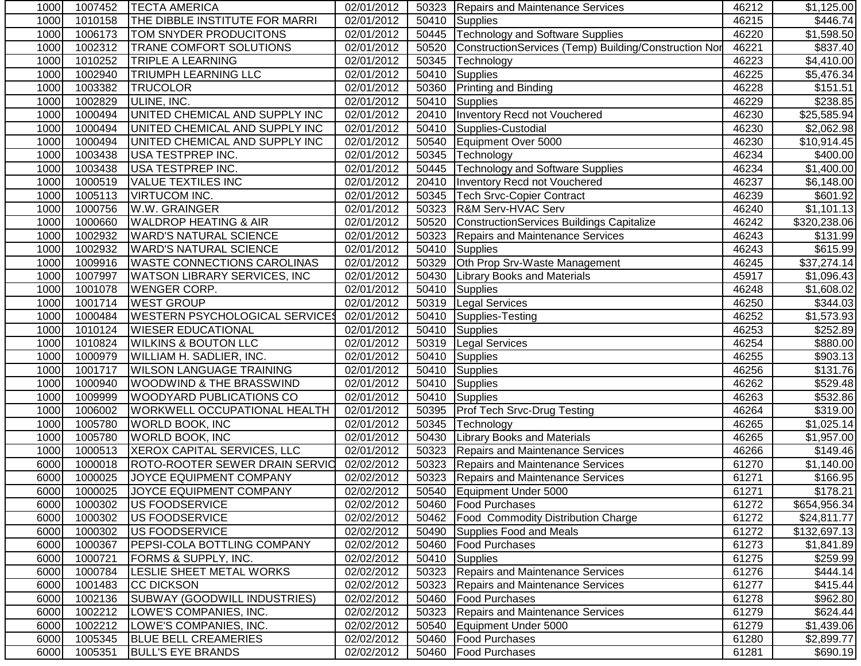| 1000 | 1007452 | TECTA AMERICA                         | 02/01/2012 |       | 50323   Repairs and Maintenance Services              | 46212 | \$1,125.00   |
|------|---------|---------------------------------------|------------|-------|-------------------------------------------------------|-------|--------------|
| 1000 | 1010158 | THE DIBBLE INSTITUTE FOR MARRI        | 02/01/2012 | 50410 | Supplies                                              | 46215 | \$446.74]    |
| 1000 | 1006173 | <b>TOM SNYDER PRODUCITONS</b>         | 02/01/2012 | 50445 | Technology and Software Supplies                      | 46220 | \$1,598.50   |
| 1000 | 1002312 | <b>TRANE COMFORT SOLUTIONS</b>        | 02/01/2012 | 50520 | ConstructionServices (Temp) Building/Construction Nor | 46221 | \$837.40     |
| 1000 | 1010252 | <b>TRIPLE A LEARNING</b>              | 02/01/2012 | 50345 | Technology                                            | 46223 | \$4,410.00   |
| 1000 | 1002940 | <b>TRIUMPH LEARNING LLC</b>           | 02/01/2012 | 50410 | Supplies                                              | 46225 | \$5,476.34   |
| 1000 | 1003382 | <b>TRUCOLOR</b>                       | 02/01/2012 | 50360 | <b>Printing and Binding</b>                           | 46228 | \$151.51     |
| 1000 | 1002829 | ULINE, INC.                           | 02/01/2012 |       | 50410 Supplies                                        | 46229 | \$238.85     |
| 1000 | 1000494 | UNITED CHEMICAL AND SUPPLY INC        | 02/01/2012 | 20410 | Inventory Recd not Vouchered                          | 46230 | \$25,585.94  |
| 1000 | 1000494 | UNITED CHEMICAL AND SUPPLY INC        | 02/01/2012 | 50410 | Supplies-Custodial                                    | 46230 | \$2,062.98   |
| 1000 | 1000494 | UNITED CHEMICAL AND SUPPLY INC        | 02/01/2012 | 50540 | Equipment Over 5000                                   | 46230 | \$10,914.45  |
| 1000 | 1003438 | <b>USA TESTPREP INC.</b>              | 02/01/2012 | 50345 | Technology                                            | 46234 | \$400.00     |
| 1000 | 1003438 | <b>USA TESTPREP INC.</b>              | 02/01/2012 | 50445 | Technology and Software Supplies                      | 46234 | \$1,400.00   |
| 1000 | 1000519 | <b>VALUE TEXTILES INC</b>             | 02/01/2012 | 20410 | Inventory Recd not Vouchered                          | 46237 | \$6,148.00   |
| 1000 | 1005113 | <b>VIRTUCOM INC.</b>                  | 02/01/2012 | 50345 | <b>Tech Srvc-Copier Contract</b>                      | 46239 | \$601.92     |
| 1000 | 1000756 | W.W. GRAINGER                         | 02/01/2012 | 50323 | R&M Serv-HVAC Serv                                    | 46240 | \$1,101.13   |
| 1000 | 1000660 | <b>WALDROP HEATING &amp; AIR</b>      | 02/01/2012 | 50520 | ConstructionServices Buildings Capitalize             | 46242 | \$320,238.06 |
| 1000 | 1002932 | <b>WARD'S NATURAL SCIENCE</b>         | 02/01/2012 | 50323 | Repairs and Maintenance Services                      | 46243 | \$131.99     |
| 1000 | 1002932 | <b>WARD'S NATURAL SCIENCE</b>         | 02/01/2012 | 50410 | Supplies                                              | 46243 | \$615.99     |
| 1000 | 1009916 | <b>WASTE CONNECTIONS CAROLINAS</b>    | 02/01/2012 | 50329 | Oth Prop Srv-Waste Management                         | 46245 | \$37,274.14  |
| 1000 | 1007997 | <b>WATSON LIBRARY SERVICES, INC</b>   | 02/01/2012 | 50430 | <b>Library Books and Materials</b>                    | 45917 | \$1,096.43   |
| 1000 | 1001078 | <b>WENGER CORP.</b>                   | 02/01/2012 | 50410 | Supplies                                              | 46248 | \$1,608.02   |
| 1000 | 1001714 | <b>WEST GROUP</b>                     | 02/01/2012 | 50319 | <b>Legal Services</b>                                 | 46250 | 3344.03      |
| 1000 | 1000484 | <b>WESTERN PSYCHOLOGICAL SERVICES</b> | 02/01/2012 | 50410 | Supplies-Testing                                      | 46252 | \$1,573.93   |
| 1000 | 1010124 | <b>WIESER EDUCATIONAL</b>             | 02/01/2012 |       | 50410 Supplies                                        | 46253 | \$252.89     |
| 1000 | 1010824 | <b>WILKINS &amp; BOUTON LLC</b>       | 02/01/2012 | 50319 | <b>Legal Services</b>                                 | 46254 | \$880.00     |
| 1000 | 1000979 | <b>WILLIAM H. SADLIER, INC.</b>       | 02/01/2012 | 50410 | Supplies                                              | 46255 | \$903.13     |
| 1000 | 1001717 | <b>WILSON LANGUAGE TRAINING</b>       | 02/01/2012 | 50410 | Supplies                                              | 46256 | \$131.76     |
| 1000 | 1000940 | WOODWIND & THE BRASSWIND              | 02/01/2012 | 50410 | <b>Supplies</b>                                       | 46262 | \$529.48     |
| 1000 | 1009999 | <b>WOODYARD PUBLICATIONS CO</b>       | 02/01/2012 | 50410 | Supplies                                              | 46263 | \$532.86     |
| 1000 | 1006002 | WORKWELL OCCUPATIONAL HEALTH          | 02/01/2012 |       | 50395   Prof Tech Srvc-Drug Testing                   | 46264 | \$319.00     |
| 1000 | 1005780 | <b>WORLD BOOK, INC</b>                | 02/01/2012 | 50345 | Technology                                            | 46265 | \$1,025.14   |
| 1000 | 1005780 | <b>WORLD BOOK, INC</b>                | 02/01/2012 | 50430 | <b>Library Books and Materials</b>                    | 46265 | \$1,957.00   |
| 1000 | 1000513 | XEROX CAPITAL SERVICES, LLC           | 02/01/2012 | 50323 | Repairs and Maintenance Services                      | 46266 | \$149.46     |
| 6000 | 1000018 | ROTO-ROOTER SEWER DRAIN SERVIC        | 02/02/2012 |       | 50323 Repairs and Maintenance Services                | 61270 | \$1,140.00   |
| 6000 | 1000025 | JOYCE EQUIPMENT COMPANY               | 02/02/2012 |       | 50323 Repairs and Maintenance Services                | 61271 | \$166.95     |
| 6000 | 1000025 | JOYCE EQUIPMENT COMPANY               | 02/02/2012 |       | 50540 Equipment Under 5000                            | 61271 | \$178.21     |
| 6000 | 1000302 | <b>US FOODSERVICE</b>                 | 02/02/2012 |       | 50460   Food Purchases                                | 61272 | \$654,956.34 |
| 6000 | 1000302 | US FOODSERVICE                        | 02/02/2012 |       | 50462   Food Commodity Distribution Charge            | 61272 | \$24,811.77  |
| 6000 | 1000302 | US FOODSERVICE                        | 02/02/2012 |       | 50490 Supplies Food and Meals                         | 61272 | \$132,697.13 |
| 6000 | 1000367 | <b>PEPSI-COLA BOTTLING COMPANY</b>    | 02/02/2012 |       | 50460   Food Purchases                                | 61273 | \$1,841.89   |
| 6000 | 1000721 | FORMS & SUPPLY, INC.                  | 02/02/2012 |       | 50410 Supplies                                        | 61275 | \$259.99     |
| 6000 | 1000784 | LESLIE SHEET METAL WORKS              | 02/02/2012 |       | 50323 Repairs and Maintenance Services                | 61276 | \$444.14     |
| 6000 | 1001483 | CC DICKSON                            | 02/02/2012 |       | 50323 Repairs and Maintenance Services                | 61277 | \$415.44]    |
| 6000 | 1002136 | <b>SUBWAY (GOODWILL INDUSTRIES)</b>   | 02/02/2012 | 50460 | <b>Food Purchases</b>                                 | 61278 | \$962.80     |
| 6000 | 1002212 | LOWE'S COMPANIES, INC.                | 02/02/2012 | 50323 | Repairs and Maintenance Services                      | 61279 | \$624.44     |
| 6000 | 1002212 | LOWE'S COMPANIES, INC.                | 02/02/2012 | 50540 | Equipment Under 5000                                  | 61279 | \$1,439.06   |
| 6000 | 1005345 | <b>BLUE BELL CREAMERIES</b>           | 02/02/2012 | 50460 | <b>Food Purchases</b>                                 | 61280 | \$2,899.77   |
| 6000 | 1005351 | <b>BULL'S EYE BRANDS</b>              | 02/02/2012 |       | 50460   Food Purchases                                | 61281 | \$690.19     |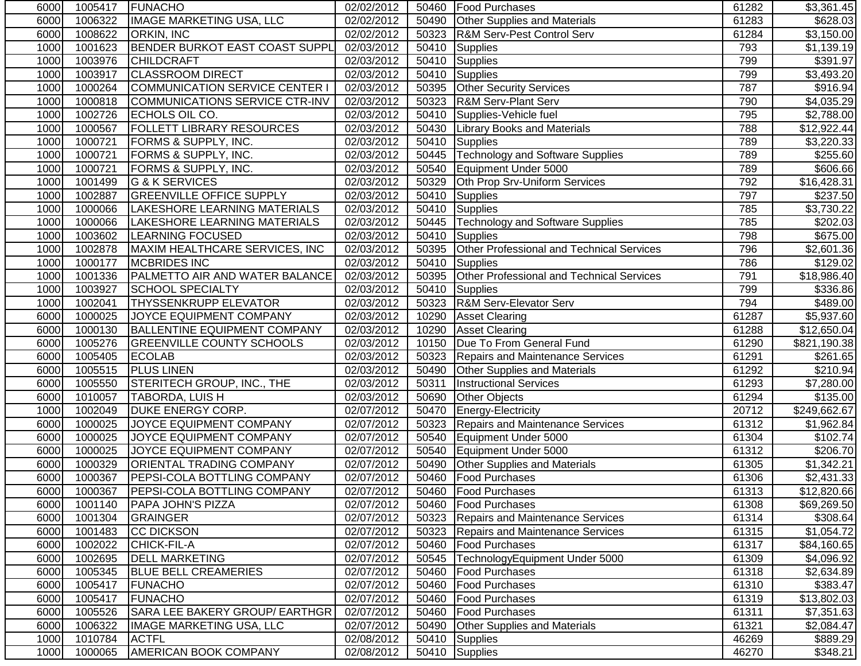| 6000 | 1005417 | <b>FUNACHO</b>                        | 02/02/2012 |       | 50460   Food Purchases                    | 61282 | \$3,361.45   |
|------|---------|---------------------------------------|------------|-------|-------------------------------------------|-------|--------------|
| 6000 | 1006322 | <b>IMAGE MARKETING USA, LLC</b>       | 02/02/2012 | 50490 | <b>Other Supplies and Materials</b>       | 61283 | \$628.03     |
| 6000 | 1008622 | <b>ORKIN, INC</b>                     | 02/02/2012 | 50323 | R&M Serv-Pest Control Serv                | 61284 | \$3,150.00   |
| 1000 | 1001623 | BENDER BURKOT EAST COAST SUPPL        | 02/03/2012 | 50410 | Supplies                                  | 793   | \$1,139.19   |
| 1000 | 1003976 | <b>CHILDCRAFT</b>                     | 02/03/2012 | 50410 | Supplies                                  | 799   | \$391.97     |
| 1000 | 1003917 | <b>CLASSROOM DIRECT</b>               | 02/03/2012 | 50410 | Supplies                                  | 799   | \$3,493.20   |
| 1000 | 1000264 | <b>COMMUNICATION SERVICE CENTER I</b> | 02/03/2012 | 50395 | <b>Other Security Services</b>            | 787   | \$916.94     |
| 1000 | 1000818 | COMMUNICATIONS SERVICE CTR-INV        | 02/03/2012 |       | 50323   R&M Serv-Plant Serv               | 790   | \$4,035.29   |
| 1000 | 1002726 | ECHOLS OIL CO.                        | 02/03/2012 | 50410 | Supplies-Vehicle fuel                     | 795   | \$2,788.00   |
| 1000 | 1000567 | <b>FOLLETT LIBRARY RESOURCES</b>      | 02/03/2012 | 50430 | <b>Library Books and Materials</b>        | 788   | \$12,922.44  |
| 1000 | 1000721 | <b>FORMS &amp; SUPPLY, INC.</b>       | 02/03/2012 | 50410 | Supplies                                  | 789   | \$3,220.33   |
| 1000 | 1000721 | FORMS & SUPPLY, INC.                  | 02/03/2012 | 50445 | <b>Technology and Software Supplies</b>   | 789   | \$255.60     |
| 1000 | 1000721 | FORMS & SUPPLY, INC.                  | 02/03/2012 | 50540 | Equipment Under 5000                      | 789   | \$606.66     |
| 1000 | 1001499 | G & K SERVICES                        | 02/03/2012 | 50329 | Oth Prop Srv-Uniform Services             | 792   | \$16,428.31  |
| 1000 | 1002887 | <b>GREENVILLE OFFICE SUPPLY</b>       | 02/03/2012 | 50410 | Supplies                                  | 797   | \$237.50     |
| 1000 | 1000066 | LAKESHORE LEARNING MATERIALS          | 02/03/2012 |       | 50410 Supplies                            | 785   | \$3,730.22   |
| 1000 | 1000066 | LAKESHORE LEARNING MATERIALS          | 02/03/2012 |       | 50445 Technology and Software Supplies    | 785   | \$202.03     |
| 1000 | 1003602 | <b>LEARNING FOCUSED</b>               | 02/03/2012 | 50410 | Supplies                                  | 798   | \$675.00     |
| 1000 | 1002878 | MAXIM HEALTHCARE SERVICES, INC        | 02/03/2012 | 50395 | Other Professional and Technical Services | 796   | \$2,601.36   |
| 1000 | 1000177 | <b>MCBRIDES INC</b>                   | 02/03/2012 | 50410 | Supplies                                  | 786   | \$129.02     |
| 1000 | 1001336 | PALMETTO AIR AND WATER BALANCE        | 02/03/2012 | 50395 | Other Professional and Technical Services | 791   | \$18,986.40  |
| 1000 | 1003927 | <b>SCHOOL SPECIALTY</b>               | 02/03/2012 | 50410 | Supplies                                  | 799   | \$336.86     |
| 1000 | 1002041 | <b>THYSSENKRUPP ELEVATOR</b>          | 02/03/2012 | 50323 | <b>R&amp;M Serv-Elevator Serv</b>         | 794   | \$489.00     |
| 6000 | 1000025 | JOYCE EQUIPMENT COMPANY               | 02/03/2012 | 10290 | <b>Asset Clearing</b>                     | 61287 | \$5,937.60   |
| 6000 | 1000130 | <b>BALLENTINE EQUIPMENT COMPANY</b>   | 02/03/2012 | 10290 | <b>Asset Clearing</b>                     | 61288 | \$12,650.04  |
| 6000 | 1005276 | <b>GREENVILLE COUNTY SCHOOLS</b>      | 02/03/2012 | 10150 | Due To From General Fund                  | 61290 | \$821,190.38 |
| 6000 | 1005405 | <b>ECOLAB</b>                         | 02/03/2012 | 50323 | Repairs and Maintenance Services          | 61291 | \$261.65     |
| 6000 | 1005515 | <b>PLUS LINEN</b>                     | 02/03/2012 | 50490 | <b>Other Supplies and Materials</b>       | 61292 | \$210.94     |
| 6000 | 1005550 | STERITECH GROUP, INC., THE            | 02/03/2012 | 50311 | <b>Instructional Services</b>             | 61293 | \$7,280.00   |
| 6000 | 1010057 | TABORDA, LUIS H                       | 02/03/2012 | 50690 | <b>Other Objects</b>                      | 61294 | \$135.00     |
| 1000 | 1002049 | DUKE ENERGY CORP.                     | 02/07/2012 | 50470 | Energy-Electricity                        | 20712 | \$249,662.67 |
| 6000 | 1000025 | JOYCE EQUIPMENT COMPANY               | 02/07/2012 | 50323 | Repairs and Maintenance Services          | 61312 | \$1,962.84   |
| 6000 | 1000025 | JOYCE EQUIPMENT COMPANY               | 02/07/2012 | 50540 | Equipment Under 5000                      | 61304 | \$102.74     |
| 6000 | 1000025 | JOYCE EQUIPMENT COMPANY               | 02/07/2012 | 50540 | Equipment Under 5000                      | 61312 | \$206.70     |
| 6000 | 1000329 | <b>ORIENTAL TRADING COMPANY</b>       | 02/07/2012 | 50490 | <b>Other Supplies and Materials</b>       | 61305 | \$1,342.21   |
| 6000 | 1000367 | <b>PEPSI-COLA BOTTLING COMPANY</b>    | 02/07/2012 | 50460 | <b>Food Purchases</b>                     | 61306 | \$2,431.33   |
| 6000 | 1000367 | PEPSI-COLA BOTTLING COMPANY           | 02/07/2012 |       | 50460 Food Purchases                      | 61313 | \$12,820.66  |
| 6000 | 1001140 | <b>PAPA JOHN'S PIZZA</b>              | 02/07/2012 |       | 50460   Food Purchases                    | 61308 | \$69,269.50  |
| 6000 | 1001304 | <b>GRAINGER</b>                       | 02/07/2012 | 50323 | Repairs and Maintenance Services          | 61314 | \$308.64     |
| 6000 | 1001483 | <b>CC DICKSON</b>                     | 02/07/2012 | 50323 | Repairs and Maintenance Services          | 61315 | \$1,054.72   |
| 6000 | 1002022 | CHICK-FIL-A                           | 02/07/2012 |       | 50460   Food Purchases                    | 61317 | \$84,160.65  |
| 6000 | 1002695 | <b>DELL MARKETING</b>                 | 02/07/2012 | 50545 | TechnologyEquipment Under 5000            | 61309 | \$4,096.92   |
| 6000 | 1005345 | <b>BLUE BELL CREAMERIES</b>           | 02/07/2012 | 50460 | Food Purchases                            | 61318 | \$2,634.89   |
| 6000 | 1005417 | <b>FUNACHO</b>                        | 02/07/2012 | 50460 | <b>Food Purchases</b>                     | 61310 | \$383.47     |
| 6000 | 1005417 | <b>FUNACHO</b>                        | 02/07/2012 | 50460 | <b>Food Purchases</b>                     | 61319 | \$13,802.03  |
| 6000 | 1005526 | SARA LEE BAKERY GROUP/ EARTHGR        | 02/07/2012 | 50460 | <b>Food Purchases</b>                     | 61311 | \$7,351.63   |
| 6000 | 1006322 | IMAGE MARKETING USA, LLC              | 02/07/2012 | 50490 | <b>Other Supplies and Materials</b>       | 61321 | \$2,084.47   |
| 1000 | 1010784 | <b>ACTFL</b>                          | 02/08/2012 | 50410 | Supplies                                  | 46269 | \$889.29     |
| 1000 | 1000065 | <b>AMERICAN BOOK COMPANY</b>          | 02/08/2012 |       | 50410 Supplies                            | 46270 | \$348.21     |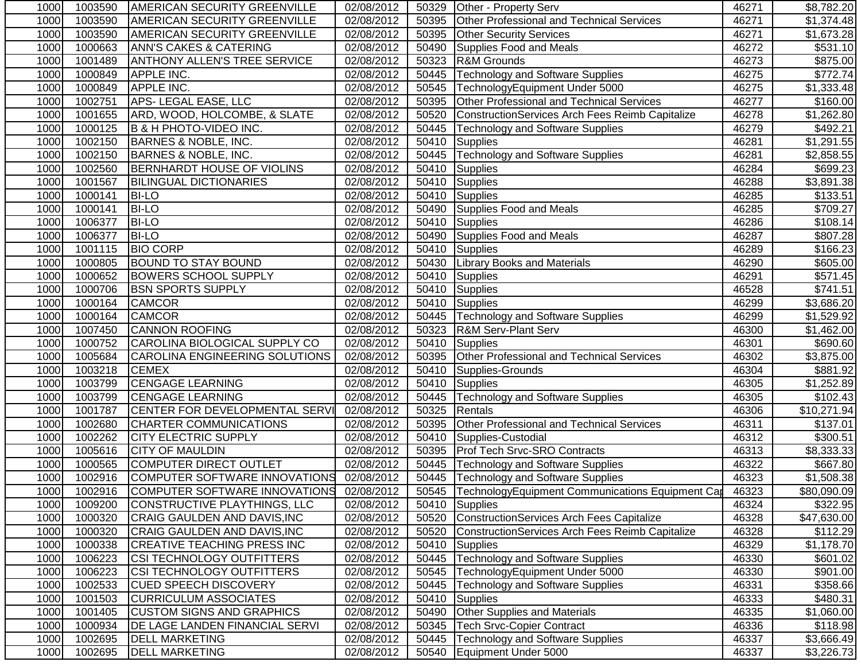| 1000 | 1003590 | <b>AMERICAN SECURITY GREENVILLE</b>   | 02/08/2012              | 50329 | <b>Other - Property Serv</b>                           | 46271 | \$8,782.20              |
|------|---------|---------------------------------------|-------------------------|-------|--------------------------------------------------------|-------|-------------------------|
| 1000 | 1003590 | <b>AMERICAN SECURITY GREENVILLE</b>   | 02/08/2012              | 50395 | Other Professional and Technical Services              | 46271 | $\overline{\$1,}374.48$ |
| 1000 | 1003590 | <b>AMERICAN SECURITY GREENVILLE</b>   | 02/08/2012              | 50395 | <b>Other Security Services</b>                         | 46271 | $\overline{$}1,673.28$  |
| 1000 | 1000663 | <b>ANN'S CAKES &amp; CATERING</b>     | $\overline{02/08}/2012$ | 50490 | Supplies Food and Meals                                | 46272 | \$531.10                |
| 1000 | 1001489 | <b>ANTHONY ALLEN'S TREE SERVICE</b>   | 02/08/2012              | 50323 | R&M Grounds                                            | 46273 | \$875.00                |
| 1000 | 1000849 | <b>APPLE INC.</b>                     | 02/08/2012              | 50445 | <b>Technology and Software Supplies</b>                | 46275 | \$772.74                |
| 1000 | 1000849 | <b>APPLE INC.</b>                     | 02/08/2012              | 50545 | TechnologyEquipment Under 5000                         | 46275 | \$1,333.48              |
| 1000 | 1002751 | APS-LEGAL EASE, LLC                   | 02/08/2012              | 50395 | <b>Other Professional and Technical Services</b>       | 46277 | \$160.00                |
| 1000 | 1001655 | ARD, WOOD, HOLCOMBE, & SLATE          | 02/08/2012              | 50520 | ConstructionServices Arch Fees Reimb Capitalize        | 46278 | \$1,262.80              |
| 1000 | 1000125 | B & H PHOTO-VIDEO INC.                | 02/08/2012              | 50445 | <b>Technology and Software Supplies</b>                | 46279 | \$492.21                |
| 1000 | 1002150 | <b>BARNES &amp; NOBLE, INC.</b>       | 02/08/2012              | 50410 | <b>Supplies</b>                                        | 46281 | \$1,291.55              |
| 1000 | 1002150 | <b>BARNES &amp; NOBLE, INC.</b>       | 02/08/2012              | 50445 | <b>Technology and Software Supplies</b>                | 46281 | \$2,858.55              |
| 1000 | 1002560 | <b>BERNHARDT HOUSE OF VIOLINS</b>     | 02/08/2012              | 50410 | Supplies                                               | 46284 | \$699.23                |
| 1000 | 1001567 | <b>BILINGUAL DICTIONARIES</b>         | 02/08/2012              | 50410 | Supplies                                               | 46288 | \$3,891.38              |
| 1000 | 1000141 | <b>BI-LO</b>                          | 02/08/2012              |       | 50410 Supplies                                         | 46285 | \$133.51                |
| 1000 | 1000141 | <b>BI-LO</b>                          | 02/08/2012              |       | 50490 Supplies Food and Meals                          | 46285 | \$709.27                |
| 1000 | 1006377 | <b>BI-LO</b>                          | 02/08/2012              | 50410 | Supplies                                               | 46286 | \$108.14                |
| 1000 | 1006377 | <b>BI-LO</b>                          | 02/08/2012              | 50490 | Supplies Food and Meals                                | 46287 | \$807.28                |
| 1000 | 1001115 | <b>BIO CORP</b>                       | 02/08/2012              | 50410 | Supplies                                               | 46289 | $\overline{$}166.23$    |
| 1000 | 1000805 | <b>BOUND TO STAY BOUND</b>            | 02/08/2012              | 50430 | <b>Library Books and Materials</b>                     | 46290 | \$605.00                |
| 1000 | 1000652 | <b>BOWERS SCHOOL SUPPLY</b>           | 02/08/2012              | 50410 | Supplies                                               | 46291 | \$571.45                |
| 1000 | 1000706 | <b>BSN SPORTS SUPPLY</b>              | 02/08/2012              | 50410 | Supplies                                               | 46528 | \$741.51                |
| 1000 | 1000164 | <b>CAMCOR</b>                         | 02/08/2012              | 50410 | Supplies                                               | 46299 | \$3,686.20              |
| 1000 | 1000164 | <b>CAMCOR</b>                         | 02/08/2012              |       | 50445   Technology and Software Supplies               | 46299 | \$1,529.92              |
| 1000 | 1007450 | <b>CANNON ROOFING</b>                 | 02/08/2012              | 50323 | <b>R&amp;M Serv-Plant Serv</b>                         | 46300 | \$1,462.00              |
| 1000 | 1000752 | CAROLINA BIOLOGICAL SUPPLY CO         | 02/08/2012              | 50410 | Supplies                                               | 46301 | \$690.60                |
| 1000 | 1005684 | CAROLINA ENGINEERING SOLUTIONS        | 02/08/2012              | 50395 | Other Professional and Technical Services              | 46302 | \$3,875.00              |
| 1000 | 1003218 | <b>CEMEX</b>                          | 02/08/2012              | 50410 | Supplies-Grounds                                       | 46304 | \$881.92                |
| 1000 | 1003799 | <b>CENGAGE LEARNING</b>               | 02/08/2012              | 50410 | Supplies                                               | 46305 | \$1,252.89              |
| 1000 | 1003799 | <b>CENGAGE LEARNING</b>               | 02/08/2012              | 50445 | <b>Technology and Software Supplies</b>                | 46305 | \$102.43                |
| 1000 | 1001787 | CENTER FOR DEVELOPMENTAL SERVI        | 02/08/2012              | 50325 | Rentals                                                | 46306 | \$10,271.94             |
| 1000 | 1002680 | <b>CHARTER COMMUNICATIONS</b>         | 02/08/2012              | 50395 | Other Professional and Technical Services              | 46311 | \$137.01                |
| 1000 | 1002262 | <b>CITY ELECTRIC SUPPLY</b>           | 02/08/2012              | 50410 | Supplies-Custodial                                     | 46312 | \$300.51                |
| 1000 | 1005616 | <b>CITY OF MAULDIN</b>                | 02/08/2012              |       | 50395 Prof Tech Srvc-SRO Contracts                     | 46313 | \$8,333.33              |
| 1000 | 1000565 | COMPUTER DIRECT OUTLET                | 02/08/2012              | 50445 | <b>Technology and Software Supplies</b>                | 46322 | \$667.80                |
| 1000 | 1002916 | COMPUTER SOFTWARE INNOVATIONS         | 02/08/2012              |       | 50445   Technology and Software Supplies               | 46323 | \$1,508.38              |
| 1000 |         | 1002916 COMPUTER SOFTWARE INNOVATIONS | 02/08/2012              |       | 50545 TechnologyEquipment Communications Equipment Car | 46323 | \$80,090.09             |
| 1000 | 1009200 | CONSTRUCTIVE PLAYTHINGS, LLC          | 02/08/2012              |       | 50410 Supplies                                         | 46324 | \$322.95                |
| 1000 | 1000320 | CRAIG GAULDEN AND DAVIS, INC          | 02/08/2012              | 50520 | ConstructionServices Arch Fees Capitalize              | 46328 | \$47,630.00             |
| 1000 | 1000320 | CRAIG GAULDEN AND DAVIS, INC          | 02/08/2012              | 50520 | ConstructionServices Arch Fees Reimb Capitalize        | 46328 | \$112.29                |
| 1000 | 1000338 | <b>CREATIVE TEACHING PRESS INC</b>    | 02/08/2012              |       | 50410 Supplies                                         | 46329 | \$1,178.70              |
| 1000 | 1006223 | CSI TECHNOLOGY OUTFITTERS             | 02/08/2012              |       | 50445   Technology and Software Supplies               | 46330 | \$601.02                |
| 1000 | 1006223 | <b>CSI TECHNOLOGY OUTFITTERS</b>      | 02/08/2012              | 50545 | TechnologyEquipment Under 5000                         | 46330 | \$901.00                |
| 1000 | 1002533 | <b>CUED SPEECH DISCOVERY</b>          | 02/08/2012              | 50445 | <b>Technology and Software Supplies</b>                | 46331 | \$358.66                |
| 1000 | 1001503 | <b>CURRICULUM ASSOCIATES</b>          | 02/08/2012              | 50410 | Supplies                                               | 46333 | \$480.31                |
| 1000 | 1001405 | <b>CUSTOM SIGNS AND GRAPHICS</b>      | 02/08/2012              | 50490 | <b>Other Supplies and Materials</b>                    | 46335 | \$1,060.00              |
| 1000 | 1000934 | DE LAGE LANDEN FINANCIAL SERVI        | 02/08/2012              | 50345 | <b>Tech Srvc-Copier Contract</b>                       | 46336 | \$118.98                |
| 1000 | 1002695 | <b>DELL MARKETING</b>                 | 02/08/2012              | 50445 | <b>Technology and Software Supplies</b>                | 46337 | \$3,666.49              |
| 1000 | 1002695 | <b>DELL MARKETING</b>                 | 02/08/2012              | 50540 | Equipment Under 5000                                   | 46337 | \$3,226.73              |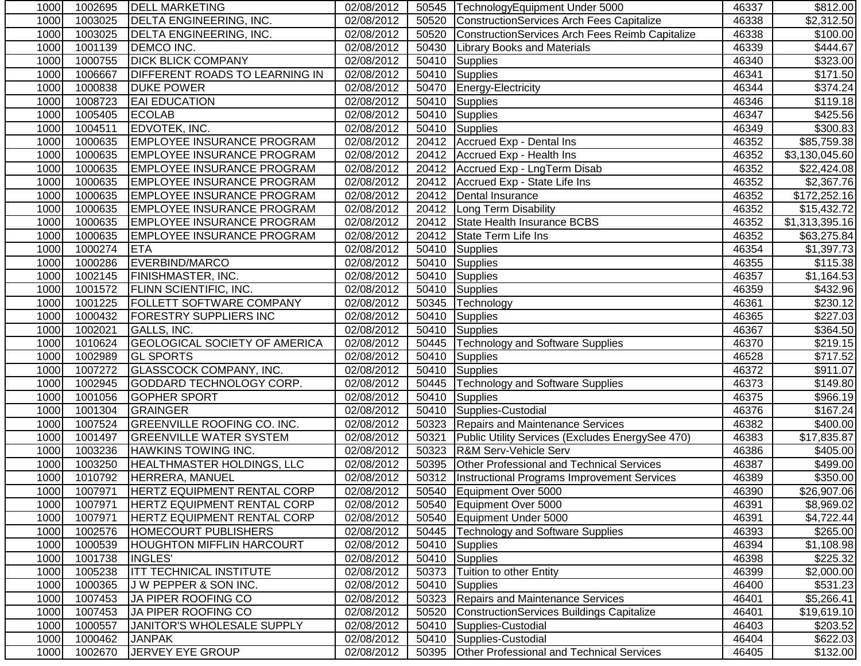| 1000 | 1002695 | <b>IDELL MARKETING</b>                | 02/08/2012 |       | 50545   Technology Equipment Under 5000             | 46337 | \$812.00               |
|------|---------|---------------------------------------|------------|-------|-----------------------------------------------------|-------|------------------------|
| 1000 | 1003025 | <b>DELTA ENGINEERING, INC.</b>        | 02/08/2012 | 50520 | ConstructionServices Arch Fees Capitalize           | 46338 | $\overline{$2,312.50}$ |
| 1000 | 1003025 | <b>DELTA ENGINEERING, INC.</b>        | 02/08/2012 | 50520 | ConstructionServices Arch Fees Reimb Capitalize     | 46338 | \$100.00               |
| 1000 | 1001139 | <b>DEMCO INC.</b>                     | 02/08/2012 | 50430 | <b>Library Books and Materials</b>                  | 46339 | \$444.67               |
| 1000 | 1000755 | <b>DICK BLICK COMPANY</b>             | 02/08/2012 | 50410 | Supplies                                            | 46340 | \$323.00               |
| 1000 | 1006667 | <b>DIFFERENT ROADS TO LEARNING IN</b> | 02/08/2012 | 50410 | Supplies                                            | 46341 | \$171.50               |
| 1000 | 1000838 | <b>DUKE POWER</b>                     | 02/08/2012 |       | 50470 Energy-Electricity                            | 46344 | $\overline{$}374.24$   |
| 1000 | 1008723 | <b>EAI EDUCATION</b>                  | 02/08/2012 |       | 50410 Supplies                                      | 46346 | \$119.18               |
| 1000 | 1005405 | <b>ECOLAB</b>                         | 02/08/2012 |       | 50410 Supplies                                      | 46347 | \$425.56               |
| 1000 | 1004511 | <b>EDVOTEK, INC.</b>                  | 02/08/2012 | 50410 | Supplies                                            | 46349 | \$300.83               |
| 1000 | 1000635 | <b>EMPLOYEE INSURANCE PROGRAM</b>     | 02/08/2012 |       | 20412 Accrued Exp - Dental Ins                      | 46352 | \$85,759.38            |
| 1000 | 1000635 | <b>EMPLOYEE INSURANCE PROGRAM</b>     | 02/08/2012 |       | 20412 Accrued Exp - Health Ins                      | 46352 | \$3,130,045.60         |
| 1000 | 1000635 | <b>EMPLOYEE INSURANCE PROGRAM</b>     | 02/08/2012 |       | 20412 Accrued Exp - LngTerm Disab                   | 46352 | \$22,424.08            |
| 1000 | 1000635 | <b>EMPLOYEE INSURANCE PROGRAM</b>     | 02/08/2012 | 20412 | Accrued Exp - State Life Ins                        | 46352 | \$2,367.76             |
| 1000 | 1000635 | <b>EMPLOYEE INSURANCE PROGRAM</b>     | 02/08/2012 |       | 20412   Dental Insurance                            | 46352 | \$172,252.16           |
| 1000 | 1000635 | <b>EMPLOYEE INSURANCE PROGRAM</b>     | 02/08/2012 |       | 20412   Long Term Disability                        | 46352 | \$15,432.72            |
| 1000 | 1000635 | <b>EMPLOYEE INSURANCE PROGRAM</b>     | 02/08/2012 |       | 20412 State Health Insurance BCBS                   | 46352 | \$1,313,395.16         |
| 1000 | 1000635 | <b>EMPLOYEE INSURANCE PROGRAM</b>     | 02/08/2012 | 20412 | State Term Life Ins                                 | 46352 | \$63,275.84            |
| 1000 | 1000274 | <b>ETA</b>                            | 02/08/2012 | 50410 | Supplies                                            | 46354 | \$1,397.73             |
| 1000 | 1000286 | EVERBIND/MARCO                        | 02/08/2012 | 50410 | Supplies                                            | 46355 | \$115.38               |
| 1000 | 1002145 | <b>FINISHMASTER, INC.</b>             | 02/08/2012 | 50410 | <b>Supplies</b>                                     | 46357 | \$1,164.53             |
| 1000 | 1001572 | <b>FLINN SCIENTIFIC, INC.</b>         | 02/08/2012 | 50410 | <b>Supplies</b>                                     | 46359 | $\overline{$432.96}$   |
| 1000 | 1001225 | <b>FOLLETT SOFTWARE COMPANY</b>       | 02/08/2012 | 50345 | Technology                                          | 46361 | \$230.12               |
| 1000 | 1000432 | <b>FORESTRY SUPPLIERS INC</b>         | 02/08/2012 | 50410 | Supplies                                            | 46365 | \$227.03               |
| 1000 | 1002021 | GALLS, INC.                           | 02/08/2012 | 50410 | Supplies                                            | 46367 | \$364.50               |
| 1000 | 1010624 | <b>GEOLOGICAL SOCIETY OF AMERICA</b>  | 02/08/2012 | 50445 | <b>Technology and Software Supplies</b>             | 46370 | \$219.15               |
| 1000 | 1002989 | <b>GL SPORTS</b>                      | 02/08/2012 | 50410 | Supplies                                            | 46528 | \$717.52               |
| 1000 | 1007272 | <b>GLASSCOCK COMPANY, INC.</b>        | 02/08/2012 | 50410 | <b>Supplies</b>                                     | 46372 | \$911.07               |
| 1000 | 1002945 | <b>GODDARD TECHNOLOGY CORP.</b>       | 02/08/2012 | 50445 | <b>Technology and Software Supplies</b>             | 46373 | \$149.80               |
| 1000 | 1001056 | <b>GOPHER SPORT</b>                   | 02/08/2012 | 50410 | <b>Supplies</b>                                     | 46375 | \$966.19               |
| 1000 | 1001304 | GRAINGER                              | 02/08/2012 | 50410 | Supplies-Custodial                                  | 46376 | \$167.24               |
| 1000 | 1007524 | <b>GREENVILLE ROOFING CO. INC.</b>    | 02/08/2012 |       | 50323 Repairs and Maintenance Services              | 46382 | \$400.00               |
| 1000 | 1001497 | <b>GREENVILLE WATER SYSTEM</b>        | 02/08/2012 | 50321 | Public Utility Services (Excludes EnergySee 470)    | 46383 | \$17,835.87            |
| 1000 | 1003236 | <b>HAWKINS TOWING INC.</b>            | 02/08/2012 | 50323 | R&M Serv-Vehicle Serv                               | 46386 | \$405.00               |
| 1000 | 1003250 | <b>HEALTHMASTER HOLDINGS, LLC</b>     | 02/08/2012 |       | 50395 Other Professional and Technical Services     | 46387 | \$499.00               |
| 1000 | 1010792 | HERRERA, MANUEL                       | 02/08/2012 |       | 50312   Instructional Programs Improvement Services | 46389 | \$350.00               |
| 1000 | 1007971 | HERTZ EQUIPMENT RENTAL CORP           | 02/08/2012 |       | 50540 Equipment Over 5000                           | 46390 | \$26,907.06            |
| 1000 | 1007971 | <b>HERTZ EQUIPMENT RENTAL CORP</b>    | 02/08/2012 | 50540 | Equipment Over 5000                                 | 46391 | \$8,969.02             |
| 1000 | 1007971 | <b>HERTZ EQUIPMENT RENTAL CORP</b>    | 02/08/2012 | 50540 | Equipment Under 5000                                | 46391 | \$4,722.44             |
| 1000 | 1002576 | <b>HOMECOURT PUBLISHERS</b>           | 02/08/2012 | 50445 | <b>Technology and Software Supplies</b>             | 46393 | \$265.00               |
| 1000 | 1000539 | <b>HOUGHTON MIFFLIN HARCOURT</b>      | 02/08/2012 | 50410 | Supplies                                            | 46394 | \$1,108.98             |
| 1000 | 1001738 | <b>INGLES'</b>                        | 02/08/2012 | 50410 | Supplies                                            | 46398 | \$225.32               |
| 1000 | 1005238 | <b>ITT TECHNICAL INSTITUTE</b>        | 02/08/2012 | 50373 | Tuition to other Entity                             | 46399 | \$2,000.00             |
| 1000 | 1000365 | J W PEPPER & SON INC.                 | 02/08/2012 | 50410 | Supplies                                            | 46400 | \$531.23               |
| 1000 | 1007453 | JA PIPER ROOFING CO                   | 02/08/2012 | 50323 | Repairs and Maintenance Services                    | 46401 | \$5,266.41             |
| 1000 | 1007453 | JA PIPER ROOFING CO                   | 02/08/2012 | 50520 | ConstructionServices Buildings Capitalize           | 46401 | \$19,619.10            |
| 1000 | 1000557 | JANITOR'S WHOLESALE SUPPLY            | 02/08/2012 | 50410 | Supplies-Custodial                                  | 46403 | \$203.52               |
| 1000 | 1000462 | <b>JANPAK</b>                         | 02/08/2012 | 50410 | Supplies-Custodial                                  | 46404 | \$622.03               |
| 1000 | 1002670 | JERVEY EYE GROUP                      | 02/08/2012 | 50395 | Other Professional and Technical Services           | 46405 | \$132.00               |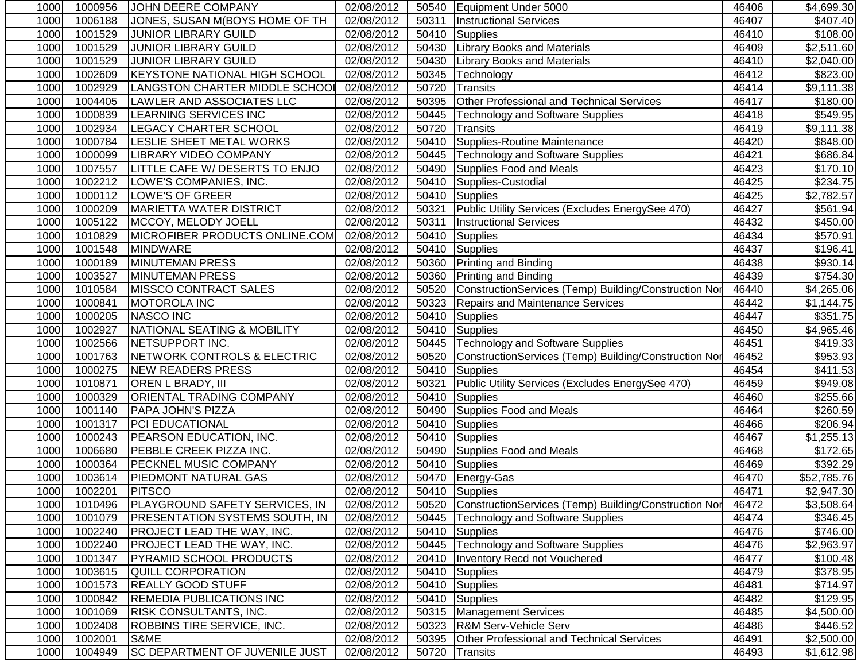| 1000 | 1000956 | JOHN DEERE COMPANY                    | 02/08/2012 |       | 50540   Equipment Under 5000                          | 46406 | \$4,699.30           |
|------|---------|---------------------------------------|------------|-------|-------------------------------------------------------|-------|----------------------|
| 1000 | 1006188 | JONES, SUSAN M(BOYS HOME OF TH        | 02/08/2012 | 50311 | <b>Instructional Services</b>                         | 46407 | \$407.40             |
| 1000 | 1001529 | <b>JUNIOR LIBRARY GUILD</b>           | 02/08/2012 | 50410 | <b>Supplies</b>                                       | 46410 | \$108.00             |
| 1000 | 1001529 | <b>JUNIOR LIBRARY GUILD</b>           | 02/08/2012 |       | 50430 Library Books and Materials                     | 46409 | \$2,511.60           |
| 1000 | 1001529 | <b>JUNIOR LIBRARY GUILD</b>           | 02/08/2012 | 50430 | <b>Library Books and Materials</b>                    | 46410 | \$2,040.00           |
| 1000 | 1002609 | <b>KEYSTONE NATIONAL HIGH SCHOOL</b>  | 02/08/2012 | 50345 | Technology                                            | 46412 | \$823.00             |
| 1000 | 1002929 | LANGSTON CHARTER MIDDLE SCHOOL        | 02/08/2012 | 50720 | Transits                                              | 46414 | \$9,111.38           |
| 1000 | 1004405 | <b>LAWLER AND ASSOCIATES LLC</b>      | 02/08/2012 | 50395 | Other Professional and Technical Services             | 46417 | \$180.00             |
| 1000 | 1000839 | <b>LEARNING SERVICES INC</b>          | 02/08/2012 | 50445 | Technology and Software Supplies                      | 46418 | \$549.95             |
| 1000 | 1002934 | <b>LEGACY CHARTER SCHOOL</b>          | 02/08/2012 | 50720 | Transits                                              | 46419 | \$9,111.38           |
| 1000 | 1000784 | LESLIE SHEET METAL WORKS              | 02/08/2012 | 50410 | Supplies-Routine Maintenance                          | 46420 | \$848.00             |
| 1000 | 1000099 | <b>LIBRARY VIDEO COMPANY</b>          | 02/08/2012 | 50445 | Technology and Software Supplies                      | 46421 | \$686.84             |
| 1000 | 1007557 | LITTLE CAFE W/ DESERTS TO ENJO        | 02/08/2012 | 50490 | Supplies Food and Meals                               | 46423 | \$170.10             |
| 1000 | 1002212 | LOWE'S COMPANIES, INC.                | 02/08/2012 | 50410 | Supplies-Custodial                                    | 46425 | \$234.75             |
| 1000 | 1000112 | LOWE'S OF GREER                       | 02/08/2012 | 50410 | Supplies                                              | 46425 | \$2,782.57           |
| 1000 | 1000209 | <b>MARIETTA WATER DISTRICT</b>        | 02/08/2012 | 50321 | Public Utility Services (Excludes EnergySee 470)      | 46427 | \$561.94             |
| 1000 | 1005122 | MCCOY, MELODY JOELL                   | 02/08/2012 | 50311 | <b>Instructional Services</b>                         | 46432 | \$450.00             |
| 1000 | 1010829 | MICROFIBER PRODUCTS ONLINE.COM        | 02/08/2012 | 50410 | Supplies                                              | 46434 | \$570.91             |
| 1000 | 1001548 | <b>MINDWARE</b>                       | 02/08/2012 | 50410 | Supplies                                              | 46437 | \$196.41             |
| 1000 | 1000189 | <b>MINUTEMAN PRESS</b>                | 02/08/2012 | 50360 | <b>Printing and Binding</b>                           | 46438 | \$930.14             |
| 1000 | 1003527 | <b>MINUTEMAN PRESS</b>                | 02/08/2012 | 50360 | Printing and Binding                                  | 46439 | \$754.30             |
| 1000 | 1010584 | <b>MISSCO CONTRACT SALES</b>          | 02/08/2012 | 50520 | ConstructionServices (Temp) Building/Construction Nor | 46440 | \$4,265.06           |
| 1000 | 1000841 | <b>MOTOROLA INC</b>                   | 02/08/2012 | 50323 | <b>Repairs and Maintenance Services</b>               | 46442 | \$1,144.75           |
| 1000 | 1000205 | <b>NASCO INC</b>                      | 02/08/2012 |       | 50410 Supplies                                        | 46447 | \$351.75             |
| 1000 | 1002927 | NATIONAL SEATING & MOBILITY           | 02/08/2012 |       | 50410 Supplies                                        | 46450 | \$4,965.46           |
| 1000 | 1002566 | NETSUPPORT INC.                       | 02/08/2012 | 50445 | <b>Technology and Software Supplies</b>               | 46451 | $\overline{$}419.33$ |
| 1000 | 1001763 | NETWORK CONTROLS & ELECTRIC           | 02/08/2012 | 50520 | ConstructionServices (Temp) Building/Construction Nor | 46452 | \$953.93             |
| 1000 | 1000275 | <b>NEW READERS PRESS</b>              | 02/08/2012 | 50410 | Supplies                                              | 46454 | \$411.53             |
| 1000 | 1010871 | <b>OREN L BRADY, III</b>              | 02/08/2012 | 50321 | Public Utility Services (Excludes EnergySee 470)      | 46459 | \$949.08             |
| 1000 | 1000329 | ORIENTAL TRADING COMPANY              | 02/08/2012 | 50410 | <b>Supplies</b>                                       | 46460 | \$255.66             |
| 1000 | 1001140 | PAPA JOHN'S PIZZA                     | 02/08/2012 | 50490 | Supplies Food and Meals                               | 46464 | \$260.59             |
| 1000 | 1001317 | PCI EDUCATIONAL                       | 02/08/2012 | 50410 | Supplies                                              | 46466 | \$206.94             |
| 1000 | 1000243 | PEARSON EDUCATION, INC.               | 02/08/2012 |       | 50410 Supplies                                        | 46467 | \$1,255.13           |
| 1000 | 1006680 | PEBBLE CREEK PIZZA INC.               | 02/08/2012 | 50490 | Supplies Food and Meals                               | 46468 | \$172.65             |
| 1000 | 1000364 | <b>PECKNEL MUSIC COMPANY</b>          | 02/08/2012 |       | 50410 Supplies                                        | 46469 | \$392.29             |
| 1000 | 1003614 | <b>PIEDMONT NATURAL GAS</b>           | 02/08/2012 |       | 50470 Energy-Gas                                      | 46470 | \$52,785.76          |
| 1000 | 1002201 | <b>PITSCO</b>                         | 02/08/2012 |       | 50410 Supplies                                        | 46471 | \$2,947.30           |
| 1000 | 1010496 | <b>PLAYGROUND SAFETY SERVICES, IN</b> | 02/08/2012 | 50520 | ConstructionServices (Temp) Building/Construction Nor | 46472 | \$3,508.64           |
| 1000 | 1001079 | <b>PRESENTATION SYSTEMS SOUTH, IN</b> | 02/08/2012 | 50445 | Technology and Software Supplies                      | 46474 | \$346.45             |
| 1000 | 1002240 | <b>PROJECT LEAD THE WAY, INC.</b>     | 02/08/2012 |       | 50410 Supplies                                        | 46476 | \$746.00             |
| 1000 | 1002240 | <b>PROJECT LEAD THE WAY, INC.</b>     | 02/08/2012 |       | 50445   Technology and Software Supplies              | 46476 | \$2,963.97           |
| 1000 | 1001347 | <b>PYRAMID SCHOOL PRODUCTS</b>        | 02/08/2012 |       | 20410   Inventory Recd not Vouchered                  | 46477 | \$100.48]            |
| 1000 | 1003615 | QUILL CORPORATION                     | 02/08/2012 |       | 50410 Supplies                                        | 46479 | \$378.95             |
| 1000 | 1001573 | <b>REALLY GOOD STUFF</b>              | 02/08/2012 |       | 50410 Supplies                                        | 46481 | \$714.97             |
| 1000 | 1000842 | <b>REMEDIA PUBLICATIONS INC</b>       | 02/08/2012 |       | 50410 Supplies                                        | 46482 | \$129.95             |
| 1000 | 1001069 | <b>RISK CONSULTANTS, INC.</b>         | 02/08/2012 |       | 50315   Management Services                           | 46485 | \$4,500.00           |
| 1000 | 1002408 | <b>ROBBINS TIRE SERVICE, INC.</b>     | 02/08/2012 |       | 50323   R&M Serv-Vehicle Serv                         | 46486 | \$446.52             |
| 1000 | 1002001 | S&ME                                  | 02/08/2012 | 50395 | <b>Other Professional and Technical Services</b>      | 46491 | \$2,500.00           |
| 1000 | 1004949 | <b>SC DEPARTMENT OF JUVENILE JUST</b> | 02/08/2012 | 50720 | Transits                                              | 46493 | \$1,612.98           |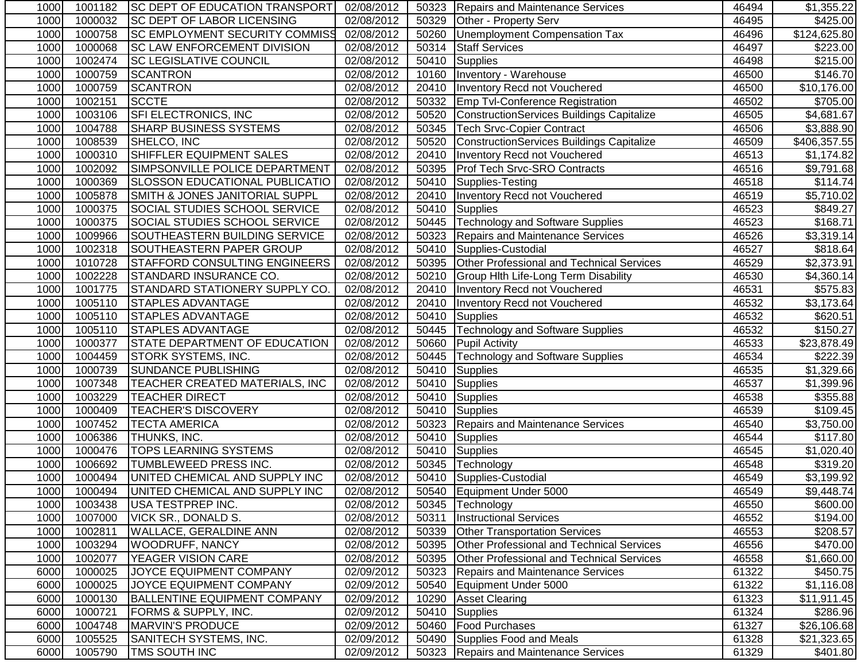| 1000 | 1001182 | <b>ISC DEPT OF EDUCATION TRANSPORT</b> | 02/08/2012 |       | 50323   Repairs and Maintenance Services         | 46494 | \$1,355.22           |
|------|---------|----------------------------------------|------------|-------|--------------------------------------------------|-------|----------------------|
| 1000 | 1000032 | <b>SC DEPT OF LABOR LICENSING</b>      | 02/08/2012 | 50329 | Other - Property Serv                            | 46495 | \$425.00             |
| 1000 | 1000758 | <b>SC EMPLOYMENT SECURITY COMMISS</b>  | 02/08/2012 | 50260 | Unemployment Compensation Tax                    | 46496 | \$124,625.80         |
| 1000 | 1000068 | <b>SC LAW ENFORCEMENT DIVISION</b>     | 02/08/2012 | 50314 | <b>Staff Services</b>                            | 46497 | \$223.00             |
| 1000 | 1002474 | <b>SC LEGISLATIVE COUNCIL</b>          | 02/08/2012 | 50410 | Supplies                                         | 46498 | \$215.00             |
| 1000 | 1000759 | <b>SCANTRON</b>                        | 02/08/2012 |       | 10160   Inventory - Warehouse                    | 46500 | \$146.70             |
| 1000 | 1000759 | <b>SCANTRON</b>                        | 02/08/2012 |       | 20410   Inventory Recd not Vouchered             | 46500 | \$10,176.00          |
| 1000 | 1002151 | <b>SCCTE</b>                           | 02/08/2012 |       | 50332 Emp Tvl-Conference Registration            | 46502 | \$705.00             |
| 1000 | 1003106 | SFI ELECTRONICS, INC                   | 02/08/2012 | 50520 | ConstructionServices Buildings Capitalize        | 46505 | \$4,681.67           |
| 1000 | 1004788 | <b>SHARP BUSINESS SYSTEMS</b>          | 02/08/2012 | 50345 | <b>Tech Srvc-Copier Contract</b>                 | 46506 | \$3,888.90           |
| 1000 | 1008539 | SHELCO, INC                            | 02/08/2012 | 50520 | <b>ConstructionServices Buildings Capitalize</b> | 46509 | \$406,357.55         |
| 1000 | 1000310 | SHIFFLER EQUIPMENT SALES               | 02/08/2012 | 20410 | Inventory Recd not Vouchered                     | 46513 | \$1,174.82           |
| 1000 | 1002092 | SIMPSONVILLE POLICE DEPARTMENT         | 02/08/2012 | 50395 | <b>Prof Tech Srvc-SRO Contracts</b>              | 46516 | \$9,791.68           |
| 1000 | 1000369 | <b>SLOSSON EDUCATIONAL PUBLICATIO</b>  | 02/08/2012 | 50410 | Supplies-Testing                                 | 46518 | \$114.74             |
| 1000 | 1005878 | SMITH & JONES JANITORIAL SUPPL         | 02/08/2012 | 20410 | Inventory Recd not Vouchered                     | 46519 | \$5,710.02           |
| 1000 | 1000375 | SOCIAL STUDIES SCHOOL SERVICE          | 02/08/2012 |       | 50410 Supplies                                   | 46523 | \$849.27             |
| 1000 | 1000375 | SOCIAL STUDIES SCHOOL SERVICE          | 02/08/2012 |       | 50445   Technology and Software Supplies         | 46523 | \$168.71             |
| 1000 | 1009966 | SOUTHEASTERN BUILDING SERVICE          | 02/08/2012 | 50323 | Repairs and Maintenance Services                 | 46526 | \$3,319.14           |
| 1000 | 1002318 | SOUTHEASTERN PAPER GROUP               | 02/08/2012 | 50410 | Supplies-Custodial                               | 46527 | \$818.64             |
| 1000 | 1010728 | <b>STAFFORD CONSULTING ENGINEERS</b>   | 02/08/2012 | 50395 | Other Professional and Technical Services        | 46529 | \$2,373.91           |
| 1000 | 1002228 | STANDARD INSURANCE CO.                 | 02/08/2012 | 50210 | Group Hith Life-Long Term Disability             | 46530 | \$4,360.14           |
| 1000 | 1001775 | <b>STANDARD STATIONERY SUPPLY CO</b>   | 02/08/2012 | 20410 | <b>Inventory Recd not Vouchered</b>              | 46531 | $\overline{$}575.83$ |
| 1000 | 1005110 | <b>STAPLES ADVANTAGE</b>               | 02/08/2012 | 20410 | <b>Inventory Recd not Vouchered</b>              | 46532 | \$3,173.64           |
| 1000 | 1005110 | <b>STAPLES ADVANTAGE</b>               | 02/08/2012 |       | 50410 Supplies                                   | 46532 | $\overline{$}620.51$ |
| 1000 | 1005110 | <b>STAPLES ADVANTAGE</b>               | 02/08/2012 | 50445 | <b>Technology and Software Supplies</b>          | 46532 | \$150.27             |
| 1000 | 1000377 | STATE DEPARTMENT OF EDUCATION          | 02/08/2012 | 50660 | <b>Pupil Activity</b>                            | 46533 | \$23,878.49          |
| 1000 | 1004459 | <b>STORK SYSTEMS, INC.</b>             | 02/08/2012 | 50445 | <b>Technology and Software Supplies</b>          | 46534 | \$222.39             |
| 1000 | 1000739 | <b>SUNDANCE PUBLISHING</b>             | 02/08/2012 | 50410 | Supplies                                         | 46535 | \$1,329.66           |
| 1000 | 1007348 | TEACHER CREATED MATERIALS, INC         | 02/08/2012 | 50410 | Supplies                                         | 46537 | \$1,399.96           |
| 1000 | 1003229 | <b>TEACHER DIRECT</b>                  | 02/08/2012 | 50410 | <b>Supplies</b>                                  | 46538 | \$355.88             |
| 1000 | 1000409 | <b>TEACHER'S DISCOVERY</b>             | 02/08/2012 | 50410 | Supplies                                         | 46539 | \$109.45             |
| 1000 | 1007452 | <b>TECTA AMERICA</b>                   | 02/08/2012 |       | 50323 Repairs and Maintenance Services           | 46540 | \$3,750.00           |
| 1000 | 1006386 | <b>THUNKS, INC.</b>                    | 02/08/2012 |       | 50410 Supplies                                   | 46544 | \$117.80             |
| 1000 | 1000476 | <b>TOPS LEARNING SYSTEMS</b>           | 02/08/2012 | 50410 | Supplies                                         | 46545 | \$1,020.40           |
| 1000 | 1006692 | <b>TUMBLEWEED PRESS INC.</b>           | 02/08/2012 |       | 50345 Technology                                 | 46548 | \$319.20             |
| 1000 | 1000494 | UNITED CHEMICAL AND SUPPLY INC         | 02/08/2012 |       | 50410 Supplies-Custodial                         | 46549 | \$3,199.92           |
| 1000 | 1000494 | UNITED CHEMICAL AND SUPPLY INC         | 02/08/2012 |       | 50540 Equipment Under 5000                       | 46549 | \$9,448.74           |
| 1000 | 1003438 | <b>USA TESTPREP INC.</b>               | 02/08/2012 |       | 50345 Technology                                 | 46550 | \$600.00             |
| 1000 | 1007000 | VICK SR., DONALD S.                    | 02/08/2012 | 50311 | <b>Instructional Services</b>                    | 46552 | \$194.00             |
| 1000 | 1002811 | <b>WALLACE, GERALDINE ANN</b>          | 02/08/2012 | 50339 | <b>Other Transportation Services</b>             | 46553 | \$208.57             |
| 1000 | 1003294 | <b>WOODRUFF, NANCY</b>                 | 02/08/2012 | 50395 | Other Professional and Technical Services        | 46556 | \$470.00             |
| 1000 | 1002077 | YEAGER VISION CARE                     | 02/08/2012 | 50395 | <b>Other Professional and Technical Services</b> | 46558 | \$1,660.00           |
| 6000 | 1000025 | JOYCE EQUIPMENT COMPANY                | 02/09/2012 | 50323 | <b>Repairs and Maintenance Services</b>          | 61322 | \$450.75             |
| 6000 | 1000025 | JOYCE EQUIPMENT COMPANY                | 02/09/2012 | 50540 | Equipment Under 5000                             | 61322 | \$1,116.08           |
| 6000 | 1000130 | <b>BALLENTINE EQUIPMENT COMPANY</b>    | 02/09/2012 | 10290 | <b>Asset Clearing</b>                            | 61323 | \$11,911.45          |
| 6000 | 1000721 | FORMS & SUPPLY, INC.                   | 02/09/2012 | 50410 | Supplies                                         | 61324 | \$286.96             |
| 6000 | 1004748 | <b>MARVIN'S PRODUCE</b>                | 02/09/2012 | 50460 | <b>Food Purchases</b>                            | 61327 | \$26,106.68          |
| 6000 | 1005525 | SANITECH SYSTEMS, INC.                 | 02/09/2012 | 50490 | Supplies Food and Meals                          | 61328 | \$21,323.65          |
| 6000 | 1005790 | TMS SOUTH INC                          | 02/09/2012 |       | 50323 Repairs and Maintenance Services           | 61329 | \$401.80             |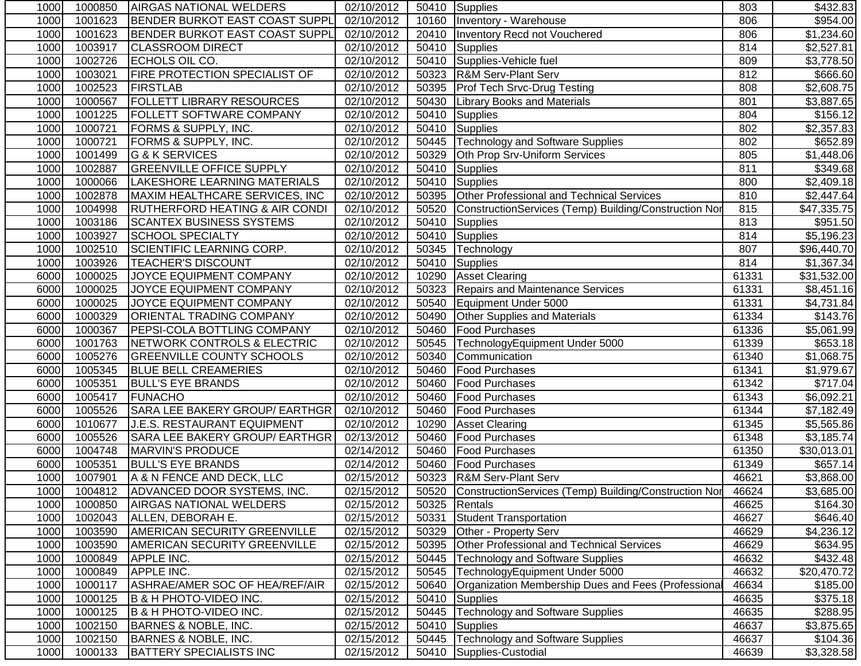| 1000 | 1000850 | AIRGAS NATIONAL WELDERS                   | 02/10/2012 |       | 50410 Supplies                                              | 803   | \$432.83    |
|------|---------|-------------------------------------------|------------|-------|-------------------------------------------------------------|-------|-------------|
| 1000 | 1001623 | <b>BENDER BURKOT EAST COAST SUPPL</b>     | 02/10/2012 |       | 10160   Inventory - Warehouse                               | 806   | \$954.00    |
| 1000 | 1001623 | <b>BENDER BURKOT EAST COAST SUPPL</b>     | 02/10/2012 | 20410 | Inventory Recd not Vouchered                                | 806   | \$1,234.60  |
| 1000 | 1003917 | <b>CLASSROOM DIRECT</b>                   | 02/10/2012 | 50410 | Supplies                                                    | 814   | \$2,527.81  |
| 1000 | 1002726 | ECHOLS OIL CO.                            | 02/10/2012 |       | 50410 Supplies-Vehicle fuel                                 | 809   | \$3,778.50  |
| 1000 | 1003021 | <b>FIRE PROTECTION SPECIALIST OF</b>      | 02/10/2012 |       | 50323 R&M Serv-Plant Serv                                   | 812   | \$666.60    |
| 1000 | 1002523 | FIRSTLAB                                  | 02/10/2012 | 50395 | <b>Prof Tech Srvc-Drug Testing</b>                          | 808   | \$2,608.75  |
| 1000 | 1000567 | <b>FOLLETT LIBRARY RESOURCES</b>          | 02/10/2012 | 50430 | <b>Library Books and Materials</b>                          | 801   | \$3,887.65  |
| 1000 | 1001225 | FOLLETT SOFTWARE COMPANY                  | 02/10/2012 | 50410 | Supplies                                                    | 804   | \$156.12    |
| 1000 | 1000721 | FORMS & SUPPLY, INC.                      | 02/10/2012 | 50410 | Supplies                                                    | 802   | \$2,357.83  |
| 1000 | 1000721 | FORMS & SUPPLY, INC.                      | 02/10/2012 | 50445 | Technology and Software Supplies                            | 802   | \$652.89    |
| 1000 | 1001499 | G & K SERVICES                            | 02/10/2012 | 50329 | Oth Prop Srv-Uniform Services                               | 805   | \$1,448.06  |
| 1000 | 1002887 | <b>GREENVILLE OFFICE SUPPLY</b>           | 02/10/2012 | 50410 | Supplies                                                    | 811   | \$349.68    |
| 1000 | 1000066 | LAKESHORE LEARNING MATERIALS              | 02/10/2012 | 50410 | Supplies                                                    | 800   | \$2,409.18  |
| 1000 | 1002878 | MAXIM HEALTHCARE SERVICES, INC            | 02/10/2012 |       | 50395 Other Professional and Technical Services             | 810   | \$2,447.64  |
| 1000 | 1004998 | <b>RUTHERFORD HEATING &amp; AIR CONDI</b> | 02/10/2012 | 50520 | ConstructionServices (Temp) Building/Construction Nor       | 815   | \$47,335.75 |
| 1000 | 1003186 | <b>SCANTEX BUSINESS SYSTEMS</b>           | 02/10/2012 | 50410 | Supplies                                                    | 813   | \$951.50    |
| 1000 | 1003927 | <b>SCHOOL SPECIALTY</b>                   | 02/10/2012 | 50410 | Supplies                                                    | 814   | \$5,196.23  |
| 1000 | 1002510 | <b>SCIENTIFIC LEARNING CORP.</b>          | 02/10/2012 | 50345 | Technology                                                  | 807   | \$96,440.70 |
| 1000 | 1003926 | <b>TEACHER'S DISCOUNT</b>                 | 02/10/2012 | 50410 | Supplies                                                    | 814   | \$1,367.34  |
| 6000 | 1000025 | JOYCE EQUIPMENT COMPANY                   | 02/10/2012 |       | 10290 Asset Clearing                                        | 61331 | \$31,532.00 |
| 6000 | 1000025 | JOYCE EQUIPMENT COMPANY                   | 02/10/2012 | 50323 | Repairs and Maintenance Services                            | 61331 | \$8,451.16  |
| 6000 | 1000025 | JOYCE EQUIPMENT COMPANY                   | 02/10/2012 | 50540 | Equipment Under 5000                                        | 61331 | \$4,731.84  |
| 6000 | 1000329 | <b>ORIENTAL TRADING COMPANY</b>           | 02/10/2012 | 50490 | <b>Other Supplies and Materials</b>                         | 61334 | \$143.76    |
| 6000 | 1000367 | <b>PEPSI-COLA BOTTLING COMPANY</b>        | 02/10/2012 | 50460 | <b>Food Purchases</b>                                       | 61336 | \$5,061.99  |
| 6000 | 1001763 | NETWORK CONTROLS & ELECTRIC               | 02/10/2012 | 50545 | TechnologyEquipment Under 5000                              | 61339 | \$653.18    |
| 6000 | 1005276 | <b>GREENVILLE COUNTY SCHOOLS</b>          | 02/10/2012 | 50340 | Communication                                               | 61340 | \$1,068.75  |
| 6000 | 1005345 | <b>BLUE BELL CREAMERIES</b>               | 02/10/2012 | 50460 | <b>Food Purchases</b>                                       | 61341 | \$1,979.67  |
| 6000 | 1005351 | <b>BULL'S EYE BRANDS</b>                  | 02/10/2012 | 50460 | <b>Food Purchases</b>                                       | 61342 | \$717.04    |
| 6000 | 1005417 | <b>FUNACHO</b>                            | 02/10/2012 | 50460 | <b>Food Purchases</b>                                       | 61343 | \$6,092.21  |
| 6000 | 1005526 | SARA LEE BAKERY GROUP/ EARTHGR            | 02/10/2012 | 50460 | <b>Food Purchases</b>                                       | 61344 | \$7,182.49  |
| 6000 | 1010677 | J.E.S. RESTAURANT EQUIPMENT               | 02/10/2012 | 10290 | <b>Asset Clearing</b>                                       | 61345 | \$5,565.86  |
| 6000 | 1005526 | SARA LEE BAKERY GROUP/ EARTHGR            | 02/13/2012 | 50460 | <b>Food Purchases</b>                                       | 61348 | \$3,185.74  |
| 6000 | 1004748 | MARVIN'S PRODUCE                          | 02/14/2012 | 50460 | <b>Food Purchases</b>                                       | 61350 | \$30,013.01 |
| 6000 | 1005351 | <b>BULL'S EYE BRANDS</b>                  | 02/14/2012 | 50460 | <b>Food Purchases</b>                                       | 61349 | \$657.14]   |
| 1000 | 1007901 | A & N FENCE AND DECK, LLC                 | 02/15/2012 |       | 50323 R&M Serv-Plant Serv                                   | 46621 | \$3,868.00  |
| 1000 |         | 1004812 ADVANCED DOOR SYSTEMS, INC.       | 02/15/2012 |       | 50520 ConstructionServices (Temp) Building/Construction Nor | 46624 | \$3,685.00  |
| 1000 | 1000850 | <b>AIRGAS NATIONAL WELDERS</b>            | 02/15/2012 |       | 50325 Rentals                                               | 46625 | \$164.30    |
| 1000 | 1002043 | ALLEN, DEBORAH E.                         | 02/15/2012 | 50331 | <b>Student Transportation</b>                               | 46627 | \$646.40    |
| 1000 | 1003590 | AMERICAN SECURITY GREENVILLE              | 02/15/2012 | 50329 | Other - Property Serv                                       | 46629 | \$4,236.12  |
| 1000 | 1003590 | AMERICAN SECURITY GREENVILLE              | 02/15/2012 | 50395 | Other Professional and Technical Services                   | 46629 | \$634.95    |
| 1000 | 1000849 | APPLE INC.                                | 02/15/2012 | 50445 | <b>Technology and Software Supplies</b>                     | 46632 | \$432.48    |
| 1000 | 1000849 | APPLE INC.                                | 02/15/2012 | 50545 | TechnologyEquipment Under 5000                              | 46632 | \$20,470.72 |
| 1000 | 1000117 | ASHRAE/AMER SOC OF HEA/REF/AIR            | 02/15/2012 | 50640 | Organization Membership Dues and Fees (Professional         | 46634 | \$185.00    |
| 1000 | 1000125 | B & H PHOTO-VIDEO INC.                    | 02/15/2012 | 50410 | Supplies                                                    | 46635 | \$375.18    |
| 1000 | 1000125 | <b>B &amp; H PHOTO-VIDEO INC.</b>         | 02/15/2012 | 50445 | <b>Technology and Software Supplies</b>                     | 46635 | \$288.95    |
| 1000 | 1002150 | <b>BARNES &amp; NOBLE, INC.</b>           | 02/15/2012 | 50410 | <b>Supplies</b>                                             | 46637 | \$3,875.65  |
| 1000 | 1002150 | <b>BARNES &amp; NOBLE, INC.</b>           | 02/15/2012 | 50445 | <b>Technology and Software Supplies</b>                     | 46637 | \$104.36    |
| 1000 | 1000133 | <b>BATTERY SPECIALISTS INC</b>            | 02/15/2012 |       | 50410 Supplies-Custodial                                    | 46639 | \$3,328.58  |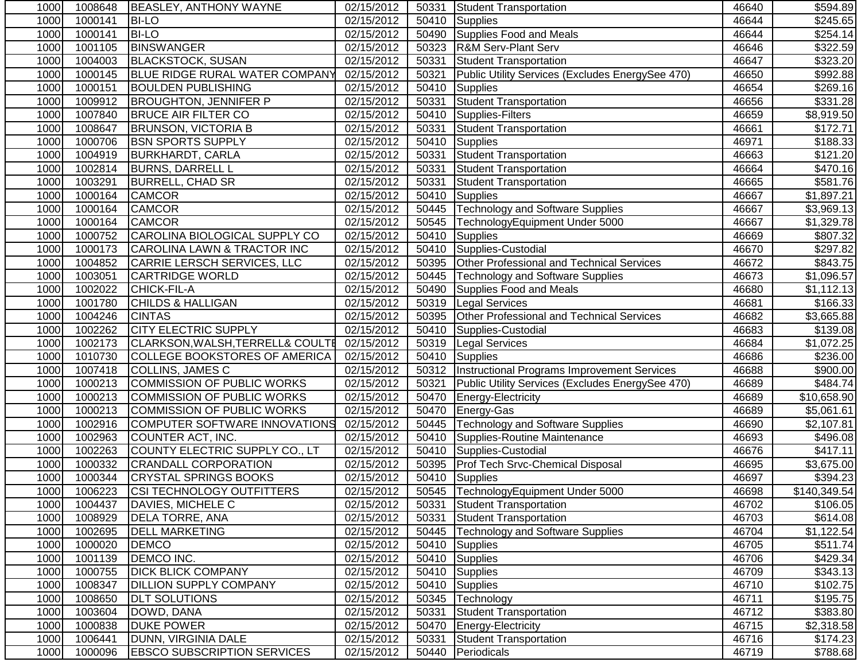| 1000 | 1008648 | <b>BEASLEY, ANTHONY WAYNE</b>               | 02/15/2012 | 50331 | Student Transportation                              | 46640 | \$594.89             |
|------|---------|---------------------------------------------|------------|-------|-----------------------------------------------------|-------|----------------------|
| 1000 | 1000141 | <b>BI-LO</b>                                | 02/15/2012 | 50410 | <b>Supplies</b>                                     | 46644 | $\overline{$}245.65$ |
| 1000 | 1000141 | <b>BI-LO</b>                                | 02/15/2012 | 50490 | Supplies Food and Meals                             | 46644 | \$254.14]            |
| 1000 | 1001105 | <b>BINSWANGER</b>                           | 02/15/2012 | 50323 | <b>R&amp;M Serv-Plant Serv</b>                      | 46646 | \$322.59             |
| 1000 | 1004003 | <b>BLACKSTOCK, SUSAN</b>                    | 02/15/2012 | 50331 | Student Transportation                              | 46647 | \$323.20             |
| 1000 | 1000145 | <b>BLUE RIDGE RURAL WATER COMPANY</b>       | 02/15/2012 | 50321 | Public Utility Services (Excludes EnergySee 470)    | 46650 | \$992.88             |
| 1000 | 1000151 | <b>BOULDEN PUBLISHING</b>                   | 02/15/2012 | 50410 | Supplies                                            | 46654 | \$269.16             |
| 1000 | 1009912 | <b>BROUGHTON, JENNIFER P</b>                | 02/15/2012 | 50331 | <b>Student Transportation</b>                       | 46656 | \$331.28             |
| 1000 | 1007840 | <b>BRUCE AIR FILTER CO</b>                  | 02/15/2012 | 50410 | Supplies-Filters                                    | 46659 | \$8,919.50           |
| 1000 | 1008647 | <b>BRUNSON, VICTORIA B</b>                  | 02/15/2012 | 50331 | Student Transportation                              | 46661 | \$172.71             |
| 1000 | 1000706 | <b>BSN SPORTS SUPPLY</b>                    | 02/15/2012 | 50410 | <b>Supplies</b>                                     | 46971 | \$188.33             |
| 1000 | 1004919 | <b>BURKHARDT, CARLA</b>                     | 02/15/2012 | 50331 | Student Transportation                              | 46663 | \$121.20             |
| 1000 | 1002814 | <b>BURNS, DARRELL L</b>                     | 02/15/2012 | 50331 | Student Transportation                              | 46664 | \$470.16             |
| 1000 | 1003291 | <b>BURRELL, CHAD SR</b>                     | 02/15/2012 | 50331 | Student Transportation                              | 46665 | \$581.76             |
| 1000 | 1000164 | <b>CAMCOR</b>                               | 02/15/2012 | 50410 | Supplies                                            | 46667 | \$1,897.21           |
| 1000 | 1000164 | <b>CAMCOR</b>                               | 02/15/2012 |       | 50445   Technology and Software Supplies            | 46667 | \$3,969.13           |
| 1000 | 1000164 | <b>CAMCOR</b>                               | 02/15/2012 |       | 50545 TechnologyEquipment Under 5000                | 46667 | \$1,329.78           |
| 1000 | 1000752 | CAROLINA BIOLOGICAL SUPPLY CO               | 02/15/2012 | 50410 | Supplies                                            | 46669 | \$807.32             |
| 1000 | 1000173 | CAROLINA LAWN & TRACTOR INC                 | 02/15/2012 | 50410 | Supplies-Custodial                                  | 46670 | \$297.82             |
| 1000 | 1004852 | CARRIE LERSCH SERVICES, LLC                 | 02/15/2012 | 50395 | Other Professional and Technical Services           | 46672 | \$843.75             |
| 1000 | 1003051 | <b>CARTRIDGE WORLD</b>                      | 02/15/2012 | 50445 | Technology and Software Supplies                    | 46673 | \$1,096.57           |
| 1000 | 1002022 | <b>CHICK-FIL-A</b>                          | 02/15/2012 | 50490 | Supplies Food and Meals                             | 46680 | \$1,112.13           |
| 1000 | 1001780 | <b>CHILDS &amp; HALLIGAN</b>                | 02/15/2012 | 50319 | <b>Legal Services</b>                               | 46681 | $\overline{$}166.33$ |
| 1000 | 1004246 | <b>CINTAS</b>                               | 02/15/2012 | 50395 | Other Professional and Technical Services           | 46682 | \$3,665.88           |
| 1000 | 1002262 | <b>CITY ELECTRIC SUPPLY</b>                 | 02/15/2012 | 50410 | Supplies-Custodial                                  | 46683 | \$139.08             |
| 1000 | 1002173 | <b>CLARKSON, WALSH, TERRELL&amp; COULTE</b> | 02/15/2012 |       | 50319   Legal Services                              | 46684 | \$1,072.25           |
| 1000 | 1010730 | COLLEGE BOOKSTORES OF AMERICA               | 02/15/2012 |       | 50410 Supplies                                      | 46686 | \$236.00             |
| 1000 | 1007418 | COLLINS, JAMES C                            | 02/15/2012 |       | 50312   Instructional Programs Improvement Services | 46688 | \$900.00             |
| 1000 | 1000213 | COMMISSION OF PUBLIC WORKS                  | 02/15/2012 | 50321 | Public Utility Services (Excludes EnergySee 470)    | 46689 | \$484.74             |
| 1000 | 1000213 | <b>COMMISSION OF PUBLIC WORKS</b>           | 02/15/2012 | 50470 | Energy-Electricity                                  | 46689 | \$10,658.90          |
| 1000 | 1000213 | COMMISSION OF PUBLIC WORKS                  | 02/15/2012 | 50470 | Energy-Gas                                          | 46689 | \$5,061.61           |
| 1000 | 1002916 | COMPUTER SOFTWARE INNOVATIONS               | 02/15/2012 | 50445 | Technology and Software Supplies                    | 46690 | \$2,107.81           |
| 1000 | 1002963 | COUNTER ACT, INC.                           | 02/15/2012 |       | 50410 Supplies-Routine Maintenance                  | 46693 | \$496.08             |
| 1000 | 1002263 | COUNTY ELECTRIC SUPPLY CO., LT              | 02/15/2012 |       | 50410 Supplies-Custodial                            | 46676 | \$417.11             |
| 1000 | 1000332 | <b>CRANDALL CORPORATION</b>                 | 02/15/2012 |       | 50395 Prof Tech Srvc-Chemical Disposal              | 46695 | \$3,675.00           |
| 1000 | 1000344 | <b>CRYSTAL SPRINGS BOOKS</b>                | 02/15/2012 |       | 50410 Supplies                                      | 46697 | \$394.23             |
| 1000 | 1006223 | CSI TECHNOLOGY OUTFITTERS                   | 02/15/2012 |       | 50545 TechnologyEquipment Under 5000                | 46698 | \$140,349.54         |
| 1000 | 1004437 | DAVIES, MICHELE C                           | 02/15/2012 | 50331 | Student Transportation                              | 46702 | \$106.05             |
| 1000 | 1008929 | <b>DELA TORRE, ANA</b>                      | 02/15/2012 | 50331 | <b>Student Transportation</b>                       | 46703 | \$614.08             |
| 1000 | 1002695 | <b>DELL MARKETING</b>                       | 02/15/2012 | 50445 | Technology and Software Supplies                    | 46704 | \$1,122.54           |
| 1000 | 1000020 | <b>DEMCO</b>                                | 02/15/2012 |       | 50410 Supplies                                      | 46705 | \$511.74             |
| 1000 | 1001139 | <b>DEMCO INC.</b>                           | 02/15/2012 |       | 50410 Supplies                                      | 46706 | \$429.34             |
| 1000 | 1000755 | <b>DICK BLICK COMPANY</b>                   | 02/15/2012 | 50410 | Supplies                                            | 46709 | \$343.13             |
| 1000 | 1008347 | <b>DILLION SUPPLY COMPANY</b>               | 02/15/2012 | 50410 | Supplies                                            | 46710 | \$102.75             |
| 1000 | 1008650 | <b>DLT SOLUTIONS</b>                        | 02/15/2012 | 50345 | Technology                                          | 46711 | \$195.75             |
| 1000 | 1003604 | DOWD, DANA                                  | 02/15/2012 | 50331 | Student Transportation                              | 46712 | \$383.80             |
| 1000 | 1000838 | <b>DUKE POWER</b>                           | 02/15/2012 | 50470 | Energy-Electricity                                  | 46715 | \$2,318.58           |
| 1000 | 1006441 | DUNN, VIRGINIA DALE                         | 02/15/2012 | 50331 | <b>Student Transportation</b>                       | 46716 | \$174.23             |
| 1000 | 1000096 | <b>EBSCO SUBSCRIPTION SERVICES</b>          | 02/15/2012 | 50440 | Periodicals                                         | 46719 | \$788.68             |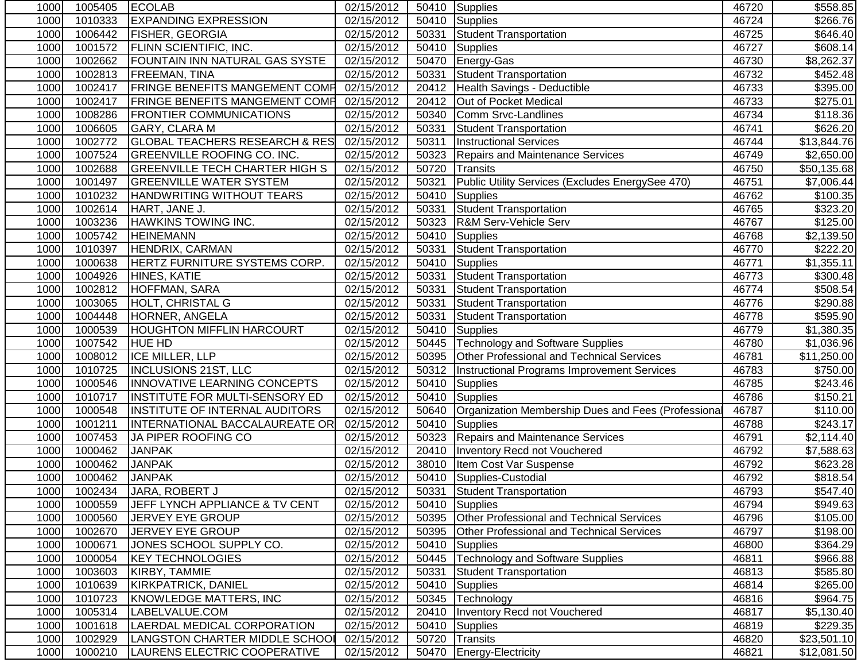| 1000 | 1005405 | <b>ECOLAB</b>                             | 02/15/2012 |       | 50410 Supplies                                      | 46720 | \$558.85             |
|------|---------|-------------------------------------------|------------|-------|-----------------------------------------------------|-------|----------------------|
| 1000 | 1010333 | <b>EXPANDING EXPRESSION</b>               | 02/15/2012 | 50410 | Supplies                                            | 46724 | $\overline{$}266.76$ |
| 1000 | 1006442 | <b>FISHER, GEORGIA</b>                    | 02/15/2012 | 50331 | <b>Student Transportation</b>                       | 46725 | \$646.40             |
| 1000 | 1001572 | <b>FLINN SCIENTIFIC, INC.</b>             | 02/15/2012 | 50410 | <b>Supplies</b>                                     | 46727 | \$608.14             |
| 1000 | 1002662 | FOUNTAIN INN NATURAL GAS SYSTE            | 02/15/2012 | 50470 | Energy-Gas                                          | 46730 | \$8,262.37           |
| 1000 | 1002813 | FREEMAN, TINA                             | 02/15/2012 | 50331 | <b>Student Transportation</b>                       | 46732 | $\overline{$}452.48$ |
| 1000 | 1002417 | FRINGE BENEFITS MANGEMENT COMP            | 02/15/2012 |       | 20412 Health Savings - Deductible                   | 46733 | \$395.00             |
| 1000 | 1002417 | <b>FRINGE BENEFITS MANGEMENT COMP</b>     | 02/15/2012 | 20412 | Out of Pocket Medical                               | 46733 | \$275.01             |
| 1000 | 1008286 | <b>FRONTIER COMMUNICATIONS</b>            | 02/15/2012 | 50340 | Comm Srvc-Landlines                                 | 46734 | \$118.36             |
| 1000 | 1006605 | GARY, CLARA M                             | 02/15/2012 | 50331 | Student Transportation                              | 46741 | \$626.20             |
| 1000 | 1002772 | <b>GLOBAL TEACHERS RESEARCH &amp; RES</b> | 02/15/2012 | 50311 | <b>Instructional Services</b>                       | 46744 | \$13,844.76          |
| 1000 | 1007524 | <b>GREENVILLE ROOFING CO. INC.</b>        | 02/15/2012 | 50323 | <b>Repairs and Maintenance Services</b>             | 46749 | \$2,650.00           |
| 1000 | 1002688 | <b>GREENVILLE TECH CHARTER HIGH S</b>     | 02/15/2012 | 50720 | Transits                                            | 46750 | \$50,135.68          |
| 1000 | 1001497 | <b>GREENVILLE WATER SYSTEM</b>            | 02/15/2012 | 50321 | Public Utility Services (Excludes EnergySee 470)    | 46751 | \$7,006.44           |
| 1000 | 1010232 | HANDWRITING WITHOUT TEARS                 | 02/15/2012 | 50410 | <b>Supplies</b>                                     | 46762 | \$100.35             |
| 1000 | 1002614 | HART, JANE J.                             | 02/15/2012 | 50331 | <b>Student Transportation</b>                       | 46765 | \$323.20             |
| 1000 | 1003236 | <b>HAWKINS TOWING INC.</b>                | 02/15/2012 | 50323 | R&M Serv-Vehicle Serv                               | 46767 | \$125.00             |
| 1000 | 1005742 | <b>HEINEMANN</b>                          | 02/15/2012 | 50410 | <b>Supplies</b>                                     | 46768 | \$2,139.50           |
| 1000 | 1010397 | HENDRIX, CARMAN                           | 02/15/2012 | 50331 | <b>Student Transportation</b>                       | 46770 | \$222.20             |
| 1000 | 1000638 | HERTZ FURNITURE SYSTEMS CORP.             | 02/15/2012 | 50410 | Supplies                                            | 46771 | \$1,355.11           |
| 1000 | 1004926 | HINES, KATIE                              | 02/15/2012 | 50331 | Student Transportation                              | 46773 | \$300.48             |
| 1000 | 1002812 | HOFFMAN, SARA                             | 02/15/2012 | 50331 | Student Transportation                              | 46774 | \$508.54             |
| 1000 | 1003065 | <b>HOLT, CHRISTAL G</b>                   | 02/15/2012 | 50331 | Student Transportation                              | 46776 | $\overline{$}290.88$ |
| 1000 | 1004448 | HORNER, ANGELA                            | 02/15/2012 | 50331 | Student Transportation                              | 46778 | \$595.90             |
| 1000 | 1000539 | <b>HOUGHTON MIFFLIN HARCOURT</b>          | 02/15/2012 | 50410 | Supplies                                            | 46779 | \$1,380.35           |
| 1000 | 1007542 | <b>HUE HD</b>                             | 02/15/2012 | 50445 | <b>Technology and Software Supplies</b>             | 46780 | \$1,036.96           |
| 1000 | 1008012 | ICE MILLER, LLP                           | 02/15/2012 | 50395 | Other Professional and Technical Services           | 46781 | \$11,250.00          |
| 1000 | 1010725 | <b>INCLUSIONS 21ST, LLC</b>               | 02/15/2012 | 50312 | Instructional Programs Improvement Services         | 46783 | \$750.00             |
| 1000 | 1000546 | INNOVATIVE LEARNING CONCEPTS              | 02/15/2012 | 50410 | Supplies                                            | 46785 | \$243.46             |
| 1000 | 1010717 | INSTITUTE FOR MULTI-SENSORY ED            | 02/15/2012 | 50410 | <b>Supplies</b>                                     | 46786 | \$150.21             |
| 1000 | 1000548 | <b>INSTITUTE OF INTERNAL AUDITORS</b>     | 02/15/2012 | 50640 | Organization Membership Dues and Fees (Professional | 46787 | \$110.00             |
| 1000 | 1001211 | INTERNATIONAL BACCALAUREATE OR            | 02/15/2012 | 50410 | Supplies                                            | 46788 | \$243.17             |
| 1000 | 1007453 | JA PIPER ROOFING CO                       | 02/15/2012 |       | 50323 Repairs and Maintenance Services              | 46791 | \$2,114.40           |
| 1000 | 1000462 | <b>JANPAK</b>                             | 02/15/2012 | 20410 | Inventory Recd not Vouchered                        | 46792 | \$7,588.63           |
| 1000 | 1000462 | <b>JANPAK</b>                             | 02/15/2012 | 38010 | Item Cost Var Suspense                              | 46792 | \$623.28             |
| 1000 | 1000462 | <b>JANPAK</b>                             | 02/15/2012 | 50410 | Supplies-Custodial                                  | 46792 | \$818.54             |
| 1000 | 1002434 | JARA, ROBERT J                            | 02/15/2012 |       | 50331 Student Transportation                        | 46793 | \$547.40             |
| 1000 | 1000559 | JEFF LYNCH APPLIANCE & TV CENT            | 02/15/2012 | 50410 | Supplies                                            | 46794 | \$949.63             |
| 1000 | 1000560 | JERVEY EYE GROUP                          | 02/15/2012 | 50395 | <b>Other Professional and Technical Services</b>    | 46796 | \$105.00             |
| 1000 | 1002670 | JERVEY EYE GROUP                          | 02/15/2012 | 50395 | Other Professional and Technical Services           | 46797 | \$198.00             |
| 1000 | 1000671 | JONES SCHOOL SUPPLY CO.                   | 02/15/2012 | 50410 | <b>Supplies</b>                                     | 46800 | \$364.29             |
| 1000 | 1000054 | <b>KEY TECHNOLOGIES</b>                   | 02/15/2012 | 50445 | Technology and Software Supplies                    | 46811 | \$966.88             |
| 1000 | 1003603 | KIRBY, TAMMIE                             | 02/15/2012 | 50331 | <b>Student Transportation</b>                       | 46813 | \$585.80             |
| 1000 | 1010639 | <b>KIRKPATRICK, DANIEL</b>                | 02/15/2012 | 50410 | Supplies                                            | 46814 | \$265.00             |
| 1000 | 1010723 | KNOWLEDGE MATTERS, INC                    | 02/15/2012 | 50345 | Technology                                          | 46816 | \$964.75             |
| 1000 | 1005314 | LABELVALUE.COM                            | 02/15/2012 | 20410 | <b>Inventory Recd not Vouchered</b>                 | 46817 | \$5,130.40           |
| 1000 | 1001618 | LAERDAL MEDICAL CORPORATION               | 02/15/2012 | 50410 | <b>Supplies</b>                                     | 46819 | \$229.35             |
| 1000 | 1002929 | LANGSTON CHARTER MIDDLE SCHOOL            | 02/15/2012 | 50720 | Transits                                            | 46820 | \$23,501.10          |
| 1000 | 1000210 | LAURENS ELECTRIC COOPERATIVE              | 02/15/2012 | 50470 | <b>Energy-Electricity</b>                           | 46821 | \$12,081.50          |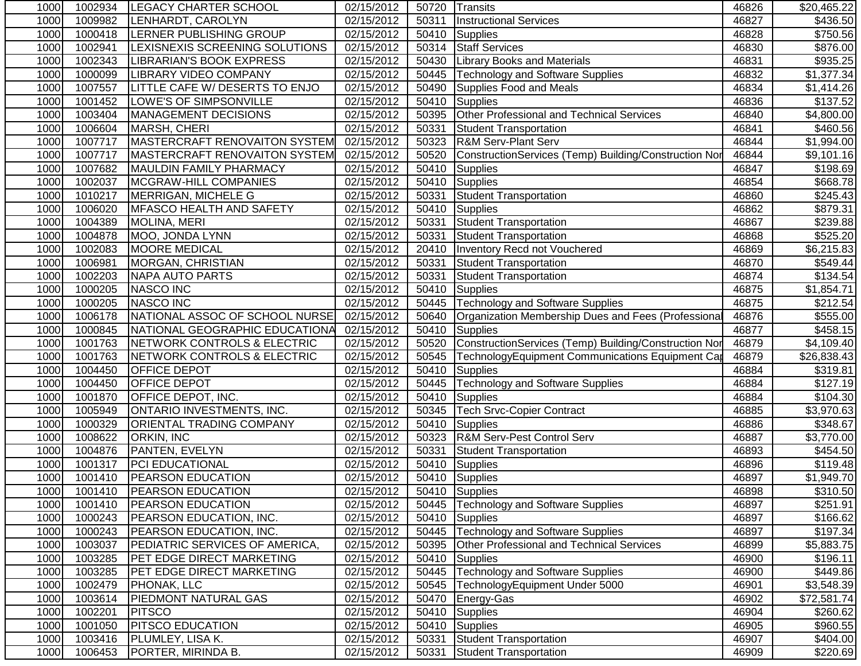| 1000 | 1002934 | <b>LEGACY CHARTER SCHOOL</b>     | 02/15/2012 |       | 50720 Transits                                          | 46826 | \$20,465.22            |
|------|---------|----------------------------------|------------|-------|---------------------------------------------------------|-------|------------------------|
| 1000 | 1009982 | LENHARDT, CAROLYN                | 02/15/2012 | 50311 | <b>Instructional Services</b>                           | 46827 | \$436.50               |
| 1000 | 1000418 | <b>LERNER PUBLISHING GROUP</b>   | 02/15/2012 | 50410 | Supplies                                                | 46828 | \$750.56               |
| 1000 | 1002941 | LEXISNEXIS SCREENING SOLUTIONS   | 02/15/2012 | 50314 | <b>Staff Services</b>                                   | 46830 | \$876.00               |
| 1000 | 1002343 | LIBRARIAN'S BOOK EXPRESS         | 02/15/2012 | 50430 | <b>Library Books and Materials</b>                      | 46831 | \$935.25               |
| 1000 | 1000099 | <b>LIBRARY VIDEO COMPANY</b>     | 02/15/2012 | 50445 | Technology and Software Supplies                        | 46832 | \$1,377.34             |
| 1000 | 1007557 | LITTLE CAFE W/ DESERTS TO ENJO   | 02/15/2012 | 50490 | Supplies Food and Meals                                 | 46834 | $\overline{31,}414.26$ |
| 1000 | 1001452 | LOWE'S OF SIMPSONVILLE           | 02/15/2012 |       | 50410 Supplies                                          | 46836 | \$137.52               |
| 1000 | 1003404 | MANAGEMENT DECISIONS             | 02/15/2012 | 50395 | Other Professional and Technical Services               | 46840 | \$4,800.00             |
| 1000 | 1006604 | MARSH, CHERI                     | 02/15/2012 | 50331 | <b>Student Transportation</b>                           | 46841 | \$460.56               |
| 1000 | 1007717 | MASTERCRAFT RENOVAITON SYSTEM    | 02/15/2012 | 50323 | <b>R&amp;M Serv-Plant Serv</b>                          | 46844 | \$1,994.00             |
| 1000 | 1007717 | MASTERCRAFT RENOVAITON SYSTEM    | 02/15/2012 | 50520 | ConstructionServices (Temp) Building/Construction Nor   | 46844 | \$9,101.16             |
| 1000 | 1007682 | MAULDIN FAMILY PHARMACY          | 02/15/2012 | 50410 | <b>Supplies</b>                                         | 46847 | \$198.69               |
| 1000 | 1002037 | <b>MCGRAW-HILL COMPANIES</b>     | 02/15/2012 | 50410 | Supplies                                                | 46854 | \$668.78               |
| 1000 | 1010217 | MERRIGAN, MICHELE G              | 02/15/2012 | 50331 | <b>Student Transportation</b>                           | 46860 | \$245.43               |
| 1000 | 1006020 | MFASCO HEALTH AND SAFETY         | 02/15/2012 | 50410 | Supplies                                                | 46862 | $\overline{$}879.31$   |
| 1000 | 1004389 | <b>MOLINA, MERI</b>              | 02/15/2012 | 50331 | <b>Student Transportation</b>                           | 46867 | \$239.88               |
| 1000 | 1004878 | MOO, JONDA LYNN                  | 02/15/2012 | 50331 | Student Transportation                                  | 46868 | \$525.20               |
| 1000 | 1002083 | <b>MOORE MEDICAL</b>             | 02/15/2012 | 20410 | Inventory Recd not Vouchered                            | 46869 | \$6,215.83             |
| 1000 | 1006981 | <b>MORGAN, CHRISTIAN</b>         | 02/15/2012 | 50331 | <b>Student Transportation</b>                           | 46870 | \$549.44               |
| 1000 | 1002203 | <b>NAPA AUTO PARTS</b>           | 02/15/2012 | 50331 | <b>Student Transportation</b>                           | 46874 | \$134.54               |
| 1000 | 1000205 | <b>NASCO INC</b>                 | 02/15/2012 | 50410 | <b>Supplies</b>                                         | 46875 | \$1,854.71             |
| 1000 | 1000205 | <b>NASCO INC</b>                 | 02/15/2012 | 50445 | <b>Technology and Software Supplies</b>                 | 46875 | \$212.54               |
| 1000 | 1006178 | NATIONAL ASSOC OF SCHOOL NURSE   | 02/15/2012 | 50640 | Organization Membership Dues and Fees (Professional     | 46876 | \$555.00               |
| 1000 | 1000845 | NATIONAL GEOGRAPHIC EDUCATIONA   | 02/15/2012 | 50410 | Supplies                                                | 46877 | \$458.15               |
| 1000 | 1001763 | NETWORK CONTROLS & ELECTRIC      | 02/15/2012 | 50520 | ConstructionServices (Temp) Building/Construction Nor   | 46879 | \$4,109.40             |
| 1000 | 1001763 | NETWORK CONTROLS & ELECTRIC      | 02/15/2012 | 50545 | <b>TechnologyEquipment Communications Equipment Cap</b> | 46879 | \$26,838.43            |
| 1000 | 1004450 | <b>OFFICE DEPOT</b>              | 02/15/2012 | 50410 | <b>Supplies</b>                                         | 46884 | $\overline{$}319.81$   |
| 1000 | 1004450 | <b>OFFICE DEPOT</b>              | 02/15/2012 | 50445 | <b>Technology and Software Supplies</b>                 | 46884 | \$127.19               |
| 1000 | 1001870 | OFFICE DEPOT, INC.               | 02/15/2012 | 50410 | <b>Supplies</b>                                         | 46884 | \$104.30               |
| 1000 | 1005949 | ONTARIO INVESTMENTS, INC.        | 02/15/2012 | 50345 | <b>Tech Srvc-Copier Contract</b>                        | 46885 | \$3,970.63             |
| 1000 | 1000329 | <b>ORIENTAL TRADING COMPANY</b>  | 02/15/2012 | 50410 | Supplies                                                | 46886 | \$348.67               |
| 1000 | 1008622 | <b>ORKIN, INC</b>                | 02/15/2012 | 50323 | <b>R&amp;M Serv-Pest Control Serv</b>                   | 46887 | \$3,770.00             |
| 1000 | 1004876 | PANTEN, EVELYN                   | 02/15/2012 | 50331 | <b>Student Transportation</b>                           | 46893 | \$454.50               |
| 1000 | 1001317 | <b>PCI EDUCATIONAL</b>           | 02/15/2012 | 50410 | Supplies                                                | 46896 | \$119.48               |
| 1000 | 1001410 | <b>PEARSON EDUCATION</b>         | 02/15/2012 |       | 50410 Supplies                                          | 46897 | \$1,949.70             |
| 1000 | 1001410 | <b>PEARSON EDUCATION</b>         | 02/15/2012 |       | 50410 Supplies                                          | 46898 | \$310.50               |
| 1000 | 1001410 | <b>PEARSON EDUCATION</b>         | 02/15/2012 |       | 50445   Technology and Software Supplies                | 46897 | \$251.91               |
| 1000 | 1000243 | <b>PEARSON EDUCATION, INC.</b>   | 02/15/2012 | 50410 | Supplies                                                | 46897 | \$166.62               |
| 1000 | 1000243 | <b>PEARSON EDUCATION, INC.</b>   | 02/15/2012 | 50445 | Technology and Software Supplies                        | 46897 | $\overline{$}197.34$   |
| 1000 | 1003037 | PEDIATRIC SERVICES OF AMERICA,   | 02/15/2012 | 50395 | Other Professional and Technical Services               | 46899 | \$5,883.75             |
| 1000 | 1003285 | PET EDGE DIRECT MARKETING        | 02/15/2012 |       | 50410 Supplies                                          | 46900 | \$196.11               |
| 1000 | 1003285 | <b>PET EDGE DIRECT MARKETING</b> | 02/15/2012 | 50445 | Technology and Software Supplies                        | 46900 | \$449.86               |
| 1000 | 1002479 | PHONAK, LLC                      | 02/15/2012 | 50545 | TechnologyEquipment Under 5000                          | 46901 | \$3,548.39             |
| 1000 | 1003614 | <b>PIEDMONT NATURAL GAS</b>      | 02/15/2012 | 50470 | Energy-Gas                                              | 46902 | \$72,581.74            |
| 1000 | 1002201 | <b>PITSCO</b>                    | 02/15/2012 | 50410 | <b>Supplies</b>                                         | 46904 | \$260.62               |
| 1000 | 1001050 | <b>PITSCO EDUCATION</b>          | 02/15/2012 | 50410 | Supplies                                                | 46905 | \$960.55               |
| 1000 | 1003416 | PLUMLEY, LISA K.                 | 02/15/2012 | 50331 | Student Transportation                                  | 46907 | \$404.00               |
| 1000 | 1006453 | PORTER, MIRINDA B.               | 02/15/2012 | 50331 | Student Transportation                                  | 46909 | \$220.69               |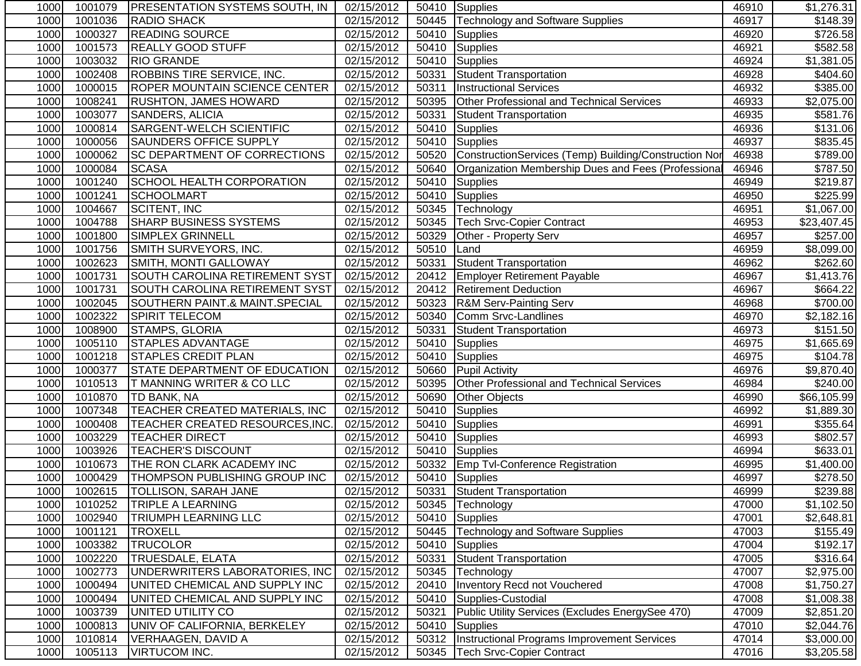| 1000 | 1001079 | <b>PRESENTATION SYSTEMS SOUTH, IN</b>     | 02/15/2012 |       | 50410 Supplies                                        | 46910 | \$1,276.31           |
|------|---------|-------------------------------------------|------------|-------|-------------------------------------------------------|-------|----------------------|
| 1000 | 1001036 | <b>RADIO SHACK</b>                        | 02/15/2012 | 50445 | <b>Technology and Software Supplies</b>               | 46917 | $\overline{$}148.39$ |
| 1000 | 1000327 | <b>READING SOURCE</b>                     | 02/15/2012 | 50410 | Supplies                                              | 46920 | \$726.58             |
| 1000 | 1001573 | <b>REALLY GOOD STUFF</b>                  | 02/15/2012 | 50410 | Supplies                                              | 46921 | \$582.58             |
| 1000 | 1003032 | <b>RIO GRANDE</b>                         | 02/15/2012 | 50410 | Supplies                                              | 46924 | \$1,381.05           |
| 1000 | 1002408 | <b>ROBBINS TIRE SERVICE, INC.</b>         | 02/15/2012 | 50331 | Student Transportation                                | 46928 | \$404.60             |
| 1000 | 1000015 | <b>ROPER MOUNTAIN SCIENCE CENTER</b>      | 02/15/2012 | 50311 | <b>Instructional Services</b>                         | 46932 | \$385.00             |
| 1000 | 1008241 | <b>RUSHTON, JAMES HOWARD</b>              | 02/15/2012 | 50395 | Other Professional and Technical Services             | 46933 | \$2,075.00           |
| 1000 | 1003077 | SANDERS, ALICIA                           | 02/15/2012 | 50331 | Student Transportation                                | 46935 | \$581.76             |
| 1000 | 1000814 | SARGENT-WELCH SCIENTIFIC                  | 02/15/2012 | 50410 | <b>Supplies</b>                                       | 46936 | \$131.06             |
| 1000 | 1000056 | <b>SAUNDERS OFFICE SUPPLY</b>             | 02/15/2012 | 50410 | Supplies                                              | 46937 | \$835.45             |
| 1000 | 1000062 | SC DEPARTMENT OF CORRECTIONS              | 02/15/2012 | 50520 | ConstructionServices (Temp) Building/Construction Nor | 46938 | \$789.00             |
| 1000 | 1000084 | <b>SCASA</b>                              | 02/15/2012 | 50640 | Organization Membership Dues and Fees (Professional   | 46946 | \$787.50             |
| 1000 | 1001240 | <b>SCHOOL HEALTH CORPORATION</b>          | 02/15/2012 | 50410 | Supplies                                              | 46949 | \$219.87             |
| 1000 | 1001241 | <b>SCHOOLMART</b>                         | 02/15/2012 | 50410 | Supplies                                              | 46950 | \$225.99             |
| 1000 | 1004667 | <b>SCITENT, INC</b>                       | 02/15/2012 | 50345 | Technology                                            | 46951 | \$1,067.00           |
| 1000 | 1004788 | <b>SHARP BUSINESS SYSTEMS</b>             | 02/15/2012 | 50345 | Tech Srvc-Copier Contract                             | 46953 | \$23,407.45          |
| 1000 | 1001800 | <b>SIMPLEX GRINNELL</b>                   | 02/15/2012 | 50329 | Other - Property Serv                                 | 46957 | $\overline{$}257.00$ |
| 1000 | 1001756 | SMITH SURVEYORS, INC.                     | 02/15/2012 | 50510 | Land                                                  | 46959 | \$8,099.00           |
| 1000 | 1002623 | SMITH, MONTI GALLOWAY                     | 02/15/2012 | 50331 | Student Transportation                                | 46962 | \$262.60             |
| 1000 | 1001731 | SOUTH CAROLINA RETIREMENT SYST            | 02/15/2012 | 20412 | <b>Employer Retirement Payable</b>                    | 46967 | \$1,413.76           |
| 1000 | 1001731 | SOUTH CAROLINA RETIREMENT SYST            | 02/15/2012 | 20412 | <b>Retirement Deduction</b>                           | 46967 | $\overline{$}664.22$ |
| 1000 | 1002045 | <b>SOUTHERN PAINT.&amp; MAINT.SPECIAL</b> | 02/15/2012 | 50323 | <b>R&amp;M Serv-Painting Serv</b>                     | 46968 | \$700.00             |
| 1000 | 1002322 | <b>SPIRIT TELECOM</b>                     | 02/15/2012 | 50340 | Comm Srvc-Landlines                                   | 46970 | \$2,182.16           |
| 1000 | 1008900 | STAMPS, GLORIA                            | 02/15/2012 | 50331 | <b>Student Transportation</b>                         | 46973 | \$151.50             |
| 1000 | 1005110 | <b>STAPLES ADVANTAGE</b>                  | 02/15/2012 | 50410 | Supplies                                              | 46975 | \$1,665.69           |
| 1000 | 1001218 | <b>STAPLES CREDIT PLAN</b>                | 02/15/2012 | 50410 | <b>Supplies</b>                                       | 46975 | \$104.78             |
| 1000 | 1000377 | STATE DEPARTMENT OF EDUCATION             | 02/15/2012 | 50660 | <b>Pupil Activity</b>                                 | 46976 | \$9,870.40           |
| 1000 | 1010513 | T MANNING WRITER & CO LLC                 | 02/15/2012 | 50395 | <b>Other Professional and Technical Services</b>      | 46984 | \$240.00             |
| 1000 | 1010870 | TD BANK, NA                               | 02/15/2012 | 50690 | <b>Other Objects</b>                                  | 46990 | \$66,105.99          |
| 1000 | 1007348 | TEACHER CREATED MATERIALS, INC            | 02/15/2012 | 50410 | Supplies                                              | 46992 | \$1,889.30           |
| 1000 | 1000408 | TEACHER CREATED RESOURCES, INC.           | 02/15/2012 | 50410 | Supplies                                              | 46991 | \$355.64             |
| 1000 | 1003229 | <b>TEACHER DIRECT</b>                     | 02/15/2012 |       | 50410 Supplies                                        | 46993 | \$802.57             |
| 1000 | 1003926 | <b>TEACHER'S DISCOUNT</b>                 | 02/15/2012 |       | 50410 Supplies                                        | 46994 | \$633.01             |
| 1000 | 1010673 | THE RON CLARK ACADEMY INC                 | 02/15/2012 |       | 50332 Emp Tvl-Conference Registration                 | 46995 | \$1,400.00           |
| 1000 | 1000429 | <b>THOMPSON PUBLISHING GROUP INC</b>      | 02/15/2012 |       | 50410 Supplies                                        | 46997 | \$278.50             |
| 1000 |         | 1002615 TOLLISON, SARAH JANE              | 02/15/2012 |       | 50331 Student Transportation                          | 46999 | \$239.88             |
| 1000 | 1010252 | <b>TRIPLE A LEARNING</b>                  | 02/15/2012 |       | 50345   Technology                                    | 47000 | \$1,102.50           |
| 1000 | 1002940 | <b>TRIUMPH LEARNING LLC</b>               | 02/15/2012 | 50410 | Supplies                                              | 47001 | \$2,648.81           |
| 1000 | 1001121 | <b>TROXELL</b>                            | 02/15/2012 | 50445 | <b>Technology and Software Supplies</b>               | 47003 | \$155.49             |
| 1000 | 1003382 | <b>TRUCOLOR</b>                           | 02/15/2012 |       | 50410 Supplies                                        | 47004 | \$192.17             |
| 1000 | 1002220 | <b>TRUESDALE, ELATA</b>                   | 02/15/2012 | 50331 | <b>Student Transportation</b>                         | 47005 | \$316.64             |
| 1000 | 1002773 | UNDERWRITERS LABORATORIES, INC            | 02/15/2012 | 50345 | Technology                                            | 47007 | \$2,975.00           |
| 1000 | 1000494 | UNITED CHEMICAL AND SUPPLY INC            | 02/15/2012 | 20410 | Inventory Recd not Vouchered                          | 47008 | \$1,750.27           |
| 1000 | 1000494 | UNITED CHEMICAL AND SUPPLY INC            | 02/15/2012 | 50410 | Supplies-Custodial                                    | 47008 | \$1,008.38           |
| 1000 | 1003739 | UNITED UTILITY CO                         | 02/15/2012 | 50321 | Public Utility Services (Excludes EnergySee 470)      | 47009 | \$2,851.20           |
| 1000 | 1000813 | UNIV OF CALIFORNIA, BERKELEY              | 02/15/2012 | 50410 | Supplies                                              | 47010 | \$2,044.76           |
| 1000 | 1010814 | <b>VERHAAGEN, DAVID A</b>                 | 02/15/2012 |       | 50312   Instructional Programs Improvement Services   | 47014 | \$3,000.00           |
| 1000 | 1005113 | <b>VIRTUCOM INC.</b>                      | 02/15/2012 |       | 50345   Tech Srvc-Copier Contract                     | 47016 | \$3,205.58           |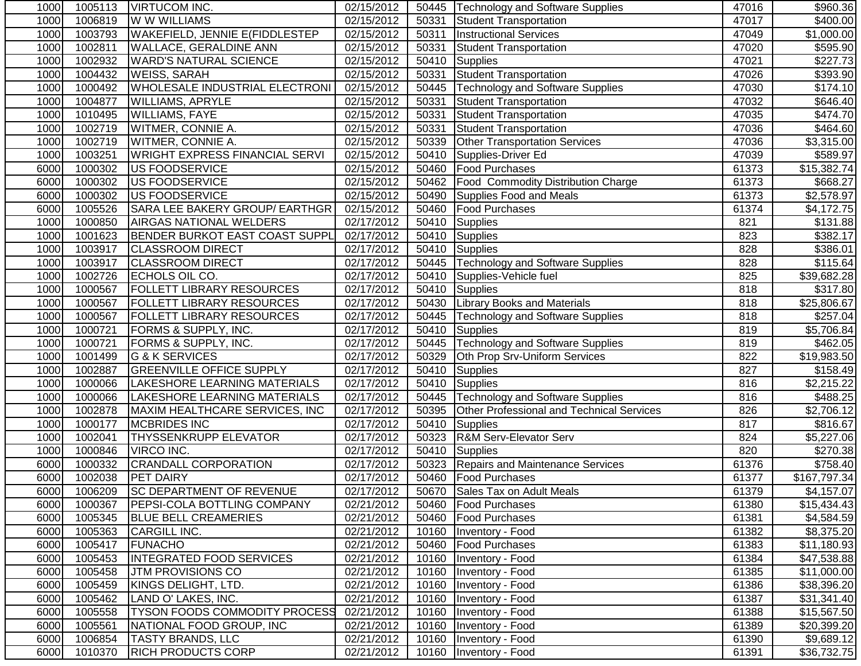| 1000 | 1005113 | VIRTUCOM INC.                         | 02/15/2012              |       | 50445   Technology and Software Supplies  | 47016            | \$960.36             |
|------|---------|---------------------------------------|-------------------------|-------|-------------------------------------------|------------------|----------------------|
| 1000 | 1006819 | W W WILLIAMS                          | 02/15/2012              | 50331 | <b>Student Transportation</b>             | 47017            | $\sqrt{$400.00}$     |
| 1000 | 1003793 | <b>WAKEFIELD, JENNIE E(FIDDLESTEP</b> | 02/15/2012              | 50311 | <b>Instructional Services</b>             | 47049            | \$1,000.00           |
| 1000 | 1002811 | <b>WALLACE, GERALDINE ANN</b>         | 02/15/2012              |       | 50331 Student Transportation              | 47020            | \$595.90             |
| 1000 | 1002932 | <b>WARD'S NATURAL SCIENCE</b>         | 02/15/2012              |       | 50410 Supplies                            | 47021            | \$227.73             |
| 1000 | 1004432 | <b>WEISS, SARAH</b>                   | 02/15/2012              |       | 50331 Student Transportation              | 47026            | \$393.90             |
| 1000 | 1000492 | <b>WHOLESALE INDUSTRIAL ELECTRONI</b> | 02/15/2012              |       | 50445   Technology and Software Supplies  | 47030            | \$174.10             |
| 1000 | 1004877 | <b>WILLIAMS, APRYLE</b>               | 02/15/2012              |       | 50331 Student Transportation              | 47032            | \$646.40             |
| 1000 | 1010495 | <b>WILLIAMS, FAYE</b>                 | 02/15/2012              |       | 50331 Student Transportation              | 47035            | \$474.70             |
| 1000 | 1002719 | <b>WITMER, CONNIE A.</b>              | 02/15/2012              | 50331 | <b>Student Transportation</b>             | 47036            | \$464.60             |
| 1000 | 1002719 | <b>WITMER, CONNIE A.</b>              | 02/15/2012              | 50339 | <b>Other Transportation Services</b>      | 47036            | \$3,315.00           |
| 1000 | 1003251 | <b>WRIGHT EXPRESS FINANCIAL SERVI</b> | 02/15/2012              | 50410 | Supplies-Driver Ed                        | 47039            | \$589.97             |
| 6000 | 1000302 | <b>US FOODSERVICE</b>                 | 02/15/2012              | 50460 | <b>Food Purchases</b>                     | 61373            | \$15,382.74          |
| 6000 | 1000302 | US FOODSERVICE                        | 02/15/2012              | 50462 | <b>Food Commodity Distribution Charge</b> | 61373            | \$668.27             |
| 6000 | 1000302 | US FOODSERVICE                        | 02/15/2012              | 50490 | Supplies Food and Meals                   | 61373            | \$2,578.97           |
| 6000 | 1005526 | SARA LEE BAKERY GROUP/ EARTHGR        | 02/15/2012              |       | 50460   Food Purchases                    | 61374            | \$4,172.75           |
| 1000 | 1000850 | <b>AIRGAS NATIONAL WELDERS</b>        | 02/17/2012              | 50410 | Supplies                                  | 821              | \$131.88             |
| 1000 | 1001623 | <b>BENDER BURKOT EAST COAST SUPPL</b> | 02/17/2012              | 50410 | Supplies                                  | 823              | \$382.17             |
| 1000 | 1003917 | <b>CLASSROOM DIRECT</b>               | 02/17/2012              | 50410 | Supplies                                  | 828              | $\overline{$}386.01$ |
| 1000 | 1003917 | <b>CLASSROOM DIRECT</b>               | 02/17/2012              | 50445 | Technology and Software Supplies          | 828              | \$115.64             |
| 1000 | 1002726 | ECHOLS OIL CO.                        | 02/17/2012              | 50410 | Supplies-Vehicle fuel                     | 825              | \$39,682.28          |
| 1000 | 1000567 | <b>FOLLETT LIBRARY RESOURCES</b>      | $\overline{02/17}/2012$ | 50410 | Supplies                                  | 818              | \$317.80             |
| 1000 | 1000567 | <b>FOLLETT LIBRARY RESOURCES</b>      | 02/17/2012              | 50430 | <b>Library Books and Materials</b>        | $\overline{818}$ | \$25,806.67          |
| 1000 | 1000567 | <b>FOLLETT LIBRARY RESOURCES</b>      | 02/17/2012              | 50445 | Technology and Software Supplies          | 818              | 3257.04              |
| 1000 | 1000721 | <b>FORMS &amp; SUPPLY, INC.</b>       | 02/17/2012              |       | 50410 Supplies                            | 819              | \$5,706.84           |
| 1000 | 1000721 | FORMS & SUPPLY, INC.                  | 02/17/2012              | 50445 | Technology and Software Supplies          | 819              | \$462.05             |
| 1000 | 1001499 | G & K SERVICES                        | 02/17/2012              | 50329 | Oth Prop Srv-Uniform Services             | 822              | \$19,983.50          |
| 1000 | 1002887 | <b>GREENVILLE OFFICE SUPPLY</b>       | 02/17/2012              | 50410 | <b>Supplies</b>                           | 827              | \$158.49             |
| 1000 | 1000066 | LAKESHORE LEARNING MATERIALS          | 02/17/2012              | 50410 | <b>Supplies</b>                           | 816              | \$2,215.22           |
| 1000 | 1000066 | LAKESHORE LEARNING MATERIALS          | 02/17/2012              | 50445 | Technology and Software Supplies          | 816              | \$488.25             |
| 1000 | 1002878 | MAXIM HEALTHCARE SERVICES, INC        | 02/17/2012              | 50395 | Other Professional and Technical Services | 826              | \$2,706.12           |
| 1000 | 1000177 | <b>MCBRIDES INC</b>                   | 02/17/2012              | 50410 | Supplies                                  | 817              | \$816.67             |
| 1000 | 1002041 | <b>THYSSENKRUPP ELEVATOR</b>          | 02/17/2012              |       | 50323   R&M Serv-Elevator Serv            | 824              | \$5,227.06           |
| 1000 | 1000846 | <b>VIRCO INC.</b>                     | 02/17/2012              | 50410 | Supplies                                  | 820              | \$270.38             |
| 6000 | 1000332 | <b>CRANDALL CORPORATION</b>           | 02/17/2012              |       | 50323 Repairs and Maintenance Services    | 61376            | \$758.40             |
| 6000 | 1002038 | <b>PET DAIRY</b>                      | 02/17/2012              |       | 50460 Food Purchases                      | 61377            | \$167,797.34         |
| 6000 |         | 1006209 SC DEPARTMENT OF REVENUE      | 02/17/2012              |       | 50670 Sales Tax on Adult Meals            | 61379            | \$4,157.07           |
| 6000 | 1000367 | <b>PEPSI-COLA BOTTLING COMPANY</b>    | 02/21/2012              |       | 50460   Food Purchases                    | 61380            | \$15,434.43          |
| 6000 | 1005345 | <b>BLUE BELL CREAMERIES</b>           | 02/21/2012              | 50460 | <b>Food Purchases</b>                     | 61381            | \$4,584.59           |
| 6000 | 1005363 | <b>CARGILL INC.</b>                   | 02/21/2012              | 10160 | Inventory - Food                          | 61382            | \$8,375.20           |
| 6000 | 1005417 | <b>FUNACHO</b>                        | 02/21/2012              |       | 50460   Food Purchases                    | 61383            | \$11,180.93          |
| 6000 | 1005453 | <b>INTEGRATED FOOD SERVICES</b>       | 02/21/2012              | 10160 | Inventory - Food                          | 61384            | \$47,538.88          |
| 6000 | 1005458 | <b>JTM PROVISIONS CO</b>              | 02/21/2012              | 10160 | Inventory - Food                          | 61385            | \$11,000.00          |
| 6000 | 1005459 | KINGS DELIGHT, LTD.                   | 02/21/2012              | 10160 | Inventory - Food                          | 61386            | \$38,396.20          |
| 6000 | 1005462 | LAND O' LAKES, INC.                   | 02/21/2012              | 10160 | Inventory - Food                          | 61387            | \$31,341.40          |
| 6000 | 1005558 | <b>TYSON FOODS COMMODITY PROCESS</b>  | 02/21/2012              | 10160 | Inventory - Food                          | 61388            | \$15,567.50          |
| 6000 | 1005561 | NATIONAL FOOD GROUP, INC              | 02/21/2012              | 10160 | Inventory - Food                          | 61389            | \$20,399.20          |
| 6000 | 1006854 | <b>TASTY BRANDS, LLC</b>              | 02/21/2012              | 10160 | Inventory - Food                          | 61390            | \$9,689.12           |
| 6000 | 1010370 | <b>RICH PRODUCTS CORP</b>             | 02/21/2012              |       | 10160   Inventory - Food                  | 61391            | \$36,732.75          |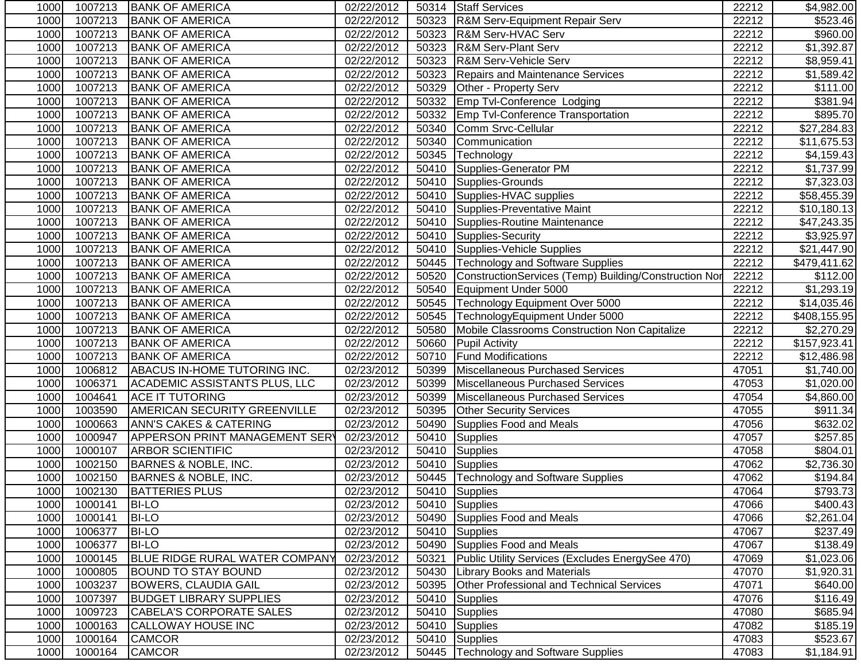| 1000 | 1007213 | <b>BANK OF AMERICA</b>                | 02/22/2012 |       | 50314 Staff Services                                  | 22212 | \$4,982.00           |
|------|---------|---------------------------------------|------------|-------|-------------------------------------------------------|-------|----------------------|
| 1000 | 1007213 | <b>BANK OF AMERICA</b>                | 02/22/2012 |       | 50323 R&M Serv-Equipment Repair Serv                  | 22212 | \$523.46             |
| 1000 | 1007213 | <b>BANK OF AMERICA</b>                | 02/22/2012 |       | 50323 R&M Serv-HVAC Serv                              | 22212 | \$960.00             |
| 1000 | 1007213 | <b>BANK OF AMERICA</b>                | 02/22/2012 |       | 50323 R&M Serv-Plant Serv                             | 22212 | \$1,392.87           |
| 1000 | 1007213 | <b>BANK OF AMERICA</b>                | 02/22/2012 | 50323 | R&M Serv-Vehicle Serv                                 | 22212 | \$8,959.41           |
| 1000 | 1007213 | <b>BANK OF AMERICA</b>                | 02/22/2012 |       | 50323 Repairs and Maintenance Services                | 22212 | \$1,589.42           |
| 1000 | 1007213 | <b>BANK OF AMERICA</b>                | 02/22/2012 | 50329 | Other - Property Serv                                 | 22212 | $\overline{$}111.00$ |
| 1000 | 1007213 | <b>BANK OF AMERICA</b>                | 02/22/2012 |       | 50332 Emp Tvl-Conference Lodging                      | 22212 | $\overline{$}381.94$ |
| 1000 | 1007213 | <b>BANK OF AMERICA</b>                | 02/22/2012 |       | 50332 Emp Tvl-Conference Transportation               | 22212 | \$895.70             |
| 1000 | 1007213 | <b>BANK OF AMERICA</b>                | 02/22/2012 | 50340 | Comm Srvc-Cellular                                    | 22212 | \$27,284.83          |
| 1000 | 1007213 | <b>BANK OF AMERICA</b>                | 02/22/2012 | 50340 | Communication                                         | 22212 | \$11,675.53          |
| 1000 | 1007213 | <b>BANK OF AMERICA</b>                | 02/22/2012 | 50345 | Technology                                            | 22212 | \$4,159.43           |
| 1000 | 1007213 | <b>BANK OF AMERICA</b>                | 02/22/2012 | 50410 | Supplies-Generator PM                                 | 22212 | \$1,737.99           |
| 1000 | 1007213 | <b>BANK OF AMERICA</b>                | 02/22/2012 | 50410 | Supplies-Grounds                                      | 22212 | \$7,323.03           |
| 1000 | 1007213 | <b>BANK OF AMERICA</b>                | 02/22/2012 |       | 50410 Supplies-HVAC supplies                          | 22212 | \$58,455.39          |
| 1000 | 1007213 | <b>BANK OF AMERICA</b>                | 02/22/2012 |       | 50410 Supplies-Preventative Maint                     | 22212 | \$10,180.13          |
| 1000 | 1007213 | <b>BANK OF AMERICA</b>                | 02/22/2012 |       | 50410 Supplies-Routine Maintenance                    | 22212 | \$47,243.35          |
| 1000 | 1007213 | <b>BANK OF AMERICA</b>                | 02/22/2012 |       | 50410 Supplies-Security                               | 22212 | \$3,925.97           |
| 1000 | 1007213 | <b>BANK OF AMERICA</b>                | 02/22/2012 | 50410 | Supplies-Vehicle Supplies                             | 22212 | \$21,447.90          |
| 1000 | 1007213 | <b>BANK OF AMERICA</b>                | 02/22/2012 | 50445 | Technology and Software Supplies                      | 22212 | \$479,411.62         |
| 1000 | 1007213 | <b>BANK OF AMERICA</b>                | 02/22/2012 | 50520 | ConstructionServices (Temp) Building/Construction Nor | 22212 | \$112.00             |
| 1000 | 1007213 | <b>BANK OF AMERICA</b>                | 02/22/2012 | 50540 | Equipment Under 5000                                  | 22212 | \$1,293.19           |
| 1000 | 1007213 | <b>BANK OF AMERICA</b>                | 02/22/2012 | 50545 | Technology Equipment Over 5000                        | 22212 | \$14,035.46          |
| 1000 | 1007213 | <b>BANK OF AMERICA</b>                | 02/22/2012 | 50545 | TechnologyEquipment Under 5000                        | 22212 | \$408,155.95         |
| 1000 | 1007213 | <b>BANK OF AMERICA</b>                | 02/22/2012 | 50580 | Mobile Classrooms Construction Non Capitalize         | 22212 | \$2,270.29           |
| 1000 | 1007213 | <b>BANK OF AMERICA</b>                | 02/22/2012 | 50660 | <b>Pupil Activity</b>                                 | 22212 | \$157,923.41         |
| 1000 | 1007213 | <b>BANK OF AMERICA</b>                | 02/22/2012 | 50710 | <b>Fund Modifications</b>                             | 22212 | \$12,486.98          |
| 1000 | 1006812 | ABACUS IN-HOME TUTORING INC.          | 02/23/2012 | 50399 | Miscellaneous Purchased Services                      | 47051 | \$1,740.00           |
| 1000 | 1006371 | ACADEMIC ASSISTANTS PLUS, LLC         | 02/23/2012 | 50399 | Miscellaneous Purchased Services                      | 47053 | \$1,020.00           |
| 1000 | 1004641 | <b>ACE IT TUTORING</b>                | 02/23/2012 | 50399 | Miscellaneous Purchased Services                      | 47054 | \$4,860.00           |
| 1000 | 1003590 | AMERICAN SECURITY GREENVILLE          | 02/23/2012 | 50395 | <b>Other Security Services</b>                        | 47055 | \$911.34             |
| 1000 | 1000663 | <b>ANN'S CAKES &amp; CATERING</b>     | 02/23/2012 | 50490 | Supplies Food and Meals                               | 47056 | \$632.02             |
| 1000 | 1000947 | <b>APPERSON PRINT MANAGEMENT SERY</b> | 02/23/2012 |       | 50410 Supplies                                        | 47057 | \$257.85             |
| 1000 | 1000107 | <b>ARBOR SCIENTIFIC</b>               | 02/23/2012 |       | 50410 Supplies                                        | 47058 | \$804.01             |
| 1000 | 1002150 | <b>BARNES &amp; NOBLE, INC.</b>       | 02/23/2012 |       | 50410 Supplies                                        | 47062 | \$2,736.30           |
| 1000 | 1002150 | <b>BARNES &amp; NOBLE, INC.</b>       | 02/23/2012 |       | 50445   Technology and Software Supplies              | 47062 | \$194.84             |
| 1000 | 1002130 | <b>BATTERIES PLUS</b>                 | 02/23/2012 |       | 50410 Supplies                                        | 47064 | \$793.73             |
| 1000 | 1000141 | <b>BI-LO</b>                          | 02/23/2012 |       | 50410 Supplies                                        | 47066 | \$400.43             |
| 1000 | 1000141 | <b>BI-LO</b>                          | 02/23/2012 | 50490 | Supplies Food and Meals                               | 47066 | \$2,261.04           |
| 1000 | 1006377 | <b>BI-LO</b>                          | 02/23/2012 |       | 50410 Supplies                                        | 47067 | \$237.49             |
| 1000 | 1006377 | <b>BI-LO</b>                          | 02/23/2012 |       | 50490 Supplies Food and Meals                         | 47067 | \$138.49             |
| 1000 | 1000145 | <b>BLUE RIDGE RURAL WATER COMPANY</b> | 02/23/2012 | 50321 | Public Utility Services (Excludes EnergySee 470)      | 47069 | \$1,023.06           |
| 1000 | 1000805 | <b>BOUND TO STAY BOUND</b>            | 02/23/2012 | 50430 | <b>Library Books and Materials</b>                    | 47070 | \$1,920.31           |
| 1000 | 1003237 | <b>BOWERS, CLAUDIA GAIL</b>           | 02/23/2012 | 50395 | <b>Other Professional and Technical Services</b>      | 47071 | \$640.00             |
| 1000 | 1007397 | <b>BUDGET LIBRARY SUPPLIES</b>        | 02/23/2012 | 50410 | <b>Supplies</b>                                       | 47076 | \$116.49             |
| 1000 | 1009723 | <b>CABELA'S CORPORATE SALES</b>       | 02/23/2012 | 50410 | Supplies                                              | 47080 | \$685.94             |
| 1000 | 1000163 | CALLOWAY HOUSE INC                    | 02/23/2012 | 50410 | Supplies                                              | 47082 | \$185.19             |
| 1000 | 1000164 | <b>CAMCOR</b>                         | 02/23/2012 |       | 50410 Supplies                                        | 47083 | \$523.67             |
| 1000 | 1000164 | <b>CAMCOR</b>                         | 02/23/2012 |       | 50445   Technology and Software Supplies              | 47083 | \$1,184.91           |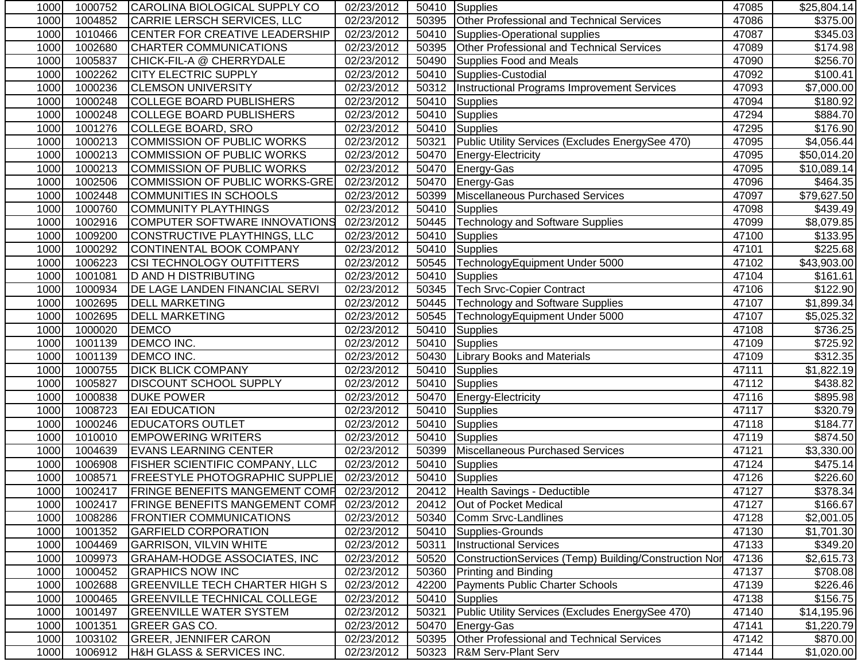| 1000 | 1000752 | CAROLINA BIOLOGICAL SUPPLY CO                       | 02/23/2012              |       | 50410 Supplies                                        | 47085 | \$25,804.14            |
|------|---------|-----------------------------------------------------|-------------------------|-------|-------------------------------------------------------|-------|------------------------|
| 1000 | 1004852 | <b>CARRIE LERSCH SERVICES, LLC</b>                  | 02/23/2012              | 50395 | <b>Other Professional and Technical Services</b>      | 47086 | \$375.00               |
| 1000 | 1010466 | <b>CENTER FOR CREATIVE LEADERSHIP</b>               | 02/23/2012              | 50410 | Supplies-Operational supplies                         | 47087 | \$345.03               |
| 1000 | 1002680 | <b>CHARTER COMMUNICATIONS</b>                       | $\overline{02/23}/2012$ | 50395 | Other Professional and Technical Services             | 47089 | \$174.98               |
| 1000 | 1005837 | CHICK-FIL-A @ CHERRYDALE                            | 02/23/2012              | 50490 | Supplies Food and Meals                               | 47090 | \$256.70               |
| 1000 | 1002262 | <b>CITY ELECTRIC SUPPLY</b>                         | 02/23/2012              | 50410 | Supplies-Custodial                                    | 47092 | \$100.41               |
| 1000 | 1000236 | <b>CLEMSON UNIVERSITY</b>                           | 02/23/2012              |       | 50312 Instructional Programs Improvement Services     | 47093 | $\overline{$7,000.00}$ |
| 1000 | 1000248 | <b>COLLEGE BOARD PUBLISHERS</b>                     | 02/23/2012              |       | 50410 Supplies                                        | 47094 | \$180.92               |
| 1000 | 1000248 | COLLEGE BOARD PUBLISHERS                            | 02/23/2012              | 50410 | Supplies                                              | 47294 | \$884.70               |
| 1000 | 1001276 | COLLEGE BOARD, SRO                                  | 02/23/2012              | 50410 | Supplies                                              | 47295 | \$176.90               |
| 1000 | 1000213 | COMMISSION OF PUBLIC WORKS                          | 02/23/2012              | 50321 | Public Utility Services (Excludes EnergySee 470)      | 47095 | \$4,056.44             |
| 1000 | 1000213 | COMMISSION OF PUBLIC WORKS                          | 02/23/2012              | 50470 | Energy-Electricity                                    | 47095 | \$50,014.20            |
| 1000 | 1000213 | COMMISSION OF PUBLIC WORKS                          | 02/23/2012              | 50470 | Energy-Gas                                            | 47095 | \$10,089.14            |
| 1000 | 1002506 | COMMISSION OF PUBLIC WORKS-GRE                      | 02/23/2012              | 50470 | Energy-Gas                                            | 47096 | \$464.35               |
| 1000 | 1002448 | COMMUNITIES IN SCHOOLS                              | 02/23/2012              | 50399 | Miscellaneous Purchased Services                      | 47097 | \$79,627.50            |
| 1000 | 1000760 | <b>COMMUNITY PLAYTHINGS</b>                         | 02/23/2012              | 50410 | Supplies                                              | 47098 | \$439.49               |
| 1000 | 1002916 | COMPUTER SOFTWARE INNOVATIONS                       | 02/23/2012              | 50445 | Technology and Software Supplies                      | 47099 | \$8,079.85             |
| 1000 | 1009200 | CONSTRUCTIVE PLAYTHINGS, LLC                        | 02/23/2012              | 50410 | Supplies                                              | 47100 | \$133.95               |
| 1000 | 1000292 | CONTINENTAL BOOK COMPANY                            | 02/23/2012              | 50410 | Supplies                                              | 47101 | \$225.68               |
| 1000 | 1006223 | <b>CSI TECHNOLOGY OUTFITTERS</b>                    | 02/23/2012              | 50545 | TechnologyEquipment Under 5000                        | 47102 | \$43,903.00            |
| 1000 | 1001081 | <b>D AND H DISTRIBUTING</b>                         | 02/23/2012              | 50410 | Supplies                                              | 47104 | \$161.61               |
| 1000 | 1000934 | DE LAGE LANDEN FINANCIAL SERVI                      | 02/23/2012              | 50345 | <b>Tech Srvc-Copier Contract</b>                      | 47106 | \$122.90               |
| 1000 | 1002695 | <b>DELL MARKETING</b>                               | 02/23/2012              | 50445 | Technology and Software Supplies                      | 47107 | \$1,899.34             |
| 1000 | 1002695 | <b>DELL MARKETING</b>                               | 02/23/2012              | 50545 | TechnologyEquipment Under 5000                        | 47107 | \$5,025.32             |
| 1000 | 1000020 | <b>DEMCO</b>                                        | 02/23/2012              | 50410 | <b>Supplies</b>                                       | 47108 | \$736.25               |
| 1000 | 1001139 | <b>DEMCO INC.</b>                                   | 02/23/2012              | 50410 | Supplies                                              | 47109 | \$725.92               |
| 1000 | 1001139 | <b>DEMCO INC.</b>                                   | 02/23/2012              | 50430 | <b>Library Books and Materials</b>                    | 47109 | \$312.35               |
| 1000 | 1000755 | <b>DICK BLICK COMPANY</b>                           | 02/23/2012              | 50410 | Supplies                                              | 47111 | \$1,822.19             |
| 1000 | 1005827 | <b>DISCOUNT SCHOOL SUPPLY</b>                       | 02/23/2012              | 50410 | Supplies                                              | 47112 | \$438.82               |
| 1000 | 1000838 | <b>DUKE POWER</b>                                   | 02/23/2012              | 50470 | Energy-Electricity                                    | 47116 | \$895.98               |
| 1000 | 1008723 | <b>EAI EDUCATION</b>                                | 02/23/2012              | 50410 | Supplies                                              | 47117 | \$320.79               |
| 1000 | 1000246 | <b>EDUCATORS OUTLET</b>                             | 02/23/2012              | 50410 | Supplies                                              | 47118 | \$184.77               |
| 1000 | 1010010 | <b>EMPOWERING WRITERS</b>                           | 02/23/2012              |       | 50410 Supplies                                        | 47119 | \$874.50               |
| 1000 | 1004639 | <b>EVANS LEARNING CENTER</b>                        | 02/23/2012              |       | 50399 Miscellaneous Purchased Services                | 47121 | \$3,330.00             |
| 1000 | 1006908 | <b>FISHER SCIENTIFIC COMPANY, LLC</b>               | 02/23/2012              | 50410 | Supplies                                              | 47124 | \$475.14]              |
| 1000 | 1008571 | <b>FREESTYLE PHOTOGRAPHIC SUPPLIE</b>               | 02/23/2012              |       | 50410 Supplies                                        | 47126 | \$226.60               |
| 1000 |         | 1002417   FRINGE BENEFITS MANGEMENT COMP 02/23/2012 |                         |       | 20412 Health Savings - Deductible                     | 47127 | \$378.34               |
| 1000 | 1002417 | <b>FRINGE BENEFITS MANGEMENT COMP</b>               | 02/23/2012              |       | 20412 Out of Pocket Medical                           | 47127 | \$166.67               |
| 1000 | 1008286 | <b>FRONTIER COMMUNICATIONS</b>                      | 02/23/2012              | 50340 | Comm Srvc-Landlines                                   | 47128 | \$2,001.05             |
| 1000 | 1001352 | <b>GARFIELD CORPORATION</b>                         | 02/23/2012              |       | 50410 Supplies-Grounds                                | 47130 | \$1,701.30             |
| 1000 | 1004469 | <b>GARRISON, VILVIN WHITE</b>                       | 02/23/2012              | 50311 | <b>Instructional Services</b>                         | 47133 | \$349.20               |
| 1000 | 1009973 | <b>GRAHAM-HODGE ASSOCIATES, INC</b>                 | 02/23/2012              | 50520 | ConstructionServices (Temp) Building/Construction Nor | 47136 | \$2,615.73             |
| 1000 | 1000452 | <b>GRAPHICS NOW INC</b>                             | 02/23/2012              | 50360 | <b>Printing and Binding</b>                           | 47137 | \$708.08               |
| 1000 | 1002688 | <b>GREENVILLE TECH CHARTER HIGH S</b>               | 02/23/2012              | 42200 | Payments Public Charter Schools                       | 47139 | \$226.46               |
| 1000 | 1000465 | <b>GREENVILLE TECHNICAL COLLEGE</b>                 | 02/23/2012              | 50410 | Supplies                                              | 47138 | \$156.75               |
| 1000 | 1001497 | <b>GREENVILLE WATER SYSTEM</b>                      | 02/23/2012              | 50321 | Public Utility Services (Excludes EnergySee 470)      | 47140 | \$14,195.96            |
| 1000 | 1001351 | GREER GAS CO.                                       | 02/23/2012              | 50470 | Energy-Gas                                            | 47141 | \$1,220.79             |
| 1000 | 1003102 | <b>GREER, JENNIFER CARON</b>                        | 02/23/2012              | 50395 | Other Professional and Technical Services             | 47142 | \$870.00               |
| 1000 | 1006912 | H&H GLASS & SERVICES INC.                           | 02/23/2012              | 50323 | <b>R&amp;M Serv-Plant Serv</b>                        | 47144 | \$1,020.00             |
|      |         |                                                     |                         |       |                                                       |       |                        |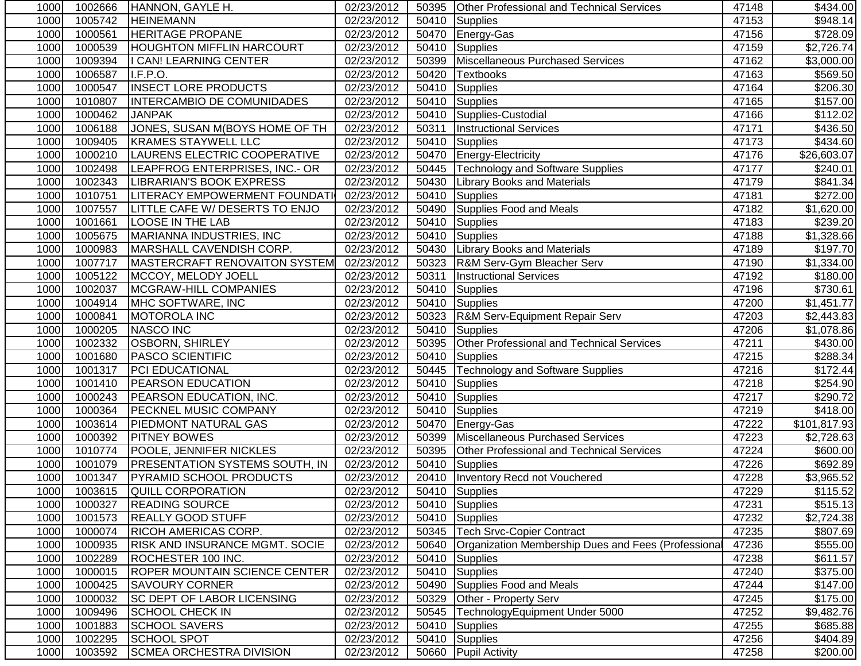| 1000 | 1002666 | <b>HANNON, GAYLE H.</b>               | 02/23/2012 |       | 50395 Other Professional and Technical Services     | 47148 | \$434.00             |
|------|---------|---------------------------------------|------------|-------|-----------------------------------------------------|-------|----------------------|
| 1000 | 1005742 | <b>HEINEMANN</b>                      | 02/23/2012 | 50410 | Supplies                                            | 47153 | \$948.14             |
| 1000 | 1000561 | <b>HERITAGE PROPANE</b>               | 02/23/2012 | 50470 | Energy-Gas                                          | 47156 | \$728.09             |
| 1000 | 1000539 | <b>HOUGHTON MIFFLIN HARCOURT</b>      | 02/23/2012 | 50410 | Supplies                                            | 47159 | \$2,726.74           |
| 1000 | 1009394 | I CAN! LEARNING CENTER                | 02/23/2012 | 50399 | Miscellaneous Purchased Services                    | 47162 | \$3,000.00           |
| 1000 | 1006587 | I.F.P.O.                              | 02/23/2012 | 50420 | Textbooks                                           | 47163 | \$569.50             |
| 1000 | 1000547 | <b>INSECT LORE PRODUCTS</b>           | 02/23/2012 |       | 50410 Supplies                                      | 47164 | \$206.30             |
| 1000 | 1010807 | INTERCAMBIO DE COMUNIDADES            | 02/23/2012 |       | 50410 Supplies                                      | 47165 | \$157.00             |
| 1000 | 1000462 | <b>JANPAK</b>                         | 02/23/2012 |       | 50410 Supplies-Custodial                            | 47166 | \$112.02             |
| 1000 | 1006188 | JONES, SUSAN M(BOYS HOME OF TH        | 02/23/2012 | 50311 | <b>Instructional Services</b>                       | 47171 | \$436.50             |
| 1000 | 1009405 | <b>KRAMES STAYWELL LLC</b>            | 02/23/2012 | 50410 | Supplies                                            | 47173 | \$434.60             |
| 1000 | 1000210 | LAURENS ELECTRIC COOPERATIVE          | 02/23/2012 | 50470 | Energy-Electricity                                  | 47176 | \$26,603.07          |
| 1000 | 1002498 | LEAPFROG ENTERPRISES, INC.- OR        | 02/23/2012 | 50445 | Technology and Software Supplies                    | 47177 | \$240.01             |
| 1000 | 1002343 | LIBRARIAN'S BOOK EXPRESS              | 02/23/2012 | 50430 | <b>Library Books and Materials</b>                  | 47179 | \$841.34             |
| 1000 | 1010751 | LITERACY EMPOWERMENT FOUNDATI         | 02/23/2012 | 50410 | Supplies                                            | 47181 | \$272.00             |
| 1000 | 1007557 | LITTLE CAFE W/ DESERTS TO ENJO        | 02/23/2012 |       | 50490 Supplies Food and Meals                       | 47182 | \$1,620.00           |
| 1000 | 1001661 | <b>LOOSE IN THE LAB</b>               | 02/23/2012 |       | 50410 Supplies                                      | 47183 | \$239.20             |
| 1000 | 1005675 | MARIANNA INDUSTRIES, INC              | 02/23/2012 | 50410 | Supplies                                            | 47188 | \$1,328.66           |
| 1000 | 1000983 | MARSHALL CAVENDISH CORP.              | 02/23/2012 | 50430 | <b>Library Books and Materials</b>                  | 47189 | \$197.70             |
| 1000 | 1007717 | MASTERCRAFT RENOVAITON SYSTEM         | 02/23/2012 | 50323 | R&M Serv-Gym Bleacher Serv                          | 47190 | \$1,334.00           |
| 1000 | 1005122 | MCCOY, MELODY JOELL                   | 02/23/2012 | 50311 | <b>Instructional Services</b>                       | 47192 | \$180.00             |
| 1000 | 1002037 | <b>MCGRAW-HILL COMPANIES</b>          | 02/23/2012 | 50410 | Supplies                                            | 47196 | \$730.61             |
| 1000 | 1004914 | MHC SOFTWARE, INC                     | 02/23/2012 |       | 50410 Supplies                                      | 47200 | \$1,451.77           |
| 1000 | 1000841 | MOTOROLA INC                          | 02/23/2012 | 50323 | <b>R&amp;M Serv-Equipment Repair Serv</b>           | 47203 | \$2,443.83           |
| 1000 | 1000205 | <b>NASCO INC</b>                      | 02/23/2012 |       | 50410 Supplies                                      | 47206 | \$1,078.86           |
| 1000 | 1002332 | <b>OSBORN, SHIRLEY</b>                | 02/23/2012 | 50395 | Other Professional and Technical Services           | 47211 | \$430.00             |
| 1000 | 1001680 | <b>PASCO SCIENTIFIC</b>               | 02/23/2012 | 50410 | Supplies                                            | 47215 | $\overline{$}288.34$ |
| 1000 | 1001317 | <b>PCI EDUCATIONAL</b>                | 02/23/2012 | 50445 | Technology and Software Supplies                    | 47216 | \$172.44             |
| 1000 | 1001410 | PEARSON EDUCATION                     | 02/23/2012 | 50410 | Supplies                                            | 47218 | \$254.90             |
| 1000 | 1000243 | PEARSON EDUCATION, INC.               | 02/23/2012 | 50410 | Supplies                                            | 47217 | \$290.72             |
| 1000 | 1000364 | PECKNEL MUSIC COMPANY                 | 02/23/2012 | 50410 | Supplies                                            | 47219 | \$418.00             |
| 1000 | 1003614 | <b>PIEDMONT NATURAL GAS</b>           | 02/23/2012 |       | 50470 Energy-Gas                                    | 47222 | \$101,817.93         |
| 1000 | 1000392 | <b>PITNEY BOWES</b>                   | 02/23/2012 | 50399 | Miscellaneous Purchased Services                    | 47223 | \$2,728.63           |
| 1000 | 1010774 | POOLE, JENNIFER NICKLES               | 02/23/2012 | 50395 | Other Professional and Technical Services           | 47224 | \$600.00             |
| 1000 | 1001079 | <b>PRESENTATION SYSTEMS SOUTH, IN</b> | 02/23/2012 | 50410 | Supplies                                            | 47226 | \$692.89             |
| 1000 | 1001347 | <b>PYRAMID SCHOOL PRODUCTS</b>        | 02/23/2012 |       | 20410   Inventory Recd not Vouchered                | 47228 | \$3,965.52           |
| 1000 |         | 1003615 QUILL CORPORATION             | 02/23/2012 |       | 50410 Supplies                                      | 47229 | \$115.52             |
| 1000 | 1000327 | <b>READING SOURCE</b>                 | 02/23/2012 |       | 50410 Supplies                                      | 47231 | \$515.13             |
| 1000 | 1001573 | <b>REALLY GOOD STUFF</b>              | 02/23/2012 |       | 50410 Supplies                                      | 47232 | \$2,724.38           |
| 1000 | 1000074 | <b>RICOH AMERICAS CORP.</b>           | 02/23/2012 | 50345 | Tech Srvc-Copier Contract                           | 47235 | \$807.69             |
| 1000 | 1000935 | <b>RISK AND INSURANCE MGMT. SOCIE</b> | 02/23/2012 | 50640 | Organization Membership Dues and Fees (Professional | 47236 | \$555.00             |
| 1000 | 1002289 | ROCHESTER 100 INC.                    | 02/23/2012 | 50410 | Supplies                                            | 47238 | \$611.57             |
| 1000 | 1000015 | <b>ROPER MOUNTAIN SCIENCE CENTER</b>  | 02/23/2012 |       | 50410 Supplies                                      | 47240 | \$375.00             |
| 1000 | 1000425 | <b>SAVOURY CORNER</b>                 | 02/23/2012 | 50490 | Supplies Food and Meals                             | 47244 | \$147.00             |
| 1000 | 1000032 | <b>SC DEPT OF LABOR LICENSING</b>     | 02/23/2012 | 50329 | Other - Property Serv                               | 47245 | \$175.00             |
| 1000 | 1009496 | <b>SCHOOL CHECK IN</b>                | 02/23/2012 | 50545 | TechnologyEquipment Under 5000                      | 47252 | \$9,482.76           |
| 1000 | 1001883 | <b>SCHOOL SAVERS</b>                  | 02/23/2012 | 50410 | Supplies                                            | 47255 | \$685.88             |
| 1000 | 1002295 | <b>SCHOOL SPOT</b>                    | 02/23/2012 |       | 50410 Supplies                                      | 47256 | \$404.89             |
| 1000 | 1003592 | <b>SCMEA ORCHESTRA DIVISION</b>       | 02/23/2012 |       | 50660 Pupil Activity                                | 47258 | \$200.00             |
|      |         |                                       |            |       |                                                     |       |                      |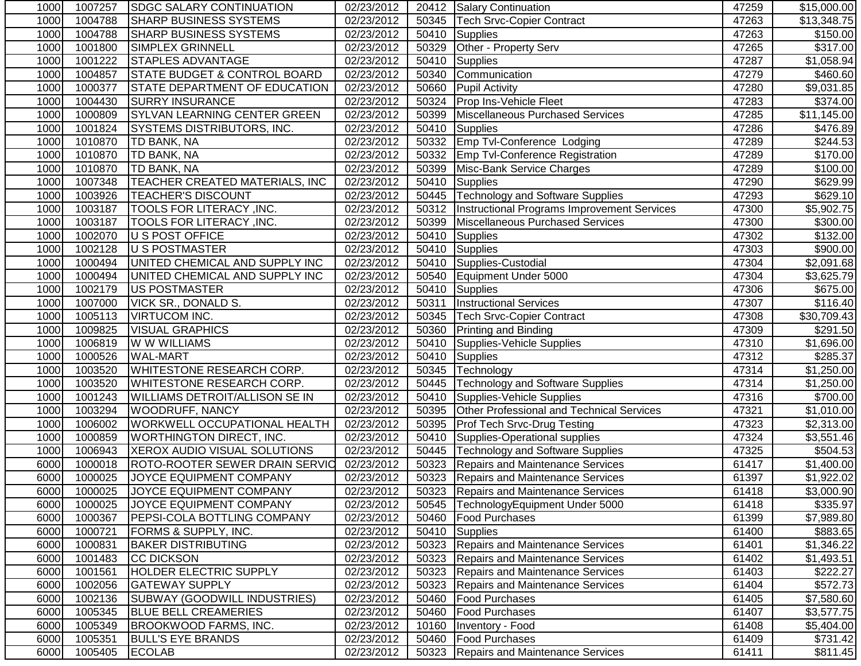| 1000 | 1007257 | <b>SDGC SALARY CONTINUATION</b>         | 02/23/2012 |       | 20412 Salary Continuation                          | 47259 | \$15,000.00      |
|------|---------|-----------------------------------------|------------|-------|----------------------------------------------------|-------|------------------|
| 1000 | 1004788 | <b>SHARP BUSINESS SYSTEMS</b>           | 02/23/2012 | 50345 | <b>Tech Srvc-Copier Contract</b>                   | 47263 | \$13,348.75      |
| 1000 | 1004788 | <b>SHARP BUSINESS SYSTEMS</b>           | 02/23/2012 | 50410 | Supplies                                           | 47263 | \$150.00         |
| 1000 | 1001800 | SIMPLEX GRINNELL                        | 02/23/2012 | 50329 | Other - Property Serv                              | 47265 | \$317.00         |
| 1000 | 1001222 | <b>STAPLES ADVANTAGE</b>                | 02/23/2012 | 50410 | Supplies                                           | 47287 | \$1,058.94       |
| 1000 | 1004857 | <b>STATE BUDGET &amp; CONTROL BOARD</b> | 02/23/2012 | 50340 | Communication                                      | 47279 | \$460.60         |
| 1000 | 1000377 | <b>STATE DEPARTMENT OF EDUCATION</b>    | 02/23/2012 | 50660 | <b>Pupil Activity</b>                              | 47280 | \$9,031.85       |
| 1000 | 1004430 | <b>SURRY INSURANCE</b>                  | 02/23/2012 |       | 50324 Prop Ins-Vehicle Fleet                       | 47283 | \$374.00         |
| 1000 | 1000809 | <b>SYLVAN LEARNING CENTER GREEN</b>     | 02/23/2012 | 50399 | Miscellaneous Purchased Services                   | 47285 | \$11,145.00      |
| 1000 | 1001824 | <b>SYSTEMS DISTRIBUTORS, INC.</b>       | 02/23/2012 | 50410 | Supplies                                           | 47286 | \$476.89         |
| 1000 | 1010870 | TD BANK, NA                             | 02/23/2012 | 50332 | Emp Tvl-Conference Lodging                         | 47289 | \$244.53         |
| 1000 | 1010870 | TD BANK, NA                             | 02/23/2012 | 50332 | <b>Emp Tvl-Conference Registration</b>             | 47289 | \$170.00         |
| 1000 | 1010870 | TD BANK, NA                             | 02/23/2012 | 50399 | Misc-Bank Service Charges                          | 47289 | \$100.00         |
| 1000 | 1007348 | TEACHER CREATED MATERIALS, INC          | 02/23/2012 | 50410 | Supplies                                           | 47290 | \$629.99         |
| 1000 | 1003926 | <b>TEACHER'S DISCOUNT</b>               | 02/23/2012 |       | 50445 Technology and Software Supplies             | 47293 | \$629.10         |
| 1000 | 1003187 | TOOLS FOR LITERACY, INC.                | 02/23/2012 |       | 50312  Instructional Programs Improvement Services | 47300 | \$5,902.75       |
| 1000 | 1003187 | TOOLS FOR LITERACY , INC.               | 02/23/2012 | 50399 | Miscellaneous Purchased Services                   | 47300 | \$300.00         |
| 1000 | 1002070 | U S POST OFFICE                         | 02/23/2012 | 50410 | Supplies                                           | 47302 | \$132.00         |
| 1000 | 1002128 | U S POSTMASTER                          | 02/23/2012 | 50410 | Supplies                                           | 47303 | \$900.00         |
| 1000 | 1000494 | UNITED CHEMICAL AND SUPPLY INC          | 02/23/2012 | 50410 | Supplies-Custodial                                 | 47304 | \$2,091.68       |
| 1000 | 1000494 | UNITED CHEMICAL AND SUPPLY INC          | 02/23/2012 | 50540 | Equipment Under 5000                               | 47304 | \$3,625.79       |
| 1000 | 1002179 | <b>US POSTMASTER</b>                    | 02/23/2012 | 50410 | Supplies                                           | 47306 | \$675.00         |
| 1000 | 1007000 | <b>VICK SR., DONALD S.</b>              | 02/23/2012 | 50311 | <b>Instructional Services</b>                      | 47307 | \$116.40         |
| 1000 | 1005113 | <b>VIRTUCOM INC.</b>                    | 02/23/2012 | 50345 | <b>Tech Srvc-Copier Contract</b>                   | 47308 | \$30,709.43      |
| 1000 | 1009825 | <b>VISUAL GRAPHICS</b>                  | 02/23/2012 | 50360 | <b>Printing and Binding</b>                        | 47309 | \$291.50         |
| 1000 | 1006819 | W W WILLIAMS                            | 02/23/2012 | 50410 | Supplies-Vehicle Supplies                          | 47310 | \$1,696.00       |
| 1000 | 1000526 | <b>WAL-MART</b>                         | 02/23/2012 | 50410 | Supplies                                           | 47312 | $\sqrt{$285.37}$ |
| 1000 | 1003520 | WHITESTONE RESEARCH CORP.               | 02/23/2012 | 50345 | Technology                                         | 47314 | \$1,250.00       |
| 1000 | 1003520 | WHITESTONE RESEARCH CORP.               | 02/23/2012 | 50445 | Technology and Software Supplies                   | 47314 | \$1,250.00       |
| 1000 | 1001243 | WILLIAMS DETROIT/ALLISON SE IN          | 02/23/2012 | 50410 | Supplies-Vehicle Supplies                          | 47316 | \$700.00         |
| 1000 | 1003294 | <b>WOODRUFF, NANCY</b>                  | 02/23/2012 | 50395 | Other Professional and Technical Services          | 47321 | \$1,010.00       |
| 1000 | 1006002 | <b>WORKWELL OCCUPATIONAL HEALTH</b>     | 02/23/2012 | 50395 | <b>Prof Tech Srvc-Drug Testing</b>                 | 47323 | \$2,313.00       |
| 1000 | 1000859 | <b>WORTHINGTON DIRECT, INC.</b>         | 02/23/2012 | 50410 | Supplies-Operational supplies                      | 47324 | \$3,551.46       |
| 1000 | 1006943 | XEROX AUDIO VISUAL SOLUTIONS            | 02/23/2012 |       | 50445   Technology and Software Supplies           | 47325 | \$504.53         |
| 6000 | 1000018 | <b>ROTO-ROOTER SEWER DRAIN SERVIC</b>   | 02/23/2012 |       | 50323 Repairs and Maintenance Services             | 61417 | \$1,400.00       |
| 6000 | 1000025 | JOYCE EQUIPMENT COMPANY                 | 02/23/2012 |       | 50323 Repairs and Maintenance Services             | 61397 | \$1,922.02       |
| 6000 | 1000025 | JOYCE EQUIPMENT COMPANY                 | 02/23/2012 |       | 50323 Repairs and Maintenance Services             | 61418 | \$3,000.90       |
| 6000 | 1000025 | <b>JOYCE EQUIPMENT COMPANY</b>          | 02/23/2012 |       | 50545   Technology Equipment Under 5000            | 61418 | \$335.97         |
| 6000 | 1000367 | PEPSI-COLA BOTTLING COMPANY             | 02/23/2012 | 50460 | <b>Food Purchases</b>                              | 61399 | \$7,989.80       |
| 6000 | 1000721 | <b>FORMS &amp; SUPPLY, INC.</b>         | 02/23/2012 |       | 50410 Supplies                                     | 61400 | \$883.65         |
| 6000 | 1000831 | <b>BAKER DISTRIBUTING</b>               | 02/23/2012 |       | 50323 Repairs and Maintenance Services             | 61401 | \$1,346.22       |
| 6000 | 1001483 | <b>CC DICKSON</b>                       | 02/23/2012 |       | 50323 Repairs and Maintenance Services             | 61402 | \$1,493.51       |
| 6000 | 1001561 | <b>HOLDER ELECTRIC SUPPLY</b>           | 02/23/2012 |       | 50323 Repairs and Maintenance Services             | 61403 | \$222.27         |
| 6000 | 1002056 | <b>GATEWAY SUPPLY</b>                   | 02/23/2012 |       | 50323 Repairs and Maintenance Services             | 61404 | \$572.73         |
| 6000 | 1002136 | <b>SUBWAY (GOODWILL INDUSTRIES)</b>     | 02/23/2012 | 50460 | <b>Food Purchases</b>                              | 61405 | \$7,580.60       |
| 6000 | 1005345 | <b>BLUE BELL CREAMERIES</b>             | 02/23/2012 | 50460 | <b>Food Purchases</b>                              | 61407 | \$3,577.75       |
| 6000 | 1005349 | <b>BROOKWOOD FARMS, INC.</b>            | 02/23/2012 | 10160 | Inventory - Food                                   | 61408 | \$5,404.00       |
| 6000 | 1005351 | <b>BULL'S EYE BRANDS</b>                | 02/23/2012 | 50460 | <b>Food Purchases</b>                              | 61409 | \$731.42         |
| 6000 | 1005405 | <b>ECOLAB</b>                           | 02/23/2012 |       | 50323 Repairs and Maintenance Services             | 61411 | \$811.45         |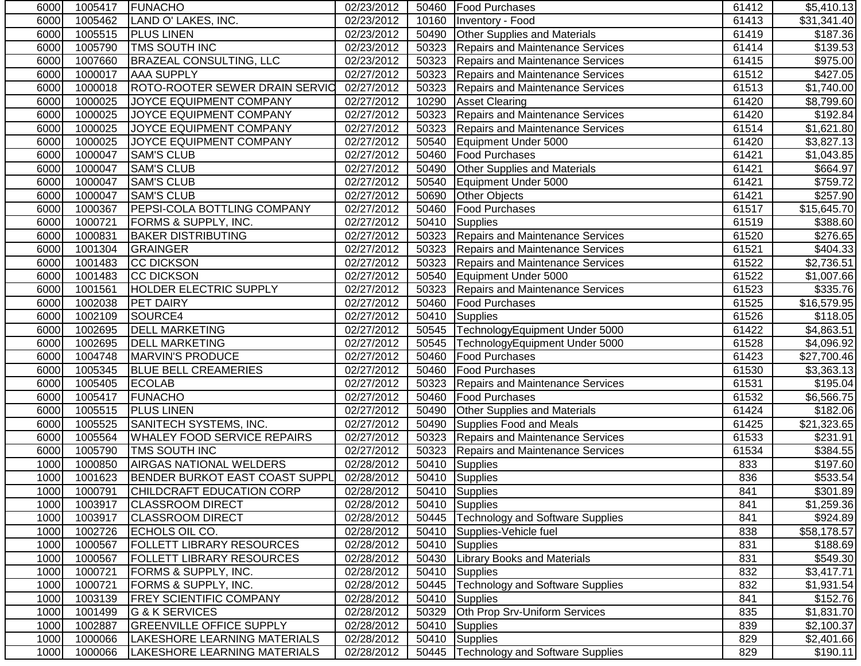| 6000 | 1005417 | <b>FUNACHO</b>                        | 02/23/2012          |       | 50460   Food Purchases                  | 61412 | \$5,410.13  |
|------|---------|---------------------------------------|---------------------|-------|-----------------------------------------|-------|-------------|
| 6000 | 1005462 | LAND O' LAKES, INC.                   | 02/23/2012          |       | 10160   Inventory - Food                | 61413 | \$31,341.40 |
| 6000 | 1005515 | <b>PLUS LINEN</b>                     | 02/23/2012          | 50490 | <b>Other Supplies and Materials</b>     | 61419 | \$187.36    |
| 6000 | 1005790 | <b>TMS SOUTH INC</b>                  | 02/23/2012          |       | 50323 Repairs and Maintenance Services  | 61414 | \$139.53    |
| 6000 | 1007660 | <b>BRAZEAL CONSULTING, LLC</b>        | 02/23/2012          |       | 50323 Repairs and Maintenance Services  | 61415 | \$975.00    |
| 6000 | 1000017 | <b>AAA SUPPLY</b>                     | 02/27/2012          |       | 50323 Repairs and Maintenance Services  | 61512 | \$427.05    |
| 6000 | 1000018 | ROTO-ROOTER SEWER DRAIN SERVIC        | $\sqrt{02}/27/2012$ | 50323 | Repairs and Maintenance Services        | 61513 | \$1,740.00  |
| 6000 | 1000025 | JOYCE EQUIPMENT COMPANY               | 02/27/2012          | 10290 | <b>Asset Clearing</b>                   | 61420 | \$8,799.60  |
| 6000 | 1000025 | JOYCE EQUIPMENT COMPANY               | 02/27/2012          |       | 50323 Repairs and Maintenance Services  | 61420 | \$192.84    |
| 6000 | 1000025 | JOYCE EQUIPMENT COMPANY               | 02/27/2012          |       | 50323 Repairs and Maintenance Services  | 61514 | \$1,621.80  |
| 6000 | 1000025 | JOYCE EQUIPMENT COMPANY               | 02/27/2012          | 50540 | Equipment Under 5000                    | 61420 | \$3,827.13  |
| 6000 | 1000047 | <b>SAM'S CLUB</b>                     | 02/27/2012          | 50460 | <b>Food Purchases</b>                   | 61421 | \$1,043.85  |
| 6000 | 1000047 | <b>SAM'S CLUB</b>                     | 02/27/2012          | 50490 | <b>Other Supplies and Materials</b>     | 61421 | \$664.97    |
| 6000 | 1000047 | <b>SAM'S CLUB</b>                     | 02/27/2012          | 50540 | Equipment Under 5000                    | 61421 | \$759.72    |
| 6000 | 1000047 | <b>SAM'S CLUB</b>                     | 02/27/2012          | 50690 | <b>Other Objects</b>                    | 61421 | \$257.90    |
| 6000 | 1000367 | <b>PEPSI-COLA BOTTLING COMPANY</b>    | 02/27/2012          | 50460 | <b>Food Purchases</b>                   | 61517 | \$15,645.70 |
| 6000 | 1000721 | <b>FORMS &amp; SUPPLY, INC.</b>       | 02/27/2012          | 50410 | Supplies                                | 61519 | \$388.60    |
| 6000 | 1000831 | <b>BAKER DISTRIBUTING</b>             | 02/27/2012          |       | 50323 Repairs and Maintenance Services  | 61520 | \$276.65    |
| 6000 | 1001304 | <b>GRAINGER</b>                       | 02/27/2012          |       | 50323 Repairs and Maintenance Services  | 61521 | \$404.33    |
| 6000 | 1001483 | CC DICKSON                            | 02/27/2012          |       | 50323 Repairs and Maintenance Services  | 61522 | \$2,736.51  |
| 6000 | 1001483 | <b>CC DICKSON</b>                     | 02/27/2012          | 50540 | Equipment Under 5000                    | 61522 | \$1,007.66  |
| 6000 | 1001561 | <b>HOLDER ELECTRIC SUPPLY</b>         | 02/27/2012          | 50323 | <b>Repairs and Maintenance Services</b> | 61523 | \$335.76    |
| 6000 | 1002038 | <b>PET DAIRY</b>                      | 02/27/2012          | 50460 | <b>Food Purchases</b>                   | 61525 | \$16,579.95 |
| 6000 | 1002109 | SOURCE4                               | 02/27/2012          |       | 50410 Supplies                          | 61526 | \$118.05    |
| 6000 | 1002695 | <b>DELL MARKETING</b>                 | 02/27/2012          |       | 50545 TechnologyEquipment Under 5000    | 61422 | \$4,863.51  |
| 6000 | 1002695 | <b>DELL MARKETING</b>                 | 02/27/2012          | 50545 | TechnologyEquipment Under 5000          | 61528 | \$4,096.92  |
| 6000 | 1004748 | <b>MARVIN'S PRODUCE</b>               | 02/27/2012          | 50460 | <b>Food Purchases</b>                   | 61423 | \$27,700.46 |
| 6000 | 1005345 | <b>BLUE BELL CREAMERIES</b>           | 02/27/2012          | 50460 | <b>Food Purchases</b>                   | 61530 | \$3,363.13  |
| 6000 | 1005405 | <b>ECOLAB</b>                         | 02/27/2012          | 50323 | <b>Repairs and Maintenance Services</b> | 61531 | \$195.04    |
| 6000 | 1005417 | <b>FUNACHO</b>                        | 02/27/2012          | 50460 | <b>Food Purchases</b>                   | 61532 | \$6,566.75  |
| 6000 | 1005515 | <b>PLUS LINEN</b>                     | 02/27/2012          | 50490 | Other Supplies and Materials            | 61424 | \$182.06    |
| 6000 | 1005525 | <b>SANITECH SYSTEMS, INC.</b>         | 02/27/2012          | 50490 | Supplies Food and Meals                 | 61425 | \$21,323.65 |
| 6000 | 1005564 | <b>WHALEY FOOD SERVICE REPAIRS</b>    | 02/27/2012          |       | 50323 Repairs and Maintenance Services  | 61533 | \$231.91    |
| 6000 | 1005790 | TMS SOUTH INC                         | 02/27/2012          |       | 50323 Repairs and Maintenance Services  | 61534 | \$384.55    |
| 1000 | 1000850 | <b>AIRGAS NATIONAL WELDERS</b>        | 02/28/2012          |       | 50410 Supplies                          | 833   | \$197.60    |
| 1000 | 1001623 | <b>BENDER BURKOT EAST COAST SUPPL</b> | 02/28/2012          |       | 50410 Supplies                          | 836   | \$533.54    |
| 1000 | 1000791 | CHILDCRAFT EDUCATION CORP             | 02/28/2012          |       | 50410 Supplies                          | 841   | \$301.89    |
| 1000 | 1003917 | <b>CLASSROOM DIRECT</b>               | 02/28/2012          | 50410 | Supplies                                | 841   | \$1,259.36  |
| 1000 | 1003917 | <b>CLASSROOM DIRECT</b>               | 02/28/2012          | 50445 | <b>Technology and Software Supplies</b> | 841   | \$924.89    |
| 1000 | 1002726 | ECHOLS OIL CO.                        | 02/28/2012          | 50410 | Supplies-Vehicle fuel                   | 838   | \$58,178.57 |
| 1000 | 1000567 | <b>FOLLETT LIBRARY RESOURCES</b>      | 02/28/2012          |       | 50410 Supplies                          | 831   | \$188.69    |
| 1000 | 1000567 | <b>FOLLETT LIBRARY RESOURCES</b>      | 02/28/2012          | 50430 | <b>Library Books and Materials</b>      | 831   | \$549.30    |
| 1000 | 1000721 | FORMS & SUPPLY, INC.                  | 02/28/2012          | 50410 | Supplies                                | 832   | \$3,417.71  |
| 1000 | 1000721 | FORMS & SUPPLY, INC.                  | 02/28/2012          | 50445 | <b>Technology and Software Supplies</b> | 832   | \$1,931.54  |
| 1000 | 1003139 | <b>FREY SCIENTIFIC COMPANY</b>        | 02/28/2012          | 50410 | Supplies                                | 841   | \$152.76    |
| 1000 | 1001499 | G & K SERVICES                        | 02/28/2012          | 50329 | Oth Prop Srv-Uniform Services           | 835   | \$1,831.70  |
| 1000 | 1002887 | <b>GREENVILLE OFFICE SUPPLY</b>       | 02/28/2012          | 50410 | <b>Supplies</b>                         | 839   | \$2,100.37  |
| 1000 | 1000066 | LAKESHORE LEARNING MATERIALS          | 02/28/2012          | 50410 | Supplies                                | 829   | \$2,401.66  |
| 1000 | 1000066 | LAKESHORE LEARNING MATERIALS          | 02/28/2012          | 50445 | Technology and Software Supplies        | 829   | \$190.11    |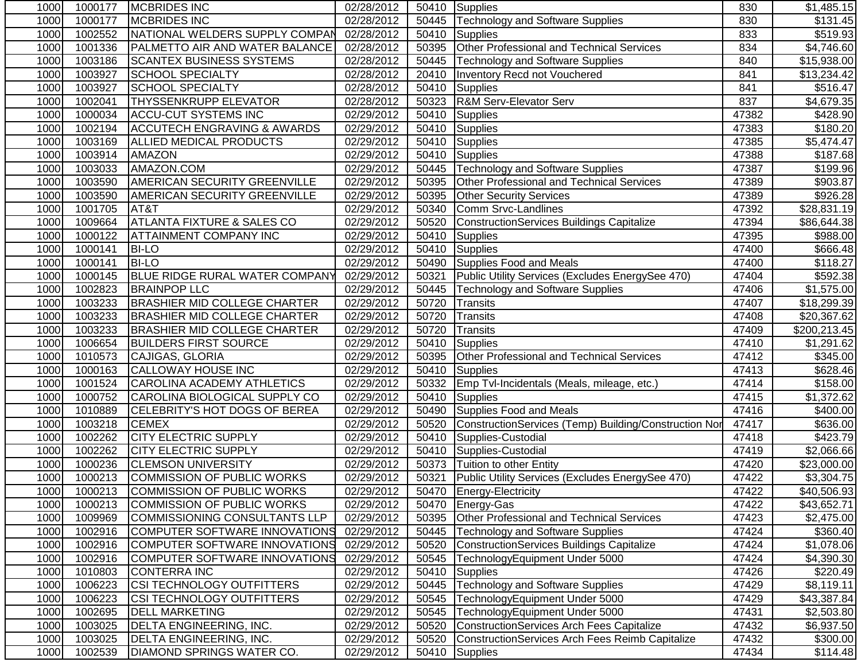| 1000 | 1000177 | <b>MCBRIDES INC</b>                    | 02/28/2012 |       | 50410 Supplies                                        | 830   | \$1,485.15             |
|------|---------|----------------------------------------|------------|-------|-------------------------------------------------------|-------|------------------------|
| 1000 | 1000177 | <b>MCBRIDES INC</b>                    | 02/28/2012 | 50445 | Technology and Software Supplies                      | 830   | $\overline{$}131.45$   |
| 1000 | 1002552 | NATIONAL WELDERS SUPPLY COMPAN         | 02/28/2012 | 50410 | Supplies                                              | 833   | \$519.93               |
| 1000 | 1001336 | <b>PALMETTO AIR AND WATER BALANCE</b>  | 02/28/2012 | 50395 | Other Professional and Technical Services             | 834   | $\overline{84,746.60}$ |
| 1000 | 1003186 | <b>SCANTEX BUSINESS SYSTEMS</b>        | 02/28/2012 | 50445 | <b>Technology and Software Supplies</b>               | 840   | \$15,938.00            |
| 1000 | 1003927 | SCHOOL SPECIALTY                       | 02/28/2012 | 20410 | Inventory Recd not Vouchered                          | 841   | \$13,234.42            |
| 1000 | 1003927 | <b>SCHOOL SPECIALTY</b>                | 02/28/2012 | 50410 | Supplies                                              | 841   | \$516.47               |
| 1000 | 1002041 | <b>THYSSENKRUPP ELEVATOR</b>           | 02/28/2012 | 50323 | R&M Serv-Elevator Serv                                | 837   | \$4,679.35             |
| 1000 | 1000034 | <b>ACCU-CUT SYSTEMS INC</b>            | 02/29/2012 | 50410 | Supplies                                              | 47382 | \$428.90               |
| 1000 | 1002194 | <b>ACCUTECH ENGRAVING &amp; AWARDS</b> | 02/29/2012 | 50410 | Supplies                                              | 47383 | \$180.20               |
| 1000 | 1003169 | <b>ALLIED MEDICAL PRODUCTS</b>         | 02/29/2012 | 50410 | <b>Supplies</b>                                       | 47385 | \$5,474.47             |
| 1000 | 1003914 | <b>AMAZON</b>                          | 02/29/2012 | 50410 | <b>Supplies</b>                                       | 47388 | \$187.68               |
| 1000 | 1003033 | AMAZON.COM                             | 02/29/2012 | 50445 | <b>Technology and Software Supplies</b>               | 47387 | \$199.96               |
| 1000 | 1003590 | <b>AMERICAN SECURITY GREENVILLE</b>    | 02/29/2012 | 50395 | Other Professional and Technical Services             | 47389 | \$903.87               |
| 1000 | 1003590 | <b>AMERICAN SECURITY GREENVILLE</b>    | 02/29/2012 | 50395 | <b>Other Security Services</b>                        | 47389 | \$926.28               |
| 1000 | 1001705 | AT&T                                   | 02/29/2012 | 50340 | Comm Srvc-Landlines                                   | 47392 | \$28,831.19            |
| 1000 | 1009664 | <b>ATLANTA FIXTURE &amp; SALES CO</b>  | 02/29/2012 | 50520 | ConstructionServices Buildings Capitalize             | 47394 | \$86,644.38            |
| 1000 | 1000122 | <b>ATTAINMENT COMPANY INC</b>          | 02/29/2012 | 50410 | Supplies                                              | 47395 | \$988.00               |
| 1000 | 1000141 | <b>BI-LO</b>                           | 02/29/2012 | 50410 | Supplies                                              | 47400 | \$666.48               |
| 1000 | 1000141 | <b>BI-LO</b>                           | 02/29/2012 | 50490 | Supplies Food and Meals                               | 47400 | \$118.27               |
| 1000 | 1000145 | <b>BLUE RIDGE RURAL WATER COMPANY</b>  | 02/29/2012 | 50321 | Public Utility Services (Excludes EnergySee 470)      | 47404 | \$592.38               |
| 1000 | 1002823 | <b>BRAINPOP LLC</b>                    | 02/29/2012 | 50445 | <b>Technology and Software Supplies</b>               | 47406 | \$1,575.00             |
| 1000 | 1003233 | <b>BRASHIER MID COLLEGE CHARTER</b>    | 02/29/2012 | 50720 | <b>Transits</b>                                       | 47407 | \$18,299.39            |
| 1000 | 1003233 | <b>BRASHIER MID COLLEGE CHARTER</b>    | 02/29/2012 | 50720 | <b>Transits</b>                                       | 47408 | \$20,367.62            |
| 1000 | 1003233 | <b>BRASHIER MID COLLEGE CHARTER</b>    | 02/29/2012 | 50720 | Transits                                              | 47409 | \$200,213.45           |
| 1000 | 1006654 | <b>BUILDERS FIRST SOURCE</b>           | 02/29/2012 | 50410 | <b>Supplies</b>                                       | 47410 | \$1,291.62             |
| 1000 | 1010573 | CAJIGAS, GLORIA                        | 02/29/2012 | 50395 | Other Professional and Technical Services             | 47412 | \$345.00               |
| 1000 | 1000163 | <b>CALLOWAY HOUSE INC</b>              | 02/29/2012 | 50410 | <b>Supplies</b>                                       | 47413 | \$628.46               |
| 1000 | 1001524 | <b>CAROLINA ACADEMY ATHLETICS</b>      | 02/29/2012 | 50332 | Emp Tvl-Incidentals (Meals, mileage, etc.)            | 47414 | \$158.00               |
| 1000 | 1000752 | CAROLINA BIOLOGICAL SUPPLY CO          | 02/29/2012 | 50410 | <b>Supplies</b>                                       | 47415 | \$1,372.62             |
| 1000 | 1010889 | CELEBRITY'S HOT DOGS OF BEREA          | 02/29/2012 | 50490 | Supplies Food and Meals                               | 47416 | \$400.00               |
| 1000 | 1003218 | <b>CEMEX</b>                           | 02/29/2012 | 50520 | ConstructionServices (Temp) Building/Construction Nor | 47417 | \$636.00               |
| 1000 | 1002262 | <b>CITY ELECTRIC SUPPLY</b>            | 02/29/2012 | 50410 | Supplies-Custodial                                    | 47418 | \$423.79               |
| 1000 | 1002262 | <b>CITY ELECTRIC SUPPLY</b>            | 02/29/2012 | 50410 | Supplies-Custodial                                    | 47419 | \$2,066.66             |
| 1000 | 1000236 | <b>CLEMSON UNIVERSITY</b>              | 02/29/2012 | 50373 | Tuition to other Entity                               | 47420 | \$23,000.00            |
| 1000 | 1000213 | <b>COMMISSION OF PUBLIC WORKS</b>      | 02/29/2012 | 50321 | Public Utility Services (Excludes EnergySee 470)      | 47422 | \$3,304.75             |
| 1000 |         | 1000213 COMMISSION OF PUBLIC WORKS     | 02/29/2012 |       | 50470 Energy-Electricity                              | 47422 | \$40,506.93            |
| 1000 | 1000213 | COMMISSION OF PUBLIC WORKS             | 02/29/2012 |       | 50470 Energy-Gas                                      | 47422 | \$43,652.71            |
| 1000 | 1009969 | <b>COMMISSIONING CONSULTANTS LLP</b>   | 02/29/2012 | 50395 | Other Professional and Technical Services             | 47423 | \$2,475.00             |
| 1000 | 1002916 | COMPUTER SOFTWARE INNOVATIONS          | 02/29/2012 | 50445 | <b>Technology and Software Supplies</b>               | 47424 | \$360.40               |
| 1000 | 1002916 | COMPUTER SOFTWARE INNOVATIONS          | 02/29/2012 | 50520 | ConstructionServices Buildings Capitalize             | 47424 | \$1,078.06             |
| 1000 | 1002916 | COMPUTER SOFTWARE INNOVATIONS          | 02/29/2012 | 50545 | TechnologyEquipment Under 5000                        | 47424 | \$4,390.30             |
| 1000 | 1010803 | <b>CONTERRA INC</b>                    | 02/29/2012 | 50410 | Supplies                                              | 47426 | \$220.49               |
| 1000 | 1006223 | <b>CSI TECHNOLOGY OUTFITTERS</b>       | 02/29/2012 | 50445 | <b>Technology and Software Supplies</b>               | 47429 | \$8,119.11             |
| 1000 | 1006223 | <b>CSI TECHNOLOGY OUTFITTERS</b>       | 02/29/2012 | 50545 | TechnologyEquipment Under 5000                        | 47429 | \$43,387.84            |
| 1000 | 1002695 | <b>DELL MARKETING</b>                  | 02/29/2012 | 50545 | TechnologyEquipment Under 5000                        | 47431 | \$2,503.80             |
| 1000 | 1003025 | DELTA ENGINEERING, INC.                | 02/29/2012 | 50520 | ConstructionServices Arch Fees Capitalize             | 47432 | \$6,937.50             |
| 1000 | 1003025 | DELTA ENGINEERING, INC.                | 02/29/2012 | 50520 | ConstructionServices Arch Fees Reimb Capitalize       | 47432 | \$300.00               |
| 1000 | 1002539 | <b>DIAMOND SPRINGS WATER CO.</b>       | 02/29/2012 |       | 50410 Supplies                                        | 47434 | \$114.48               |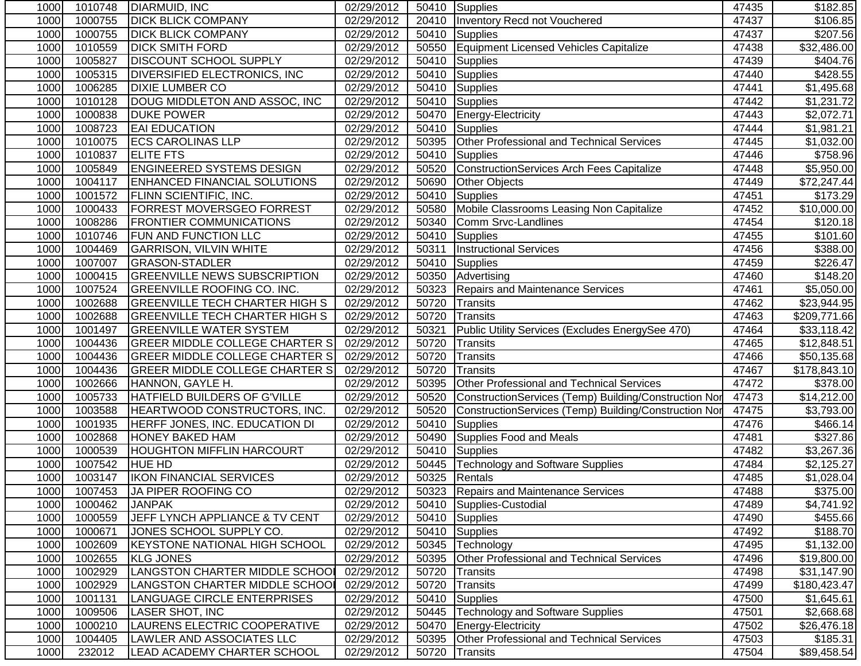| 1000 | 1010748 | DIARMUID, INC                         | 02/29/2012 |       | 50410 Supplies                                        | 47435 | \$182.85             |
|------|---------|---------------------------------------|------------|-------|-------------------------------------------------------|-------|----------------------|
| 1000 | 1000755 | <b>DICK BLICK COMPANY</b>             | 02/29/2012 | 20410 | Inventory Recd not Vouchered                          | 47437 | \$106.85             |
| 1000 | 1000755 | <b>DICK BLICK COMPANY</b>             | 02/29/2012 | 50410 | Supplies                                              | 47437 | \$207.56             |
| 1000 | 1010559 | <b>DICK SMITH FORD</b>                | 02/29/2012 | 50550 | Equipment Licensed Vehicles Capitalize                | 47438 | \$32,486.00          |
| 1000 | 1005827 | <b>DISCOUNT SCHOOL SUPPLY</b>         | 02/29/2012 | 50410 | Supplies                                              | 47439 | \$404.76             |
| 1000 | 1005315 | <b>DIVERSIFIED ELECTRONICS, INC.</b>  | 02/29/2012 | 50410 | Supplies                                              | 47440 | \$428.55             |
| 1000 | 1006285 | <b>DIXIE LUMBER CO</b>                | 02/29/2012 |       | 50410 Supplies                                        | 47441 | \$1,495.68           |
| 1000 | 1010128 | DOUG MIDDLETON AND ASSOC, INC         | 02/29/2012 |       | 50410 Supplies                                        | 47442 | \$1,231.72           |
| 1000 | 1000838 | <b>DUKE POWER</b>                     | 02/29/2012 | 50470 | Energy-Electricity                                    | 47443 | \$2,072.71           |
| 1000 | 1008723 | <b>EAI EDUCATION</b>                  | 02/29/2012 | 50410 | Supplies                                              | 47444 | \$1,981.21           |
| 1000 | 1010075 | <b>ECS CAROLINAS LLP</b>              | 02/29/2012 | 50395 | <b>Other Professional and Technical Services</b>      | 47445 | \$1,032.00           |
| 1000 | 1010837 | <b>ELITE FTS</b>                      | 02/29/2012 | 50410 | <b>Supplies</b>                                       | 47446 | \$758.96             |
| 1000 | 1005849 | <b>ENGINEERED SYSTEMS DESIGN</b>      | 02/29/2012 | 50520 | ConstructionServices Arch Fees Capitalize             | 47448 | \$5,950.00           |
| 1000 | 1004117 | <b>ENHANCED FINANCIAL SOLUTIONS</b>   | 02/29/2012 | 50690 | <b>Other Objects</b>                                  | 47449 | \$72,247.44          |
| 1000 | 1001572 | <b>FLINN SCIENTIFIC, INC.</b>         | 02/29/2012 | 50410 | Supplies                                              | 47451 | \$173.29             |
| 1000 | 1000433 | <b>FORREST MOVERSGEO FORREST</b>      | 02/29/2012 | 50580 | Mobile Classrooms Leasing Non Capitalize              | 47452 | \$10,000.00          |
| 1000 | 1008286 | <b>FRONTIER COMMUNICATIONS</b>        | 02/29/2012 | 50340 | Comm Srvc-Landlines                                   | 47454 | \$120.18             |
| 1000 | 1010746 | <b>FUN AND FUNCTION LLC</b>           | 02/29/2012 | 50410 | Supplies                                              | 47455 | \$101.60             |
| 1000 | 1004469 | <b>GARRISON, VILVIN WHITE</b>         | 02/29/2012 | 50311 | <b>Instructional Services</b>                         | 47456 | $\overline{$}388.00$ |
| 1000 | 1007007 | <b>GRASON-STADLER</b>                 | 02/29/2012 | 50410 | Supplies                                              | 47459 | $\overline{$}226.47$ |
| 1000 | 1000415 | <b>GREENVILLE NEWS SUBSCRIPTION</b>   | 02/29/2012 | 50350 | Advertising                                           | 47460 | \$148.20             |
| 1000 | 1007524 | <b>GREENVILLE ROOFING CO. INC.</b>    | 02/29/2012 | 50323 | Repairs and Maintenance Services                      | 47461 | \$5,050.00           |
| 1000 | 1002688 | <b>GREENVILLE TECH CHARTER HIGH S</b> | 02/29/2012 | 50720 | <b>Transits</b>                                       | 47462 | \$23,944.95          |
| 1000 | 1002688 | <b>GREENVILLE TECH CHARTER HIGH S</b> | 02/29/2012 | 50720 | Transits                                              | 47463 | \$209,771.66         |
| 1000 | 1001497 | <b>GREENVILLE WATER SYSTEM</b>        | 02/29/2012 | 50321 | Public Utility Services (Excludes EnergySee 470)      | 47464 | \$33,118.42          |
| 1000 | 1004436 | <b>GREER MIDDLE COLLEGE CHARTER S</b> | 02/29/2012 | 50720 | <b>Transits</b>                                       | 47465 | \$12,848.51          |
| 1000 | 1004436 | GREER MIDDLE COLLEGE CHARTER S        | 02/29/2012 | 50720 | <b>Transits</b>                                       | 47466 | \$50,135.68          |
| 1000 | 1004436 | <b>GREER MIDDLE COLLEGE CHARTER S</b> | 02/29/2012 | 50720 | <b>Transits</b>                                       | 47467 | \$178,843.10         |
| 1000 | 1002666 | HANNON, GAYLE H.                      | 02/29/2012 | 50395 | Other Professional and Technical Services             | 47472 | \$378.00             |
| 1000 | 1005733 | HATFIELD BUILDERS OF G'VILLE          | 02/29/2012 | 50520 | ConstructionServices (Temp) Building/Construction Nor | 47473 | \$14,212.00          |
| 1000 | 1003588 | <b>HEARTWOOD CONSTRUCTORS, INC.</b>   | 02/29/2012 | 50520 | ConstructionServices (Temp) Building/Construction Nor | 47475 | \$3,793.00           |
| 1000 | 1001935 | <b>HERFF JONES, INC. EDUCATION DI</b> | 02/29/2012 | 50410 | Supplies                                              | 47476 | \$466.14             |
| 1000 | 1002868 | <b>HONEY BAKED HAM</b>                | 02/29/2012 |       | 50490 Supplies Food and Meals                         | 47481 | \$327.86             |
| 1000 | 1000539 | <b>HOUGHTON MIFFLIN HARCOURT</b>      | 02/29/2012 |       | 50410 Supplies                                        | 47482 | \$3,267.36           |
| 1000 | 1007542 | <b>HUE HD</b>                         | 02/29/2012 |       | 50445   Technology and Software Supplies              | 47484 | \$2,125.27           |
| 1000 | 1003147 | <b>IKON FINANCIAL SERVICES</b>        | 02/29/2012 |       | 50325 Rentals                                         | 47485 | \$1,028.04           |
| 1000 |         | 1007453 JA PIPER ROOFING CO           | 02/29/2012 |       | 50323 Repairs and Maintenance Services                | 47488 | \$375.00             |
| 1000 | 1000462 | <b>JANPAK</b>                         | 02/29/2012 | 50410 | Supplies-Custodial                                    | 47489 | \$4,741.92           |
| 1000 | 1000559 | JEFF LYNCH APPLIANCE & TV CENT        | 02/29/2012 | 50410 | Supplies                                              | 47490 | \$455.66             |
| 1000 | 1000671 | JONES SCHOOL SUPPLY CO.               | 02/29/2012 |       | 50410 Supplies                                        | 47492 | \$188.70             |
| 1000 | 1002609 | KEYSTONE NATIONAL HIGH SCHOOL         | 02/29/2012 | 50345 | Technology                                            | 47495 | \$1,132.00           |
| 1000 | 1002655 | <b>KLG JONES</b>                      | 02/29/2012 | 50395 | Other Professional and Technical Services             | 47496 | \$19,800.00          |
| 1000 | 1002929 | LANGSTON CHARTER MIDDLE SCHOOL        | 02/29/2012 | 50720 | Transits                                              | 47498 | \$31,147.90          |
| 1000 | 1002929 | LANGSTON CHARTER MIDDLE SCHOOL        | 02/29/2012 | 50720 | Transits                                              | 47499 | \$180,423.47         |
| 1000 | 1001131 | LANGUAGE CIRCLE ENTERPRISES           | 02/29/2012 | 50410 | Supplies                                              | 47500 | \$1,645.61           |
| 1000 | 1009506 | <b>LASER SHOT, INC</b>                | 02/29/2012 | 50445 | <b>Technology and Software Supplies</b>               | 47501 | \$2,668.68           |
| 1000 | 1000210 | LAURENS ELECTRIC COOPERATIVE          | 02/29/2012 | 50470 | <b>Energy-Electricity</b>                             | 47502 | \$26,476.18          |
| 1000 | 1004405 | LAWLER AND ASSOCIATES LLC             | 02/29/2012 | 50395 | Other Professional and Technical Services             | 47503 | \$185.31             |
| 1000 | 232012  | LEAD ACADEMY CHARTER SCHOOL           | 02/29/2012 | 50720 | Transits                                              | 47504 | \$89,458.54          |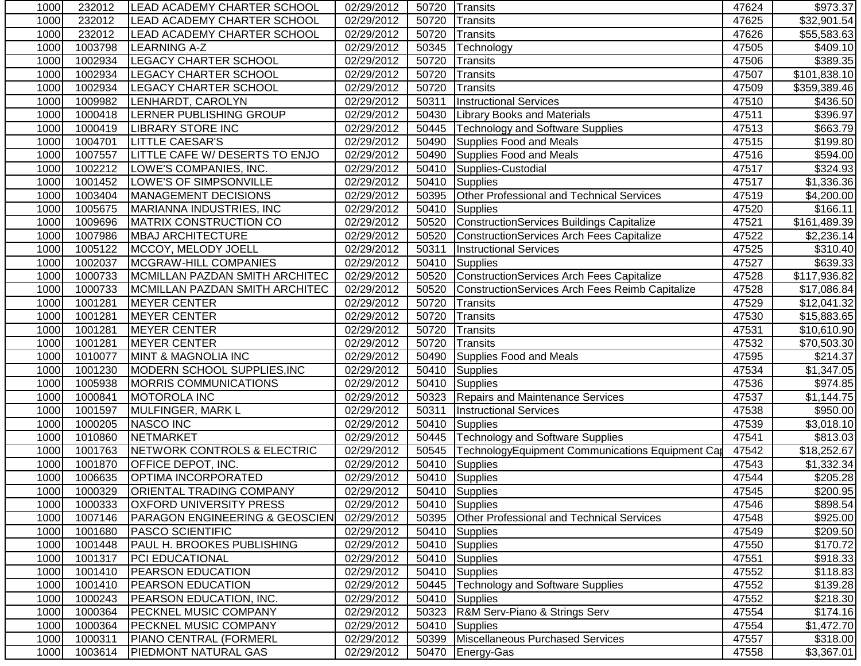| 1000 | 232012  | LEAD ACADEMY CHARTER SCHOOL               | 02/29/2012 | 50720 | Transits                                         | 47624 | \$973.37                |
|------|---------|-------------------------------------------|------------|-------|--------------------------------------------------|-------|-------------------------|
| 1000 | 232012  | LEAD ACADEMY CHARTER SCHOOL               | 02/29/2012 | 50720 | <b>Transits</b>                                  | 47625 | $\overline{$}32,901.54$ |
| 1000 | 232012  | LEAD ACADEMY CHARTER SCHOOL               | 02/29/2012 | 50720 | <b>Transits</b>                                  | 47626 | \$55,583.63             |
| 1000 | 1003798 | <b>LEARNING A-Z</b>                       | 02/29/2012 | 50345 | Technology                                       | 47505 | \$409.10                |
| 1000 | 1002934 | <b>LEGACY CHARTER SCHOOL</b>              | 02/29/2012 | 50720 | <b>Transits</b>                                  | 47506 | \$389.35                |
| 1000 | 1002934 | <b>LEGACY CHARTER SCHOOL</b>              | 02/29/2012 | 50720 | <b>Transits</b>                                  | 47507 | \$101,838.10            |
| 1000 | 1002934 | <b>LEGACY CHARTER SCHOOL</b>              | 02/29/2012 | 50720 | <b>Transits</b>                                  | 47509 | \$359,389.46            |
| 1000 | 1009982 | LENHARDT, CAROLYN                         | 02/29/2012 | 50311 | <b>Instructional Services</b>                    | 47510 | \$436.50                |
| 1000 | 1000418 | LERNER PUBLISHING GROUP                   | 02/29/2012 | 50430 | <b>Library Books and Materials</b>               | 47511 | \$396.97                |
| 1000 | 1000419 | <b>LIBRARY STORE INC</b>                  | 02/29/2012 | 50445 | <b>Technology and Software Supplies</b>          | 47513 | \$663.79                |
| 1000 | 1004701 | <b>LITTLE CAESAR'S</b>                    | 02/29/2012 | 50490 | Supplies Food and Meals                          | 47515 | \$199.80                |
| 1000 | 1007557 | LITTLE CAFE W/ DESERTS TO ENJO            | 02/29/2012 | 50490 | Supplies Food and Meals                          | 47516 | \$594.00                |
| 1000 | 1002212 | LOWE'S COMPANIES, INC.                    | 02/29/2012 | 50410 | Supplies-Custodial                               | 47517 | \$324.93                |
| 1000 | 1001452 | LOWE'S OF SIMPSONVILLE                    | 02/29/2012 | 50410 | Supplies                                         | 47517 | \$1,336.36              |
| 1000 | 1003404 | <b>MANAGEMENT DECISIONS</b>               | 02/29/2012 | 50395 | Other Professional and Technical Services        | 47519 | \$4,200.00              |
| 1000 | 1005675 | MARIANNA INDUSTRIES, INC                  | 02/29/2012 | 50410 | Supplies                                         | 47520 | \$166.11                |
| 1000 | 1009696 | MATRIX CONSTRUCTION CO                    | 02/29/2012 | 50520 | ConstructionServices Buildings Capitalize        | 47521 | \$161,489.39            |
| 1000 | 1007986 | <b>MBAJ ARCHITECTURE</b>                  | 02/29/2012 | 50520 | ConstructionServices Arch Fees Capitalize        | 47522 | \$2,236.14              |
| 1000 | 1005122 | MCCOY, MELODY JOELL                       | 02/29/2012 | 50311 | <b>Instructional Services</b>                    | 47525 | 3310.40                 |
| 1000 | 1002037 | <b>MCGRAW-HILL COMPANIES</b>              | 02/29/2012 | 50410 | Supplies                                         | 47527 | \$639.33                |
| 1000 | 1000733 | MCMILLAN PAZDAN SMITH ARCHITEC            | 02/29/2012 | 50520 | ConstructionServices Arch Fees Capitalize        | 47528 | \$117,936.82            |
| 1000 | 1000733 | MCMILLAN PAZDAN SMITH ARCHITEC            | 02/29/2012 | 50520 | ConstructionServices Arch Fees Reimb Capitalize  | 47528 | \$17,086.84             |
| 1000 | 1001281 | <b>MEYER CENTER</b>                       | 02/29/2012 | 50720 | <b>Transits</b>                                  | 47529 | \$12,041.32             |
| 1000 | 1001281 | <b>MEYER CENTER</b>                       | 02/29/2012 | 50720 | <b>Transits</b>                                  | 47530 | \$15,883.65             |
| 1000 | 1001281 | <b>MEYER CENTER</b>                       | 02/29/2012 | 50720 | Transits                                         | 47531 | \$10,610.90             |
| 1000 | 1001281 | <b>MEYER CENTER</b>                       | 02/29/2012 | 50720 | <b>Transits</b>                                  | 47532 | \$70,503.30             |
| 1000 | 1010077 | <b>MINT &amp; MAGNOLIA INC</b>            | 02/29/2012 | 50490 | Supplies Food and Meals                          | 47595 | \$214.37                |
| 1000 | 1001230 | MODERN SCHOOL SUPPLIES, INC               | 02/29/2012 | 50410 | Supplies                                         | 47534 | \$1,347.05              |
| 1000 | 1005938 | <b>MORRIS COMMUNICATIONS</b>              | 02/29/2012 | 50410 | Supplies                                         | 47536 | 3974.85                 |
| 1000 | 1000841 | <b>MOTOROLA INC</b>                       | 02/29/2012 | 50323 | Repairs and Maintenance Services                 | 47537 | \$1,144.75              |
| 1000 | 1001597 | <b>MULFINGER, MARK L</b>                  | 02/29/2012 | 50311 | <b>Instructional Services</b>                    | 47538 | \$950.00                |
| 1000 | 1000205 | <b>NASCO INC</b>                          | 02/29/2012 | 50410 | Supplies                                         | 47539 | \$3,018.10              |
| 1000 | 1010860 | NETMARKET                                 | 02/29/2012 | 50445 | <b>Technology and Software Supplies</b>          | 47541 | \$813.03                |
| 1000 | 1001763 | NETWORK CONTROLS & ELECTRIC               | 02/29/2012 | 50545 | TechnologyEquipment Communications Equipment Cap | 47542 | \$18,252.67             |
| 1000 | 1001870 | <b>OFFICE DEPOT, INC.</b>                 | 02/29/2012 | 50410 | Supplies                                         | 47543 | \$1,332.34              |
| 1000 | 1006635 | <b>OPTIMA INCORPORATED</b>                | 02/29/2012 | 50410 | Supplies                                         | 47544 | \$205.28                |
| 1000 |         | 1000329   ORIENTAL TRADING COMPANY        | 02/29/2012 |       | 50410 Supplies                                   | 47545 | \$200.95                |
| 1000 | 1000333 | <b>OXFORD UNIVERSITY PRESS</b>            | 02/29/2012 |       | 50410 Supplies                                   | 47546 | \$898.54                |
| 1000 | 1007146 | <b>PARAGON ENGINEERING &amp; GEOSCIEN</b> | 02/29/2012 | 50395 | Other Professional and Technical Services        | 47548 | \$925.00                |
| 1000 | 1001680 | <b>PASCO SCIENTIFIC</b>                   | 02/29/2012 |       | 50410 Supplies                                   | 47549 | \$209.50                |
| 1000 | 1001448 | <b>PAUL H. BROOKES PUBLISHING</b>         | 02/29/2012 |       | 50410 Supplies                                   | 47550 | \$170.72                |
| 1000 | 1001317 | <b>PCI EDUCATIONAL</b>                    | 02/29/2012 |       | 50410 Supplies                                   | 47551 | \$918.33                |
| 1000 | 1001410 | <b>PEARSON EDUCATION</b>                  | 02/29/2012 |       | 50410 Supplies                                   | 47552 | \$118.83                |
| 1000 | 1001410 | <b>PEARSON EDUCATION</b>                  | 02/29/2012 | 50445 | <b>Technology and Software Supplies</b>          | 47552 | \$139.28                |
| 1000 | 1000243 | <b>PEARSON EDUCATION, INC.</b>            | 02/29/2012 | 50410 | Supplies                                         | 47552 | \$218.30                |
| 1000 | 1000364 | <b>PECKNEL MUSIC COMPANY</b>              | 02/29/2012 |       | 50323 R&M Serv-Piano & Strings Serv              | 47554 | \$174.16                |
| 1000 | 1000364 | <b>PECKNEL MUSIC COMPANY</b>              | 02/29/2012 | 50410 | Supplies                                         | 47554 | \$1,472.70              |
| 1000 | 1000311 | <b>PIANO CENTRAL (FORMERL</b>             | 02/29/2012 | 50399 | Miscellaneous Purchased Services                 | 47557 | \$318.00                |
| 1000 | 1003614 | <b>PIEDMONT NATURAL GAS</b>               | 02/29/2012 |       | 50470 Energy-Gas                                 | 47558 | \$3,367.01              |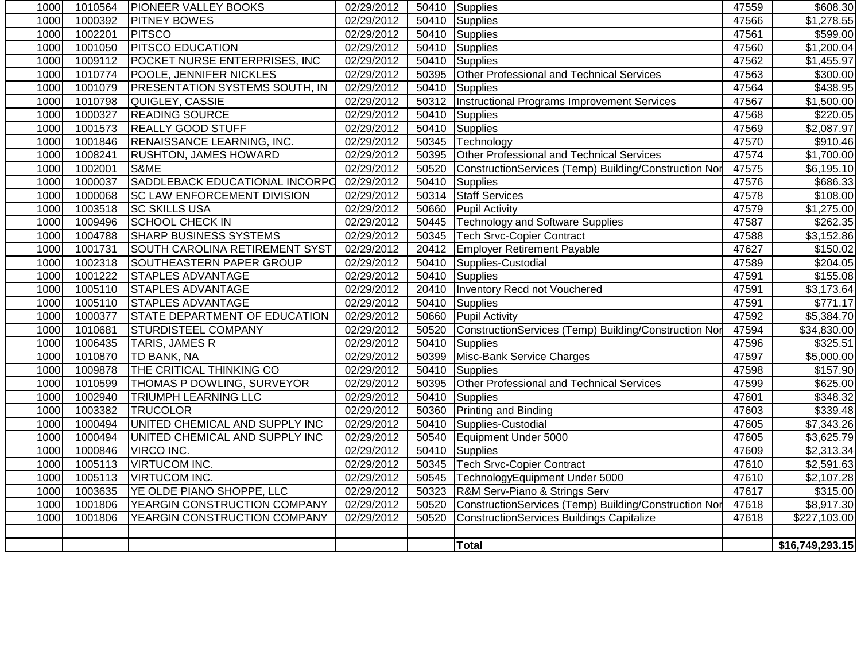| 1000 | 1010564 | <b>PIONEER VALLEY BOOKS</b>           | 02/29/2012 |       | 50410 Supplies                                        | 47559 | \$608.30               |
|------|---------|---------------------------------------|------------|-------|-------------------------------------------------------|-------|------------------------|
| 1000 | 1000392 | <b>PITNEY BOWES</b>                   | 02/29/2012 | 50410 | Supplies                                              | 47566 | \$1,278.55             |
| 1000 | 1002201 | <b>PITSCO</b>                         | 02/29/2012 |       | 50410 Supplies                                        | 47561 | \$599.00               |
| 1000 | 1001050 | <b>PITSCO EDUCATION</b>               | 02/29/2012 | 50410 | Supplies                                              | 47560 | \$1,200.04             |
| 1000 | 1009112 | POCKET NURSE ENTERPRISES, INC         | 02/29/2012 | 50410 | Supplies                                              | 47562 | \$1,455.97             |
| 1000 | 1010774 | <b>POOLE, JENNIFER NICKLES</b>        | 02/29/2012 | 50395 | Other Professional and Technical Services             | 47563 | \$300.00               |
| 1000 | 1001079 | <b>PRESENTATION SYSTEMS SOUTH, IN</b> | 02/29/2012 | 50410 | Supplies                                              | 47564 | \$438.95               |
| 1000 | 1010798 | QUIGLEY, CASSIE                       | 02/29/2012 | 50312 | Instructional Programs Improvement Services           | 47567 | \$1,500.00             |
| 1000 | 1000327 | <b>READING SOURCE</b>                 | 02/29/2012 | 50410 | <b>Supplies</b>                                       | 47568 | \$220.05               |
| 1000 | 1001573 | <b>REALLY GOOD STUFF</b>              | 02/29/2012 | 50410 | Supplies                                              | 47569 | \$2,087.97             |
| 1000 | 1001846 | <b>RENAISSANCE LEARNING, INC.</b>     | 02/29/2012 | 50345 | Technology                                            | 47570 | \$910.46               |
| 1000 | 1008241 | <b>RUSHTON, JAMES HOWARD</b>          | 02/29/2012 | 50395 | Other Professional and Technical Services             | 47574 | \$1,700.00             |
| 1000 | 1002001 | S&ME                                  | 02/29/2012 | 50520 | ConstructionServices (Temp) Building/Construction Nor | 47575 | \$6,195.10             |
| 1000 | 1000037 | SADDLEBACK EDUCATIONAL INCORPO        | 02/29/2012 | 50410 | <b>Supplies</b>                                       | 47576 | \$686.33               |
| 1000 | 1000068 | <b>SC LAW ENFORCEMENT DIVISION</b>    | 02/29/2012 | 50314 | <b>Staff Services</b>                                 | 47578 | \$108.00               |
| 1000 | 1003518 | <b>SC SKILLS USA</b>                  | 02/29/2012 | 50660 | Pupil Activity                                        | 47579 | \$1,275.00             |
| 1000 | 1009496 | <b>SCHOOL CHECK IN</b>                | 02/29/2012 | 50445 | <b>Technology and Software Supplies</b>               | 47587 | \$262.35               |
| 1000 | 1004788 | <b>SHARP BUSINESS SYSTEMS</b>         | 02/29/2012 | 50345 | <b>Tech Srvc-Copier Contract</b>                      | 47588 | \$3,152.86             |
| 1000 | 1001731 | SOUTH CAROLINA RETIREMENT SYST        | 02/29/2012 | 20412 | <b>Employer Retirement Payable</b>                    | 47627 | \$150.02               |
| 1000 | 1002318 | <b>SOUTHEASTERN PAPER GROUP</b>       | 02/29/2012 | 50410 | Supplies-Custodial                                    | 47589 | 3204.05                |
| 1000 | 1001222 | <b>STAPLES ADVANTAGE</b>              | 02/29/2012 | 50410 | Supplies                                              | 47591 | \$155.08               |
| 1000 | 1005110 | <b>STAPLES ADVANTAGE</b>              | 02/29/2012 | 20410 | Inventory Recd not Vouchered                          | 47591 | \$3,173.64             |
| 1000 | 1005110 | <b>STAPLES ADVANTAGE</b>              | 02/29/2012 |       | 50410 Supplies                                        | 47591 | \$771.17               |
| 1000 | 1000377 | <b>STATE DEPARTMENT OF EDUCATION</b>  | 02/29/2012 |       | 50660 Pupil Activity                                  | 47592 | \$5,384.70             |
| 1000 | 1010681 | <b>STURDISTEEL COMPANY</b>            | 02/29/2012 | 50520 | ConstructionServices (Temp) Building/Construction Nor | 47594 | \$34,830.00            |
| 1000 | 1006435 | <b>TARIS, JAMES R</b>                 | 02/29/2012 | 50410 | Supplies                                              | 47596 | \$325.51               |
| 1000 | 1010870 | <b>TD BANK, NA</b>                    | 02/29/2012 | 50399 | Misc-Bank Service Charges                             | 47597 | \$5,000.00             |
| 1000 | 1009878 | THE CRITICAL THINKING CO              | 02/29/2012 | 50410 | <b>Supplies</b>                                       | 47598 | \$157.90               |
| 1000 | 1010599 | THOMAS P DOWLING, SURVEYOR            | 02/29/2012 | 50395 | Other Professional and Technical Services             | 47599 | \$625.00               |
| 1000 | 1002940 | <b>TRIUMPH LEARNING LLC</b>           | 02/29/2012 | 50410 | Supplies                                              | 47601 | \$348.32               |
| 1000 | 1003382 | <b>TRUCOLOR</b>                       | 02/29/2012 | 50360 | <b>Printing and Binding</b>                           | 47603 | \$339.48               |
| 1000 | 1000494 | UNITED CHEMICAL AND SUPPLY INC        | 02/29/2012 | 50410 | Supplies-Custodial                                    | 47605 | \$7,343.26             |
| 1000 | 1000494 | UNITED CHEMICAL AND SUPPLY INC        | 02/29/2012 | 50540 | Equipment Under 5000                                  | 47605 | $\overline{$3,625.79}$ |
| 1000 | 1000846 | VIRCO INC.                            | 02/29/2012 | 50410 | Supplies                                              | 47609 | \$2,313.34             |
| 1000 | 1005113 | <b>VIRTUCOM INC.</b>                  | 02/29/2012 | 50345 | <b>Tech Srvc-Copier Contract</b>                      | 47610 | \$2,591.63             |
| 1000 | 1005113 | <b>VIRTUCOM INC.</b>                  | 02/29/2012 | 50545 | TechnologyEquipment Under 5000                        | 47610 | \$2,107.28             |
| 1000 | 1003635 | YE OLDE PIANO SHOPPE, LLC             | 02/29/2012 | 50323 | R&M Serv-Piano & Strings Serv                         | 47617 | \$315.00               |
| 1000 | 1001806 | YEARGIN CONSTRUCTION COMPANY          | 02/29/2012 | 50520 | ConstructionServices (Temp) Building/Construction Nor | 47618 | \$8,917.30             |
| 1000 | 1001806 | YEARGIN CONSTRUCTION COMPANY          | 02/29/2012 | 50520 | <b>ConstructionServices Buildings Capitalize</b>      | 47618 | \$227,103.00           |
|      |         |                                       |            |       |                                                       |       |                        |
|      |         |                                       |            |       | Total                                                 |       | \$16,749,293.15        |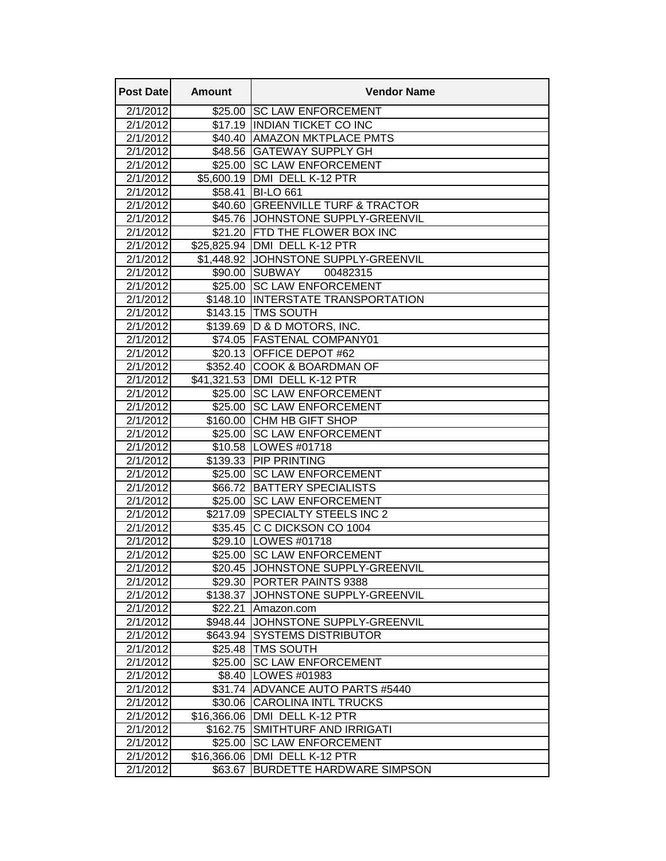| <b>Post Datel</b>    | <b>Amount</b> | <b>Vendor Name</b>                              |
|----------------------|---------------|-------------------------------------------------|
| 2/1/2012             | \$25.00       | <b>SC LAW ENFORCEMENT</b>                       |
| 2/1/2012             | \$17.19       | <b>INDIAN TICKET CO INC</b>                     |
| 2/1/2012             |               | \$40.40 AMAZON MKTPLACE PMTS                    |
| 2/1/2012             | \$48.56       | <b>GATEWAY SUPPLY GH</b>                        |
| 2/1/2012             |               | \$25.00 SC LAW ENFORCEMENT                      |
| 2/1/2012             | \$5,600.19    | DMI DELL K-12 PTR                               |
| 2/1/2012             | \$58.41       | <b>BI-LO 661</b>                                |
| 2/1/2012             | \$40.60       | <b>GREENVILLE TURF &amp; TRACTOR</b>            |
| 2/1/2012             | \$45.76       | JOHNSTONE SUPPLY-GREENVIL                       |
| 2/1/2012             | \$21.20       | <b>FTD THE FLOWER BOX INC</b>                   |
| 2/1/2012             |               | \$25,825.94   DMI DELL K-12 PTR                 |
| 2/1/2012             |               | \$1,448.92 JOHNSTONE SUPPLY-GREENVIL            |
| 2/1/2012             |               | \$90.00 SUBWAY<br>00482315                      |
| 2/1/2012             |               | \$25.00 SC LAW ENFORCEMENT                      |
| 2/1/2012             |               | \$148.10 INTERSTATE TRANSPORTATION              |
| 2/1/2012             |               | \$143.15 TMS SOUTH                              |
| 2/1/2012             | \$139.69      | D & D MOTORS, INC.                              |
| 2/1/2012             | \$74.05       | <b>FASTENAL COMPANY01</b>                       |
| 2/1/2012             |               | \$20.13 OFFICE DEPOT #62                        |
| 2/1/2012             |               | \$352.40 COOK & BOARDMAN OF                     |
| 2/1/2012             |               | \$41,321.53 DMI DELL K-12 PTR                   |
| 2/1/2012             |               | \$25.00 SC LAW ENFORCEMENT                      |
| 2/1/2012             | \$25.00       | <b>SC LAW ENFORCEMENT</b>                       |
| 2/1/2012             | \$160.00      | <b>CHM HB GIFT SHOP</b>                         |
| 2/1/2012             | \$25.00       | <b>ISC LAW ENFORCEMENT</b>                      |
| 2/1/2012<br>2/1/2012 |               | \$10.58   LOWES #01718<br>\$139.33 PIP PRINTING |
| 2/1/2012             | \$25.00       | <b>SC LAW ENFORCEMENT</b>                       |
| 2/1/2012             |               | \$66.72 BATTERY SPECIALISTS                     |
| 2/1/2012             |               | \$25.00 SC LAW ENFORCEMENT                      |
| 2/1/2012             |               | \$217.09 SPECIALTY STEELS INC 2                 |
| 2/1/2012             |               | \$35.45 C C DICKSON CO 1004                     |
| 2/1/2012             | \$29.10       | LOWES #01718                                    |
| 2/1/2012             | \$25.00       | <b>SC LAW ENFORCEMENT</b>                       |
| 2/1/2012             |               | \$20.45 JOHNSTONE SUPPLY-GREENVIL               |
| 2/1/2012             |               | \$29.30 PORTER PAINTS 9388                      |
| 2/1/2012             |               | \$138.37 JJOHNSTONE SUPPLY-GREENVIL             |
| 2/1/2012             | \$22.21       | Amazon.com                                      |
| 2/1/2012             |               | \$948.44 JOHNSTONE SUPPLY-GREENVIL              |
| 2/1/2012             | \$643.94      | ISYSTEMS DISTRIBUTOR                            |
| 2/1/2012             |               | \$25.48 TMS SOUTH                               |
| 2/1/2012             | \$25.00       | <b>ISC LAW ENFORCEMENT</b>                      |
| 2/1/2012             | \$8.40        | LOWES #01983                                    |
| 2/1/2012             |               | \$31.74 ADVANCE AUTO PARTS #5440                |
| 2/1/2012             | \$30.06       | <b>CAROLINA INTL TRUCKS</b>                     |
| 2/1/2012             | \$16,366.06   | DMI DELL K-12 PTR                               |
| 2/1/2012             | \$162.75      | <b>SMITHTURF AND IRRIGATI</b>                   |
| 2/1/2012             | \$25.00       | <b>SC LAW ENFORCEMENT</b>                       |
| 2/1/2012             | \$16,366.06   | DMI DELL K-12 PTR                               |
| 2/1/2012             | \$63.67       | <b>BURDETTE HARDWARE SIMPSON</b>                |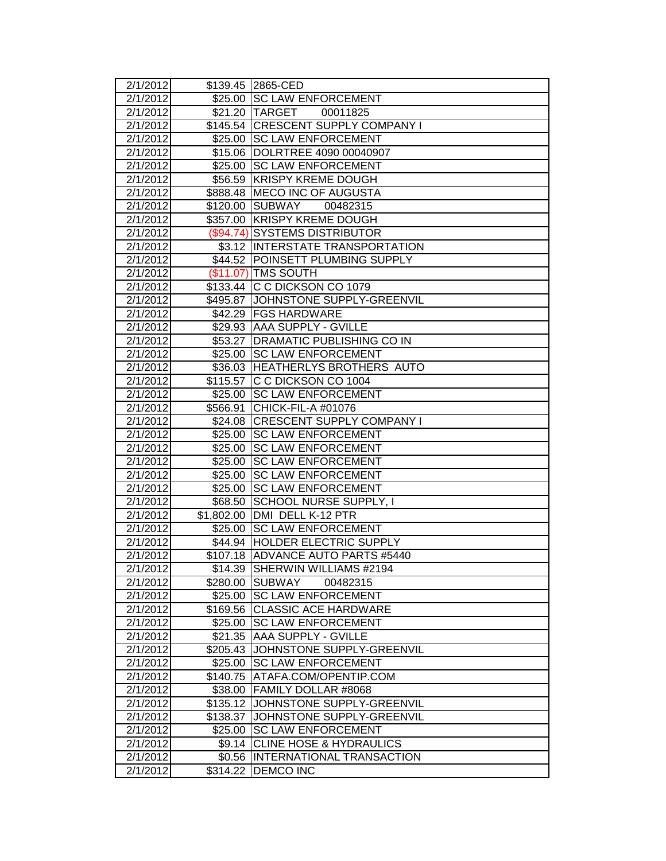| 2/1/2012 |                 | \$139.45 2865-CED                   |
|----------|-----------------|-------------------------------------|
| 2/1/2012 |                 | \$25.00 SC LAW ENFORCEMENT          |
| 2/1/2012 |                 | \$21.20 TARGET<br>00011825          |
| 2/1/2012 |                 | \$145.54 CRESCENT SUPPLY COMPANY I  |
| 2/1/2012 |                 | \$25.00 SC LAW ENFORCEMENT          |
| 2/1/2012 |                 | \$15.06  DOLRTREE 4090 00040907     |
| 2/1/2012 | $\sqrt{$25.00}$ | <b>SC LAW ENFORCEMENT</b>           |
| 2/1/2012 | \$56.59         | <b>KRISPY KREME DOUGH</b>           |
| 2/1/2012 |                 | \$888.48 MECO INC OF AUGUSTA        |
| 2/1/2012 | \$120.00        | SUBWAY<br>00482315                  |
| 2/1/2012 | \$357.00        | <b>KRISPY KREME DOUGH</b>           |
| 2/1/2012 |                 | (\$94.74) SYSTEMS DISTRIBUTOR       |
| 2/1/2012 |                 | \$3.12  INTERSTATE TRANSPORTATION   |
| 2/1/2012 |                 | \$44.52 POINSETT PLUMBING SUPPLY    |
| 2/1/2012 |                 | (\$11.07) TMS SOUTH                 |
| 2/1/2012 |                 | \$133.44 C C DICKSON CO 1079        |
| 2/1/2012 |                 | \$495.87 JJOHNSTONE SUPPLY-GREENVIL |
| 2/1/2012 |                 | \$42.29 FGS HARDWARE                |
| 2/1/2012 |                 | \$29.93 AAA SUPPLY - GVILLE         |
| 2/1/2012 |                 | \$53.27   DRAMATIC PUBLISHING CO IN |
| 2/1/2012 |                 | \$25.00 SC LAW ENFORCEMENT          |
| 2/1/2012 |                 | \$36.03 HEATHERLYS BROTHERS AUTO    |
| 2/1/2012 |                 | \$115.57 C C DICKSON CO 1004        |
| 2/1/2012 | \$25.00         | <b>SC LAW ENFORCEMENT</b>           |
| 2/1/2012 | \$566.91        | CHICK-FIL-A #01076                  |
| 2/1/2012 | \$24.08         | <b>CRESCENT SUPPLY COMPANY I</b>    |
| 2/1/2012 | \$25.00         | <b>SC LAW ENFORCEMENT</b>           |
| 2/1/2012 | \$25.00         | <b>SC LAW ENFORCEMENT</b>           |
| 2/1/2012 | \$25.00         | <b>SC LAW ENFORCEMENT</b>           |
| 2/1/2012 | \$25.00         | <b>SC LAW ENFORCEMENT</b>           |
| 2/1/2012 | \$25.00         | <b>SC LAW ENFORCEMENT</b>           |
| 2/1/2012 | \$68.50         | SCHOOL NURSE SUPPLY, I              |
| 2/1/2012 | \$1,802.00      | DMI DELL K-12 PTR                   |
| 2/1/2012 | \$25.00         | <b>SC LAW ENFORCEMENT</b>           |
| 2/1/2012 |                 | \$44.94 HOLDER ELECTRIC SUPPLY      |
| 2/1/2012 |                 | \$107.18 ADVANCE AUTO PARTS #5440   |
| 2/1/2012 |                 | \$14.39 SHERWIN WILLIAMS #2194      |
| 2/1/2012 |                 | \$280.00 SUBWAY<br>00482315         |
| 2/1/2012 |                 | \$25.00 SC LAW ENFORCEMENT          |
| 2/1/2012 |                 | \$169.56 CLASSIC ACE HARDWARE       |
| 2/1/2012 | \$25.00         | <b>SC LAW ENFORCEMENT</b>           |
| 2/1/2012 | \$21.35         | <b>AAA SUPPLY - GVILLE</b>          |
| 2/1/2012 | \$205.43        | JOHNSTONE SUPPLY-GREENVIL           |
| 2/1/2012 | \$25.00         | <b>SC LAW ENFORCEMENT</b>           |
| 2/1/2012 | \$140.75        | ATAFA.COM/OPENTIP.COM               |
| 2/1/2012 |                 | \$38.00 FAMILY DOLLAR #8068         |
| 2/1/2012 | \$135.12        | JOHNSTONE SUPPLY-GREENVIL           |
| 2/1/2012 | \$138.37        | JOHNSTONE SUPPLY-GREENVIL           |
| 2/1/2012 | \$25.00         | <b>SC LAW ENFORCEMENT</b>           |
| 2/1/2012 |                 | \$9.14 CLINE HOSE & HYDRAULICS      |
| 2/1/2012 | \$0.56          | <b>INTERNATIONAL TRANSACTION</b>    |
| 2/1/2012 | \$314.22        | DEMCO INC                           |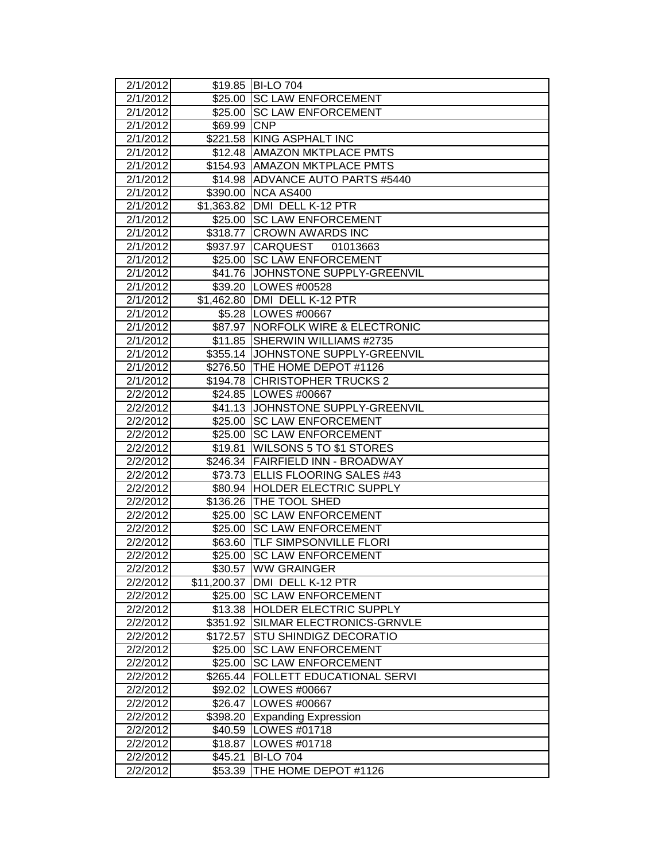| 2/1/2012 |             | \$19.85 BI-LO 704                    |
|----------|-------------|--------------------------------------|
| 2/1/2012 |             | \$25.00 SC LAW ENFORCEMENT           |
| 2/1/2012 |             | \$25.00 SC LAW ENFORCEMENT           |
| 2/1/2012 | \$69.99 CNP |                                      |
| 2/1/2012 |             | \$221.58 KING ASPHALT INC            |
| 2/1/2012 |             | \$12.48 AMAZON MKTPLACE PMTS         |
| 2/1/2012 |             | \$154.93 AMAZON MKTPLACE PMTS        |
| 2/1/2012 |             | \$14.98 ADVANCE AUTO PARTS #5440     |
| 2/1/2012 | \$390.00    | NCA AS400                            |
| 2/1/2012 |             | \$1,363.82 DMI DELL K-12 PTR         |
| 2/1/2012 | \$25.00     | <b>SC LAW ENFORCEMENT</b>            |
| 2/1/2012 | \$318.77    | <b>CROWN AWARDS INC</b>              |
| 2/1/2012 | \$937.97    | <b>CARQUEST</b><br>01013663          |
| 2/1/2012 |             | \$25.00 SC LAW ENFORCEMENT           |
| 2/1/2012 |             | \$41.76 JOHNSTONE SUPPLY-GREENVIL    |
| 2/1/2012 |             | \$39.20   LOWES #00528               |
| 2/1/2012 |             | \$1,462.80 DMI DELL K-12 PTR         |
| 2/1/2012 |             | \$5.28   LOWES #00667                |
| 2/1/2012 | \$87.97     | <b>NORFOLK WIRE &amp; ELECTRONIC</b> |
| 2/1/2012 |             | \$11.85 SHERWIN WILLIAMS #2735       |
| 2/1/2012 |             | \$355.14 JOHNSTONE SUPPLY-GREENVIL   |
| 2/1/2012 |             | \$276.50 THE HOME DEPOT #1126        |
| 2/1/2012 |             | \$194.78 CHRISTOPHER TRUCKS 2        |
| 2/2/2012 |             | \$24.85   LOWES #00667               |
| 2/2/2012 | \$41.13     | <b>JOHNSTONE SUPPLY-GREENVIL</b>     |
| 2/2/2012 | \$25.00     | <b>SC LAW ENFORCEMENT</b>            |
| 2/2/2012 | \$25.00     | <b>SC LAW ENFORCEMENT</b>            |
| 2/2/2012 | \$19.81     | <b>WILSONS 5 TO \$1 STORES</b>       |
| 2/2/2012 |             | \$246.34 FAIRFIELD INN - BROADWAY    |
| 2/2/2012 |             | \$73.73 ELLIS FLOORING SALES #43     |
| 2/2/2012 |             | \$80.94 HOLDER ELECTRIC SUPPLY       |
| 2/2/2012 |             | \$136.26 THE TOOL SHED               |
| 2/2/2012 | \$25.00     | <b>SC LAW ENFORCEMENT</b>            |
| 2/2/2012 | \$25.00     | <b>SC LAW ENFORCEMENT</b>            |
| 2/2/2012 | \$63.60     | <b>TLF SIMPSONVILLE FLORI</b>        |
| 2/2/2012 | \$25.00     | <b>SC LAW ENFORCEMENT</b>            |
| 2/2/2012 |             | \$30.57 JWW GRAINGER                 |
| 2/2/2012 | \$11,200.37 | DMI DELL K-12 PTR                    |
| 2/2/2012 |             | \$25.00 SC LAW ENFORCEMENT           |
| 2/2/2012 |             | \$13.38 HOLDER ELECTRIC SUPPLY       |
| 2/2/2012 | \$351.92    | SILMAR ELECTRONICS-GRNVLE            |
| 2/2/2012 | \$172.57    | <b>STU SHINDIGZ DECORATIO</b>        |
| 2/2/2012 | \$25.00     | <b>SC LAW ENFORCEMENT</b>            |
| 2/2/2012 | \$25.00     | <b>SC LAW ENFORCEMENT</b>            |
| 2/2/2012 | \$265.44    | <b>FOLLETT EDUCATIONAL SERVI</b>     |
| 2/2/2012 |             | \$92.02   LOWES #00667               |
| 2/2/2012 |             | \$26.47 LOWES #00667                 |
| 2/2/2012 | \$398.20    | <b>Expanding Expression</b>          |
| 2/2/2012 |             | \$40.59   LOWES #01718               |
| 2/2/2012 | \$18.87     | LOWES #01718                         |
| 2/2/2012 | \$45.21     | <b>BI-LO 704</b>                     |
| 2/2/2012 | \$53.39     | THE HOME DEPOT #1126                 |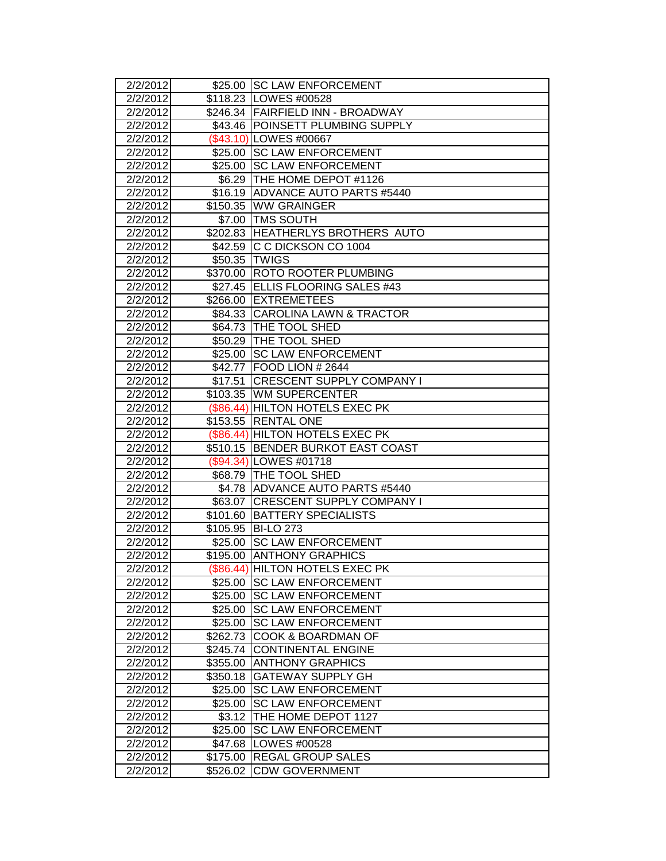| 2/2/2012              |               | \$25.00 SC LAW ENFORCEMENT                                    |
|-----------------------|---------------|---------------------------------------------------------------|
| 2/2/2012              |               | \$118.23 LOWES #00528                                         |
| 2/2/2012              |               | \$246.34   FAIRFIELD INN - BROADWAY                           |
| 2/2/2012              |               | \$43.46 POINSETT PLUMBING SUPPLY                              |
| 2/2/2012              |               | (\$43.10) LOWES #00667                                        |
| 2/2/2012              |               | \$25.00 SC LAW ENFORCEMENT                                    |
| 2/2/2012              |               | \$25.00 SC LAW ENFORCEMENT                                    |
| 2/2/2012              |               | \$6.29 THE HOME DEPOT #1126                                   |
| 2/2/2012              |               | \$16.19 ADVANCE AUTO PARTS #5440                              |
| 2/2/2012              |               | \$150.35 WW GRAINGER                                          |
| 2/2/2012              |               | \$7.00 TMS SOUTH                                              |
| 2/2/2012              |               | \$202.83 HEATHERLYS BROTHERS AUTO                             |
| 2/2/2012              |               | \$42.59 C C DICKSON CO 1004                                   |
| 2/2/2012              | \$50.35 TWIGS |                                                               |
| 2/2/2012              |               | \$370.00 ROTO ROOTER PLUMBING                                 |
| 2/2/2012              |               | \$27.45 ELLIS FLOORING SALES #43                              |
| 2/2/2012              |               | \$266.00 EXTREMETEES                                          |
| 2/2/2012              |               | \$84.33 CAROLINA LAWN & TRACTOR                               |
| 2/2/2012              |               | \$64.73 THE TOOL SHED                                         |
| 2/2/2012              |               | \$50.29 THE TOOL SHED                                         |
| 2/2/2012              |               | \$25.00 SC LAW ENFORCEMENT                                    |
| 2/2/2012              | \$42.77       | FOOD LION # 2644                                              |
| 2/2/2012              | \$17.51       | <b>CRESCENT SUPPLY COMPANY I</b>                              |
| 2/2/2012              |               | \$103.35 WM SUPERCENTER                                       |
| 2/2/2012              |               | (\$86.44) HILTON HOTELS EXEC PK                               |
| 2/2/2012              |               | \$153.55 RENTAL ONE                                           |
| 2/2/2012              |               | (\$86.44) HILTON HOTELS EXEC PK                               |
| 2/2/2012              |               | \$510.15 BENDER BURKOT EAST COAST                             |
| 2/2/2012              |               | (\$94.34) LOWES #01718                                        |
| 2/2/2012              |               | \$68.79 THE TOOL SHED                                         |
| 2/2/2012              |               | \$4.78 ADVANCE AUTO PARTS #5440                               |
| 2/2/2012              |               | \$63.07 CRESCENT SUPPLY COMPANY I                             |
| 2/2/2012              | \$101.60      | <b>BATTERY SPECIALISTS</b>                                    |
| 2/2/2012              |               | \$105.95 BI-LO 273                                            |
| 2/2/2012              | \$25.00       | <b>SC LAW ENFORCEMENT</b>                                     |
| 2/2/2012              |               | \$195.00 ANTHONY GRAPHICS                                     |
| 2/2/20121<br>2/2/2012 |               | (\$86.44) HILTON HOTELS EXEC PK<br>\$25.00 SC LAW ENFORCEMENT |
| 2/2/2012              |               | \$25.00 ISC LAW ENFORCEMENT                                   |
| 2/2/2012              | \$25.00       | <b>SC LAW ENFORCEMENT</b>                                     |
| 2/2/2012              | \$25.00       | <b>SC LAW ENFORCEMENT</b>                                     |
| 2/2/2012              | \$262.73      | <b>COOK &amp; BOARDMAN OF</b>                                 |
| 2/2/2012              | \$245.74      | <b>CONTINENTAL ENGINE</b>                                     |
| 2/2/2012              | \$355.00      | <b>ANTHONY GRAPHICS</b>                                       |
| 2/2/2012              | \$350.18      | <b>GATEWAY SUPPLY GH</b>                                      |
| 2/2/2012              | \$25.00       | <b>SC LAW ENFORCEMENT</b>                                     |
| 2/2/2012              | \$25.00       | <b>SC LAW ENFORCEMENT</b>                                     |
| 2/2/2012              | \$3.12        | THE HOME DEPOT 1127                                           |
| 2/2/2012              | \$25.00       | <b>SC LAW ENFORCEMENT</b>                                     |
| 2/2/2012              | \$47.68       | LOWES #00528                                                  |
| 2/2/2012              | \$175.00      | <b>REGAL GROUP SALES</b>                                      |
| 2/2/2012              | \$526.02      | <b>CDW GOVERNMENT</b>                                         |
|                       |               |                                                               |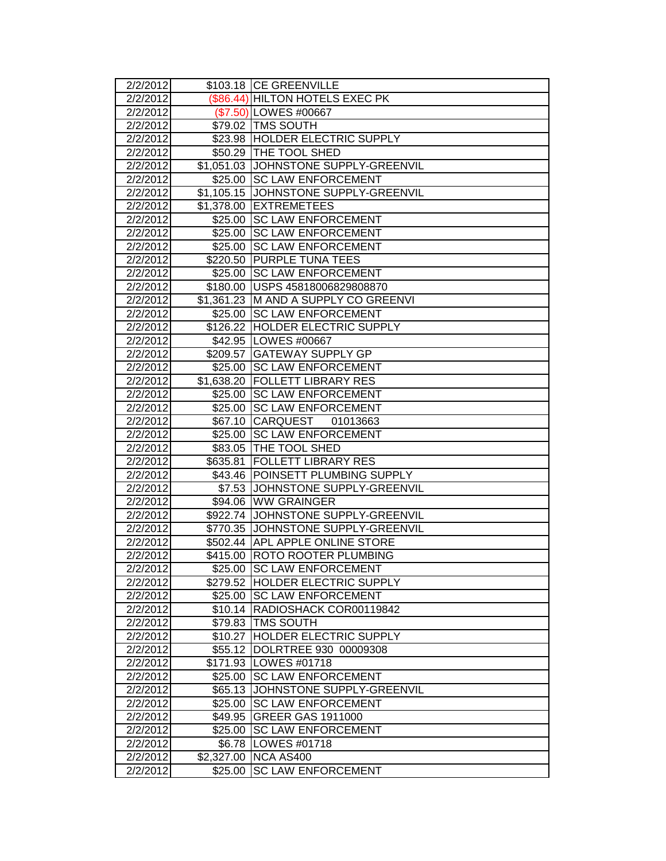| 2/2/2012           |            | \$103.18 CE GREENVILLE                |
|--------------------|------------|---------------------------------------|
| 2/2/2012           |            | (\$86.44) HILTON HOTELS EXEC PK       |
| 2/2/2012           |            | (\$7.50) LOWES #00667                 |
| 2/2/2012           |            | \$79.02   TMS SOUTH                   |
| 2/2/2012           |            | \$23.98 HOLDER ELECTRIC SUPPLY        |
| 2/2/2012           |            | \$50.29 THE TOOL SHED                 |
| 2/2/2012           |            | \$1,051.03 JOHNSTONE SUPPLY-GREENVIL  |
| $\sqrt{2}/2$ /2012 |            | \$25.00 SC LAW ENFORCEMENT            |
| 2/2/2012           |            | \$1,105.15 JJOHNSTONE SUPPLY-GREENVIL |
| 2/2/2012           |            | \$1,378.00 EXTREMETEES                |
| 2/2/2012           | \$25.00    | <b>SC LAW ENFORCEMENT</b>             |
| 2/2/2012           | \$25.00    | <b>SC LAW ENFORCEMENT</b>             |
| 2/2/2012           | \$25.00    | <b>SC LAW ENFORCEMENT</b>             |
| 2/2/2012           |            | \$220.50 PURPLE TUNA TEES             |
| 2/2/2012           |            | \$25.00 SC LAW ENFORCEMENT            |
| 2/2/2012           |            | \$180.00 USPS 45818006829808870       |
| 2/2/2012           |            | \$1,361.23 M AND A SUPPLY CO GREENVI  |
| 2/2/2012           |            | \$25.00 SC LAW ENFORCEMENT            |
| 2/2/2012           |            | \$126.22 HOLDER ELECTRIC SUPPLY       |
| 2/2/2012           |            | \$42.95   LOWES #00667                |
| 2/2/2012           |            | \$209.57 GATEWAY SUPPLY GP            |
| 2/2/2012           |            | \$25.00 SC LAW ENFORCEMENT            |
| 2/2/2012           |            | \$1,638.20 FOLLETT LIBRARY RES        |
| 2/2/2012           |            | \$25.00 SC LAW ENFORCEMENT            |
| 2/2/2012           |            | \$25.00 SC LAW ENFORCEMENT            |
| 2/2/2012           | \$67.10    | <b>CARQUEST</b><br>01013663           |
| 2/2/2012           | \$25.00    | <b>SC LAW ENFORCEMENT</b>             |
| 2/2/2012           |            | \$83.05 THE TOOL SHED                 |
| 2/2/2012           | \$635.81   | <b>FOLLETT LIBRARY RES</b>            |
| 2/2/2012           |            | \$43.46 POINSETT PLUMBING SUPPLY      |
| 2/2/2012           |            | \$7.53 JOHNSTONE SUPPLY-GREENVIL      |
| 2/2/2012           |            | \$94.06 WW GRAINGER                   |
| 2/2/2012           |            | \$922.74 JOHNSTONE SUPPLY-GREENVIL    |
| 2/2/2012           |            | \$770.35 JJOHNSTONE SUPPLY-GREENVIL   |
| 2/2/2012           |            | \$502.44 APL APPLE ONLINE STORE       |
| 2/2/2012           |            | \$415.00 ROTO ROOTER PLUMBING         |
| 2/2/2012           |            | \$25.00 ISC LAW ENFORCEMENT           |
| 2/2/2012           |            | \$279.52 HOLDER ELECTRIC SUPPLY       |
| 2/2/2012           |            | \$25.00 SC LAW ENFORCEMENT            |
| 2/2/2012           |            | \$10.14 RADIOSHACK COR00119842        |
| 2/2/2012           | \$79.83    | <b>TMS SOUTH</b>                      |
| 2/2/2012           | \$10.27    | <b>HOLDER ELECTRIC SUPPLY</b>         |
| 2/2/2012           | \$55.12    | DOLRTREE 930 00009308                 |
| 2/2/2012           |            | \$171.93 LOWES #01718                 |
| 2/2/2012           | \$25.00    | <b>SC LAW ENFORCEMENT</b>             |
| 2/2/2012           | \$65.13    | JOHNSTONE SUPPLY-GREENVIL             |
| 2/2/2012           | \$25.00    | <b>SC LAW ENFORCEMENT</b>             |
| 2/2/2012           | \$49.95    | <b>GREER GAS 1911000</b>              |
| 2/2/2012           | \$25.00    | <b>SC LAW ENFORCEMENT</b>             |
| 2/2/2012           | \$6.78     | LOWES #01718                          |
| 2/2/2012           | \$2,327.00 | NCA AS400                             |
| 2/2/2012           | \$25.00    | <b>SC LAW ENFORCEMENT</b>             |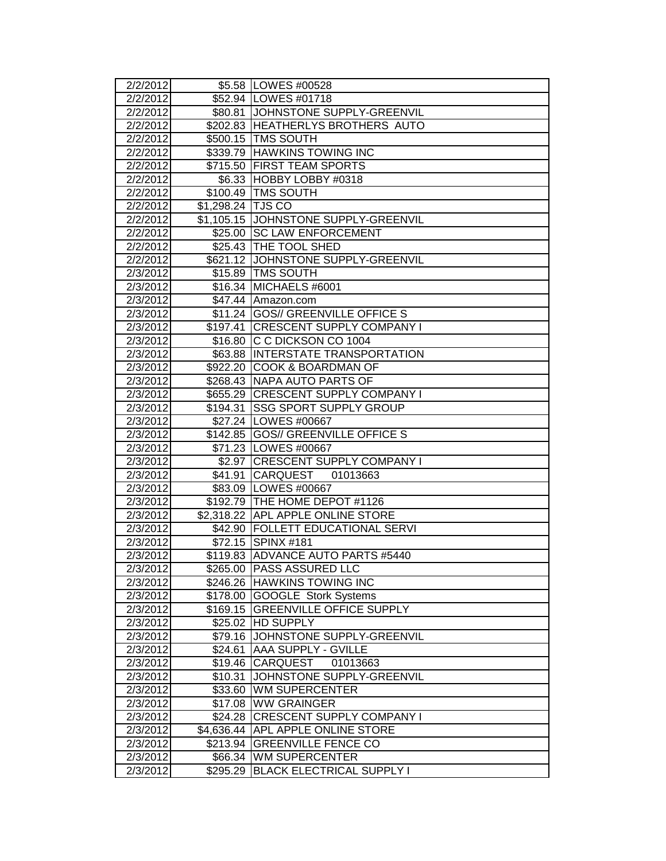| 2/2/2012             |                   | \$5.58 LOWES #00528                                              |
|----------------------|-------------------|------------------------------------------------------------------|
| 2/2/2012             |                   | \$52.94 LOWES #01718                                             |
| 2/2/2012             |                   | \$80.81 JJOHNSTONE SUPPLY-GREENVIL                               |
| 2/2/2012             |                   | \$202.83  HEATHERLYS BROTHERS AUTO                               |
| 2/2/2012             |                   | \$500.15   TMS SOUTH                                             |
| 2/2/2012             |                   | \$339.79 HAWKINS TOWING INC                                      |
| 2/2/2012             |                   | \$715.50 FIRST TEAM SPORTS                                       |
| 2/2/2012             |                   | \$6.33 HOBBY LOBBY #0318                                         |
| 2/2/2012             |                   | \$100.49 TMS SOUTH                                               |
| 2/2/2012             | \$1,298.24 TJS CO |                                                                  |
| 2/2/2012             |                   | \$1,105.15 JOHNSTONE SUPPLY-GREENVIL                             |
| 2/2/2012             |                   | \$25.00 SC LAW ENFORCEMENT                                       |
| 2/2/2012             |                   | \$25.43 THE TOOL SHED                                            |
| 2/2/2012             |                   | \$621.12 JOHNSTONE SUPPLY-GREENVIL                               |
| 2/3/2012             |                   | \$15.89 TMS SOUTH                                                |
| 2/3/2012             |                   | \$16.34 MICHAELS #6001                                           |
| 2/3/2012             |                   | \$47.44 Amazon.com                                               |
| 2/3/2012             |                   | \$11.24 GOS// GREENVILLE OFFICE S                                |
| 2/3/2012             |                   | \$197.41   CRESCENT SUPPLY COMPANY I                             |
| 2/3/2012             |                   | \$16.80 C C DICKSON CO 1004                                      |
| 2/3/2012             |                   | \$63.88 INTERSTATE TRANSPORTATION                                |
| 2/3/2012             |                   | \$922.20 COOK & BOARDMAN OF                                      |
| 2/3/2012             |                   | \$268.43 NAPA AUTO PARTS OF                                      |
| 2/3/2012             |                   | \$655.29 CRESCENT SUPPLY COMPANY I                               |
| 2/3/2012             | \$194.31          | <b>SSG SPORT SUPPLY GROUP</b>                                    |
| 2/3/2012             |                   | \$27.24   LOWES #00667                                           |
| 2/3/2012             |                   | \$142.85 GOS// GREENVILLE OFFICE S                               |
| 2/3/2012             |                   | \$71.23 LOWES #00667                                             |
| 2/3/2012             |                   | \$2.97 CRESCENT SUPPLY COMPANY I                                 |
| 2/3/2012             |                   | \$41.91 CARQUEST 01013663                                        |
| 2/3/2012             |                   | \$83.09   LOWES #00667                                           |
| 2/3/2012             |                   | \$192.79 THE HOME DEPOT #1126                                    |
| 2/3/2012             |                   | \$2,318.22 APL APPLE ONLINE STORE                                |
| 2/3/2012             |                   | \$42.90   FOLLETT EDUCATIONAL SERVI                              |
| 2/3/2012             |                   | \$72.15 SPINX #181                                               |
| 2/3/2012             |                   | \$119.83   ADVANCE AUTO PARTS #5440                              |
| 2/3/2012             |                   | \$265.00  PASS ASSURED LLC                                       |
| 2/3/2012             |                   | \$246.26 HAWKINS TOWING INC                                      |
| 2/3/2012             | \$169.15          | \$178.00 GOOGLE Stork Systems<br><b>GREENVILLE OFFICE SUPPLY</b> |
| 2/3/2012<br>2/3/2012 | \$25.02           | <b>HD SUPPLY</b>                                                 |
| 2/3/2012             | \$79.16           | JOHNSTONE SUPPLY-GREENVIL                                        |
| 2/3/2012             | \$24.61           | <b>AAA SUPPLY - GVILLE</b>                                       |
| 2/3/2012             | \$19.46           | CARQUEST<br>01013663                                             |
| 2/3/2012             | \$10.31           | JOHNSTONE SUPPLY-GREENVIL                                        |
| 2/3/2012             | \$33.60           | <b>WM SUPERCENTER</b>                                            |
| 2/3/2012             | \$17.08           | <b>WW GRAINGER</b>                                               |
| 2/3/2012             | \$24.28           | <b>CRESCENT SUPPLY COMPANY I</b>                                 |
| 2/3/2012             |                   | \$4,636.44 APL APPLE ONLINE STORE                                |
| 2/3/2012             | \$213.94          | <b>GREENVILLE FENCE CO</b>                                       |
| 2/3/2012             | \$66.34           | <b>WM SUPERCENTER</b>                                            |
| 2/3/2012             | \$295.29          | <b>BLACK ELECTRICAL SUPPLY I</b>                                 |
|                      |                   |                                                                  |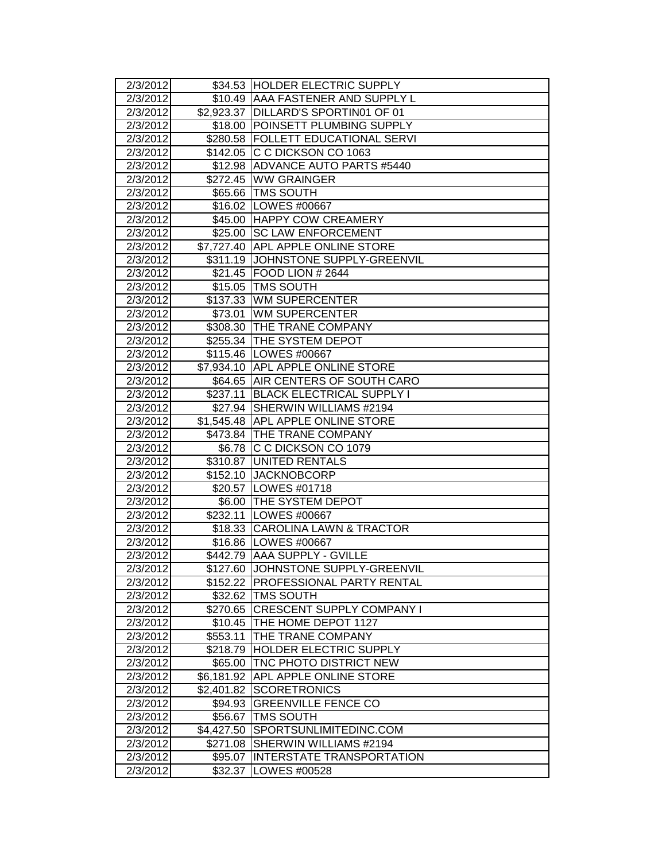| 2/3/2012             |                    | \$34.53  HOLDER ELECTRIC SUPPLY            |
|----------------------|--------------------|--------------------------------------------|
| 2/3/2012             |                    | \$10.49   AAA FASTENER AND SUPPLY L        |
| 2/3/2012             |                    | \$2,923.37   DILLARD'S SPORTIN01 OF 01     |
| 2/3/2012             |                    | \$18.00 POINSETT PLUMBING SUPPLY           |
| 2/3/2012             |                    | \$280.58 FOLLETT EDUCATIONAL SERVI         |
| 2/3/2012             |                    | \$142.05 C C DICKSON CO 1063               |
| 2/3/2012             |                    | \$12.98 ADVANCE AUTO PARTS #5440           |
| 2/3/2012             |                    | \$272.45 WW GRAINGER                       |
| 2/3/2012             |                    | \$65.66 TMS SOUTH                          |
| 2/3/2012             |                    | \$16.02 LOWES #00667                       |
| 2/3/2012             |                    | \$45.00 HAPPY COW CREAMERY                 |
| 2/3/2012             | \$25.00            | <b>ISC LAW ENFORCEMENT</b>                 |
| 2/3/2012             |                    | \$7,727.40 APPL APPLE ONLINE STORE         |
| 2/3/2012             |                    | \$311.19 JOHNSTONE SUPPLY-GREENVIL         |
| 2/3/2012             |                    | \$21.45   FOOD LION # 2644                 |
| 2/3/2012             |                    | \$15.05 TMS SOUTH                          |
| 2/3/2012             |                    | \$137.33 WM SUPERCENTER                    |
| 2/3/2012             |                    | \$73.01 WM SUPERCENTER                     |
| 2/3/2012             |                    | \$308.30 THE TRANE COMPANY                 |
| 2/3/2012             |                    | \$255.34 THE SYSTEM DEPOT                  |
| 2/3/2012             |                    | \$115.46   LOWES #00667                    |
| 2/3/2012             |                    | \$7,934.10 APL APPLE ONLINE STORE          |
| 2/3/2012             |                    | \$64.65 AIR CENTERS OF SOUTH CARO          |
| 2/3/2012             | \$237.11           | <b>BLACK ELECTRICAL SUPPLY I</b>           |
| 2/3/2012             |                    | \$27.94 SHERWIN WILLIAMS #2194             |
| 2/3/2012             |                    | \$1,545.48 APL APPLE ONLINE STORE          |
| 2/3/2012             |                    | \$473.84 THE TRANE COMPANY                 |
|                      |                    |                                            |
| 2/3/2012             |                    | \$6.78 C C DICKSON CO 1079                 |
| 2/3/2012             |                    | \$310.87 UNITED RENTALS                    |
| 2/3/2012             |                    | \$152.10 JACKNOBCORP                       |
| 2/3/2012             |                    | \$20.57   LOWES #01718                     |
| 2/3/2012             |                    | \$6.00 THE SYSTEM DEPOT                    |
| 2/3/2012             |                    | \$232.11 LOWES #00667                      |
| 2/3/2012             |                    | \$18.33 CAROLINA LAWN & TRACTOR            |
| 2/3/2012             |                    | \$16.86 LOWES #00667                       |
| 2/3/2012             |                    | \$442.79 AAA SUPPLY - GVILLE               |
| 2/3/2012             |                    | \$127.60 JJOHNSTONE SUPPLY-GREENVIL        |
| 2/3/2012             |                    | \$152.22 PROFESSIONAL PARTY RENTAL         |
| 2/3/2012             |                    | \$32.62 TMS SOUTH                          |
| 2/3/2012             |                    | \$270.65 CRESCENT SUPPLY COMPANY I         |
| 2/3/2012             |                    | \$10.45 THE HOME DEPOT 1127                |
| 2/3/2012             | \$553.11           | THE TRANE COMPANY                          |
| 2/3/2012             | \$218.79           | <b>HOLDER ELECTRIC SUPPLY</b>              |
| 2/3/2012             | \$65.00            | TNC PHOTO DISTRICT NEW                     |
| 2/3/2012             |                    | \$6,181.92 APL APPLE ONLINE STORE          |
| 2/3/2012             |                    | \$2,401.82 SCORETRONICS                    |
| 2/3/2012             | \$94.93            | <b>GREENVILLE FENCE CO</b>                 |
| 2/3/2012             | \$56.67            | <b>TMS SOUTH</b>                           |
| 2/3/2012             | \$4,427.50         | SPORTSUNLIMITEDINC.COM                     |
| 2/3/2012             | \$271.08           | SHERWIN WILLIAMS #2194                     |
| 2/3/2012<br>2/3/2012 | \$95.07<br>\$32.37 | IINTERSTATE TRANSPORTATION<br>LOWES #00528 |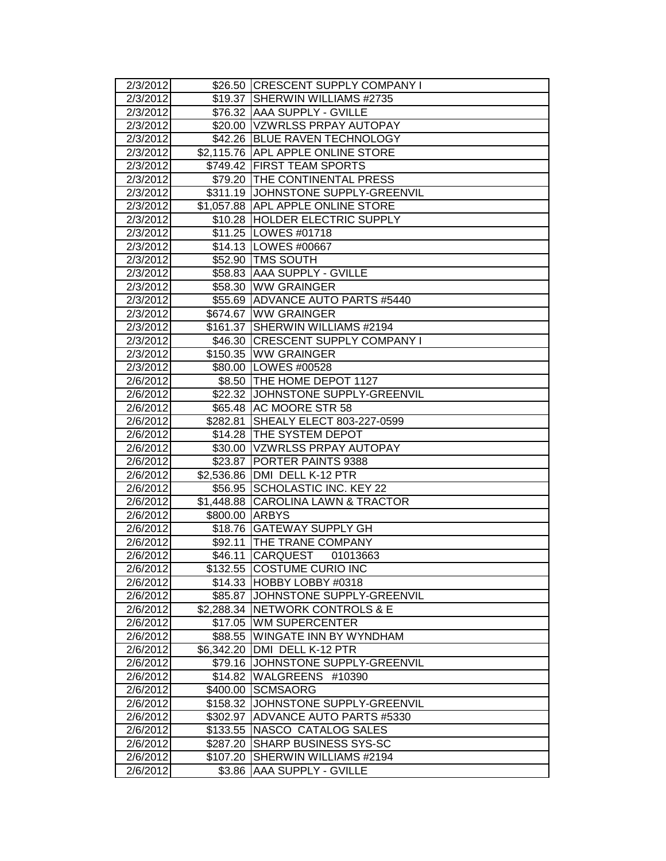| 2/3/2012              |            | \$26.50 CRESCENT SUPPLY COMPANY I  |
|-----------------------|------------|------------------------------------|
| 2/3/2012              | \$19.37    | <b>ISHERWIN WILLIAMS #2735</b>     |
| 2/3/2012              |            | \$76.32 AAA SUPPLY - GVILLE        |
| $\overline{2}/3/2012$ |            | \$20.00 VZWRLSS PRPAY AUTOPAY      |
| 2/3/2012              |            | \$42.26 BLUE RAVEN TECHNOLOGY      |
| 2/3/2012              |            | \$2,115.76 APL APPLE ONLINE STORE  |
| 2/3/2012              |            | \$749.42 FIRST TEAM SPORTS         |
| 2/3/2012              |            | \$79.20 THE CONTINENTAL PRESS      |
| 2/3/2012              |            | \$311.19 JOHNSTONE SUPPLY-GREENVIL |
| 2/3/2012              |            | \$1,057.88 APL APPLE ONLINE STORE  |
| 2/3/2012              |            | \$10.28 HOLDER ELECTRIC SUPPLY     |
| 2/3/2012              |            | \$11.25   LOWES #01718             |
| 2/3/2012              |            | \$14.13   LOWES #00667             |
| 2/3/2012              |            | \$52.90 TMS SOUTH                  |
| 2/3/2012              |            | \$58.83 AAA SUPPLY - GVILLE        |
| 2/3/2012              |            | \$58.30 WW GRAINGER                |
| 2/3/2012              |            | \$55.69 ADVANCE AUTO PARTS #5440   |
| 2/3/2012              |            | \$674.67 WW GRAINGER               |
| 2/3/2012              |            | \$161.37 SHERWIN WILLIAMS #2194    |
| 2/3/2012              |            | \$46.30 CRESCENT SUPPLY COMPANY I  |
| 2/3/2012              |            | \$150.35 WW GRAINGER               |
| 2/3/2012              |            | \$80.00 LOWES #00528               |
| 2/6/2012              |            | \$8.50 THE HOME DEPOT 1127         |
| 2/6/2012              |            | \$22.32 JJOHNSTONE SUPPLY-GREENVIL |
| 2/6/2012              |            | \$65.48 AC MOORE STR 58            |
| 2/6/2012              | \$282.81   | SHEALY ELECT 803-227-0599          |
| 2/6/2012              |            | \$14.28 THE SYSTEM DEPOT           |
| 2/6/2012              |            | \$30.00   VZWRLSS PRPAY AUTOPAY    |
| 2/6/2012              |            | \$23.87 PORTER PAINTS 9388         |
| 2/6/2012              |            | \$2,536.86 DMI DELL K-12 PTR       |
| 2/6/2012              |            | \$56.95 SCHOLASTIC INC. KEY 22     |
| 2/6/2012              | \$1,448.88 | <b>CAROLINA LAWN &amp; TRACTOR</b> |
| 2/6/2012              | \$800.00   | <b>ARBYS</b>                       |
| 2/6/2012              |            | \$18.76 GATEWAY SUPPLY GH          |
| 2/6/2012              | \$92.11    | <b>ITHE TRANE COMPANY</b>          |
| 2/6/2012              | \$46.11    | CARQUEST<br>01013663               |
| 2/6/2012              |            | \$132.55 COSTUME CURIO INC         |
| 2/6/2012              |            | \$14.33 HOBBY LOBBY #0318          |
| 2/6/2012              | \$85.87    | JOHNSTONE SUPPLY-GREENVIL          |
| 2/6/2012              |            | \$2,288.34 NETWORK CONTROLS & E    |
| 2/6/2012              | \$17.05    | <b>WM SUPERCENTER</b>              |
| 2/6/2012              | \$88.55    | <b>WINGATE INN BY WYNDHAM</b>      |
| 2/6/2012              | \$6,342.20 | DMI DELL K-12 PTR                  |
| 2/6/2012              | \$79.16    | JOHNSTONE SUPPLY-GREENVIL          |
| 2/6/2012              | \$14.82    | WALGREENS #10390                   |
| 2/6/2012              | \$400.00   | <b>SCMSAORG</b>                    |
| 2/6/2012              | \$158.32   | JOHNSTONE SUPPLY-GREENVIL          |
| 2/6/2012              | \$302.97   | <b>ADVANCE AUTO PARTS #5330</b>    |
| 2/6/2012              | \$133.55   | NASCO CATALOG SALES                |
| 2/6/2012              | \$287.20   | <b>SHARP BUSINESS SYS-SC</b>       |
| 2/6/2012              | \$107.20   | SHERWIN WILLIAMS #2194             |
| 2/6/2012              | \$3.86     | AAA SUPPLY - GVILLE                |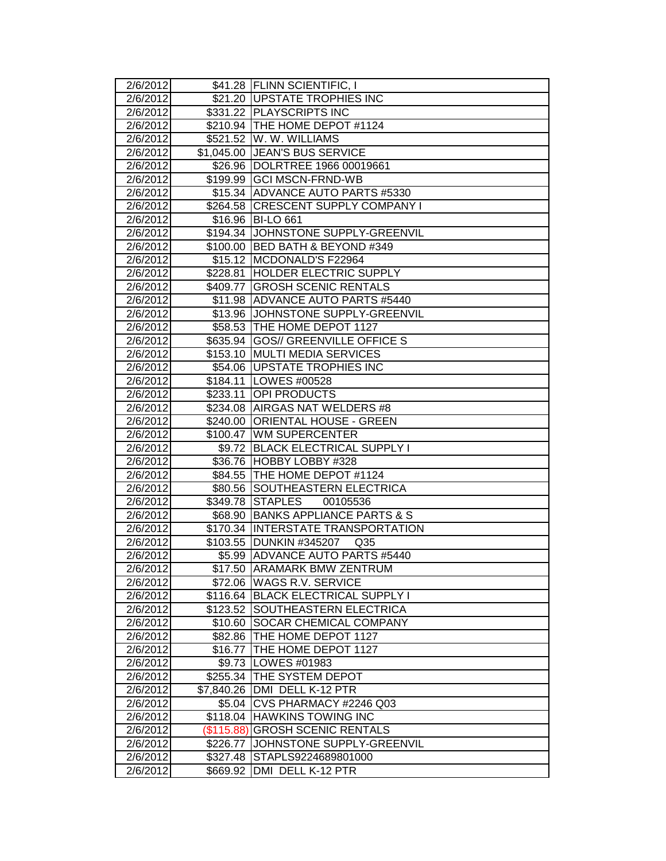| 2/6/2012              |            | \$41.28 FLINN SCIENTIFIC, I                                   |
|-----------------------|------------|---------------------------------------------------------------|
| 2/6/2012              |            | \$21.20 UPSTATE TROPHIES INC                                  |
| 2/6/2012              |            | \$331.22 PLAYSCRIPTS INC                                      |
| 2/6/2012              |            | \$210.94   THE HOME DEPOT #1124                               |
| 2/6/2012              |            | \$521.52 W. W. WILLIAMS                                       |
| $\overline{2}/6/2012$ |            | \$1,045.00 JEAN'S BUS SERVICE                                 |
| 2/6/2012              |            | \$26.96  DOLRTREE 1966 00019661                               |
| 2/6/2012<br>2/6/2012  |            | \$199.99 GCI MSCN-FRND-WB<br>\$15.34 ADVANCE AUTO PARTS #5330 |
| 2/6/2012              |            | \$264.58 CRESCENT SUPPLY COMPANY I                            |
| 2/6/2012              |            | \$16.96 BI-LO 661                                             |
| 2/6/2012              |            | \$194.34 JJOHNSTONE SUPPLY-GREENVIL                           |
| 2/6/2012              |            | \$100.00 BED BATH & BEYOND #349                               |
| 2/6/2012              |            | \$15.12 MCDONALD'S F22964                                     |
| 2/6/2012              |            | \$228.81 HOLDER ELECTRIC SUPPLY                               |
| 2/6/2012              | \$409.77   | <b>GROSH SCENIC RENTALS</b>                                   |
| 2/6/2012              |            | \$11.98 ADVANCE AUTO PARTS #5440                              |
| 2/6/2012              |            | \$13.96 JJOHNSTONE SUPPLY-GREENVIL                            |
| 2/6/2012              |            | \$58.53 THE HOME DEPOT 1127                                   |
| 2/6/2012              |            | \$635.94 GOS// GREENVILLE OFFICE S                            |
| 2/6/2012              |            | \$153.10 MULTI MEDIA SERVICES                                 |
| 2/6/2012              |            | \$54.06   UPSTATE TROPHIES INC                                |
| 2/6/2012              |            | \$184.11   LOWES #00528                                       |
| 2/6/2012              | \$233.11   | <b>OPI PRODUCTS</b>                                           |
| 2/6/2012              |            | \$234.08 AIRGAS NAT WELDERS #8                                |
| 2/6/2012              | \$240.00   | <b>ORIENTAL HOUSE - GREEN</b>                                 |
| 2/6/2012              | \$100.47   | <b>WM SUPERCENTER</b>                                         |
| 2/6/2012              | \$9.72     | <b>BLACK ELECTRICAL SUPPLY I</b>                              |
| 2/6/2012              |            | \$36.76 HOBBY LOBBY #328                                      |
| 2/6/2012              |            | \$84.55 THE HOME DEPOT #1124                                  |
| 2/6/2012              |            | \$80.56 SOUTHEASTERN ELECTRICA                                |
| 2/6/2012              |            | \$349.78 STAPLES<br>00105536                                  |
| 2/6/2012              |            | \$68.90 BANKS APPLIANCE PARTS & S                             |
| 2/6/2012              |            | \$170.34 INTERSTATE TRANSPORTATION                            |
| 2/6/2012              | \$103.55   | <b>DUNKIN #345207</b><br>Q <sub>35</sub>                      |
| 2/6/2012              |            | \$5.99 ADVANCE AUTO PARTS #5440                               |
| 2/6/20121             |            | \$17.50 IARAMARK BMW ZENTRUM                                  |
| 2/6/2012              |            | \$72.06 WAGS R.V. SERVICE                                     |
| 2/6/2012              |            | \$116.64 BLACK ELECTRICAL SUPPLY I                            |
| 2/6/2012              | \$123.52   | SOUTHEASTERN ELECTRICA                                        |
| 2/6/2012              | \$10.60    | <b>SOCAR CHEMICAL COMPANY</b>                                 |
| 2/6/2012              |            | \$82.86 THE HOME DEPOT 1127                                   |
| 2/6/2012              | \$16.77    | THE HOME DEPOT 1127                                           |
| 2/6/2012              | \$9.73     | <b>LOWES #01983</b>                                           |
| 2/6/2012              | \$255.34   | <b>THE SYSTEM DEPOT</b>                                       |
| 2/6/2012              | \$7,840.26 | DMI DELL K-12 PTR                                             |
| 2/6/2012              | \$5.04     | CVS PHARMACY #2246 Q03                                        |
| 2/6/2012              |            | \$118.04 HAWKINS TOWING INC                                   |
| 2/6/2012              | (\$115.88) | <b>GROSH SCENIC RENTALS</b>                                   |
| 2/6/2012              | \$226.77   | JOHNSTONE SUPPLY-GREENVIL                                     |
| 2/6/2012              | \$327.48   | STAPLS9224689801000                                           |
| 2/6/2012              | \$669.92   | DMI DELL K-12 PTR                                             |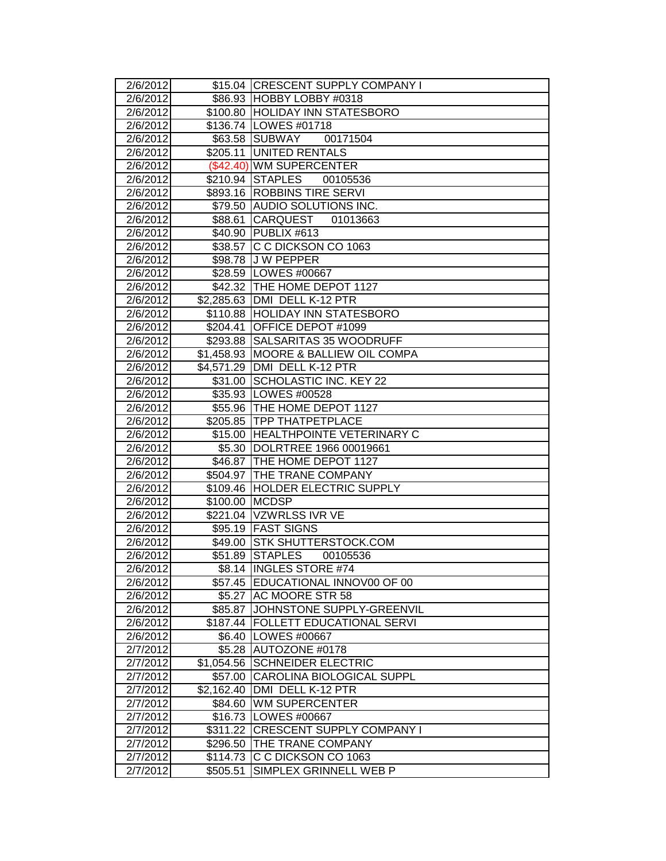| 2/6/2012             |                       | \$15.04 CRESCENT SUPPLY COMPANY I                     |
|----------------------|-----------------------|-------------------------------------------------------|
| 2/6/2012             |                       | \$86.93 HOBBY LOBBY #0318                             |
| 2/6/2012             |                       | \$100.80 HOLIDAY INN STATESBORO                       |
| 2/6/2012             |                       | \$136.74   LOWES #01718                               |
| 2/6/2012             |                       | \$63.58 SUBWAY<br>00171504                            |
| 2/6/2012             |                       | \$205.11 UNITED RENTALS                               |
| 2/6/2012             |                       | (\$42.40) WM SUPERCENTER                              |
| 2/6/2012             |                       | \$210.94 STAPLES<br>00105536                          |
| 2/6/2012             |                       | \$893.16 ROBBINS TIRE SERVI                           |
| 2/6/2012             |                       | \$79.50 AUDIO SOLUTIONS INC.                          |
| 2/6/2012             | \$88.61               | <b>CARQUEST</b><br>01013663                           |
| 2/6/2012             |                       | \$40.90 PUBLIX #613                                   |
| 2/6/2012             |                       | \$38.57 C C DICKSON CO 1063                           |
| 2/6/2012             |                       | \$98.78 J W PEPPER                                    |
| 2/6/2012             |                       | \$28.59   LOWES #00667                                |
| 2/6/2012             |                       | \$42.32 THE HOME DEPOT 1127                           |
| 2/6/2012             |                       | \$2,285.63 DMI DELL K-12 PTR                          |
| 2/6/2012             |                       | \$110.88 HOLIDAY INN STATESBORO                       |
| 2/6/2012             | \$204.41              | OFFICE DEPOT #1099                                    |
| 2/6/2012             |                       | \$293.88 SALSARITAS 35 WOODRUFF                       |
| 2/6/2012             |                       | \$1,458.93 MOORE & BALLIEW OIL COMPA                  |
| 2/6/2012             |                       | \$4,571.29 DMI DELL K-12 PTR                          |
| 2/6/2012             |                       | \$31.00 SCHOLASTIC INC. KEY 22                        |
| 2/6/2012             |                       | \$35.93 LOWES #00528                                  |
| 2/6/2012             |                       | \$55.96   THE HOME DEPOT 1127                         |
| 2/6/2012             |                       | \$205.85 TPP THATPETPLACE                             |
| 2/6/2012             |                       | \$15.00 HEALTHPOINTE VETERINARY C                     |
| 2/6/2012             |                       | \$5.30 DOLRTREE 1966 00019661                         |
| 2/6/2012             |                       | \$46.87 THE HOME DEPOT 1127                           |
| 2/6/2012             |                       | \$504.97 THE TRANE COMPANY                            |
| 2/6/2012             |                       | \$109.46 HOLDER ELECTRIC SUPPLY                       |
| 2/6/2012             | \$100.00 MCDSP        |                                                       |
| 2/6/2012             |                       | \$221.04 VZWRLSS IVR VE                               |
| 2/6/2012             |                       | \$95.19 FAST SIGNS                                    |
| 2/6/2012             | \$49.00               | <b>STK SHUTTERSTOCK.COM</b>                           |
| 2/6/2012             |                       | \$51.89 STAPLES<br>00105536                           |
| 2/6/20121            |                       | \$8.14 INGLES STORE #74                               |
| 2/6/2012             | \$57.45               | EDUCATIONAL INNOV00 OF 00                             |
| 2/6/2012             | \$5.27                | <b>AC MOORE STR 58</b>                                |
| 2/6/2012             | \$85.87               | JOHNSTONE SUPPLY-GREENVIL                             |
| 2/6/2012             |                       | \$187.44 FOLLETT EDUCATIONAL SERVI                    |
| 2/6/2012             | \$6.40                | LOWES #00667                                          |
| 2/7/2012             | \$5.28                | AUTOZONE #0178                                        |
| 2/7/2012             | \$1,054.56            | <b>SCHNEIDER ELECTRIC</b>                             |
| 2/7/2012             | \$57.00               | <b>CAROLINA BIOLOGICAL SUPPL</b><br>DMI DELL K-12 PTR |
| 2/7/2012<br>2/7/2012 | \$2,162.40<br>\$84.60 | <b>WM SUPERCENTER</b>                                 |
| 2/7/2012             |                       | \$16.73   LOWES #00667                                |
| 2/7/2012             | \$311.22              | <b>CRESCENT SUPPLY COMPANY I</b>                      |
| 2/7/2012             | \$296.50              | THE TRANE COMPANY                                     |
| 2/7/2012             | \$114.73              | C C DICKSON CO 1063                                   |
| 2/7/2012             | \$505.51              | SIMPLEX GRINNELL WEB P                                |
|                      |                       |                                                       |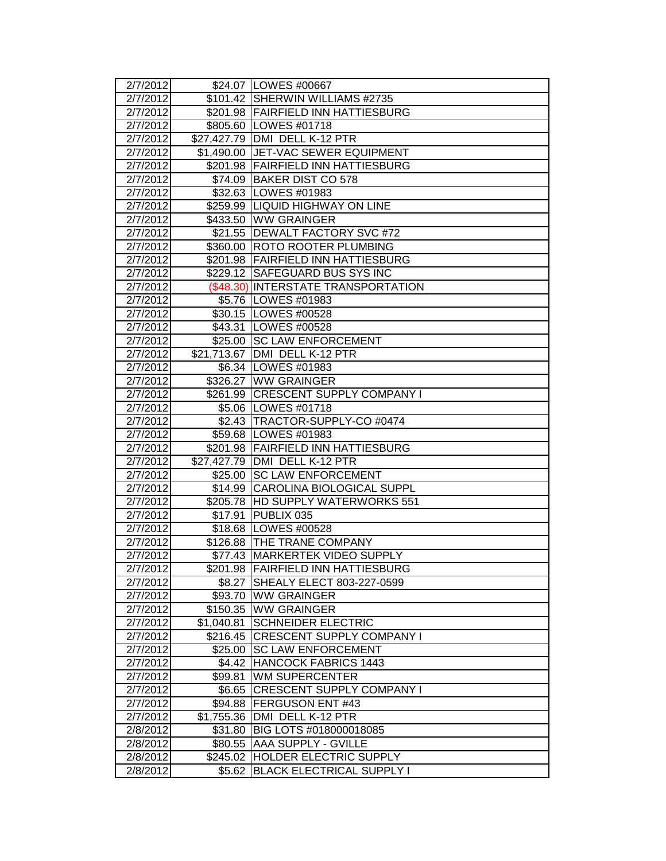|                      |                   | \$24.07   LOWES #00667                                           |
|----------------------|-------------------|------------------------------------------------------------------|
| 2/7/2012<br>2/7/2012 |                   | \$101.42 SHERWIN WILLIAMS #2735                                  |
| 2/7/2012             |                   | \$201.98 FAIRFIELD INN HATTIESBURG                               |
| 2/7/2012             |                   | \$805.60 LOWES #01718                                            |
| 2/7/2012             |                   | \$27,427.79 DMI DELL K-12 PTR                                    |
| 2/7/2012             |                   | \$1,490.00 JET-VAC SEWER EQUIPMENT                               |
| 2/7/2012             |                   | \$201.98 FAIRFIELD INN HATTIESBURG                               |
| 2/7/2012             |                   | \$74.09 BAKER DIST CO 578                                        |
| 2/7/2012             |                   | \$32.63 LOWES #01983                                             |
| 2/7/2012             |                   | \$259.99 LIQUID HIGHWAY ON LINE                                  |
| 2/7/2012             | \$433.50          | <b>WW GRAINGER</b>                                               |
| 2/7/2012             |                   | \$21.55 DEWALT FACTORY SVC #72                                   |
| 2/7/2012             |                   | \$360.00 ROTO ROOTER PLUMBING                                    |
| 2/7/2012             |                   | \$201.98 FAIRFIELD INN HATTIESBURG                               |
| 2/7/2012             |                   | \$229.12 SAFEGUARD BUS SYS INC                                   |
| 2/7/2012             |                   | (\$48.30) INTERSTATE TRANSPORTATION                              |
| 2/7/2012             |                   | \$5.76   LOWES #01983                                            |
| 2/7/2012             |                   | \$30.15   LOWES #00528                                           |
|                      |                   | \$43.31   LOWES #00528                                           |
| 2/7/2012<br>2/7/2012 |                   | \$25.00 SC LAW ENFORCEMENT                                       |
|                      |                   | \$21,713.67 DMI DELL K-12 PTR                                    |
| 2/7/2012<br>2/7/2012 |                   | \$6.34 LOWES #01983                                              |
|                      |                   | \$326.27 WW GRAINGER                                             |
| 2/7/2012             |                   | \$261.99 CRESCENT SUPPLY COMPANY I                               |
| 2/7/2012             |                   | \$5.06 LOWES #01718                                              |
| 2/7/2012             |                   |                                                                  |
| 2/7/2012             |                   | \$2.43 TRACTOR-SUPPLY-CO #0474                                   |
| 2/7/2012             |                   | \$59.68   LOWES #01983                                           |
| 2/7/2012<br>2/7/2012 |                   | \$201.98 FAIRFIELD INN HATTIESBURG<br>DMI DELL K-12 PTR          |
| 2/7/2012             | \$27,427.79       | \$25.00 SC LAW ENFORCEMENT                                       |
| 2/7/2012             |                   | \$14.99 CAROLINA BIOLOGICAL SUPPL                                |
| 2/7/2012             |                   | \$205.78 HD SUPPLY WATERWORKS 551                                |
|                      |                   | <b>PUBLIX 035</b>                                                |
| 2/7/2012<br>2/7/2012 | \$17.91           | \$18.68   LOWES #00528                                           |
| 2/7/2012             |                   | \$126.88 THE TRANE COMPANY                                       |
| 2/7/2012             |                   | \$77.43 MARKERTEK VIDEO SUPPLY                                   |
|                      |                   |                                                                  |
| 2/7/2012             |                   | \$201.98  FAIRFIELD INN HATTIESBURG<br>SHEALY ELECT 803-227-0599 |
| 2/7/2012<br>2/7/2012 | \$8.27<br>\$93.70 | <b>WW GRAINGER</b>                                               |
| 2/7/2012             | \$150.35          | <b>WW GRAINGER</b>                                               |
| 2/7/2012             | \$1,040.81        | <b>SCHNEIDER ELECTRIC</b>                                        |
| 2/7/2012             | \$216.45          | <b>CRESCENT SUPPLY COMPANY I</b>                                 |
| 2/7/2012             | \$25.00           | <b>SC LAW ENFORCEMENT</b>                                        |
| 2/7/2012             | \$4.42            | HANCOCK FABRICS 1443                                             |
| 2/7/2012             | \$99.81           | <b>WM SUPERCENTER</b>                                            |
| 2/7/2012             | \$6.65            | <b>CRESCENT SUPPLY COMPANY I</b>                                 |
| 2/7/2012             | \$94.88           | <b>FERGUSON ENT #43</b>                                          |
| 2/7/2012             | \$1,755.36        | DMI DELL K-12 PTR                                                |
| 2/8/2012             | \$31.80           | BIG LOTS #018000018085                                           |
| 2/8/2012             | \$80.55           | <b>AAA SUPPLY - GVILLE</b>                                       |
| 2/8/2012             | \$245.02          | <b>HOLDER ELECTRIC SUPPLY</b>                                    |
|                      |                   |                                                                  |
| 2/8/2012             | \$5.62            | <b>BLACK ELECTRICAL SUPPLY I</b>                                 |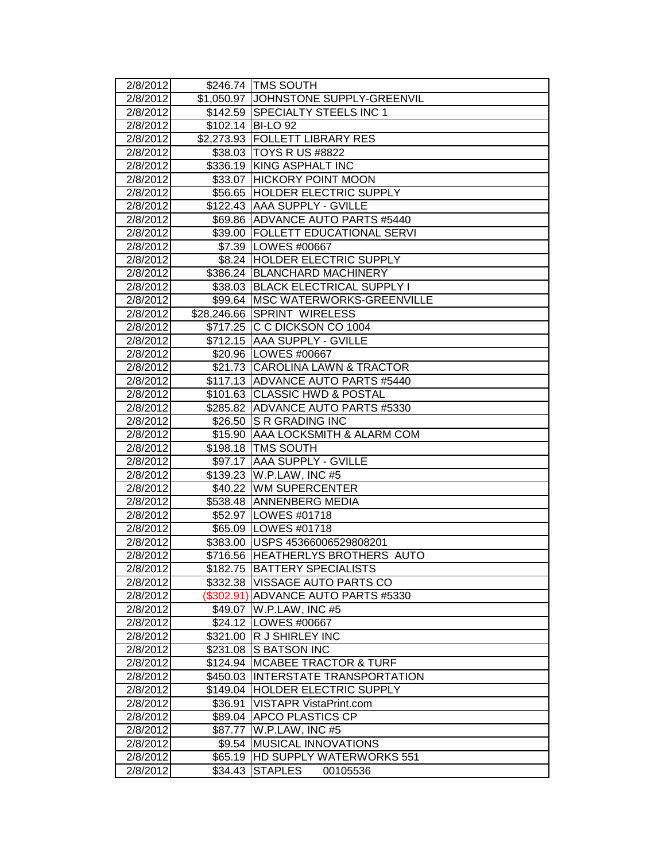| 2/8/2012             |                   | \$246.74   TMS SOUTH                               |
|----------------------|-------------------|----------------------------------------------------|
| 2/8/2012             |                   | \$1,050.97 JJOHNSTONE SUPPLY-GREENVIL              |
| 2/8/2012             |                   | \$142.59 SPECIALTY STEELS INC 1                    |
| 2/8/2012             |                   | \$102.14 BI-LO 92                                  |
| $\sqrt{2}/8/2012$    |                   | \$2,273.93 FOLLETT LIBRARY RES                     |
| 2/8/2012             |                   | \$38.03 TOYS R US #8822                            |
| 2/8/2012             |                   | \$336.19 KING ASPHALT INC                          |
| 2/8/2012             |                   | \$33.07 HICKORY POINT MOON                         |
| 2/8/2012             |                   | \$56.65 HOLDER ELECTRIC SUPPLY                     |
| 2/8/2012             |                   | \$122.43 AAA SUPPLY - GVILLE                       |
| 2/8/2012             |                   | \$69.86 ADVANCE AUTO PARTS #5440                   |
| 2/8/2012             |                   | \$39.00 FOLLETT EDUCATIONAL SERVI                  |
| 2/8/2012             |                   | \$7.39   LOWES #00667                              |
| 2/8/2012             |                   | \$8.24 HOLDER ELECTRIC SUPPLY                      |
| 2/8/2012             |                   | \$386.24 BLANCHARD MACHINERY                       |
| 2/8/2012             |                   | \$38.03 BLACK ELECTRICAL SUPPLY I                  |
| 2/8/2012             |                   | \$99.64   MSC WATERWORKS-GREENVILLE                |
| 2/8/2012             |                   | \$28,246.66 SPRINT WIRELESS                        |
| 2/8/2012             |                   | \$717.25 C C DICKSON CO 1004                       |
| 2/8/2012             | \$712.15          | <b>JAAA SUPPLY - GVILLE</b>                        |
| 2/8/2012             |                   | \$20.96   LOWES #00667                             |
| 2/8/2012             |                   | \$21.73 CAROLINA LAWN & TRACTOR                    |
| 2/8/2012             |                   | \$117.13 ADVANCE AUTO PARTS #5440                  |
| 2/8/2012             |                   | \$101.63 CLASSIC HWD & POSTAL                      |
| 2/8/2012             |                   | \$285.82 ADVANCE AUTO PARTS #5330                  |
| 2/8/2012             | \$26.50           | <b>S R GRADING INC</b>                             |
| 2/8/2012             | \$15.90           | AAA LOCKSMITH & ALARM COM                          |
| 2/8/2012             |                   | \$198.18 TMS SOUTH                                 |
| 2/8/2012             |                   | \$97.17 AAA SUPPLY - GVILLE                        |
| 2/8/2012             |                   | \$139.23   W.P.LAW, INC #5                         |
| 2/8/2012             |                   | \$40.22 WM SUPERCENTER                             |
| 2/8/2012             |                   | \$538.48 ANNENBERG MEDIA                           |
| 2/8/2012             |                   | \$52.97   LOWES #01718                             |
| 2/8/2012             |                   | \$65.09 LOWES #01718                               |
| 2/8/2012             |                   | \$383.00 USPS 45366006529808201                    |
| 2/8/2012             |                   | \$716.56 HEATHERLYS BROTHERS AUTO                  |
| 2/8/2012             |                   | \$182.75  BATTERY SPECIALISTS                      |
| 2/8/2012             |                   | \$332.38  VISSAGE AUTO PARTS CO                    |
| 2/8/2012             |                   | (\$302.91) ADVANCE AUTO PARTS #5330                |
| 2/8/2012             |                   | \$49.07   W.P.LAW, INC #5                          |
| 2/8/2012             |                   | \$24.12 LOWES #00667                               |
| 2/8/2012             | \$321.00          | <b>R J SHIRLEY INC</b>                             |
| 2/8/2012             | \$231.08          | <b>S BATSON INC</b>                                |
| 2/8/2012             | \$124.94          | <b>MCABEE TRACTOR &amp; TURF</b>                   |
| 2/8/2012             | \$450.03          | <b>INTERSTATE TRANSPORTATION</b>                   |
| 2/8/2012             | \$149.04          | <b>HOLDER ELECTRIC SUPPLY</b>                      |
| 2/8/2012             | \$36.91           | VISTAPR VistaPrint.com                             |
| 2/8/2012             | \$89.04           | <b>APCO PLASTICS CP</b>                            |
| 2/8/2012<br>2/8/2012 | \$87.77<br>\$9.54 | W.P.LAW, INC #5<br><b>MUSICAL INNOVATIONS</b>      |
|                      |                   |                                                    |
| 2/8/2012             | \$65.19           | <b>IHD SUPPLY WATERWORKS 551</b><br><b>STAPLES</b> |
| 2/8/2012             | \$34.43           | 00105536                                           |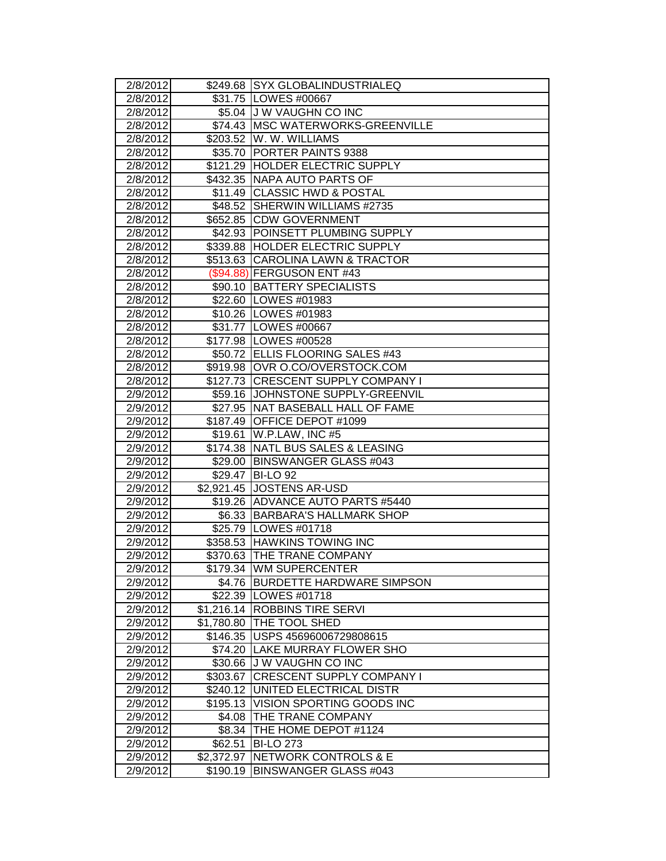| 2/8/2012             |            | \$249.68 SYX GLOBALINDUSTRIALEQ     |
|----------------------|------------|-------------------------------------|
| 2/8/2012             |            | \$31.75 LOWES #00667                |
| 2/8/2012             |            | \$5.04 J W VAUGHN CO INC            |
| 2/8/2012             |            | \$74.43   MSC WATERWORKS-GREENVILLE |
| 2/8/2012             |            | \$203.52 W. W. WILLIAMS             |
| $\sqrt{2}/8/2012$    |            | \$35.70 PORTER PAINTS 9388          |
| 2/8/2012             |            | \$121.29 HOLDER ELECTRIC SUPPLY     |
| 2/8/2012             |            | \$432.35 NAPA AUTO PARTS OF         |
| 2/8/2012             |            | \$11.49 CLASSIC HWD & POSTAL        |
| 2/8/2012             |            | \$48.52 SHERWIN WILLIAMS #2735      |
| 2/8/2012             |            | \$652.85 CDW GOVERNMENT             |
| 2/8/2012             |            | \$42.93 POINSETT PLUMBING SUPPLY    |
| 2/8/2012             |            | \$339.88 HOLDER ELECTRIC SUPPLY     |
| 2/8/2012             |            | \$513.63 CAROLINA LAWN & TRACTOR    |
| 2/8/2012             |            | (\$94.88) FERGUSON ENT #43          |
| 2/8/2012             |            | \$90.10   BATTERY SPECIALISTS       |
| 2/8/2012             |            | \$22.60 LOWES #01983                |
| 2/8/2012             |            | \$10.26   LOWES #01983              |
| 2/8/2012             |            | \$31.77   LOWES #00667              |
| 2/8/2012             |            | \$177.98   LOWES #00528             |
| 2/8/2012             |            | \$50.72 ELLIS FLOORING SALES #43    |
| 2/8/2012             |            | \$919.98 OVR O.CO/OVERSTOCK.COM     |
| 2/8/2012             |            | \$127.73 CRESCENT SUPPLY COMPANY I  |
| 2/9/2012             |            | \$59.16 JOHNSTONE SUPPLY-GREENVIL   |
| 2/9/2012             |            | \$27.95   NAT BASEBALL HALL OF FAME |
| 2/9/2012             |            | \$187.49 OFFICE DEPOT #1099         |
| 2/9/2012             | \$19.61    | W.P.LAW, INC #5                     |
| 2/9/2012             |            | \$174.38 NATL BUS SALES & LEASING   |
| 2/9/2012             |            | \$29.00 BINSWANGER GLASS #043       |
| 2/9/2012             |            | \$29.47 BI-LO 92                    |
| 2/9/2012             |            | \$2,921.45 JOSTENS AR-USD           |
| 2/9/2012             |            | \$19.26 ADVANCE AUTO PARTS #5440    |
| 2/9/2012             |            | \$6.33 BARBARA'S HALLMARK SHOP      |
| 2/9/2012             |            | \$25.79   LOWES #01718              |
| 2/9/2012             |            | \$358.53 HAWKINS TOWING INC         |
| 2/9/2012             |            | \$370.63 THE TRANE COMPANY          |
| 2/9/2012             |            | \$179.34 JWM SUPERCENTER            |
| 2/9/2012             | \$4.76     | <b>BURDETTE HARDWARE SIMPSON</b>    |
| 2/9/2012             |            | \$22.39   LOWES #01718              |
| 2/9/2012             |            | \$1,216.14 ROBBINS TIRE SERVI       |
| 2/9/2012             | \$1,780.80 | <b>THE TOOL SHED</b>                |
| 2/9/2012             |            | \$146.35 USPS 45696006729808615     |
| 2/9/2012             |            | \$74.20 LAKE MURRAY FLOWER SHO      |
| 2/9/2012             |            | \$30.66 J W VAUGHN CO INC           |
| 2/9/2012             | \$303.67   | <b>CRESCENT SUPPLY COMPANY I</b>    |
| 2/9/2012             | \$240.12   | UNITED ELECTRICAL DISTR             |
| 2/9/2012             | \$195.13   | VISION SPORTING GOODS INC           |
| 2/9/2012             | \$4.08     | <b>THE TRANE COMPANY</b>            |
|                      |            |                                     |
| 2/9/2012             | \$8.34     | THE HOME DEPOT #1124                |
| 2/9/2012             | \$62.51    | <b>BI-LO 273</b>                    |
| 2/9/2012<br>2/9/2012 | \$2,372.97 | <b>NETWORK CONTROLS &amp; E</b>     |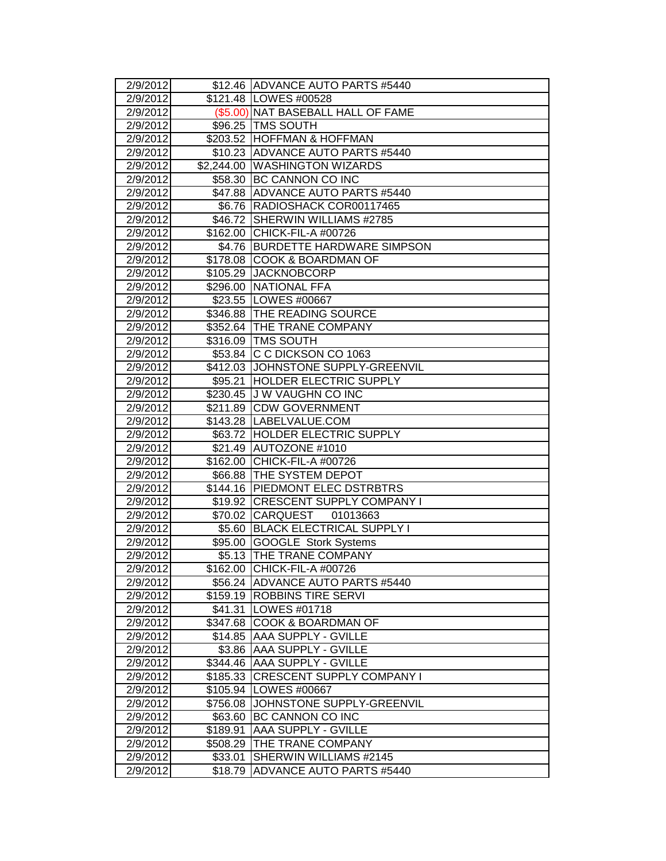| 2/9/2012             |                      | \$12.46 ADVANCE AUTO PARTS #5440                          |
|----------------------|----------------------|-----------------------------------------------------------|
| 2/9/2012             |                      | \$121.48   LOWES #00528                                   |
| 2/9/2012             |                      | (\$5.00) NAT BASEBALL HALL OF FAME                        |
| 2/9/2012             |                      | \$96.25 TMS SOUTH                                         |
| 2/9/2012             |                      | \$203.52 HOFFMAN & HOFFMAN                                |
| 2/9/2012             |                      | \$10.23 ADVANCE AUTO PARTS #5440                          |
| 2/9/2012             |                      | \$2,244.00   WASHINGTON WIZARDS                           |
| 2/9/2012             |                      | \$58.30 BC CANNON CO INC                                  |
| 2/9/2012             |                      | \$47.88 ADVANCE AUTO PARTS #5440                          |
| 2/9/2012             |                      | \$6.76   RADIOSHACK COR00117465                           |
| 2/9/2012             | \$46.72              | SHERWIN WILLIAMS #2785                                    |
| 2/9/2012             |                      | \$162.00 CHICK-FIL-A #00726                               |
| 2/9/2012             |                      | \$4.76   BURDETTE HARDWARE SIMPSON                        |
| 2/9/2012             |                      | \$178.08 COOK & BOARDMAN OF                               |
| 2/9/2012             | \$105.29             | <b>JACKNOBCORP</b>                                        |
| 2/9/2012             |                      | \$296.00 NATIONAL FFA                                     |
| 2/9/2012             |                      | \$23.55   LOWES #00667                                    |
| 2/9/2012             |                      | \$346.88 THE READING SOURCE                               |
| 2/9/2012             |                      | \$352.64 THE TRANE COMPANY                                |
| 2/9/2012             |                      | \$316.09   TMS SOUTH                                      |
| 2/9/2012             |                      | \$53.84 C C DICKSON CO 1063                               |
| 2/9/2012             |                      | \$412.03 JJOHNSTONE SUPPLY-GREENVIL                       |
| 2/9/2012             | \$95.21              | <b>HOLDER ELECTRIC SUPPLY</b>                             |
| 2/9/2012             |                      | \$230.45 J W VAUGHN CO INC                                |
| 2/9/2012             |                      | \$211.89 CDW GOVERNMENT                                   |
| 2/9/2012             |                      | \$143.28  LABELVALUE.COM                                  |
| 2/9/2012             |                      | \$63.72 HOLDER ELECTRIC SUPPLY                            |
| 2/9/2012             |                      | \$21.49 AUTOZONE #1010                                    |
| 2/9/2012             |                      | \$162.00 CHICK-FIL-A #00726                               |
| 2/9/2012             |                      | \$66.88 THE SYSTEM DEPOT                                  |
| 2/9/2012             |                      | \$144.16 PIEDMONT ELEC DSTRBTRS                           |
| 2/9/2012             |                      | \$19.92 CRESCENT SUPPLY COMPANY I                         |
| 2/9/2012             |                      | \$70.02 CARQUEST<br>01013663                              |
| 2/9/2012             | \$5.60               | <b>BLACK ELECTRICAL SUPPLY I</b>                          |
| 2/9/2012             |                      | \$95.00 GOOGLE Stork Systems                              |
| 2/9/2012             |                      | \$5.13 THE TRANE COMPANY                                  |
| 2/9/2012             |                      | \$162.00 CHICK-FIL-A #00726                               |
| 2/9/2012             |                      | \$56.24   ADVANCE AUTO PARTS #5440                        |
| 2/9/2012             |                      | \$159.19 ROBBINS TIRE SERVI                               |
| 2/9/2012             | \$41.31              | LOWES #01718                                              |
| 2/9/2012             |                      | \$347.68 COOK & BOARDMAN OF<br><b>AAA SUPPLY - GVILLE</b> |
| 2/9/2012             | \$14.85              |                                                           |
| 2/9/2012             | \$3.86               | <b>AAA SUPPLY - GVILLE</b><br><b>AAA SUPPLY - GVILLE</b>  |
| 2/9/2012<br>2/9/2012 | \$344.46             | <b>CRESCENT SUPPLY COMPANY I</b>                          |
| 2/9/2012             | \$185.33<br>\$105.94 | LOWES #00667                                              |
| 2/9/2012             | \$756.08             | JOHNSTONE SUPPLY-GREENVIL                                 |
| 2/9/2012             | \$63.60              | <b>BC CANNON CO INC</b>                                   |
| 2/9/2012             | \$189.91             | <b>AAA SUPPLY - GVILLE</b>                                |
| 2/9/2012             | \$508.29             | THE TRANE COMPANY                                         |
| 2/9/2012             | \$33.01              | SHERWIN WILLIAMS #2145                                    |
| 2/9/2012             | \$18.79              | ADVANCE AUTO PARTS #5440                                  |
|                      |                      |                                                           |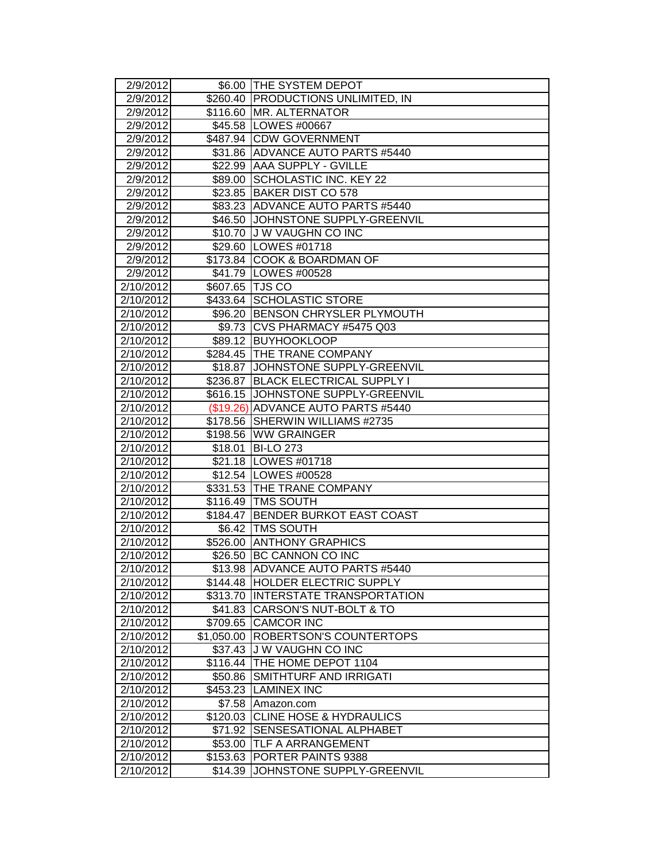| 2/9/2012           |                 | \$6.00 THE SYSTEM DEPOT            |
|--------------------|-----------------|------------------------------------|
| 2/9/2012           |                 | \$260.40 PRODUCTIONS UNLIMITED, IN |
| 2/9/2012           |                 | \$116.60 MR. ALTERNATOR            |
| 2/9/2012           |                 | \$45.58   LOWES #00667             |
| 2/9/2012           |                 | \$487.94 CDW GOVERNMENT            |
| 2/9/2012           |                 | \$31.86 ADVANCE AUTO PARTS #5440   |
| 2/9/2012           |                 | \$22.99 AAA SUPPLY - GVILLE        |
| 2/9/2012           |                 | \$89.00 SCHOLASTIC INC. KEY 22     |
| 2/9/2012           |                 | \$23.85 BAKER DIST CO 578          |
| 2/9/2012           |                 | \$83.23 ADVANCE AUTO PARTS #5440   |
| 2/9/2012           |                 | \$46.50 JOHNSTONE SUPPLY-GREENVIL  |
| 2/9/2012           |                 | \$10.70 J W VAUGHN CO INC          |
| 2/9/2012           |                 | \$29.60 LOWES #01718               |
| 2/9/2012           |                 | \$173.84 COOK & BOARDMAN OF        |
| 2/9/2012           |                 | \$41.79 LOWES #00528               |
| 2/10/2012          | \$607.65 TJS CO |                                    |
| 2/10/2012          |                 | \$433.64 SCHOLASTIC STORE          |
| 2/10/2012          |                 | \$96.20 BENSON CHRYSLER PLYMOUTH   |
| 2/10/2012          |                 | \$9.73 CVS PHARMACY #5475 Q03      |
| 2/10/2012          |                 | \$89.12 BUYHOOKLOOP                |
| 2/10/2012          |                 | \$284.45 THE TRANE COMPANY         |
| 2/10/2012          |                 | \$18.87 JJOHNSTONE SUPPLY-GREENVIL |
| 2/10/2012          | \$236.87        | <b>BLACK ELECTRICAL SUPPLY I</b>   |
| 2/10/2012          |                 | \$616.15 JOHNSTONE SUPPLY-GREENVIL |
| 2/10/2012          |                 | (\$19.26) ADVANCE AUTO PARTS #5440 |
| 2/10/2012          |                 | \$178.56 SHERWIN WILLIAMS #2735    |
| 2/10/2012          | \$198.56        | <b>WW GRAINGER</b>                 |
|                    |                 |                                    |
| 2/10/2012          | \$18.01         | <b>BI-LO 273</b>                   |
| 2/10/2012          |                 | \$21.18   LOWES #01718             |
| $\sqrt{2}/10/2012$ |                 | \$12.54   LOWES #00528             |
| 2/10/2012          |                 | \$331.53 THE TRANE COMPANY         |
| 2/10/2012          |                 | \$116.49   TMS SOUTH               |
| 2/10/2012          | \$184.47        | <b>BENDER BURKOT EAST COAST</b>    |
| 2/10/2012          | \$6.42          | <b>TMS SOUTH</b>                   |
| 2/10/2012          | \$526.00        | <b>ANTHONY GRAPHICS</b>            |
| 2/10/2012          |                 | \$26.50 BC CANNON CO INC           |
| 2/10/2012          |                 | \$13.98  ADVANCE AUTO PARTS #5440  |
| 2/10/2012          |                 | \$144.48 HOLDER ELECTRIC SUPPLY    |
| 2/10/2012          | \$313.70        | <b>INTERSTATE TRANSPORTATION</b>   |
| 2/10/2012          |                 | \$41.83 CARSON'S NUT-BOLT & TO     |
| 2/10/2012          | \$709.65        | <b>CAMCOR INC</b>                  |
| 2/10/2012          | \$1,050.00      | <b>ROBERTSON'S COUNTERTOPS</b>     |
| 2/10/2012          | \$37.43         | J W VAUGHN CO INC                  |
| 2/10/2012          | \$116.44        | THE HOME DEPOT 1104                |
| 2/10/2012          | \$50.86         | SMITHTURF AND IRRIGATI             |
| 2/10/2012          |                 | \$453.23 LAMINEX INC               |
| 2/10/2012          | \$7.58          | Amazon.com                         |
| 2/10/2012          |                 | \$120.03 CLINE HOSE & HYDRAULICS   |
| 2/10/2012          | \$71.92         | <b>SENSESATIONAL ALPHABET</b>      |
| 2/10/2012          | \$53.00         | <b>TLF A ARRANGEMENT</b>           |
| 2/10/2012          | \$153.63        | PORTER PAINTS 9388                 |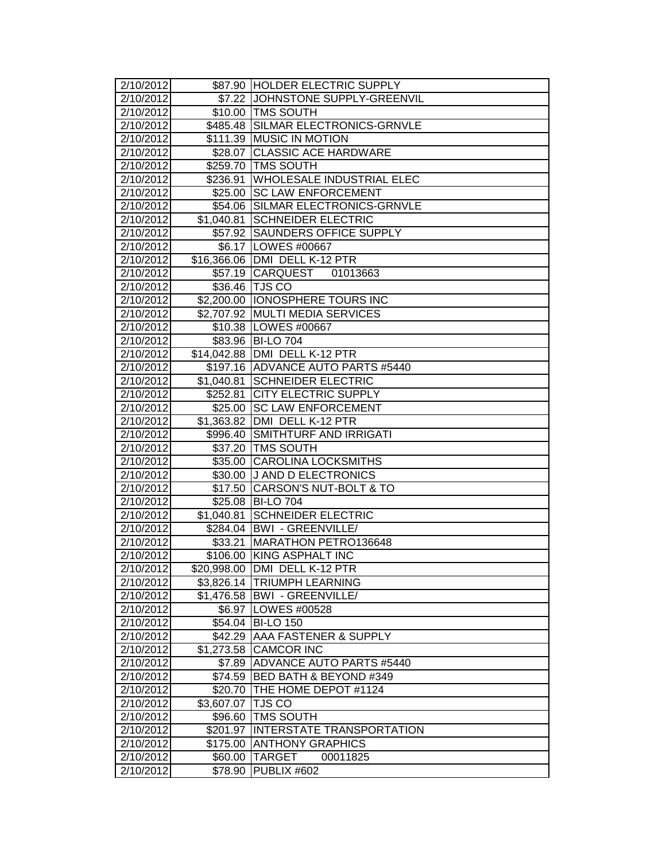| 2/10/2012          |                        | \$87.90 HOLDER ELECTRIC SUPPLY     |
|--------------------|------------------------|------------------------------------|
| 2/10/2012          | \$7.22                 | JOHNSTONE SUPPLY-GREENVIL          |
| 2/10/2012          |                        | \$10.00 TMS SOUTH                  |
| 2/10/2012          |                        | \$485.48 SILMAR ELECTRONICS-GRNVLE |
| 2/10/2012          |                        | \$111.39 MUSIC IN MOTION           |
| 2/10/2012          | \$28.07                | <b>CLASSIC ACE HARDWARE</b>        |
| 2/10/2012          |                        | \$259.70 TMS SOUTH                 |
| 2/10/2012          | \$236.91               | <b>WHOLESALE INDUSTRIAL ELEC</b>   |
| 2/10/2012          | \$25.00                | <b>SC LAW ENFORCEMENT</b>          |
| 2/10/2012          | \$54.06                | SILMAR ELECTRONICS-GRNVLE          |
| 2/10/2012          | \$1,040.81             | <b>SCHNEIDER ELECTRIC</b>          |
| 2/10/2012          | \$57.92                | SAUNDERS OFFICE SUPPLY             |
| 2/10/2012          |                        | \$6.17 LOWES #00667                |
| 2/10/2012          |                        | \$16,366.06 DMI DELL K-12 PTR      |
| 2/10/2012          | \$57.19                | <b>CARQUEST</b><br>01013663        |
| 2/10/2012          |                        | \$36.46 TJS CO                     |
| 2/10/2012          | \$2,200.00             | <b>IONOSPHERE TOURS INC</b>        |
| 2/10/2012          | \$2,707.92             | <b>MULTI MEDIA SERVICES</b>        |
| 2/10/2012          |                        | \$10.38   LOWES #00667             |
| 2/10/2012          | \$83.96                | <b>BI-LO 704</b>                   |
| 2/10/2012          |                        | \$14,042.88 DMI DELL K-12 PTR      |
| 2/10/2012          |                        | \$197.16 ADVANCE AUTO PARTS #5440  |
| 2/10/2012          | \$1,040.81             | <b>SCHNEIDER ELECTRIC</b>          |
| 2/10/2012          | \$252.81               | <b>CITY ELECTRIC SUPPLY</b>        |
| 2/10/2012          | \$25.00                | <b>SC LAW ENFORCEMENT</b>          |
| 2/10/2012          | $\overline{$}1,363.82$ | DMI DELL K-12 PTR                  |
| 2/10/2012          | \$996.40               | SMITHTURF AND IRRIGATI             |
| 2/10/2012          | \$37.20                | <b>TMS SOUTH</b>                   |
| $\sqrt{2}/10/2012$ | \$35.00                | <b>CAROLINA LOCKSMITHS</b>         |
| 2/10/2012          | \$30.00                | <b>J AND D ELECTRONICS</b>         |
| 2/10/2012          | \$17.50                | CARSON'S NUT-BOLT & TO             |
| 2/10/2012          |                        | \$25.08 BI-LO 704                  |
| 2/10/2012          | \$1,040.81             | <b>SCHNEIDER ELECTRIC</b>          |
| 2/10/2012          |                        | \$284.04   BWI - GREENVILLE/       |
| 2/10/2012          | \$33.21                | MARATHON PETRO136648               |
| 2/10/2012          | \$106.00               | <b>KING ASPHALT INC</b>            |
| 2/10/2012          |                        | \$20,998.00 DMI DELL K-12 PTR      |
| 2/10/2012          |                        | \$3,826.14 TRIUMPH LEARNING        |
| 2/10/2012          |                        | \$1,476.58   BWI - GREENVILLE/     |
| 2/10/2012          | \$6.97                 | LOWES #00528                       |
| 2/10/2012          |                        | \$54.04 BI-LO 150                  |
| 2/10/2012          | \$42.29                | <b>AAA FASTENER &amp; SUPPLY</b>   |
| 2/10/2012          | \$1,273.58             | <b>CAMCOR INC</b>                  |
| 2/10/2012          | \$7.89                 | <b>ADVANCE AUTO PARTS #5440</b>    |
| 2/10/2012          | \$74.59                | BED BATH & BEYOND #349             |
| 2/10/2012          | \$20.70                | THE HOME DEPOT #1124               |
| 2/10/2012          | \$3,607.07             | <b>TJS CO</b>                      |
| 2/10/2012          | \$96.60                | <b>TMS SOUTH</b>                   |
| 2/10/2012          | \$201.97               | <b>INTERSTATE TRANSPORTATION</b>   |
| 2/10/2012          | \$175.00               | <b>ANTHONY GRAPHICS</b>            |
| 2/10/2012          | \$60.00                | <b>TARGET</b><br>00011825          |
| 2/10/2012          | \$78.90                | PUBLIX #602                        |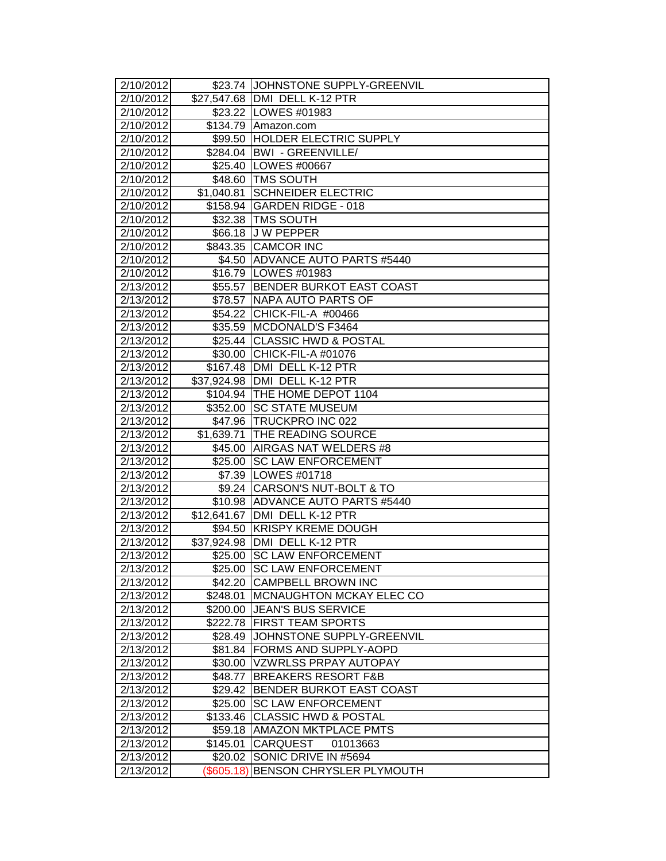| 2/10/2012<br>2/10/2012 |             | \$23.74 JOHNSTONE SUPPLY-GREENVIL                     |
|------------------------|-------------|-------------------------------------------------------|
| 2/10/2012              |             | \$27,547.68 DMI DELL K-12 PTR<br>\$23.22 LOWES #01983 |
| 2/10/2012              |             | \$134.79 Amazon.com                                   |
| 2/10/2012              |             | \$99.50 HOLDER ELECTRIC SUPPLY                        |
| 2/10/2012              |             | \$284.04 BWI - GREENVILLE/                            |
| 2/10/2012              |             | \$25.40   LOWES #00667                                |
| 2/10/2012              |             | \$48.60 TMS SOUTH                                     |
| 2/10/2012              | \$1,040.81  | <b>SCHNEIDER ELECTRIC</b>                             |
| 2/10/2012              |             | \$158.94 GARDEN RIDGE - 018                           |
| 2/10/2012              | \$32.38     | <b>TMS SOUTH</b>                                      |
| 2/10/2012              |             | \$66.18 J W PEPPER                                    |
| 2/10/2012              |             | \$843.35 CAMCOR INC                                   |
| 2/10/2012              |             | \$4.50 ADVANCE AUTO PARTS #5440                       |
| 2/10/2012              |             | \$16.79   LOWES #01983                                |
| 2/13/2012              |             | \$55.57 BENDER BURKOT EAST COAST                      |
| 2/13/2012              |             | \$78.57 NAPA AUTO PARTS OF                            |
| 2/13/2012              | \$54.22     | CHICK-FIL-A #00466                                    |
| 2/13/2012              | \$35.59     | MCDONALD'S F3464                                      |
| 2/13/2012              | \$25.44     | <b>CLASSIC HWD &amp; POSTAL</b>                       |
| 2/13/2012              | \$30.00     | CHICK-FIL-A #01076                                    |
| 2/13/2012              |             | \$167.48   DMI DELL K-12 PTR                          |
| 2/13/2012              |             | \$37,924.98   DMI DELL K-12 PTR                       |
| 2/13/2012              |             | \$104.94 THE HOME DEPOT 1104                          |
| 2/13/2012              | \$352.00    | <b>SC STATE MUSEUM</b>                                |
| 2/13/2012              |             | \$47.96 TRUCKPRO INC 022                              |
| 2/13/2012              | \$1,639.71  | <b>THE READING SOURCE</b>                             |
| 2/13/2012              | \$45.00     | AIRGAS NAT WELDERS #8                                 |
| $\sqrt{2}/13/2012$     | \$25.00     | <b>SC LAW ENFORCEMENT</b>                             |
| 2/13/2012              |             | \$7.39 LOWES #01718                                   |
| 2/13/2012              |             | \$9.24 CARSON'S NUT-BOLT & TO                         |
| 2/13/2012              |             | \$10.98 ADVANCE AUTO PARTS #5440                      |
| 2/13/2012              |             | \$12,641.67 DMI DELL K-12 PTR                         |
| 2/13/2012              | \$94.50     | <b>KRISPY KREME DOUGH</b>                             |
| 2/13/2012              | \$37,924.98 | DMI DELL K-12 PTR                                     |
| 2/13/2012              | \$25.00     | <b>SC LAW ENFORCEMENT</b>                             |
| 2/13/2012              |             | \$25.00 ISC LAW ENFORCEMENT                           |
| 2/13/2012              |             | \$42.20 CAMPBELL BROWN INC                            |
| 2/13/2012              | \$248.01    | <b>MCNAUGHTON MCKAY ELEC CO</b>                       |
| 2/13/2012              | \$200.00    | <b>JEAN'S BUS SERVICE</b>                             |
| 2/13/2012              | \$222.78    | <b>FIRST TEAM SPORTS</b>                              |
| 2/13/2012              | \$28.49     | JOHNSTONE SUPPLY-GREENVIL                             |
| 2/13/2012              | \$81.84     | <b>FORMS AND SUPPLY-AOPD</b>                          |
| 2/13/2012              | \$30.00     | VZWRLSS PRPAY AUTOPAY                                 |
| 2/13/2012              | \$48.77     | <b>BREAKERS RESORT F&amp;B</b>                        |
| 2/13/2012              | \$29.42     | <b>BENDER BURKOT EAST COAST</b>                       |
| 2/13/2012              | \$25.00     | <b>SC LAW ENFORCEMENT</b>                             |
| 2/13/2012              | \$133.46    | <b>CLASSIC HWD &amp; POSTAL</b>                       |
| 2/13/2012              | \$59.18     | <b>AMAZON MKTPLACE PMTS</b>                           |
| 2/13/2012              | \$145.01    | <b>CARQUEST</b><br>01013663                           |
| 2/13/2012              | \$20.02     | SONIC DRIVE IN #5694                                  |
| 2/13/2012              | (\$605.18)  | BENSON CHRYSLER PLYMOUTH                              |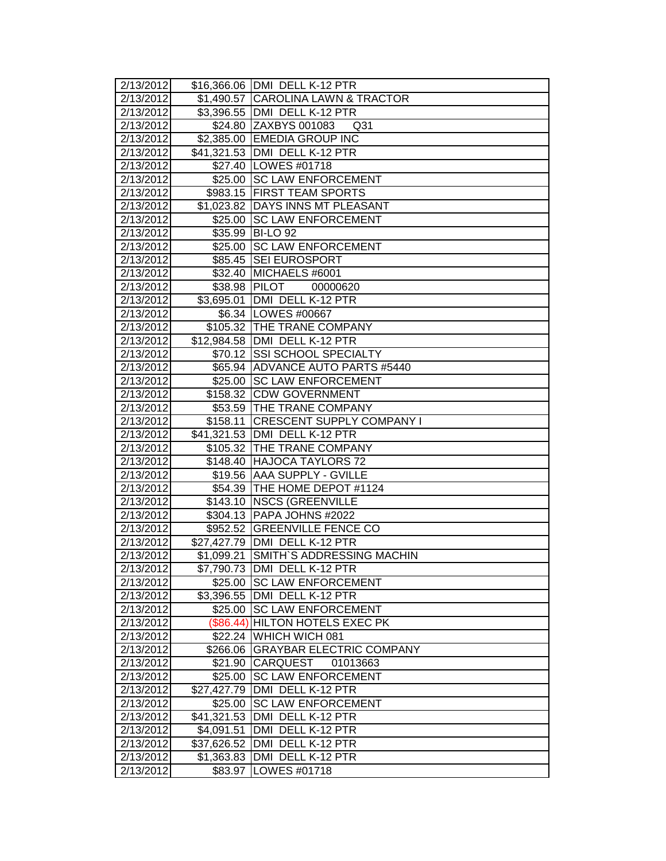| 2/13/2012              |               | \$16,366.06 DMI DELL K-12 PTR            |
|------------------------|---------------|------------------------------------------|
| 2/13/2012              |               | \$1,490.57 CAROLINA LAWN & TRACTOR       |
| 2/13/2012              |               | \$3,396.55 DMI DELL K-12 PTR             |
| 2/13/2012              |               | \$24.80 ZAXBYS 001083<br>Q <sub>31</sub> |
| 2/13/2012              |               | \$2,385.00 EMEDIA GROUP INC              |
| 2/13/2012              |               | \$41,321.53 DMI DELL K-12 PTR            |
| 2/13/2012              |               | \$27.40   LOWES #01718                   |
| 2/13/2012              |               | \$25.00 SC LAW ENFORCEMENT               |
| 2/13/2012              |               | \$983.15 FIRST TEAM SPORTS               |
| 2/13/2012              |               | \$1,023.82 DAYS INNS MT PLEASANT         |
| 2/13/2012              | \$25.00       | <b>SC LAW ENFORCEMENT</b>                |
| 2/13/2012              | \$35.99       | BI-LO <sub>92</sub>                      |
| 2/13/2012              | \$25.00       | <b>SC LAW ENFORCEMENT</b>                |
| 2/13/2012              | \$85.45       | <b>SEI EUROSPORT</b>                     |
| 2/13/2012              |               | \$32.40 MICHAELS #6001                   |
| 2/13/2012              | \$38.98 PILOT | 00000620                                 |
| 2/13/2012              |               | \$3,695.01 DMI DELL K-12 PTR             |
| 2/13/2012              |               | \$6.34   LOWES #00667                    |
| 2/13/2012              |               | \$105.32 THE TRANE COMPANY               |
| 2/13/2012              |               | \$12,984.58 DMI DELL K-12 PTR            |
| 2/13/2012              |               | \$70.12 SSI SCHOOL SPECIALTY             |
| 2/13/2012              |               | \$65.94 ADVANCE AUTO PARTS #5440         |
| 2/13/2012              |               | \$25.00 SC LAW ENFORCEMENT               |
| 2/13/2012              |               | \$158.32 CDW GOVERNMENT                  |
| 2/13/2012              |               | \$53.59 THE TRANE COMPANY                |
| 2/13/2012              | \$158.11      | <b>CRESCENT SUPPLY COMPANY I</b>         |
| 2/13/2012              |               | \$41,321.53 DMI DELL K-12 PTR            |
| 2/13/2012              | \$105.32      | <b>THE TRANE COMPANY</b>                 |
| 2/13/2012              | \$148.40      | <b>HAJOCA TAYLORS 72</b>                 |
| $\sqrt{2}/13/2012$     | \$19.56       | <b>AAA SUPPLY - GVILLE</b>               |
| 2/13/2012              |               | \$54.39 THE HOME DEPOT #1124             |
| 2/13/2012              | \$143.10      | <b>NSCS (GREENVILLE</b>                  |
| 2/13/2012              |               | \$304.13 PAPA JOHNS #2022                |
| 2/13/2012              |               | \$952.52 GREENVILLE FENCE CO             |
| 2/13/2012              |               | \$27,427.79 DMI DELL K-12 PTR            |
| 2/13/2012              | \$1,099.21    | SMITH'S ADDRESSING MACHIN                |
| 2/13/2012              |               | \$7,790.73 JDMI DELL K-12 PTR            |
| 2/13/2012              |               | \$25.00 SC LAW ENFORCEMENT               |
| 2/13/2012              |               | \$3,396.55 DMI DELL K-12 PTR             |
| 2/13/2012              | \$25.00       | <b>SC LAW ENFORCEMENT</b>                |
| 2/13/2012              | (\$86.44)     | <b>HILTON HOTELS EXEC PK</b>             |
| 2/13/2012              | \$22.24       | WHICH WICH 081                           |
| $\overline{2}/13/2012$ | \$266.06      | <b>GRAYBAR ELECTRIC COMPANY</b>          |
| 2/13/2012              | \$21.90       | CARQUEST<br>01013663                     |
| 2/13/2012              | \$25.00       | <b>SC LAW ENFORCEMENT</b>                |
| 2/13/2012              | \$27,427.79   | DMI DELL K-12 PTR                        |
| 2/13/2012              | \$25.00       | <b>SC LAW ENFORCEMENT</b>                |
| 2/13/2012              | \$41,321.53   | DMI DELL K-12 PTR                        |
| 2/13/2012              | \$4,091.51    | DMI DELL K-12 PTR                        |
| 2/13/2012              | \$37,626.52   | DMI DELL K-12 PTR                        |
| 2/13/2012              | \$1,363.83    | DMI DELL K-12 PTR                        |
| 2/13/2012              | \$83.97       | LOWES #01718                             |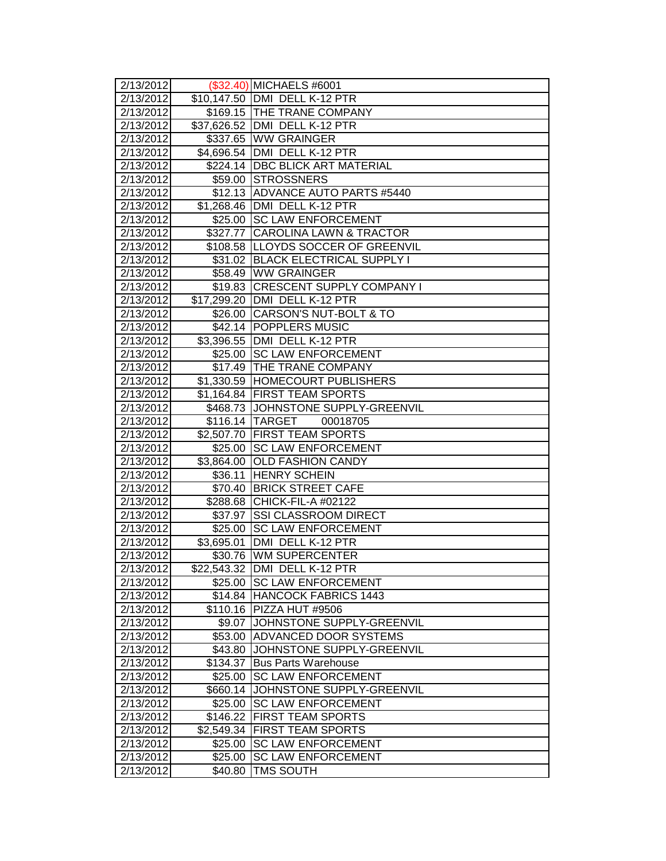| 2/13/2012              |             | (\$32.40) MICHAELS #6001                                    |
|------------------------|-------------|-------------------------------------------------------------|
| 2/13/2012<br>2/13/2012 |             | \$10,147.50 DMI DELL K-12 PTR<br>\$169.15 THE TRANE COMPANY |
| 2/13/2012              |             | \$37,626.52 DMI DELL K-12 PTR                               |
| 2/13/2012              |             | \$337.65 WW GRAINGER                                        |
| 2/13/2012              |             | \$4,696.54 DMI DELL K-12 PTR                                |
| 2/13/2012              |             | \$224.14 DBC BLICK ART MATERIAL                             |
| 2/13/2012              |             | \$59.00 STROSSNERS                                          |
| 2/13/2012              |             | \$12.13 ADVANCE AUTO PARTS #5440                            |
| 2/13/2012              |             | \$1,268.46 DMI DELL K-12 PTR                                |
| 2/13/2012              | \$25.00     | <b>SC LAW ENFORCEMENT</b>                                   |
| 2/13/2012              | \$327.77    | <b>CAROLINA LAWN &amp; TRACTOR</b>                          |
| 2/13/2012              |             | \$108.58 LLOYDS SOCCER OF GREENVIL                          |
| 2/13/2012              |             | \$31.02 BLACK ELECTRICAL SUPPLY I                           |
| 2/13/2012              | \$58.49     | <b>WW GRAINGER</b>                                          |
| 2/13/2012              |             | \$19.83 CRESCENT SUPPLY COMPANY I                           |
| 2/13/2012              | \$17,299.20 | DMI DELL K-12 PTR                                           |
| 2/13/2012              | \$26.00     | CARSON'S NUT-BOLT & TO                                      |
| 2/13/2012              |             | \$42.14 POPPLERS MUSIC                                      |
| 2/13/2012              | \$3,396.55  | DMI DELL K-12 PTR                                           |
| 2/13/2012              | \$25.00     | <b>SC LAW ENFORCEMENT</b>                                   |
| 2/13/2012              |             | \$17.49 THE TRANE COMPANY                                   |
| 2/13/2012              |             | \$1,330.59 HOMECOURT PUBLISHERS                             |
| 2/13/2012              |             | \$1,164.84 FIRST TEAM SPORTS                                |
| 2/13/2012              | \$468.73    | JOHNSTONE SUPPLY-GREENVIL                                   |
| 2/13/2012              |             | \$116.14 TARGET<br>00018705                                 |
| 2/13/2012              | \$2,507.70  | <b>FIRST TEAM SPORTS</b>                                    |
| 2/13/2012              | \$25.00     | <b>SC LAW ENFORCEMENT</b>                                   |
| $\sqrt{2}/13/2012$     | \$3,864.00  | <b>OLD FASHION CANDY</b>                                    |
| 2/13/2012              | \$36.11     | <b>HENRY SCHEIN</b>                                         |
| 2/13/2012              | \$70.40     | <b>BRICK STREET CAFE</b>                                    |
| 2/13/2012              |             | \$288.68 CHICK-FIL-A #02122                                 |
| 2/13/2012              | \$37.97     | <b>SSI CLASSROOM DIRECT</b>                                 |
| 2/13/2012              | \$25.00     | <b>SC LAW ENFORCEMENT</b>                                   |
| 2/13/2012              | \$3,695.01  | IDMI DELL K-12 PTR                                          |
| 2/13/2012              | \$30.76     | <b>WM SUPERCENTER</b>                                       |
| 2/13/2012              |             | \$22,543.32 JDMI DELL K-12 PTR                              |
| 2/13/2012              |             | \$25.00 ISC LAW ENFORCEMENT                                 |
| 2/13/2012              |             | \$14.84 HANCOCK FABRICS 1443                                |
| $\overline{2/13/2012}$ |             | \$110.16 PIZZA HUT #9506                                    |
| 2/13/2012              | \$9.07      | JOHNSTONE SUPPLY-GREENVIL                                   |
| 2/13/2012              | \$53.00     | <b>ADVANCED DOOR SYSTEMS</b>                                |
| 2/13/2012              | \$43.80     | JOHNSTONE SUPPLY-GREENVIL                                   |
| 2/13/2012              | \$134.37    | <b>Bus Parts Warehouse</b>                                  |
| 2/13/2012              | \$25.00     | <b>SC LAW ENFORCEMENT</b>                                   |
| 2/13/2012              | \$660.14    | JOHNSTONE SUPPLY-GREENVIL                                   |
| 2/13/2012              | \$25.00     | <b>SC LAW ENFORCEMENT</b>                                   |
| 2/13/2012              | \$146.22    | <b>FIRST TEAM SPORTS</b>                                    |
| 2/13/2012              | \$2,549.34  | <b>FIRST TEAM SPORTS</b>                                    |
| 2/13/2012              | \$25.00     | <b>SC LAW ENFORCEMENT</b>                                   |
| 2/13/2012              | \$25.00     | <b>SC LAW ENFORCEMENT</b>                                   |
| 2/13/2012              | \$40.80     | TMS SOUTH                                                   |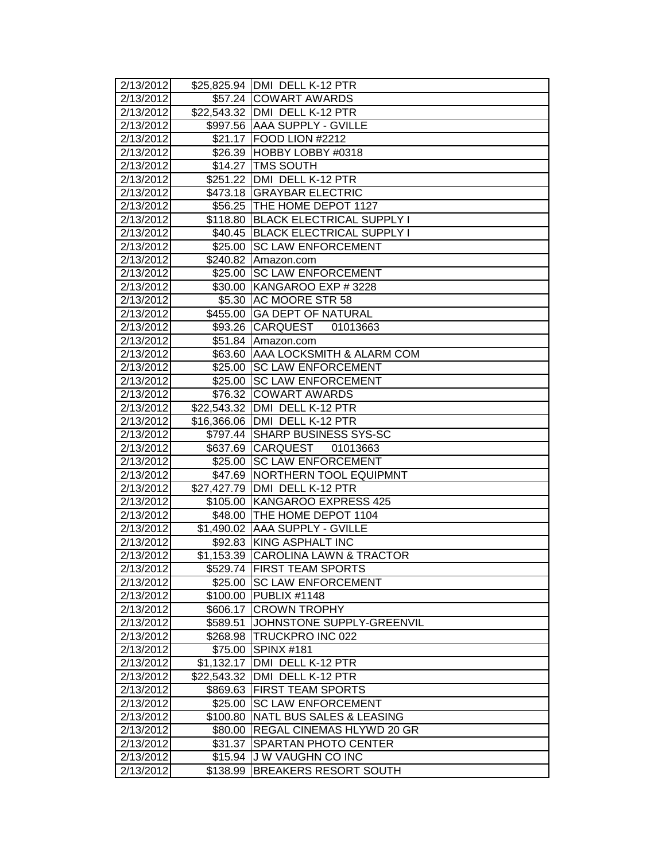| 2/13/2012          |             | \$25,825.94 DMI DELL K-12 PTR      |
|--------------------|-------------|------------------------------------|
| 2/13/2012          |             | \$57.24 COWART AWARDS              |
| 2/13/2012          |             | \$22,543.32   DMI DELL K-12 PTR    |
| 2/13/2012          |             | \$997.56 AAA SUPPLY - GVILLE       |
| 2/13/2012          |             | \$21.17 FOOD LION #2212            |
| 2/13/2012          |             | \$26.39 HOBBY LOBBY #0318          |
| 2/13/2012          |             | \$14.27 TMS SOUTH                  |
| 2/13/2012          |             | \$251.22 DMI DELL K-12 PTR         |
| 2/13/2012          |             | \$473.18 GRAYBAR ELECTRIC          |
| 2/13/2012          |             | \$56.25 THE HOME DEPOT 1127        |
| 2/13/2012          | \$118.80    | <b>BLACK ELECTRICAL SUPPLY I</b>   |
| 2/13/2012          | \$40.45     | <b>BLACK ELECTRICAL SUPPLY I</b>   |
| 2/13/2012          | \$25.00     | <b>SC LAW ENFORCEMENT</b>          |
| 2/13/2012          |             | \$240.82 Amazon.com                |
| 2/13/2012          |             | \$25.00 SC LAW ENFORCEMENT         |
| 2/13/2012          |             | \$30.00 KANGAROO EXP # 3228        |
| 2/13/2012          |             | \$5.30 AC MOORE STR 58             |
| 2/13/2012          |             | \$455.00 GA DEPT OF NATURAL        |
| 2/13/2012          | \$93.26     | <b>CARQUEST</b><br>01013663        |
| 2/13/2012          |             | \$51.84 Amazon.com                 |
| 2/13/2012          | \$63.60     | JAAA LOCKSMITH & ALARM COM         |
| 2/13/2012          | \$25.00     | <b>SC LAW ENFORCEMENT</b>          |
| 2/13/2012          |             | \$25.00 SC LAW ENFORCEMENT         |
| 2/13/2012          |             | \$76.32 COWART AWARDS              |
| 2/13/2012          |             | \$22,543.32 DMI DELL K-12 PTR      |
| 2/13/2012          | \$16,366.06 | DMI DELL K-12 PTR                  |
| 2/13/2012          |             | \$797.44 SHARP BUSINESS SYS-SC     |
| 2/13/2012          | \$637.69    | <b>CARQUEST</b><br>01013663        |
| 2/13/2012          | \$25.00     | <b>SC LAW ENFORCEMENT</b>          |
| $\sqrt{2}/13/2012$ | \$47.69     | NORTHERN TOOL EQUIPMNT             |
| 2/13/2012          |             | \$27,427.79 DMI DELL K-12 PTR      |
| 2/13/2012          | \$105.00    | KANGAROO EXPRESS 425               |
| 2/13/2012          |             | \$48.00 THE HOME DEPOT 1104        |
| 2/13/2012          |             | \$1,490.02 AAA SUPPLY - GVILLE     |
| 2/13/2012          | \$92.83     | KING ASPHALT INC                   |
| 2/13/2012          |             | \$1,153.39 CAROLINA LAWN & TRACTOR |
| 2/13/2012          |             | \$529.74   FIRST TEAM SPORTS       |
| 2/13/2012          | \$25.00     | <b>SC LAW ENFORCEMENT</b>          |
| 2/13/2012          | \$100.00    | <b>PUBLIX #1148</b>                |
| 2/13/2012          | \$606.17    | <b>CROWN TROPHY</b>                |
| 2/13/2012          | \$589.51    | JOHNSTONE SUPPLY-GREENVIL          |
| 2/13/2012          |             | \$268.98 TRUCKPRO INC 022          |
| 2/13/2012          | \$75.00     | SPINX #181                         |
| 2/13/2012          | \$1,132.17  | DMI DELL K-12 PTR                  |
| 2/13/2012          | \$22,543.32 | DMI DELL K-12 PTR                  |
| 2/13/2012          | \$869.63    | <b>FIRST TEAM SPORTS</b>           |
| 2/13/2012          | \$25.00     | <b>SC LAW ENFORCEMENT</b>          |
| 2/13/2012          | \$100.80    | NATL BUS SALES & LEASING           |
| 2/13/2012          | \$80.00     | <b>REGAL CINEMAS HLYWD 20 GR</b>   |
| 2/13/2012          | \$31.37     | <b>SPARTAN PHOTO CENTER</b>        |
| 2/13/2012          | \$15.94     | <b>J W VAUGHN CO INC</b>           |
| 2/13/2012          | \$138.99    | <b>BREAKERS RESORT SOUTH</b>       |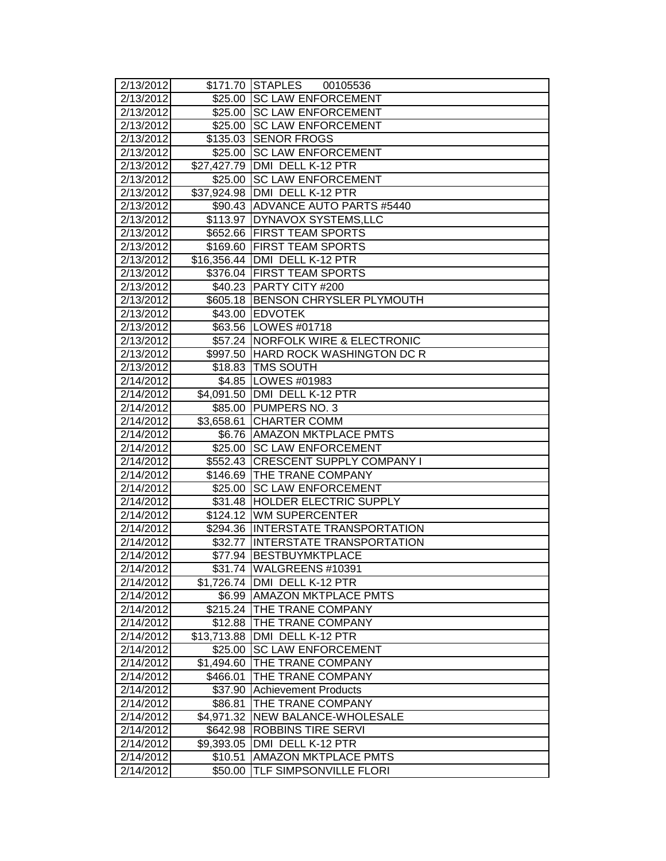| 2/13/2012              |                        | \$171.70 STAPLES<br>00105536        |
|------------------------|------------------------|-------------------------------------|
| 2/13/2012              |                        | \$25.00 SC LAW ENFORCEMENT          |
| 2/13/2012              | \$25.00                | <b>SC LAW ENFORCEMENT</b>           |
| 2/13/2012              | \$25.00                | <b>SC LAW ENFORCEMENT</b>           |
| 2/13/2012              |                        | \$135.03 SENOR FROGS                |
| 2/13/2012              |                        | \$25.00 SC LAW ENFORCEMENT          |
| 2/13/2012              |                        | \$27,427.79 DMI DELL K-12 PTR       |
| 2/13/2012              |                        | \$25.00 SC LAW ENFORCEMENT          |
| 2/13/2012              |                        | \$37,924.98 DMI DELL K-12 PTR       |
| 2/13/2012              |                        | \$90.43 ADVANCE AUTO PARTS #5440    |
| 2/13/2012              |                        | \$113.97 DYNAVOX SYSTEMS, LLC       |
| 2/13/2012              |                        | \$652.66 FIRST TEAM SPORTS          |
| 2/13/2012              |                        | \$169.60 FIRST TEAM SPORTS          |
| 2/13/2012              |                        | \$16,356.44 DMI DELL K-12 PTR       |
| 2/13/2012              |                        | \$376.04 FIRST TEAM SPORTS          |
| 2/13/2012              |                        | \$40.23 PARTY CITY #200             |
| 2/13/2012              |                        | \$605.18 BENSON CHRYSLER PLYMOUTH   |
| 2/13/2012              | \$43.00                | <b>EDVOTEK</b>                      |
| 2/13/2012              |                        | \$63.56   LOWES #01718              |
| 2/13/2012              |                        | \$57.24   NORFOLK WIRE & ELECTRONIC |
| 2/13/2012              |                        | \$997.50 HARD ROCK WASHINGTON DC R  |
| 2/13/2012              |                        | \$18.83 TMS SOUTH                   |
| 2/14/2012              |                        | \$4.85   LOWES #01983               |
| 2/14/2012              |                        | \$4,091.50 DMI DELL K-12 PTR        |
| 2/14/2012              |                        | \$85.00 PUMPERS NO. 3               |
| 2/14/2012              | $\overline{33,658.61}$ | <b>CHARTER COMM</b>                 |
| 2/14/2012              | \$6.76                 | <b>AMAZON MKTPLACE PMTS</b>         |
| 2/14/2012              | \$25.00                | <b>SC LAW ENFORCEMENT</b>           |
| 2/14/2012              | \$552.43               | <b>CRESCENT SUPPLY COMPANY I</b>    |
| 2/14/2012              | \$146.69               | <b>THE TRANE COMPANY</b>            |
| 2/14/2012              | $\sqrt{$25.00}$        | <b>SC LAW ENFORCEMENT</b>           |
| 2/14/2012              | $\overline{$}31.48$    | <b>HOLDER ELECTRIC SUPPLY</b>       |
| 2/14/2012              |                        | \$124.12 WM SUPERCENTER             |
| 2/14/2012              |                        | \$294.36 INTERSTATE TRANSPORTATION  |
| 2/14/2012              | \$32.77                | <b>INTERSTATE TRANSPORTATION</b>    |
| 2/14/2012              |                        | \$77.94   BESTBUYMKTPLACE           |
| 2/14/2012              |                        | \$31.74  WALGREENS #10391           |
| 2/14/2012              | \$1,726.74             | DMI DELL K-12 PTR                   |
| 2/14/2012              | \$6.99                 | <b>AMAZON MKTPLACE PMTS</b>         |
| 2/14/2012              |                        | \$215.24 THE TRANE COMPANY          |
| $\overline{2}/14/2012$ | \$12.88                | <b>THE TRANE COMPANY</b>            |
| 2/14/2012              | \$13,713.88            | DMI DELL K-12 PTR                   |
| $\overline{2}/14/2012$ | \$25.00                | <b>SC LAW ENFORCEMENT</b>           |
| 2/14/2012              | \$1,494.60             | <b>THE TRANE COMPANY</b>            |
| 2/14/2012              | \$466.01               | THE TRANE COMPANY                   |
| 2/14/2012              | \$37.90                | Achievement Products                |
| 2/14/2012              | \$86.81                | THE TRANE COMPANY                   |
| 2/14/2012              |                        | \$4,971.32   NEW BALANCE-WHOLESALE  |
| 2/14/2012              | \$642.98               | <b>ROBBINS TIRE SERVI</b>           |
| 2/14/2012              | \$9,393.05             | DMI DELL K-12 PTR                   |
| 2/14/2012              | \$10.51                | <b>AMAZON MKTPLACE PMTS</b>         |
| 2/14/2012              | \$50.00                | TLF SIMPSONVILLE FLORI              |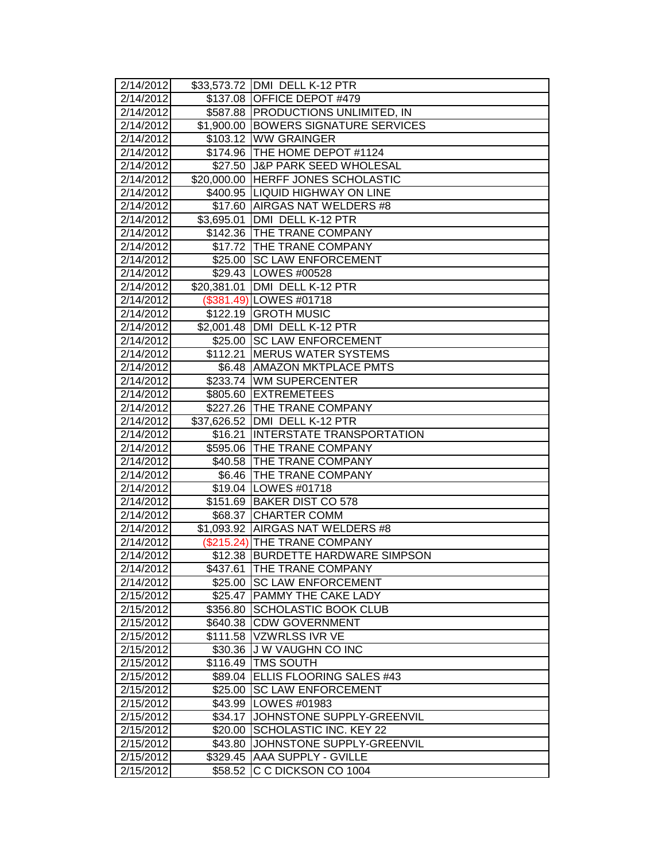| 2/14/2012              |             | \$33,573.72   DMI DELL K-12 PTR      |
|------------------------|-------------|--------------------------------------|
| 2/14/2012              |             | \$137.08 OFFICE DEPOT #479           |
| 2/14/2012              |             | \$587.88 PRODUCTIONS UNLIMITED, IN   |
| 2/14/2012              |             | \$1,900.00 BOWERS SIGNATURE SERVICES |
| 2/14/2012              |             | \$103.12 WW GRAINGER                 |
| 2/14/2012              |             | \$174.96 THE HOME DEPOT #1124        |
| 2/14/2012              |             | \$27.50 J&P PARK SEED WHOLESAL       |
| 2/14/2012              |             | \$20,000.00 HERFF JONES SCHOLASTIC   |
| 2/14/2012              |             | \$400.95 LIQUID HIGHWAY ON LINE      |
| 2/14/2012              |             | \$17.60 AIRGAS NAT WELDERS #8        |
| 2/14/2012              | \$3,695.01  | DMI DELL K-12 PTR                    |
| 2/14/2012              |             | \$142.36 THE TRANE COMPANY           |
| 2/14/2012              |             | \$17.72 THE TRANE COMPANY            |
| 2/14/2012              |             | \$25.00 SC LAW ENFORCEMENT           |
| 2/14/2012              |             | \$29.43   LOWES #00528               |
| 2/14/2012              | \$20,381.01 | DMI DELL K-12 PTR                    |
| 2/14/2012              |             | (\$381.49) LOWES #01718              |
| 2/14/2012              | \$122.19    | <b>GROTH MUSIC</b>                   |
| 2/14/2012              |             | \$2,001.48 DMI DELL K-12 PTR         |
| 2/14/2012              |             | \$25.00 SC LAW ENFORCEMENT           |
| 2/14/2012              | \$112.21    | <b>MERUS WATER SYSTEMS</b>           |
| 2/14/2012              |             | \$6.48 AMAZON MKTPLACE PMTS          |
| 2/14/2012              | \$233.74    | <b>WM SUPERCENTER</b>                |
| 2/14/2012              | \$805.60    | <b>EXTREMETEES</b>                   |
| 2/14/2012              |             | \$227.26 THE TRANE COMPANY           |
| 2/14/2012              |             | \$37,626.52 DMI DELL K-12 PTR        |
| 2/14/2012              | \$16.21     | <b>INTERSTATE TRANSPORTATION</b>     |
| 2/14/2012              |             | \$595.06 THE TRANE COMPANY           |
| 2/14/2012              |             | \$40.58 THE TRANE COMPANY            |
| 2/14/2012              |             | \$6.46   THE TRANE COMPANY           |
| 2/14/2012              |             | \$19.04 LOWES #01718                 |
| 2/14/2012              |             | \$151.69 BAKER DIST CO 578           |
| 2/14/2012              |             | \$68.37 CHARTER COMM                 |
| 2/14/2012              |             | \$1,093.92 AIRGAS NAT WELDERS #8     |
| 2/14/2012              |             | (\$215.24) THE TRANE COMPANY         |
| 2/14/2012              |             | \$12.38 BURDETTE HARDWARE SIMPSON    |
| 2/14/2012              |             | \$437.61 THE TRANE COMPANY           |
| 2/14/2012              | \$25.00     | <b>ISC LAW ENFORCEMENT</b>           |
| 2/15/2012              | \$25.47     | <b>PAMMY THE CAKE LADY</b>           |
| $\overline{2}/15/2012$ | \$356.80    | <b>SCHOLASTIC BOOK CLUB</b>          |
| 2/15/2012              | \$640.38    | <b>CDW GOVERNMENT</b>                |
| 2/15/2012              | \$111.58    | VZWRLSS IVR VE                       |
| 2/15/2012              | \$30.36     | <b>JW VAUGHN CO INC</b>              |
| 2/15/2012              | \$116.49    | <b>TMS SOUTH</b>                     |
| 2/15/2012              | \$89.04     | ELLIS FLOORING SALES #43             |
| 2/15/2012              | \$25.00     | <b>SC LAW ENFORCEMENT</b>            |
| 2/15/2012              | \$43.99     | <b>LOWES #01983</b>                  |
| 2/15/2012              | \$34.17     | JOHNSTONE SUPPLY-GREENVIL            |
| 2/15/2012              | \$20.00     | <b>SCHOLASTIC INC. KEY 22</b>        |
| 2/15/2012              | \$43.80     | JOHNSTONE SUPPLY-GREENVIL            |
| 2/15/2012              | \$329.45    | AAA SUPPLY - GVILLE                  |
| 2/15/2012              | \$58.52     | C C DICKSON CO 1004                  |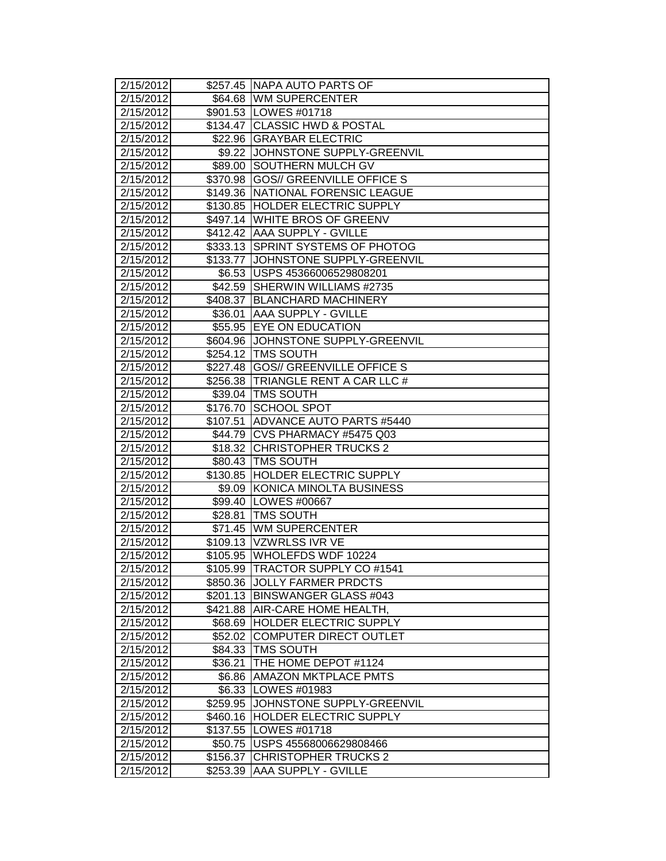| 2/15/2012          |          | \$257.45 NAPA AUTO PARTS OF         |
|--------------------|----------|-------------------------------------|
| 2/15/2012          |          | \$64.68 WM SUPERCENTER              |
| 2/15/2012          |          | \$901.53 LOWES #01718               |
| 2/15/2012          |          | \$134.47 CLASSIC HWD & POSTAL       |
| 2/15/2012          |          | \$22.96 GRAYBAR ELECTRIC            |
| 2/15/2012          |          | \$9.22 JOHNSTONE SUPPLY-GREENVIL    |
| 2/15/2012          |          | \$89.00 SOUTHERN MULCH GV           |
| 2/15/2012          |          | \$370.98 GOS// GREENVILLE OFFICE S  |
| 2/15/2012          |          | \$149.36 NATIONAL FORENSIC LEAGUE   |
| 2/15/2012          |          | \$130.85 HOLDER ELECTRIC SUPPLY     |
| 2/15/2012          |          | \$497.14 WHITE BROS OF GREENV       |
| 2/15/2012          |          | \$412.42 AAA SUPPLY - GVILLE        |
| 2/15/2012          |          | \$333.13 SPRINT SYSTEMS OF PHOTOG   |
| 2/15/2012          |          | \$133.77 JJOHNSTONE SUPPLY-GREENVIL |
| 2/15/2012          |          | \$6.53 USPS 45366006529808201       |
| 2/15/2012          |          | \$42.59 SHERWIN WILLIAMS #2735      |
| 2/15/2012          |          | \$408.37 BLANCHARD MACHINERY        |
| 2/15/2012          | \$36.01  | <b>AAA SUPPLY - GVILLE</b>          |
| 2/15/2012          |          | \$55.95 EYE ON EDUCATION            |
| 2/15/2012          |          | \$604.96 JJOHNSTONE SUPPLY-GREENVIL |
| 2/15/2012          |          | \$254.12   TMS SOUTH                |
| 2/15/2012          |          | \$227.48 GOS// GREENVILLE OFFICE S  |
| 2/15/2012          |          | \$256.38 TRIANGLE RENT A CAR LLC #  |
| 2/15/2012          |          | \$39.04 TMS SOUTH                   |
| 2/15/2012          |          | \$176.70 SCHOOL SPOT                |
| 2/15/2012          | \$107.51 | ADVANCE AUTO PARTS #5440            |
| 2/15/2012          |          | \$44.79 CVS PHARMACY #5475 Q03      |
| 2/15/2012          | \$18.32  | <b>CHRISTOPHER TRUCKS 2</b>         |
| 2/15/2012          |          | \$80.43 TMS SOUTH                   |
| $\sqrt{2/15/2012}$ |          | \$130.85 HOLDER ELECTRIC SUPPLY     |
| 2/15/2012          |          | \$9.09 KONICA MINOLTA BUSINESS      |
| 2/15/2012          |          | \$99.40 LOWES #00667                |
| 2/15/2012          | \$28.81  | <b>TMS SOUTH</b>                    |
| 2/15/2012          |          | \$71.45   WM SUPERCENTER            |
| 2/15/2012          |          | \$109.13 VZWRLSS IVR VE             |
| 2/15/2012          |          | \$105.95 WHOLEFDS WDF 10224         |
| 2/15/2012          |          | \$105.99  TRACTOR SUPPLY CO #1541   |
| 2/15/2012          |          | \$850.36 JOLLY FARMER PRDCTS        |
| 2/15/2012          | \$201.13 | <b>BINSWANGER GLASS #043</b>        |
| 2/15/2012          | \$421.88 | <b>JAIR-CARE HOME HEALTH,</b>       |
| 2/15/2012          | \$68.69  | <b>HOLDER ELECTRIC SUPPLY</b>       |
| 2/15/2012          | \$52.02  | COMPUTER DIRECT OUTLET              |
| 2/15/2012          | \$84.33  | <b>TMS SOUTH</b>                    |
| 2/15/2012          | \$36.21  | THE HOME DEPOT #1124                |
| 2/15/2012          | \$6.86   | <b>AMAZON MKTPLACE PMTS</b>         |
| 2/15/2012          | \$6.33   | LOWES #01983                        |
| 2/15/2012          | \$259.95 | JOHNSTONE SUPPLY-GREENVIL           |
| 2/15/2012          | \$460.16 | <b>HOLDER ELECTRIC SUPPLY</b>       |
| 2/15/2012          | \$137.55 | LOWES #01718                        |
| 2/15/2012          | \$50.75  | USPS 45568006629808466              |
| 2/15/2012          | \$156.37 | <b>CHRISTOPHER TRUCKS 2</b>         |
| 2/15/2012          | \$253.39 | AAA SUPPLY - GVILLE                 |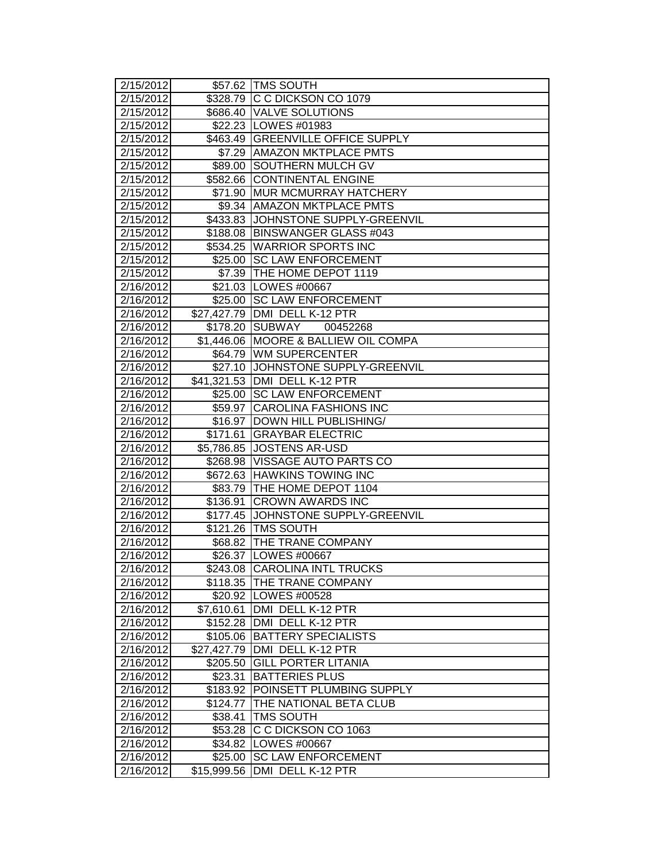| 2/15/2012          |             | \$57.62 TMS SOUTH                    |
|--------------------|-------------|--------------------------------------|
| 2/15/2012          |             | \$328.79 C C DICKSON CO 1079         |
| 2/15/2012          | \$686.40    | <b>VALVE SOLUTIONS</b>               |
| 2/15/2012          |             | \$22.23   LOWES #01983               |
| 2/15/2012          |             | \$463.49 GREENVILLE OFFICE SUPPLY    |
| 2/15/2012          |             | \$7.29 AMAZON MKTPLACE PMTS          |
| 2/15/2012          |             | \$89.00 SOUTHERN MULCH GV            |
| 2/15/2012          |             | \$582.66 CONTINENTAL ENGINE          |
| 2/15/2012          | \$71.90     | <b>MUR MCMURRAY HATCHERY</b>         |
| 2/15/2012          |             | \$9.34 AMAZON MKTPLACE PMTS          |
| 2/15/2012          |             | \$433.83 JJOHNSTONE SUPPLY-GREENVIL  |
| 2/15/2012          | \$188.08    | <b>BINSWANGER GLASS #043</b>         |
| 2/15/2012          | \$534.25    | <b>WARRIOR SPORTS INC</b>            |
| 2/15/2012          |             | \$25.00 SC LAW ENFORCEMENT           |
| 2/15/2012          |             | \$7.39 THE HOME DEPOT 1119           |
| 2/16/2012          |             | \$21.03 LOWES #00667                 |
| 2/16/2012          | \$25.00     | <b>SC LAW ENFORCEMENT</b>            |
| 2/16/2012          | \$27,427.79 | DMI DELL K-12 PTR                    |
| 2/16/2012          | \$178.20    | <b>SUBWAY</b><br>00452268            |
| 2/16/2012          | \$1,446.06  | <b>MOORE &amp; BALLIEW OIL COMPA</b> |
| 2/16/2012          | \$64.79     | <b>WM SUPERCENTER</b>                |
| 2/16/2012          | \$27.10     | JOHNSTONE SUPPLY-GREENVIL            |
| 2/16/2012          |             | \$41,321.53 DMI DELL K-12 PTR        |
| 2/16/2012          | \$25.00     | <b>SC LAW ENFORCEMENT</b>            |
| 2/16/2012          | \$59.97     | <b>CAROLINA FASHIONS INC</b>         |
| 2/16/2012          | \$16.97     | DOWN HILL PUBLISHING/                |
| 2/16/2012          | \$171.61    | <b>GRAYBAR ELECTRIC</b>              |
| 2/16/2012          | \$5,786.85  | <b>JOSTENS AR-USD</b>                |
| $\sqrt{2/16/2012}$ | \$268.98    | VISSAGE AUTO PARTS CO                |
| 2/16/2012          |             | \$672.63 HAWKINS TOWING INC          |
| 2/16/2012          | \$83.79     | THE HOME DEPOT 1104                  |
| 2/16/2012          | \$136.91    | <b>CROWN AWARDS INC</b>              |
| 2/16/2012          | \$177.45    | JOHNSTONE SUPPLY-GREENVIL            |
| 2/16/2012          | \$121.26    | <b>TMS SOUTH</b>                     |
| 2/16/2012          | \$68.82     | <b>THE TRANE COMPANY</b>             |
| 2/16/2012          |             | \$26.37 LOWES #00667                 |
| 2/16/2012          |             | \$243.08  CAROLINA INTL TRUCKS       |
| 2/16/2012          | \$118.35    | <b>THE TRANE COMPANY</b>             |
| 2/16/2012          |             | \$20.92   LOWES #00528               |
| 2/16/2012          | \$7,610.61  | DMI DELL K-12 PTR                    |
| 2/16/2012          | \$152.28    | DMI DELL K-12 PTR                    |
| 2/16/2012          | \$105.06    | <b>BATTERY SPECIALISTS</b>           |
| 2/16/2012          | \$27,427.79 | DMI DELL K-12 PTR                    |
| 2/16/2012          | \$205.50    | <b>GILL PORTER LITANIA</b>           |
| 2/16/2012          | \$23.31     | <b>BATTERIES PLUS</b>                |
| 2/16/2012          | \$183.92    | POINSETT PLUMBING SUPPLY             |
| 2/16/2012          | \$124.77    | THE NATIONAL BETA CLUB               |
| 2/16/2012          | \$38.41     | <b>TMS SOUTH</b>                     |
| 2/16/2012          | \$53.28     | C C DICKSON CO 1063                  |
| 2/16/2012          | \$34.82     | LOWES #00667                         |
| 2/16/2012          | \$25.00     | <b>SC LAW ENFORCEMENT</b>            |
| 2/16/2012          | \$15,999.56 | DMI DELL K-12 PTR                    |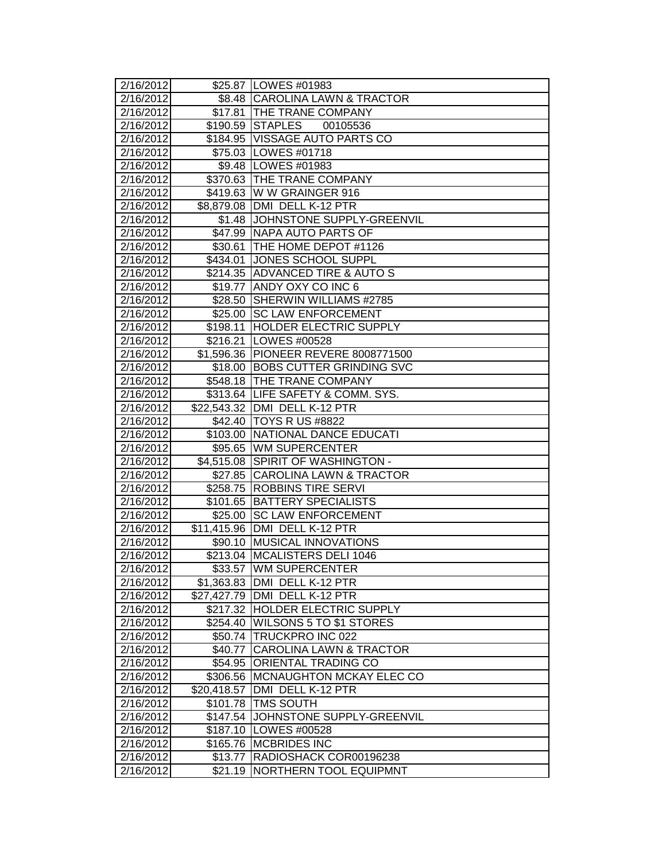| 2/16/2012              |                         | \$25.87   LOWES #01983                             |
|------------------------|-------------------------|----------------------------------------------------|
| 2/16/2012              |                         | \$8.48 CAROLINA LAWN & TRACTOR                     |
| 2/16/2012              |                         | \$17.81 THE TRANE COMPANY                          |
| 2/16/2012              |                         | \$190.59 STAPLES<br>00105536                       |
| 2/16/2012              |                         | \$184.95 VISSAGE AUTO PARTS CO                     |
| 2/16/2012              |                         | \$75.03   LOWES #01718                             |
| 2/16/2012              |                         | \$9.48 LOWES #01983                                |
| 2/16/2012              |                         | \$370.63 THE TRANE COMPANY                         |
| 2/16/2012              |                         | \$419.63 W W GRAINGER 916                          |
| 2/16/2012              |                         | \$8,879.08   DMI DELL K-12 PTR                     |
| 2/16/2012              |                         | \$1.48 JOHNSTONE SUPPLY-GREENVIL                   |
| 2/16/2012              |                         | \$47.99 NAPA AUTO PARTS OF                         |
| 2/16/2012              | \$30.61                 | THE HOME DEPOT #1126                               |
| 2/16/2012              |                         | \$434.01 JONES SCHOOL SUPPL                        |
| 2/16/2012              |                         | \$214.35 ADVANCED TIRE & AUTO S                    |
| 2/16/2012              | \$19.77                 | <b>ANDY OXY CO INC 6</b>                           |
| 2/16/2012              | \$28.50                 | SHERWIN WILLIAMS #2785                             |
| 2/16/2012              |                         | \$25.00 SC LAW ENFORCEMENT                         |
| 2/16/2012              | \$198.11                | <b>HOLDER ELECTRIC SUPPLY</b>                      |
| 2/16/2012              | \$216.21                | LOWES #00528                                       |
| 2/16/2012              |                         | \$1,596.36 PIONEER REVERE 8008771500               |
| 2/16/2012              |                         | \$18.00 BOBS CUTTER GRINDING SVC                   |
| 2/16/2012              |                         | \$548.18 THE TRANE COMPANY                         |
| 2/16/2012              |                         | \$313.64 LIFE SAFETY & COMM. SYS.                  |
| 2/16/2012              |                         | \$22,543.32 DMI DELL K-12 PTR                      |
| 2/16/2012              | \$42.40                 | <b>TOYS R US #8822</b>                             |
| 2/16/2012              | \$103.00                | NATIONAL DANCE EDUCATI                             |
| 2/16/2012              | \$95.65                 | <b>WM SUPERCENTER</b>                              |
| $\sqrt{2}/16/2012$     | $\sqrt{4,51}$ 5.08      | <b>SPIRIT OF WASHINGTON -</b>                      |
| 2/16/2012              | \$27.85                 | <b>CAROLINA LAWN &amp; TRACTOR</b>                 |
| 2/16/2012              | \$258.75                | <b>ROBBINS TIRE SERVI</b>                          |
| 2/16/2012              | \$101.65                | <b>BATTERY SPECIALISTS</b>                         |
| 2/16/2012              | $\sqrt{$25.00}$         | <b>SC LAW ENFORCEMENT</b>                          |
| 2/16/2012              | \$11,415.96             | DMI DELL K-12 PTR                                  |
| 2/16/2012              | \$90.10                 | <b>MUSICAL INNOVATIONS</b>                         |
| 2/16/2012              |                         | \$213.04 MCALISTERS DELI 1046                      |
| 2/16/2012              |                         | \$33.57 JWM SUPERCENTER                            |
| 2/16/2012              | \$1,363.83              | <b>JDMI DELL K-12 PTR</b>                          |
| 2/16/2012<br>2/16/2012 | \$27,427.79<br>\$217.32 | DMI DELL K-12 PTR<br><b>HOLDER ELECTRIC SUPPLY</b> |
| 2/16/2012              | \$254.40                | <b>WILSONS 5 TO \$1 STORES</b>                     |
| 2/16/2012              | \$50.74                 | TRUCKPRO INC 022                                   |
| 2/16/2012              | \$40.77                 | <b>CAROLINA LAWN &amp; TRACTOR</b>                 |
| 2/16/2012              | \$54.95                 | <b>ORIENTAL TRADING CO</b>                         |
| 2/16/2012              | \$306.56                | MCNAUGHTON MCKAY ELEC CO                           |
| 2/16/2012              | \$20,418.57             | DMI DELL K-12 PTR                                  |
| 2/16/2012              | \$101.78                | <b>TMS SOUTH</b>                                   |
| 2/16/2012              | \$147.54                | JOHNSTONE SUPPLY-GREENVIL                          |
| 2/16/2012              | \$187.10                | LOWES #00528                                       |
| 2/16/2012              | \$165.76                | <b>MCBRIDES INC</b>                                |
| 2/16/2012              | \$13.77                 | RADIOSHACK COR00196238                             |
| 2/16/2012              | \$21.19                 | NORTHERN TOOL EQUIPMNT                             |
|                        |                         |                                                    |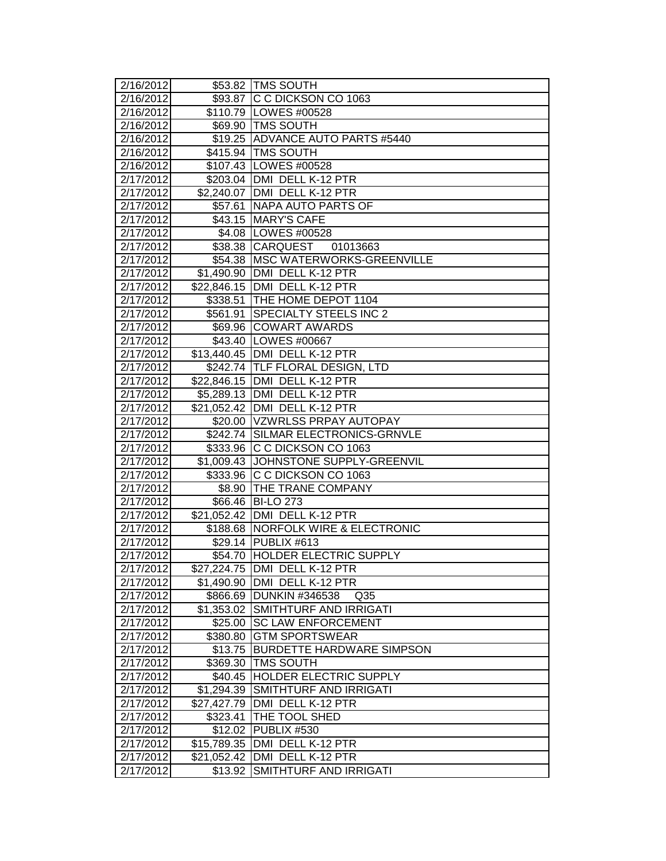| 2/16/2012              |             | \$53.82 TMS SOUTH                          |
|------------------------|-------------|--------------------------------------------|
| 2/16/2012              |             | \$93.87 C C DICKSON CO 1063                |
| 2/16/2012              |             | \$110.79   LOWES #00528                    |
| 2/16/2012              |             | \$69.90 TMS SOUTH                          |
| 2/16/2012              |             | \$19.25 ADVANCE AUTO PARTS #5440           |
| 2/16/2012              |             | \$415.94 TMS SOUTH                         |
| 2/16/2012              |             | \$107.43 LOWES #00528                      |
| 2/17/2012              |             | \$203.04 DMI DELL K-12 PTR                 |
| 2/17/2012              |             | \$2,240.07 DMI DELL K-12 PTR               |
| 2/17/2012              | \$57.61     | NAPA AUTO PARTS OF                         |
| 2/17/2012              |             | \$43.15 MARY'S CAFE                        |
| 2/17/2012              |             | \$4.08 LOWES #00528                        |
| 2/17/2012              |             | \$38.38 CARQUEST 01013663                  |
| 2/17/2012              |             | \$54.38 MSC WATERWORKS-GREENVILLE          |
| 2/17/2012              |             | \$1,490.90 DMI DELL K-12 PTR               |
| 2/17/2012              |             | \$22,846.15   DMI DELL K-12 PTR            |
| 2/17/2012              |             | \$338.51 THE HOME DEPOT 1104               |
| 2/17/2012              | \$561.91    | <b>SPECIALTY STEELS INC 2</b>              |
| 2/17/2012              |             | \$69.96 COWART AWARDS                      |
| 2/17/2012              |             | \$43.40   LOWES #00667                     |
| 2/17/2012              |             | \$13,440.45   DMI DELL K-12 PTR            |
| 2/17/2012              |             | \$242.74 TLF FLORAL DESIGN, LTD            |
| 2/17/2012              |             | \$22,846.15 DMI DELL K-12 PTR              |
| 2/17/2012              |             | \$5,289.13 DMI DELL K-12 PTR               |
| 2/17/2012              |             | \$21,052.42 DMI DELL K-12 PTR              |
| 2/17/2012              |             | \$20.00 VZWRLSS PRPAY AUTOPAY              |
| 2/17/2012              |             | \$242.74 SILMAR ELECTRONICS-GRNVLE         |
| 2/17/2012              | \$333.96    | C C DICKSON CO 1063                        |
| 2/17/2012              |             | \$1,009.43 JOHNSTONE SUPPLY-GREENVIL       |
| 2/17/2012              |             | \$333.96 C C DICKSON CO 1063               |
| 2/17/2012              |             | \$8.90 THE TRANE COMPANY                   |
| 2/17/2012              | \$66.46     | <b>BI-LO 273</b>                           |
| 2/17/2012              |             | \$21,052.42 DMI DELL K-12 PTR              |
| 2/17/2012              |             | \$188.68 NORFOLK WIRE & ELECTRONIC         |
| 2/17/2012              |             | \$29.14 PUBLIX #613                        |
| 2/17/2012              |             | \$54.70 HOLDER ELECTRIC SUPPLY             |
| 2/17/2012              |             | \$27,224.75 JDMI DELL K-12 PTR             |
| 2/17/2012              |             | \$1,490.90 DMI DELL K-12 PTR               |
| 2/17/2012              |             | \$866.69 DUNKIN #346538<br>Q <sub>35</sub> |
| 2/17/2012              |             | \$1,353.02 SMITHTURF AND IRRIGATI          |
| $\overline{2}/17/2012$ | \$25.00     | <b>SC LAW ENFORCEMENT</b>                  |
| 2/17/2012              | \$380.80    | <b>GTM SPORTSWEAR</b>                      |
| $\overline{2}/17/2012$ | \$13.75     | <b>BURDETTE HARDWARE SIMPSON</b>           |
| 2/17/2012              | \$369.30    | <b>TMS SOUTH</b>                           |
| 2/17/2012              | \$40.45     | <b>HOLDER ELECTRIC SUPPLY</b>              |
| 2/17/2012              | \$1,294.39  | SMITHTURF AND IRRIGATI                     |
| 2/17/2012              | \$27,427.79 | DMI DELL K-12 PTR                          |
| 2/17/2012              | \$323.41    | <b>THE TOOL SHED</b>                       |
| 2/17/2012              | \$12.02     | PUBLIX #530                                |
| 2/17/2012              | \$15,789.35 | DMI DELL K-12 PTR                          |
| 2/17/2012              | \$21,052.42 | DMI DELL K-12 PTR                          |
| 2/17/2012              | \$13.92     | SMITHTURF AND IRRIGATI                     |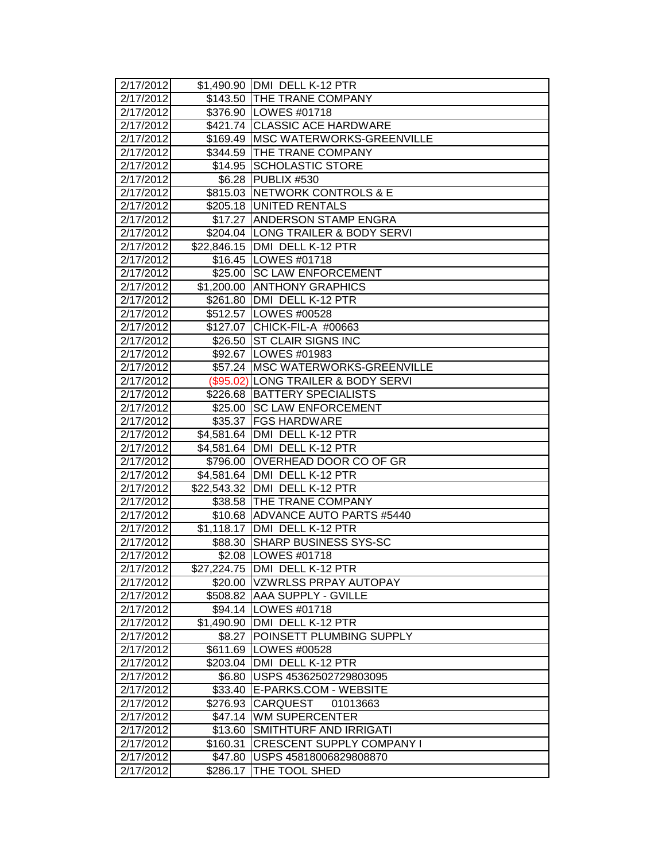| 2/17/2012              |                     | \$1,490.90 DMI DELL K-12 PTR         |
|------------------------|---------------------|--------------------------------------|
| 2/17/2012              |                     | \$143.50 THE TRANE COMPANY           |
| 2/17/2012              |                     | \$376.90 LOWES #01718                |
| 2/17/2012              |                     | \$421.74 CLASSIC ACE HARDWARE        |
| $\overline{2}/17/2012$ |                     | \$169.49   MSC WATERWORKS-GREENVILLE |
| 2/17/2012              |                     | \$344.59 THE TRANE COMPANY           |
| 2/17/2012              |                     | \$14.95 SCHOLASTIC STORE             |
| 2/17/2012              |                     | \$6.28 PUBLIX #530                   |
| 2/17/2012              |                     | \$815.03 NETWORK CONTROLS & E        |
| 2/17/2012              |                     | \$205.18 UNITED RENTALS              |
| 2/17/2012              |                     | \$17.27 ANDERSON STAMP ENGRA         |
| 2/17/2012              |                     | \$204.04 LONG TRAILER & BODY SERVI   |
| 2/17/2012              |                     | \$22,846.15 DMI DELL K-12 PTR        |
| 2/17/2012              |                     | \$16.45   LOWES #01718               |
| 2/17/2012              |                     | \$25.00 SC LAW ENFORCEMENT           |
| 2/17/2012              |                     | \$1,200.00 ANTHONY GRAPHICS          |
| 2/17/2012              |                     | \$261.80   DMI DELL K-12 PTR         |
| 2/17/2012              |                     | \$512.57 LOWES #00528                |
| 2/17/2012              |                     | \$127.07 CHICK-FIL-A #00663          |
| 2/17/2012              |                     | \$26.50 ST CLAIR SIGNS INC           |
| 2/17/2012              |                     | \$92.67 LOWES #01983                 |
| 2/17/2012              |                     | \$57.24   MSC WATERWORKS-GREENVILLE  |
| 2/17/2012              |                     | (\$95.02) LONG TRAILER & BODY SERVI  |
| $\overline{2}/17/2012$ |                     | \$226.68 BATTERY SPECIALISTS         |
| 2/17/2012              |                     | \$25.00 SC LAW ENFORCEMENT           |
| $\overline{2}/17/2012$ |                     | \$35.37 FGS HARDWARE                 |
| 2/17/2012              |                     | \$4,581.64 DMI DELL K-12 PTR         |
| 2/17/2012              |                     | \$4,581.64   DMI DELL K-12 PTR       |
| 2/17/2012              | $\frac{1}{2}796.00$ | <b>OVERHEAD DOOR CO OF GR</b>        |
| 2/17/2012              |                     | \$4,581.64 DMI DELL K-12 PTR         |
| 2/17/2012              |                     | \$22,543.32 DMI DELL K-12 PTR        |
| 2/17/2012              |                     | \$38.58 THE TRANE COMPANY            |
| 2/17/2012              |                     | \$10.68 ADVANCE AUTO PARTS #5440     |
| 2/17/2012              |                     | \$1,118.17 DMI DELL K-12 PTR         |
| 2/17/2012              | \$88.30             | <b>SHARP BUSINESS SYS-SC</b>         |
| 2/17/2012              |                     | \$2.08   LOWES #01718                |
| 2/17/2012              |                     | \$27,224.75 JDMI_DELL K-12 PTR       |
| 2/17/2012              |                     | \$20.00 VZWRLSS PRPAY AUTOPAY        |
| 2/17/2012              |                     | \$508.82 AAA SUPPLY - GVILLE         |
| 2/17/2012              |                     | \$94.14   LOWES #01718               |
| $\overline{2}/17/2012$ |                     | \$1,490.90 DMI DELL K-12 PTR         |
| 2/17/2012              | \$8.27              | POINSETT PLUMBING SUPPLY             |
| $\overline{2}/17/2012$ |                     | \$611.69 LOWES #00528                |
| 2/17/2012              |                     | \$203.04 DMI DELL K-12 PTR           |
| 2/17/2012              | \$6.80              | USPS 45362502729803095               |
| 2/17/2012              | \$33.40             | E-PARKS.COM - WEBSITE                |
| 2/17/2012              | \$276.93            | <b>CARQUEST</b><br>01013663          |
| 2/17/2012              |                     | \$47.14 WM SUPERCENTER               |
| 2/17/2012              | \$13.60             | <b>SMITHTURF AND IRRIGATI</b>        |
| 2/17/2012              | \$160.31            | CRESCENT SUPPLY COMPANY I            |
| 2/17/2012              | \$47.80             | USPS 45818006829808870               |
| 2/17/2012              | \$286.17            | THE TOOL SHED                        |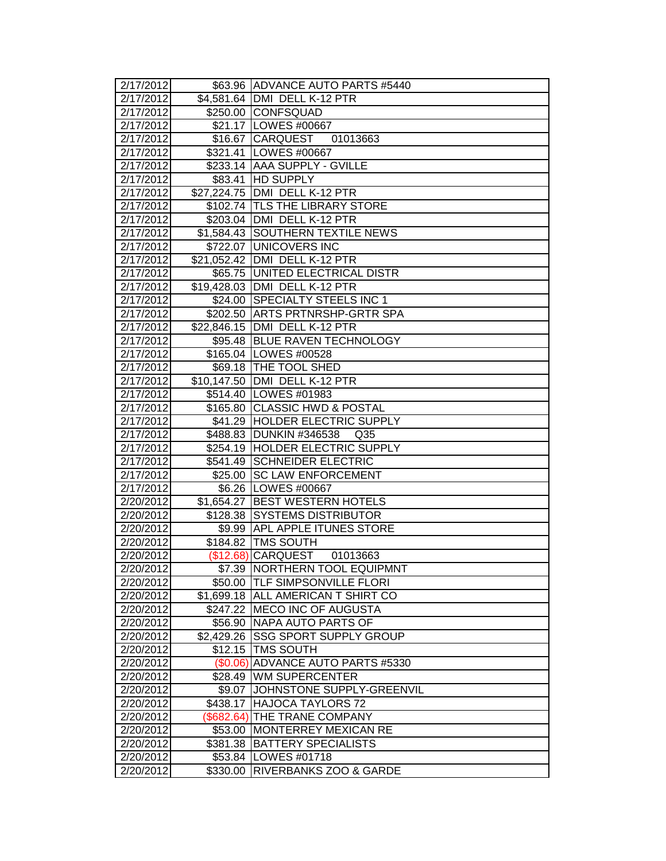| 2/17/2012              |                       | \$63.96 ADVANCE AUTO PARTS #5440                           |
|------------------------|-----------------------|------------------------------------------------------------|
| 2/17/2012              |                       | \$4,581.64 DMI DELL K-12 PTR                               |
| 2/17/2012              |                       | \$250.00 CONFSQUAD                                         |
| 2/17/2012              |                       | \$21.17   LOWES #00667                                     |
| 2/17/2012              |                       | \$16.67 CARQUEST<br>01013663                               |
| 2/17/2012              |                       | \$321.41   LOWES #00667                                    |
| 2/17/2012              |                       | \$233.14 AAA SUPPLY - GVILLE                               |
| 2/17/2012              | \$83.41               | <b>HD SUPPLY</b>                                           |
| 2/17/2012              |                       | \$27,224.75 DMI DELL K-12 PTR                              |
| 2/17/2012              |                       | \$102.74 TLS THE LIBRARY STORE                             |
| 2/17/2012              |                       | \$203.04 DMI DELL K-12 PTR                                 |
| 2/17/2012              |                       | \$1,584.43 SOUTHERN TEXTILE NEWS                           |
| 2/17/2012              |                       | \$722.07 UNICOVERS INC                                     |
| 2/17/2012              |                       | \$21,052.42   DMI DELL K-12 PTR                            |
| 2/17/2012              |                       | \$65.75 UNITED ELECTRICAL DISTR                            |
| 2/17/2012              |                       | \$19,428.03 DMI DELL K-12 PTR                              |
| 2/17/2012              |                       | \$24.00 SPECIALTY STEELS INC 1                             |
| 2/17/2012              |                       | \$202.50 ARTS PRTNRSHP-GRTR SPA                            |
| 2/17/2012              |                       | \$22,846.15   DMI DELL K-12 PTR                            |
| 2/17/2012              |                       | \$95.48 BLUE RAVEN TECHNOLOGY                              |
| 2/17/2012              |                       | \$165.04 LOWES #00528                                      |
| 2/17/2012              |                       | \$69.18   THE TOOL SHED                                    |
| 2/17/2012              |                       | \$10,147.50 DMI DELL K-12 PTR                              |
| 2/17/2012              |                       | \$514.40 LOWES #01983                                      |
| 2/17/2012              |                       | \$165.80 CLASSIC HWD & POSTAL                              |
| 2/17/2012              |                       | \$41.29 HOLDER ELECTRIC SUPPLY                             |
| 2/17/2012              |                       | \$488.83 DUNKIN #346538<br>Q <sub>35</sub>                 |
| $\overline{2}/17/2012$ |                       | \$254.19 HOLDER ELECTRIC SUPPLY                            |
| $\sqrt{2}/17/2012$     | \$541.49              | <b>SCHNEIDER ELECTRIC</b>                                  |
| 2/17/2012              |                       | \$25.00 SC LAW ENFORCEMENT                                 |
| 2/17/2012              |                       | \$6.26 LOWES #00667                                        |
| 2/20/2012              | \$1,654.27            | <b>BEST WESTERN HOTELS</b>                                 |
| 2/20/2012              | \$128.38              | <b>SYSTEMS DISTRIBUTOR</b>                                 |
| 2/20/2012              |                       | \$9.99 APL APPLE ITUNES STORE                              |
| 2/20/2012              |                       | \$184.82 TMS SOUTH                                         |
| 2/20/2012              |                       | (\$12.68) CARQUEST<br>01013663                             |
| 2/20/2012              |                       | \$7.39  NORTHERN TOOL EQUIPMNT                             |
| 2/20/2012              |                       | \$50.00 TLF SIMPSONVILLE FLORI                             |
| 2/20/2012<br>2/20/2012 |                       | \$1,699.18 ALL AMERICAN T SHIRT CO                         |
|                        | \$247.22              | <b>MECO INC OF AUGUSTA</b>                                 |
| 2/20/2012              | \$56.90               | <b>NAPA AUTO PARTS OF</b><br><b>SSG SPORT SUPPLY GROUP</b> |
| 2/20/2012<br>2/20/2012 | \$2,429.26<br>\$12.15 | <b>TMS SOUTH</b>                                           |
| 2/20/2012              |                       | <b>ADVANCE AUTO PARTS #5330</b>                            |
| 2/20/2012              | (\$0.06)<br>\$28.49   | <b>WM SUPERCENTER</b>                                      |
| 2/20/2012              | \$9.07                | JOHNSTONE SUPPLY-GREENVIL                                  |
| 2/20/2012              | \$438.17              | <b>HAJOCA TAYLORS 72</b>                                   |
| 2/20/2012              | (\$682.64)            | <b>THE TRANE COMPANY</b>                                   |
| 2/20/2012              | \$53.00               | <b>MONTERREY MEXICAN RE</b>                                |
| 2/20/2012              | \$381.38              | <b>BATTERY SPECIALISTS</b>                                 |
| 2/20/2012              | \$53.84               | LOWES #01718                                               |
| 2/20/2012              | \$330.00              | <b>RIVERBANKS ZOO &amp; GARDE</b>                          |
|                        |                       |                                                            |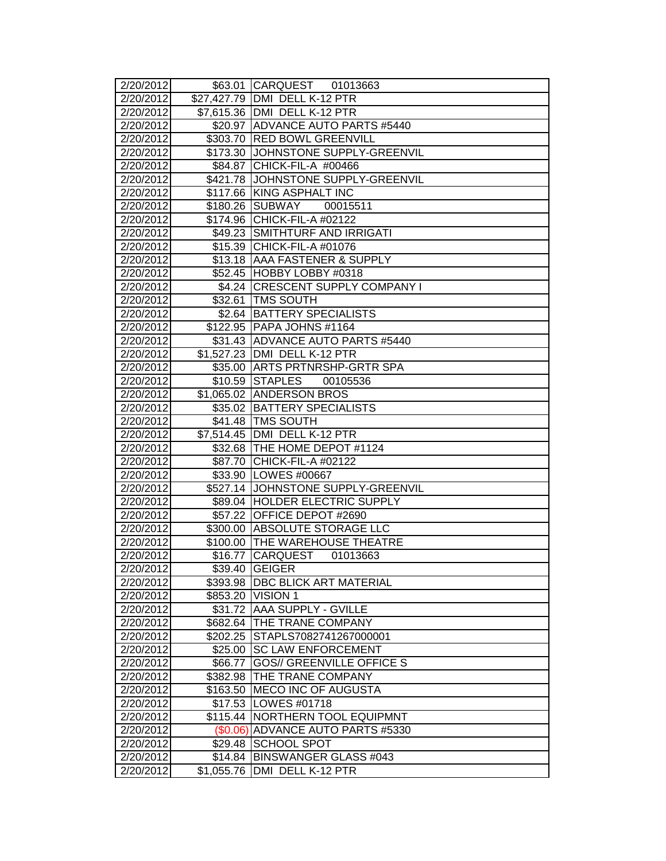| 2/20/2012 |            | \$63.01 CARQUEST 01013663          |
|-----------|------------|------------------------------------|
| 2/20/2012 |            | \$27,427.79 DMI DELL K-12 PTR      |
| 2/20/2012 |            | \$7,615.36 DMI DELL K-12 PTR       |
| 2/20/2012 |            | \$20.97 ADVANCE AUTO PARTS #5440   |
| 2/20/2012 |            | \$303.70 RED BOWL GREENVILL        |
| 2/20/2012 |            | \$173.30 JOHNSTONE SUPPLY-GREENVIL |
| 2/20/2012 |            | \$84.87 CHICK-FIL-A #00466         |
| 2/20/2012 |            | \$421.78 JOHNSTONE SUPPLY-GREENVIL |
| 2/20/2012 |            | \$117.66 KING ASPHALT INC          |
| 2/20/2012 | \$180.26   | SUBWAY<br>00015511                 |
| 2/20/2012 | \$174.96   | CHICK-FIL-A #02122                 |
| 2/20/2012 | \$49.23    | <b>SMITHTURF AND IRRIGATI</b>      |
| 2/20/2012 |            | \$15.39 CHICK-FIL-A #01076         |
| 2/20/2012 |            | \$13.18 AAA FASTENER & SUPPLY      |
| 2/20/2012 |            | \$52.45 HOBBY LOBBY #0318          |
| 2/20/2012 |            | \$4.24 CRESCENT SUPPLY COMPANY I   |
| 2/20/2012 |            | \$32.61 TMS SOUTH                  |
| 2/20/2012 |            | \$2.64 BATTERY SPECIALISTS         |
| 2/20/2012 |            | \$122.95 PAPA JOHNS #1164          |
| 2/20/2012 |            | \$31.43 ADVANCE AUTO PARTS #5440   |
| 2/20/2012 |            | \$1,527.23 DMI DELL K-12 PTR       |
| 2/20/2012 |            | \$35.00 ARTS PRTNRSHP-GRTR SPA     |
| 2/20/2012 |            | \$10.59 STAPLES<br>00105536        |
| 2/20/2012 |            | \$1,065.02 ANDERSON BROS           |
| 2/20/2012 |            | \$35.02 BATTERY SPECIALISTS        |
| 2/20/2012 |            | \$41.48 TMS SOUTH                  |
| 2/20/2012 |            | \$7,514.45 DMI DELL K-12 PTR       |
| 2/20/2012 |            | \$32.68 THE HOME DEPOT #1124       |
| 2/20/2012 | \$87.70    | CHICK-FIL-A #02122                 |
| 2/20/2012 |            | \$33.90 LOWES #00667               |
| 2/20/2012 |            | \$527.14 JOHNSTONE SUPPLY-GREENVIL |
| 2/20/2012 |            | \$89.04 HOLDER ELECTRIC SUPPLY     |
| 2/20/2012 |            | \$57.22 OFFICE DEPOT #2690         |
| 2/20/2012 | \$300.00   | <b>ABSOLUTE STORAGE LLC</b>        |
| 2/20/2012 | \$100.00   | <b>THE WAREHOUSE THEATRE</b>       |
| 2/20/2012 |            | \$16.77 CARQUEST<br>01013663       |
| 2/20/2012 |            | \$39.40 GEIGER                     |
| 2/20/2012 | \$393.98   | <b>DBC BLICK ART MATERIAL</b>      |
| 2/20/2012 |            | \$853.20 VISION 1                  |
| 2/20/2012 |            | \$31.72 AAA SUPPLY - GVILLE        |
| 2/20/2012 |            | \$682.64 THE TRANE COMPANY         |
| 2/20/2012 | \$202.25   | STAPLS7082741267000001             |
| 2/20/2012 | \$25.00    | <b>SC LAW ENFORCEMENT</b>          |
| 2/20/2012 | \$66.77    | <b>GOS// GREENVILLE OFFICE S</b>   |
| 2/20/2012 | \$382.98   | THE TRANE COMPANY                  |
| 2/20/2012 | \$163.50   | <b>MECO INC OF AUGUSTA</b>         |
| 2/20/2012 |            | \$17.53   LOWES #01718             |
| 2/20/2012 |            | \$115.44 NORTHERN TOOL EQUIPMNT    |
| 2/20/2012 | (\$0.06)   | ADVANCE AUTO PARTS #5330           |
| 2/20/2012 | \$29.48    | <b>SCHOOL SPOT</b>                 |
| 2/20/2012 | \$14.84    | <b>BINSWANGER GLASS #043</b>       |
| 2/20/2012 | \$1,055.76 | DMI DELL K-12 PTR                  |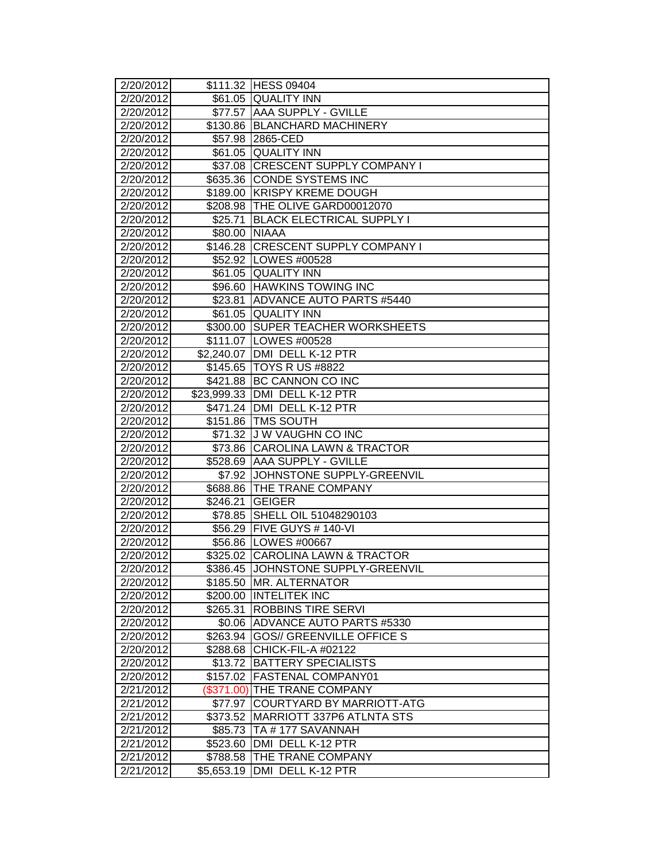| $\overline{2}/20/2012$ |            | \$111.32 HESS 09404                 |
|------------------------|------------|-------------------------------------|
| 2/20/2012              |            | \$61.05 QUALITY INN                 |
| 2/20/2012              | \$77.57    | <b>AAA SUPPLY - GVILLE</b>          |
| 2/20/2012              |            | \$130.86 BLANCHARD MACHINERY        |
| 2/20/2012              |            | \$57.98 2865-CED                    |
| 2/20/2012              |            | \$61.05 QUALITY INN                 |
| 2/20/2012              |            | \$37.08 CRESCENT SUPPLY COMPANY I   |
| 2/20/2012              |            | \$635.36 CONDE SYSTEMS INC          |
| 2/20/2012              | \$189.00   | <b>KRISPY KREME DOUGH</b>           |
| 2/20/2012              |            | \$208.98 THE OLIVE GARD00012070     |
| 2/20/2012              | \$25.71    | <b>BLACK ELECTRICAL SUPPLY I</b>    |
| 2/20/2012              | \$80.00    | <b>NIAAA</b>                        |
| 2/20/2012              |            | \$146.28 CRESCENT SUPPLY COMPANY I  |
| 2/20/2012              |            | \$52.92   LOWES #00528              |
| 2/20/2012              |            | \$61.05 QUALITY INN                 |
| 2/20/2012              |            | \$96.60 HAWKINS TOWING INC          |
| 2/20/2012              | \$23.81    | <b>ADVANCE AUTO PARTS #5440</b>     |
| 2/20/2012              |            | \$61.05 QUALITY INN                 |
| 2/20/2012              | \$300.00   | <b>SUPER TEACHER WORKSHEETS</b>     |
| 2/20/2012              |            | \$111.07 LOWES #00528               |
| 2/20/2012              |            | \$2,240.07   DMI DELL K-12 PTR      |
| 2/20/2012              |            | \$145.65   TOYS R US #8822          |
| 2/20/2012              |            | \$421.88 BC CANNON CO INC           |
| 2/20/2012              |            | \$23,999.33 DMI DELL K-12 PTR       |
| 2/20/2012              | \$471.24   | DMI DELL K-12 PTR                   |
| 2/20/2012              |            | \$151.86 TMS SOUTH                  |
| 2/20/2012              | \$71.32    | <b>JW VAUGHN CO INC</b>             |
| 2/20/2012              | \$73.86    | <b>CAROLINA LAWN &amp; TRACTOR</b>  |
| 2/20/2012              | \$528.69   | <b>AAA SUPPLY - GVILLE</b>          |
| 2/20/2012              |            | \$7.92 JOHNSTONE SUPPLY-GREENVIL    |
| 2/20/2012              | \$688.86   | <b>THE TRANE COMPANY</b>            |
| 2/20/2012              | \$246.21   | <b>GEIGER</b>                       |
| 2/20/2012              | \$78.85    | SHELL OIL 51048290103               |
| 2/20/2012              | \$56.29    | <b>FIVE GUYS # 140-VI</b>           |
| 2/20/2012              |            | \$56.86   LOWES #00667              |
| 2/20/2012              |            | \$325.02 CAROLINA LAWN & TRACTOR    |
| 2/20/2012              |            | \$386.45  JOHNSTONE SUPPLY-GREENVIL |
| 2/20/2012              |            | \$185.50 MR. ALTERNATOR             |
| 2/20/2012              |            | \$200.00 INTELITEK INC              |
| 2/20/2012              | \$265.31   | <b>ROBBINS TIRE SERVI</b>           |
| 2/20/2012              |            | \$0.06 ADVANCE AUTO PARTS #5330     |
| 2/20/2012              | \$263.94   | <b>GOS// GREENVILLE OFFICE S</b>    |
| 2/20/2012              | \$288.68   | CHICK-FIL-A #02122                  |
| 2/20/2012              | \$13.72    | <b>BATTERY SPECIALISTS</b>          |
| 2/20/2012              | \$157.02   | <b>FASTENAL COMPANY01</b>           |
| 2/21/2012              | (\$371.00) | THE TRANE COMPANY                   |
| 2/21/2012              | \$77.97    | <b>COURTYARD BY MARRIOTT-ATG</b>    |
| 2/21/2012              | \$373.52   | <b>MARRIOTT 337P6 ATLNTA STS</b>    |
| 2/21/2012              | \$85.73    | TA #177 SAVANNAH                    |
| 2/21/2012              | \$523.60   | DMI DELL K-12 PTR                   |
| 2/21/2012              | \$788.58   | THE TRANE COMPANY                   |
| 2/21/2012              | \$5,653.19 | DMI DELL K-12 PTR                   |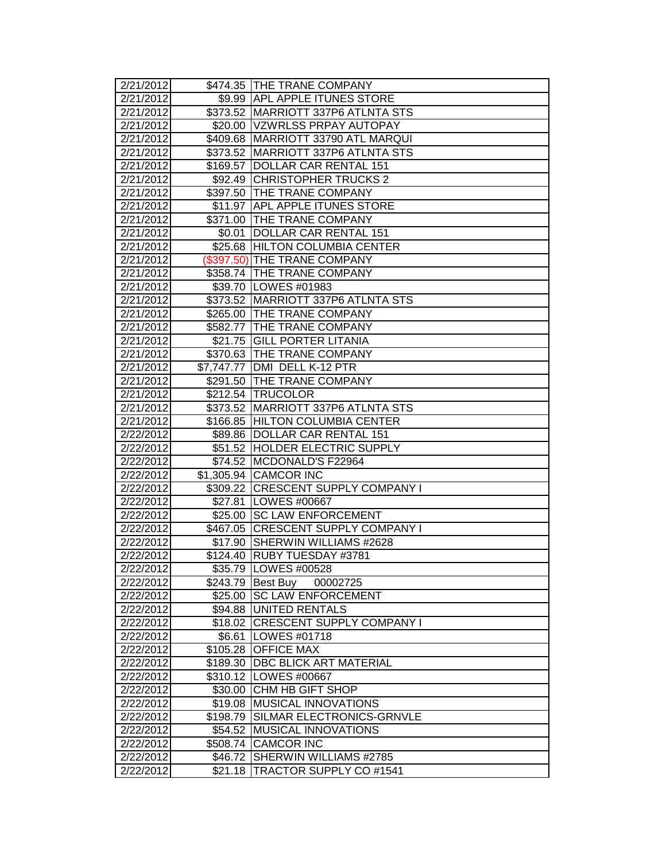| 2/21/2012              |            | \$474.35 THE TRANE COMPANY         |
|------------------------|------------|------------------------------------|
| 2/21/2012              |            | \$9.99 APL APPLE ITUNES STORE      |
| 2/21/2012              |            | \$373.52 MARRIOTT 337P6 ATLNTA STS |
| 2/21/2012              |            | \$20.00   VZWRLSS PRPAY AUTOPAY    |
| 2/21/2012              |            | \$409.68 MARRIOTT 33790 ATL MARQUI |
| 2/21/2012              |            | \$373.52 MARRIOTT 337P6 ATLNTA STS |
| 2/21/2012              |            | \$169.57 DOLLAR CAR RENTAL 151     |
| 2/21/2012              |            | \$92.49 CHRISTOPHER TRUCKS 2       |
| 2/21/2012              |            | \$397.50 THE TRANE COMPANY         |
| 2/21/2012              |            | \$11.97 APL APPLE ITUNES STORE     |
| 2/21/2012              |            | \$371.00 THE TRANE COMPANY         |
| 2/21/2012              | \$0.01     | DOLLAR CAR RENTAL 151              |
| 2/21/2012              |            | \$25.68 HILTON COLUMBIA CENTER     |
| 2/21/2012              |            | (\$397.50) THE TRANE COMPANY       |
| 2/21/2012              |            | \$358.74 THE TRANE COMPANY         |
| 2/21/2012              |            | \$39.70   LOWES #01983             |
| 2/21/2012              |            | \$373.52 MARRIOTT 337P6 ATLNTA STS |
| 2/21/2012              | \$265.00   | <b>THE TRANE COMPANY</b>           |
| 2/21/2012              | \$582.77   | <b>ITHE TRANE COMPANY</b>          |
| 2/21/2012              |            | \$21.75 GILL PORTER LITANIA        |
| 2/21/2012              |            | \$370.63 THE TRANE COMPANY         |
| 2/21/2012              | \$7,747.77 | DMI DELL K-12 PTR                  |
| $\overline{2}/21/2012$ |            | \$291.50 THE TRANE COMPANY         |
| 2/21/2012              |            | \$212.54 TRUCOLOR                  |
| $\overline{2}/21/2012$ |            | \$373.52 MARRIOTT 337P6 ATLNTA STS |
| 2/21/2012              |            | \$166.85 HILTON COLUMBIA CENTER    |
| 2/22/2012              |            | \$89.86   DOLLAR CAR RENTAL 151    |
| 2/22/2012              |            | \$51.52 HOLDER ELECTRIC SUPPLY     |
| 2/22/2012              | \$74.52    | MCDONALD'S F22964                  |
| 2/22/2012              |            | \$1,305.94 CAMCOR INC              |
| 2/22/2012              |            | \$309.22 CRESCENT SUPPLY COMPANY I |
| 2/22/2012              |            | \$27.81  LOWES #00667              |
| 2/22/2012              |            | \$25.00   SC LAW ENFORCEMENT       |
| 2/22/2012              |            | \$467.05 CRESCENT SUPPLY COMPANY I |
| 2/22/2012              | \$17.90    | <b>ISHERWIN WILLIAMS #2628</b>     |
| 2/22/2012              | \$124.40   | <b>RUBY TUESDAY #3781</b>          |
| 2/22/2012              |            | \$35.79   LOWES #00528             |
| 2/22/2012              |            | \$243.79 Best Buy<br>00002725      |
| 2/22/2012              |            | \$25.00 SC LAW ENFORCEMENT         |
| $\overline{2}/22/2012$ |            | \$94.88 UNITED RENTALS             |
| 2/22/2012              |            | \$18.02 CRESCENT SUPPLY COMPANY I  |
| 2/22/2012              | \$6.61     | LOWES #01718                       |
| 2/22/2012              | \$105.28   | <b>OFFICE MAX</b>                  |
| 2/22/2012              | \$189.30   | <b>DBC BLICK ART MATERIAL</b>      |
| 2/22/2012              |            | \$310.12   LOWES #00667            |
| 2/22/2012              | \$30.00    | <b>CHM HB GIFT SHOP</b>            |
| 2/22/2012              |            | \$19.08 MUSICAL INNOVATIONS        |
| 2/22/2012              | \$198.79   | SILMAR ELECTRONICS-GRNVLE          |
| 2/22/2012              | \$54.52    | <b>MUSICAL INNOVATIONS</b>         |
| 2/22/2012              | \$508.74   | <b>CAMCOR INC</b>                  |
| 2/22/2012              | \$46.72    | SHERWIN WILLIAMS #2785             |
| 2/22/2012              | \$21.18    | TRACTOR SUPPLY CO #1541            |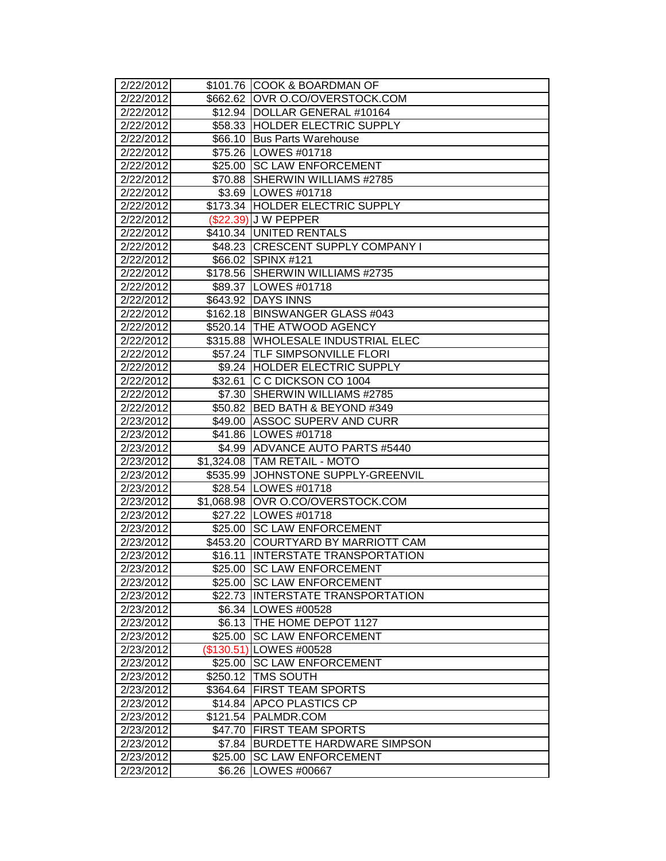| 2/22/2012              |          | \$101.76 COOK & BOARDMAN OF                          |
|------------------------|----------|------------------------------------------------------|
| 2/22/2012              |          | \$662.62 OVR O.CO/OVERSTOCK.COM                      |
| 2/22/2012              |          | \$12.94 DOLLAR GENERAL #10164                        |
| 2/22/2012              |          | \$58.33 HOLDER ELECTRIC SUPPLY                       |
| 2/22/2012              |          | \$66.10 Bus Parts Warehouse                          |
| 2/22/2012              |          | \$75.26 LOWES #01718                                 |
| 2/22/2012              |          | \$25.00 SC LAW ENFORCEMENT                           |
| 2/22/2012              |          | \$70.88 SHERWIN WILLIAMS #2785                       |
| 2/22/2012              |          | \$3.69   LOWES #01718                                |
| 2/22/2012              |          | \$173.34 HOLDER ELECTRIC SUPPLY                      |
| 2/22/2012              |          | (\$22.39) J W PEPPER                                 |
| 2/22/2012              |          | \$410.34 UNITED RENTALS                              |
| 2/22/2012              |          | \$48.23 CRESCENT SUPPLY COMPANY I                    |
| 2/22/2012              |          | \$66.02 SPINX #121                                   |
| 2/22/2012              |          | \$178.56 SHERWIN WILLIAMS #2735                      |
| 2/22/2012              |          | \$89.37   LOWES #01718                               |
| 2/22/2012              |          | \$643.92 DAYS INNS                                   |
| 2/22/2012              |          | \$162.18   BINSWANGER GLASS #043                     |
| 2/22/2012              |          | \$520.14 THE ATWOOD AGENCY                           |
| 2/22/2012              |          | \$315.88 WHOLESALE INDUSTRIAL ELEC                   |
| 2/22/2012              |          | \$57.24 TLF SIMPSONVILLE FLORI                       |
| 2/22/2012              |          | \$9.24 HOLDER ELECTRIC SUPPLY                        |
| 2/22/2012              | \$32.61  | IC C DICKSON CO 1004                                 |
| 2/22/2012              |          | \$7.30 SHERWIN WILLIAMS #2785                        |
| 2/22/2012              |          | \$50.82 BED BATH & BEYOND #349                       |
| 2/23/2012              | \$49.00  | <b>ASSOC SUPERV AND CURR</b>                         |
| 2/23/2012              |          | \$41.86 LOWES #01718                                 |
| 2/23/2012              |          | \$4.99 ADVANCE AUTO PARTS #5440                      |
| 2/23/2012              |          | \$1,324.08 TAM RETAIL - MOTO                         |
| $\sqrt{2}/23/2012$     |          | \$535.99 JOHNSTONE SUPPLY-GREENVIL                   |
| 2/23/2012              |          | \$28.54   LOWES #01718                               |
| 2/23/2012              |          | \$1,068.98 OVR O.CO/OVERSTOCK.COM                    |
| 2/23/2012              |          | \$27.22   LOWES #01718                               |
| 2/23/2012              | \$25.00  | <b>SC LAW ENFORCEMENT</b>                            |
| 2/23/2012              | \$453.20 | COURTYARD BY MARRIOTT CAM                            |
| 2/23/2012              | \$16.11  | <b>INTERSTATE TRANSPORTATION</b>                     |
| 2/23/2012              |          | \$25.00 ISC LAW ENFORCEMENT                          |
| 2/23/2012              |          | \$25.00 ISC LAW ENFORCEMENT                          |
| 2/23/2012              |          | \$22.73 INTERSTATE TRANSPORTATION                    |
| $\overline{2}/23/2012$ |          | \$6.34   LOWES #00528                                |
| 2/23/2012              |          | \$6.13 THE HOME DEPOT 1127                           |
| 2/23/2012<br>2/23/2012 | \$25.00  | <b>SC LAW ENFORCEMENT</b><br>(\$130.51) LOWES #00528 |
|                        |          |                                                      |
| 2/23/2012              | \$25.00  | <b>SC LAW ENFORCEMENT</b><br><b>TMS SOUTH</b>        |
| 2/23/2012              | \$250.12 | <b>FIRST TEAM SPORTS</b>                             |
| 2/23/2012              | \$364.64 |                                                      |
| 2/23/2012              |          | \$14.84 APCO PLASTICS CP<br>\$121.54 PALMDR.COM      |
| 2/23/2012              |          | <b>FIRST TEAM SPORTS</b>                             |
| 2/23/2012<br>2/23/2012 | \$47.70  | <b>BURDETTE HARDWARE SIMPSON</b>                     |
| 2/23/2012              | \$7.84   |                                                      |
|                        | \$25.00  | ISC LAW ENFORCEMENT<br>LOWES #00667                  |
| 2/23/2012              | \$6.26   |                                                      |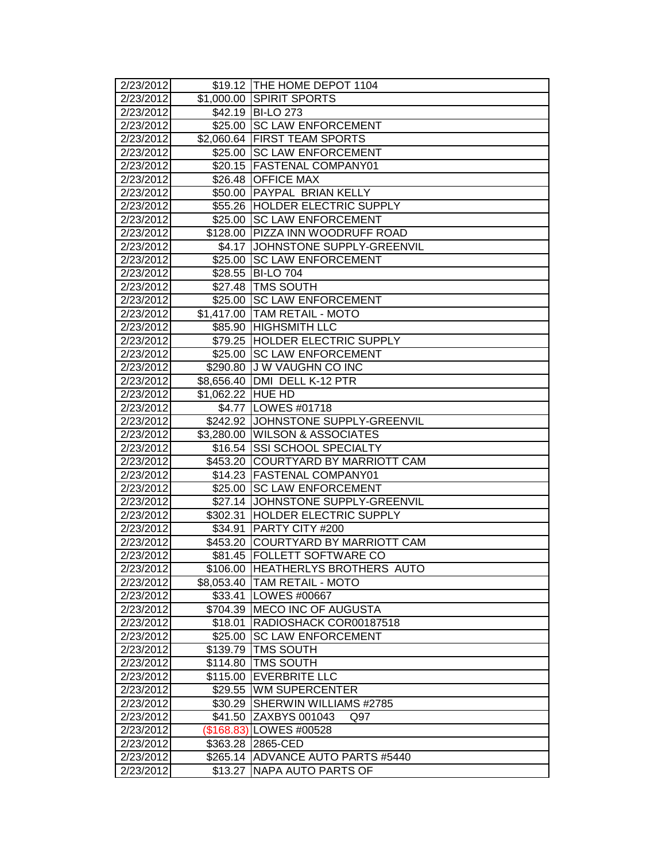| 2/23/2012              |                   | \$19.12   THE HOME DEPOT 1104                 |
|------------------------|-------------------|-----------------------------------------------|
| 2/23/2012              | \$1,000.00        | <b>SPIRIT SPORTS</b>                          |
| 2/23/2012              | \$42.19           | <b>BI-LO 273</b>                              |
| 2/23/2012              | \$25.00           | <b>SC LAW ENFORCEMENT</b>                     |
| 2/23/2012              |                   | \$2,060.64 FIRST TEAM SPORTS                  |
| 2/23/2012              | \$25.00           | <b>SC LAW ENFORCEMENT</b>                     |
| 2/23/2012              |                   | \$20.15 FASTENAL COMPANY01                    |
| 2/23/2012              |                   | \$26.48 OFFICE MAX                            |
| 2/23/2012              |                   | \$50.00 PAYPAL BRIAN KELLY                    |
| 2/23/2012              |                   | \$55.26 HOLDER ELECTRIC SUPPLY                |
| 2/23/2012              | \$25.00           | <b>SC LAW ENFORCEMENT</b>                     |
| 2/23/2012              | \$128.00          | <b>PIZZA INN WOODRUFF ROAD</b>                |
| 2/23/2012              | \$4.17            | JOHNSTONE SUPPLY-GREENVIL                     |
| 2/23/2012              | \$25.00           | <b>SC LAW ENFORCEMENT</b>                     |
| 2/23/2012              | \$28.55           | <b>BI-LO 704</b>                              |
| 2/23/2012              |                   | \$27.48   TMS SOUTH                           |
| 2/23/2012              | \$25.00           | <b>SC LAW ENFORCEMENT</b>                     |
| 2/23/2012              |                   | \$1,417.00 TAM RETAIL - MOTO                  |
| 2/23/2012              | \$85.90           | <b>HIGHSMITH LLC</b>                          |
| 2/23/2012              | \$79.25           | <b>HOLDER ELECTRIC SUPPLY</b>                 |
| 2/23/2012              | \$25.00           | <b>SC LAW ENFORCEMENT</b>                     |
| 2/23/2012              | \$290.80          | J W VAUGHN CO INC                             |
| 2/23/2012              | \$8,656.40        | DMI DELL K-12 PTR                             |
| 2/23/2012              | \$1,062.22 HUE HD |                                               |
| 2/23/2012              |                   | \$4.77   LOWES #01718                         |
| 2/23/2012              |                   | \$242.92 JOHNSTONE SUPPLY-GREENVIL            |
| 2/23/2012              |                   | \$3,280.00 WILSON & ASSOCIATES                |
| 2/23/2012              | \$16.54           | <b>SSI SCHOOL SPECIALTY</b>                   |
| 2/23/2012              | \$453.20          | <b>ICOURTYARD BY MARRIOTT CAM</b>             |
| 2/23/2012              | \$14.23           | <b>FASTENAL COMPANY01</b>                     |
| 2/23/2012              | \$25.00           | <b>SC LAW ENFORCEMENT</b>                     |
| 2/23/2012              |                   | \$27.14 JOHNSTONE SUPPLY-GREENVIL             |
| 2/23/2012              | \$302.31          | <b>HOLDER ELECTRIC SUPPLY</b>                 |
| 2/23/2012              | \$34.91           | PARTY CITY #200                               |
| 2/23/2012              |                   | \$453.20 COURTYARD BY MARRIOTT CAM            |
| 2/23/2012              | \$81.45           | <b>FOLLETT SOFTWARE CO</b>                    |
| 2/23/2012              |                   | \$106.00 HEATHERLYS BROTHERS AUTO             |
| 2/23/2012              | \$8,053.40        | <b>TAM RETAIL - MOTO</b>                      |
| 2/23/2012              | \$33.41           | <b>LOWES #00667</b>                           |
| 2/23/2012              | \$704.39          | <b>IMECO INC OF AUGUSTA</b>                   |
| 2/23/2012              | \$18.01           | RADIOSHACK COR00187518                        |
| 2/23/2012              | \$25.00           | <b>SC LAW ENFORCEMENT</b>                     |
| 2/23/2012              | \$139.79          | <b>TMS SOUTH</b>                              |
| 2/23/2012              | \$114.80          | <b>TMS SOUTH</b>                              |
| 2/23/2012              | \$115.00          | <b>EVERBRITE LLC</b><br><b>WM SUPERCENTER</b> |
| 2/23/2012              | \$29.55           |                                               |
| 2/23/2012              | \$30.29           | SHERWIN WILLIAMS #2785                        |
| 2/23/2012              | \$41.50           | ZAXBYS 001043<br>Q97                          |
| 2/23/2012<br>2/23/2012 |                   | (\$168.83) LOWES #00528<br>2865-CED           |
| 2/23/2012              | \$363.28          | ADVANCE AUTO PARTS #5440                      |
| 2/23/2012              | \$265.14          | NAPA AUTO PARTS OF                            |
|                        | \$13.27           |                                               |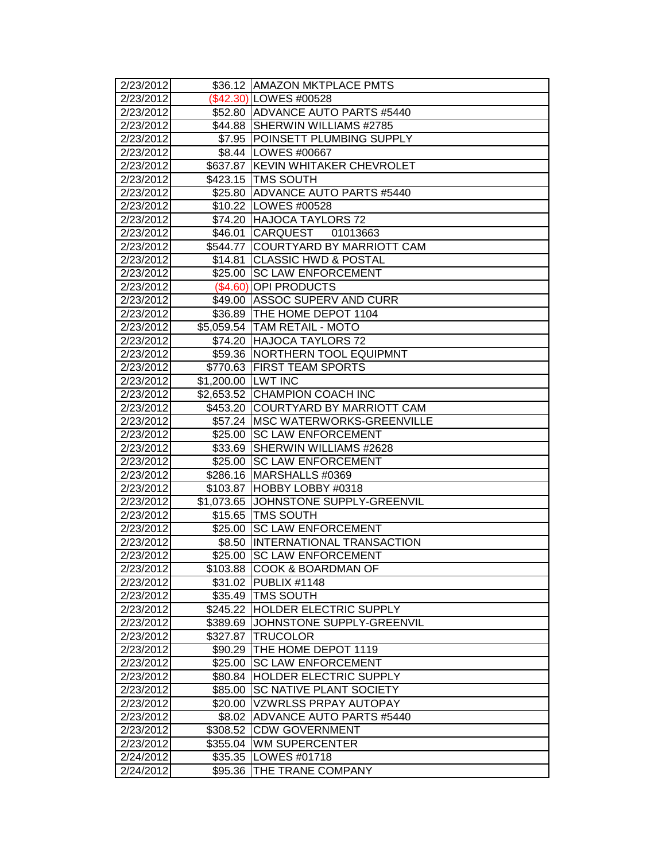| 2/23/2012<br>2/23/2012 |                     | \$36.12 AMAZON MKTPLACE PMTS<br>\$42.30) LOWES #00528 |
|------------------------|---------------------|-------------------------------------------------------|
| 2/23/2012              |                     | \$52.80 ADVANCE AUTO PARTS #5440                      |
| 2/23/2012              |                     | \$44.88 SHERWIN WILLIAMS #2785                        |
| 2/23/2012              |                     | \$7.95 POINSETT PLUMBING SUPPLY                       |
| 2/23/2012              |                     | \$8.44   LOWES #00667                                 |
| 2/23/2012              |                     | \$637.87 KEVIN WHITAKER CHEVROLET                     |
| 2/23/2012              |                     | \$423.15 TMS SOUTH                                    |
| 2/23/2012              |                     | \$25.80 ADVANCE AUTO PARTS #5440                      |
| 2/23/2012              |                     | \$10.22 LOWES #00528                                  |
| 2/23/2012              |                     | \$74.20 HAJOCA TAYLORS 72                             |
| 2/23/2012              | \$46.01             | <b>CARQUEST</b><br>01013663                           |
| 2/23/2012              |                     | \$544.77 COURTYARD BY MARRIOTT CAM                    |
| 2/23/2012              | \$14.81             | <b>CLASSIC HWD &amp; POSTAL</b>                       |
| 2/23/2012              |                     | \$25.00 SC LAW ENFORCEMENT                            |
| 2/23/2012              |                     | (\$4.60) OPI PRODUCTS                                 |
| 2/23/2012              |                     | \$49.00 ASSOC SUPERV AND CURR                         |
| 2/23/2012              |                     | \$36.89 THE HOME DEPOT 1104                           |
| 2/23/2012              |                     | \$5,059.54   TAM RETAIL - MOTO                        |
| 2/23/2012              |                     | \$74.20 HAJOCA TAYLORS 72                             |
| 2/23/2012              |                     | \$59.36 NORTHERN TOOL EQUIPMNT                        |
| 2/23/2012              |                     | \$770.63 FIRST TEAM SPORTS                            |
| 2/23/2012              | \$1,200.00 LWT INC  |                                                       |
| 2/23/2012              |                     | \$2,653.52 CHAMPION COACH INC                         |
| 2/23/2012              |                     | \$453.20 COURTYARD BY MARRIOTT CAM                    |
| 2/23/2012              |                     | \$57.24 MSC WATERWORKS-GREENVILLE                     |
| 2/23/2012              | \$25.00             | <b>SC LAW ENFORCEMENT</b>                             |
| 2/23/2012              | \$33.69             | SHERWIN WILLIAMS #2628                                |
| 2/23/2012              | $\overline{$}25.00$ | <b>SC LAW ENFORCEMENT</b>                             |
| $\sqrt{2}/23/2012$     | \$286.16            | MARSHALLS #0369                                       |
| 2/23/2012              |                     | \$103.87 HOBBY LOBBY #0318                            |
| 2/23/2012              |                     | \$1,073.65 JOHNSTONE SUPPLY-GREENVIL                  |
| 2/23/2012              |                     | \$15.65 TMS SOUTH                                     |
| 2/23/2012              | \$25.00             | <b>SC LAW ENFORCEMENT</b>                             |
| 2/23/2012              | \$8.50              | <b>INTERNATIONAL TRANSACTION</b>                      |
| 2/23/2012              | \$25.00             | <b>SC LAW ENFORCEMENT</b>                             |
| 2/23/2012              |                     | \$103.88 ICOOK & BOARDMAN OF                          |
| 2/23/2012              |                     | \$31.02 PUBLIX #1148                                  |
| 2/23/2012              | \$35.49             | <b>TMS SOUTH</b>                                      |
| 2/23/2012              |                     | \$245.22 HOLDER ELECTRIC SUPPLY                       |
| $\overline{2}/23/2012$ | \$389.69            | JOHNSTONE SUPPLY-GREENVIL                             |
| 2/23/2012              | \$327.87            | <b>TRUCOLOR</b>                                       |
| 2/23/2012              | \$90.29             | THE HOME DEPOT 1119                                   |
| 2/23/2012              | \$25.00             | <b>SC LAW ENFORCEMENT</b>                             |
| 2/23/2012              | \$80.84             | <b>HOLDER ELECTRIC SUPPLY</b>                         |
| 2/23/2012              | \$85.00             | <b>SC NATIVE PLANT SOCIETY</b>                        |
| 2/23/2012              | \$20.00             | VZWRLSS PRPAY AUTOPAY                                 |
| 2/23/2012              |                     | \$8.02 ADVANCE AUTO PARTS #5440                       |
| 2/23/2012              |                     | \$308.52 CDW GOVERNMENT                               |
| 2/23/2012              | \$355.04            | <b>IWM SUPERCENTER</b>                                |
| 2/24/2012              | \$35.35             | LOWES #01718                                          |
| 2/24/2012              | \$95.36             | THE TRANE COMPANY                                     |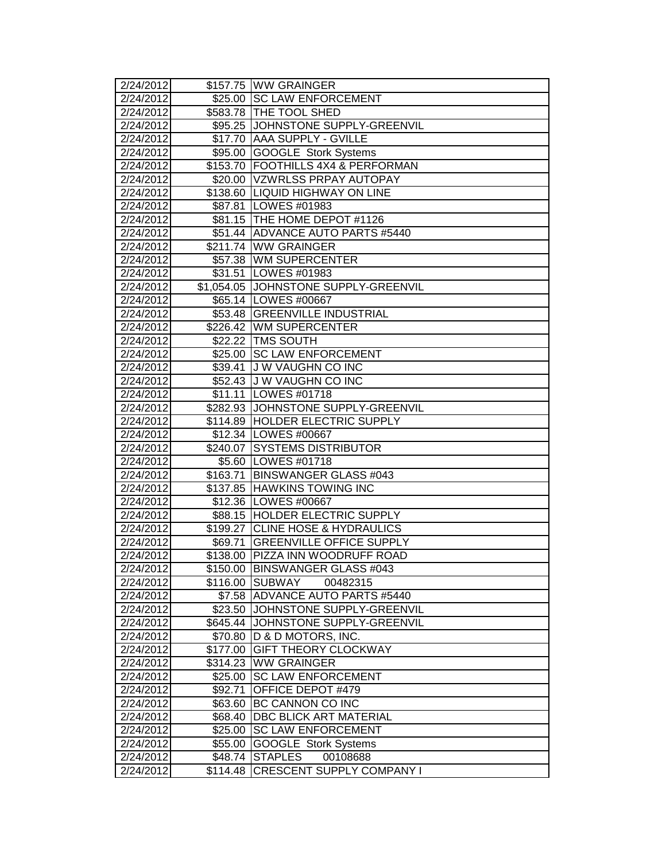| 2/24/2012              |                      | \$157.75 WW GRAINGER                                  |
|------------------------|----------------------|-------------------------------------------------------|
| 2/24/2012              |                      | \$25.00 SC LAW ENFORCEMENT                            |
| 2/24/2012              |                      | \$583.78 THE TOOL SHED                                |
| 2/24/2012              |                      | \$95.25 JOHNSTONE SUPPLY-GREENVIL                     |
| 2/24/2012              |                      | \$17.70 AAA SUPPLY - GVILLE                           |
| 2/24/2012              |                      | \$95.00 GOOGLE Stork Systems                          |
| 2/24/2012              |                      | \$153.70 FOOTHILLS 4X4 & PERFORMAN                    |
| 2/24/2012              |                      | \$20.00 VZWRLSS PRPAY AUTOPAY                         |
| 2/24/2012              |                      | \$138.60 LIQUID HIGHWAY ON LINE                       |
| 2/24/2012              |                      | \$87.81 LOWES #01983                                  |
| 2/24/2012              |                      | \$81.15 THE HOME DEPOT #1126                          |
| 2/24/2012              |                      | \$51.44 ADVANCE AUTO PARTS #5440                      |
| 2/24/2012              |                      | \$211.74 WW GRAINGER                                  |
| 2/24/2012              |                      | \$57.38 WM SUPERCENTER                                |
| 2/24/2012              |                      | \$31.51 LOWES #01983                                  |
| 2/24/2012              |                      | \$1,054.05 JJOHNSTONE SUPPLY-GREENVIL                 |
| 2/24/2012              |                      | \$65.14   LOWES #00667                                |
| 2/24/2012              |                      | \$53.48 GREENVILLE INDUSTRIAL                         |
| 2/24/2012              |                      | \$226.42 WM SUPERCENTER                               |
| 2/24/2012              |                      | \$22.22 TMS SOUTH                                     |
| 2/24/2012              |                      | \$25.00 SC LAW ENFORCEMENT                            |
| 2/24/2012              |                      | \$39.41 J W VAUGHN CO INC                             |
| 2/24/2012              |                      | \$52.43 J W VAUGHN CO INC                             |
| 2/24/2012              |                      | \$11.11   LOWES #01718                                |
| $\sqrt{2}/24/2012$     |                      | \$282.93 JOHNSTONE SUPPLY-GREENVIL                    |
| 2/24/2012              |                      | \$114.89 HOLDER ELECTRIC SUPPLY                       |
| 2/24/2012              |                      | \$12.34 LOWES #00667                                  |
| 2/24/2012              |                      | \$240.07 SYSTEMS DISTRIBUTOR                          |
| 2/24/2012              |                      | \$5.60 LOWES #01718                                   |
| 2/24/2012              | $\overline{$}163.71$ | <b>BINSWANGER GLASS #043</b>                          |
| 2/24/2012              |                      | \$137.85 HAWKINS TOWING INC                           |
| 2/24/2012              |                      | \$12.36 LOWES #00667                                  |
| 2/24/2012              |                      | \$88.15 HOLDER ELECTRIC SUPPLY                        |
| 2/24/2012              |                      | \$199.27 CLINE HOSE & HYDRAULICS                      |
| 2/24/2012              | \$69.71              | <b>GREENVILLE OFFICE SUPPLY</b>                       |
| 2/24/2012              |                      | \$138.00 PIZZA INN WOODRUFF ROAD                      |
| 2/24/2012              |                      | \$150.00 BINSWANGER GLASS #043                        |
| 2/24/2012              | \$116.00             | <b>SUBWAY</b><br>00482315                             |
| 2/24/2012              |                      | \$7.58 ADVANCE AUTO PARTS #5440                       |
| 2/24/2012              |                      | \$23.50 JJOHNSTONE SUPPLY-GREENVIL                    |
| 2/24/2012              |                      | \$645.44 JOHNSTONE SUPPLY-GREENVIL                    |
| 2/24/2012              | \$70.80              | D & D MOTORS, INC.<br><b>GIFT THEORY CLOCKWAY</b>     |
| $\sqrt{2}/24/2012$     | \$177.00             |                                                       |
| 2/24/2012<br>2/24/2012 | \$314.23             | <b>WW GRAINGER</b>                                    |
| 2/24/2012              | \$25.00              | <b>SC LAW ENFORCEMENT</b><br><b>OFFICE DEPOT #479</b> |
| 2/24/2012              | \$92.71              | <b>BC CANNON CO INC</b>                               |
| 2/24/2012              | \$63.60              | <b>DBC BLICK ART MATERIAL</b>                         |
| 2/24/2012              | \$68.40              | <b>SC LAW ENFORCEMENT</b>                             |
| 2/24/2012              | \$25.00<br>\$55.00   | <b>GOOGLE Stork Systems</b>                           |
| 2/24/2012              | \$48.74              | <b>STAPLES</b><br>00108688                            |
| 2/24/2012              | \$114.48             | <b>CRESCENT SUPPLY COMPANY I</b>                      |
|                        |                      |                                                       |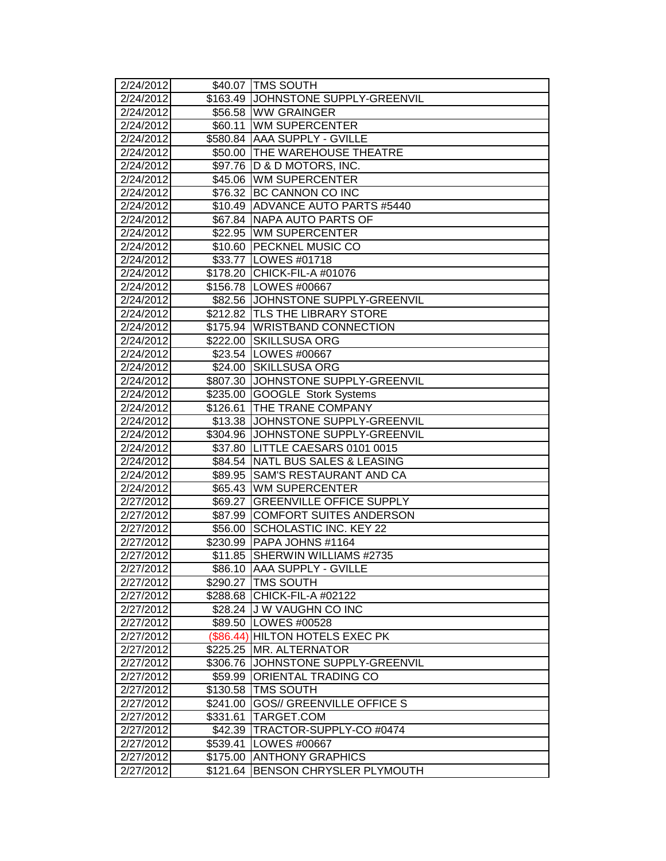| 2/24/2012              |             | \$40.07 TMS SOUTH                       |
|------------------------|-------------|-----------------------------------------|
| 2/24/2012              |             | \$163.49 JOHNSTONE SUPPLY-GREENVIL      |
| 2/24/2012              |             | \$56.58 WW GRAINGER                     |
| 2/24/2012              | \$60.11     | <b>WM SUPERCENTER</b>                   |
| 2/24/2012              |             | \$580.84 AAA SUPPLY - GVILLE            |
| 2/24/2012              |             | \$50.00 THE WAREHOUSE THEATRE           |
| 2/24/2012              |             | \$97.76   D & D MOTORS, INC.            |
| 2/24/2012              |             | \$45.06 WM SUPERCENTER                  |
| 2/24/2012              |             | \$76.32 BC CANNON CO INC                |
| 2/24/2012              |             | \$10.49 ADVANCE AUTO PARTS #5440        |
| 2/24/2012              |             | \$67.84 NAPA AUTO PARTS OF              |
| 2/24/2012              |             | \$22.95 WM SUPERCENTER                  |
| 2/24/2012              |             | \$10.60 PECKNEL MUSIC CO                |
| 2/24/2012              |             | \$33.77 LOWES #01718                    |
| 2/24/2012              |             | \$178.20 CHICK-FIL-A #01076             |
| 2/24/2012              |             | \$156.78 LOWES #00667                   |
| 2/24/2012              |             | \$82.56 JOHNSTONE SUPPLY-GREENVIL       |
| 2/24/2012              |             | \$212.82 TLS THE LIBRARY STORE          |
| 2/24/2012              |             | \$175.94 WRISTBAND CONNECTION           |
| 2/24/2012              | \$222.00    | <b>SKILLSUSA ORG</b>                    |
| 2/24/2012              |             | \$23.54   LOWES #00667                  |
| 2/24/2012              |             | \$24.00 SKILLSUSA ORG                   |
| 2/24/2012              |             | \$807.30 JJOHNSTONE SUPPLY-GREENVIL     |
| 2/24/2012              | \$235.00    | GOOGLE Stork Systems                    |
| 2/24/2012              | \$126.61    | <b>THE TRANE COMPANY</b>                |
| 2/24/2012              |             | \$13.38 JJOHNSTONE SUPPLY-GREENVIL      |
| 2/24/2012              |             | \$304.96 JJOHNSTONE SUPPLY-GREENVIL     |
| 2/24/2012              |             | \$37.80 LITTLE CAESARS 0101 0015        |
| 2/24/2012              | \$84.54     | NATL BUS SALES & LEASING                |
| 2/24/2012              | \$89.95     | <b>SAM'S RESTAURANT AND CA</b>          |
| 2/24/2012              |             | \$65.43 WM SUPERCENTER                  |
| 2/27/2012              | \$69.27     | <b>GREENVILLE OFFICE SUPPLY</b>         |
| 2/27/2012              |             | \$87.99 COMFORT SUITES ANDERSON         |
| 2/27/2012              | \$56.00     | <b>SCHOLASTIC INC. KEY 22</b>           |
| 2/27/2012              |             | \$230.99   PAPA JOHNS #1164             |
| 2/27/2012              | \$11.85     | SHERWIN WILLIAMS #2735                  |
| 2/27/2012              |             | \$86.10  AAA SUPPLY - GVILLE            |
| 2/27/2012              |             | \$290.27   TMS SOUTH                    |
| 2/27/2012              |             | \$288.68 CHICK-FIL-A #02122             |
| 2/27/2012              |             | \$28.24 J W VAUGHN CO INC               |
| $\overline{2}/27/2012$ |             | \$89.50 LOWES #00528                    |
| 2/27/2012              | $(\$86.44)$ | <b>HILTON HOTELS EXEC PK</b>            |
| 2/27/2012              | \$225.25    | <b>MR. ALTERNATOR</b>                   |
| 2/27/2012              | \$306.76    | JOHNSTONE SUPPLY-GREENVIL               |
| 2/27/2012              | \$59.99     | <b>ORIENTAL TRADING CO</b>              |
| 2/27/2012              | \$130.58    | <b>TMS SOUTH</b>                        |
| 2/27/2012              | \$241.00    | <b>GOS// GREENVILLE OFFICE S</b>        |
| 2/27/2012              | \$331.61    | TARGET.COM                              |
| 2/27/2012<br>2/27/2012 | \$42.39     | TRACTOR-SUPPLY-CO #0474<br>LOWES #00667 |
| 2/27/2012              | \$539.41    | <b>ANTHONY GRAPHICS</b>                 |
|                        | \$175.00    | <b>BENSON CHRYSLER PLYMOUTH</b>         |
| 2/27/2012              | \$121.64    |                                         |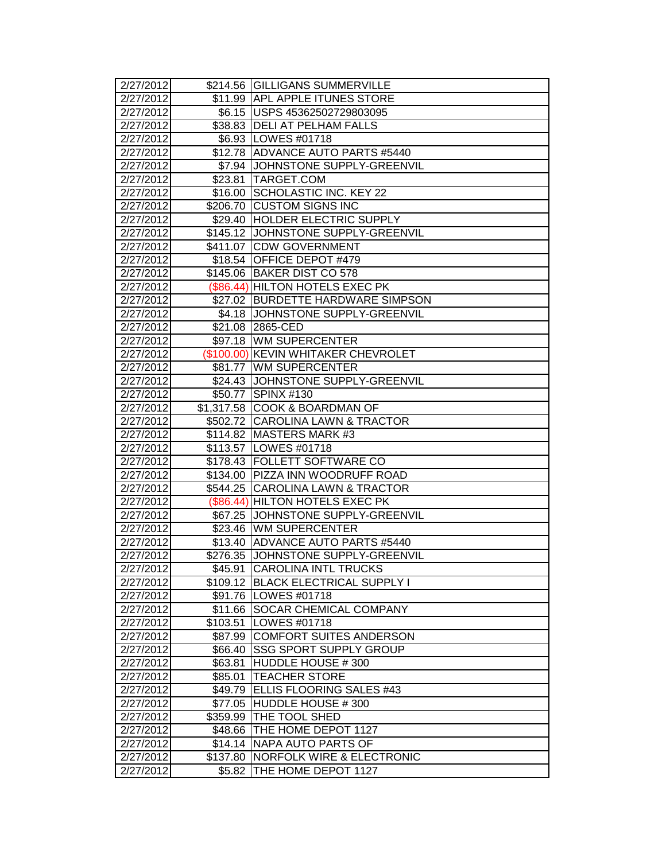| 2/27/2012              |          | \$214.56 GILLIGANS SUMMERVILLE       |
|------------------------|----------|--------------------------------------|
| 2/27/2012              |          | \$11.99 APL APPLE ITUNES STORE       |
| 2/27/2012              |          | \$6.15 USPS 45362502729803095        |
| 2/27/2012              |          | \$38.83 DELI AT PELHAM FALLS         |
| 2/27/2012              |          | \$6.93 LOWES #01718                  |
| 2/27/2012              |          | \$12.78 ADVANCE AUTO PARTS #5440     |
| 2/27/2012              |          | \$7.94 JOHNSTONE SUPPLY-GREENVIL     |
| 2/27/2012              |          | \$23.81 TARGET.COM                   |
| 2/27/2012              | \$16.00  | SCHOLASTIC INC. KEY 22               |
| 2/27/2012              | \$206.70 | <b>CUSTOM SIGNS INC</b>              |
| 2/27/2012              | \$29.40  | <b>HOLDER ELECTRIC SUPPLY</b>        |
| 2/27/2012              |          | \$145.12 JOHNSTONE SUPPLY-GREENVIL   |
| 2/27/2012              |          | \$411.07 CDW GOVERNMENT              |
| 2/27/2012              |          | \$18.54 OFFICE DEPOT #479            |
| 2/27/2012              |          | \$145.06 BAKER DIST CO 578           |
| 2/27/2012              |          | (\$86.44) HILTON HOTELS EXEC PK      |
| 2/27/2012              |          | \$27.02 BURDETTE HARDWARE SIMPSON    |
| 2/27/2012              |          | \$4.18 JOHNSTONE SUPPLY-GREENVIL     |
| 2/27/2012              |          | \$21.08 2865-CED                     |
| 2/27/2012              |          | \$97.18 WM SUPERCENTER               |
| 2/27/2012              |          | (\$100.00) KEVIN WHITAKER CHEVROLET  |
| 2/27/2012              |          | \$81.77 WM SUPERCENTER               |
| $\overline{2}/27/2012$ |          | \$24.43 JOHNSTONE SUPPLY-GREENVIL    |
| 2/27/2012              | \$50.77  | <b>SPINX #130</b>                    |
| 2/27/2012              |          | \$1,317.58 COOK & BOARDMAN OF        |
| 2/27/2012              |          | \$502.72 CAROLINA LAWN & TRACTOR     |
| 2/27/2012              |          | \$114.82 MASTERS MARK #3             |
| 2/27/2012              |          | \$113.57 LOWES #01718                |
| 2/27/2012              |          | \$178.43 FOLLETT SOFTWARE CO         |
| 2/27/2012              |          | \$134.00 PIZZA INN WOODRUFF ROAD     |
| 2/27/2012              |          | \$544.25 CAROLINA LAWN & TRACTOR     |
| 2/27/2012              |          | (\$86.44) HILTON HOTELS EXEC PK      |
| 2/27/2012              | \$67.25  | JOHNSTONE SUPPLY-GREENVIL            |
| 2/27/2012              |          | \$23.46 WM SUPERCENTER               |
| 2/27/2012              | \$13.40  | <b>ADVANCE AUTO PARTS #5440</b>      |
| 2/27/2012              | \$276.35 | JOHNSTONE SUPPLY-GREENVIL            |
| 2/27/2012              |          | \$45.91 CAROLINA INTL TRUCKS         |
| 2/27/2012              |          | \$109.12 BLACK ELECTRICAL SUPPLY I   |
| 2/27/2012              | \$91.76  | LOWES #01718                         |
| $\overline{2}/27/2012$ | \$11.66  | <b>SOCAR CHEMICAL COMPANY</b>        |
| 2/27/2012              | \$103.51 | LOWES #01718                         |
| $\overline{2}/27/2012$ | \$87.99  | <b>COMFORT SUITES ANDERSON</b>       |
| 2/27/2012              | \$66.40  | <b>SSG SPORT SUPPLY GROUP</b>        |
| 2/27/2012              | \$63.81  | HUDDLE HOUSE #300                    |
| 2/27/2012              | \$85.01  | <b>TEACHER STORE</b>                 |
| 2/27/2012              | \$49.79  | <b>ELLIS FLOORING SALES #43</b>      |
| 2/27/2012              | \$77.05  | HUDDLE HOUSE #300                    |
| 2/27/2012              | \$359.99 | THE TOOL SHED                        |
| 2/27/2012              | \$48.66  | THE HOME DEPOT 1127                  |
| 2/27/2012              | \$14.14  | NAPA AUTO PARTS OF                   |
| 2/27/2012              | \$137.80 | <b>NORFOLK WIRE &amp; ELECTRONIC</b> |
| 2/27/2012              | \$5.82   | THE HOME DEPOT 1127                  |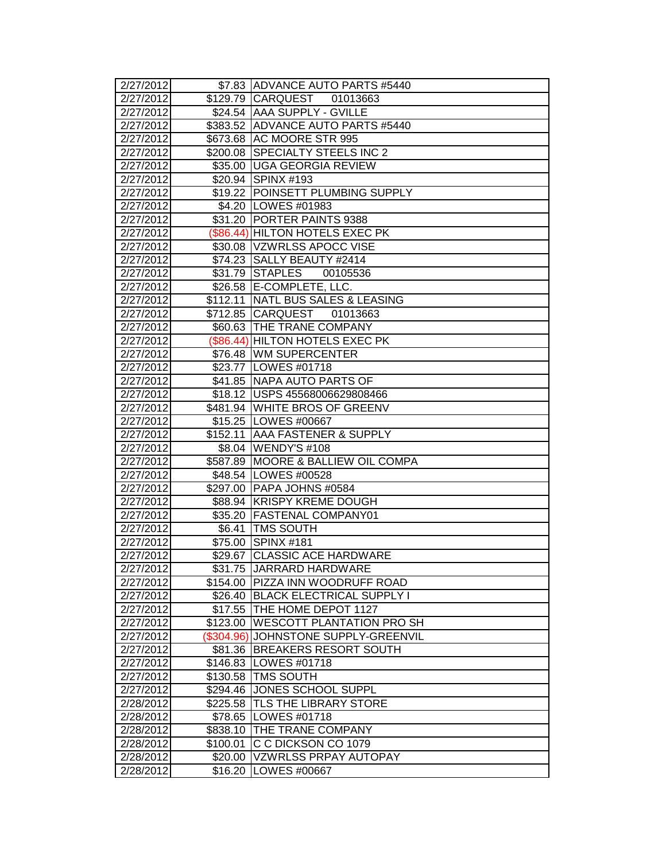| 2/27/2012              |            | \$7.83 ADVANCE AUTO PARTS #5440               |
|------------------------|------------|-----------------------------------------------|
| 2/27/2012              |            | \$129.79 CARQUEST<br>01013663                 |
| 2/27/2012              |            | \$24.54 AAA SUPPLY - GVILLE                   |
| 2/27/2012              |            | \$383.52 ADVANCE AUTO PARTS #5440             |
| 2/27/2012              |            | \$673.68 AC MOORE STR 995                     |
| 2/27/2012              |            | \$200.08 SPECIALTY STEELS INC 2               |
| 2/27/2012              |            | \$35.00 UGA GEORGIA REVIEW                    |
| 2/27/2012              |            | \$20.94 SPINX #193                            |
| 2/27/2012              |            | \$19.22 POINSETT PLUMBING SUPPLY              |
| 2/27/2012              |            | \$4.20 LOWES #01983                           |
| 2/27/2012              |            | \$31.20 PORTER PAINTS 9388                    |
| 2/27/2012              |            | (\$86.44) HILTON HOTELS EXEC PK               |
| 2/27/2012              |            | \$30.08 VZWRLSS APOCC VISE                    |
| 2/27/2012              |            | \$74.23 SALLY BEAUTY #2414                    |
| 2/27/2012              |            | \$31.79 STAPLES<br>00105536                   |
| 2/27/2012              |            | \$26.58 E-COMPLETE, LLC.                      |
| 2/27/2012              |            | \$112.11 NATL BUS SALES & LEASING             |
| 2/27/2012              |            | \$712.85 CARQUEST<br>01013663                 |
| 2/27/2012              |            | \$60.63 THE TRANE COMPANY                     |
| 2/27/2012              |            | (\$86.44) HILTON HOTELS EXEC PK               |
| 2/27/2012              |            | \$76.48 WM SUPERCENTER                        |
| 2/27/2012              |            | \$23.77   LOWES #01718                        |
| $\overline{2}/27/2012$ |            | \$41.85 NAPA AUTO PARTS OF                    |
| 2/27/2012              |            | \$18.12 USPS 45568006629808466                |
| $\overline{2}/27/2012$ |            | \$481.94 WHITE BROS OF GREENV                 |
| 2/27/2012              |            | \$15.25 LOWES #00667                          |
| 2/27/2012              |            | \$152.11 AAA FASTENER & SUPPLY                |
| 2/27/2012              |            | \$8.04 WENDY'S #108                           |
| 2/27/2012              |            | \$587.89 MOORE & BALLIEW OIL COMPA            |
| 2/27/2012              |            | \$48.54 LOWES #00528                          |
| 2/27/2012              |            | \$297.00 PAPA JOHNS #0584                     |
| 2/27/2012              |            | \$88.94 KRISPY KREME DOUGH                    |
| 2/27/2012              |            | \$35.20 FASTENAL COMPANY01                    |
| 2/27/2012              | \$6.41     | <b>TMS SOUTH</b>                              |
| 2/27/2012              | \$75.00    | $\overline{\text{SPINX}}$ #181                |
| 2/27/2012              |            | \$29.67 CLASSIC ACE HARDWARE                  |
| 2/27/2012              |            | \$31.75 JJARRARD HARDWARE                     |
| 2/27/2012              |            | \$154.00 PIZZA INN WOODRUFF ROAD              |
| 2/27/2012              | \$26.40    | <b>IBLACK ELECTRICAL SUPPLY I</b>             |
| $\overline{2}/27/2012$ | \$17.55    | <b>THE HOME DEPOT 1127</b>                    |
| 2/27/2012              | \$123.00   | <b>IWESCOTT PLANTATION PRO SH</b>             |
| 2/27/2012              | (\$304.96) | JOHNSTONE SUPPLY-GREENVIL                     |
| 2/27/2012              | \$81.36    | <b>BREAKERS RESORT SOUTH</b>                  |
| 2/27/2012              | \$146.83   | LOWES #01718<br><b>TMS SOUTH</b>              |
| 2/27/2012<br>2/27/2012 | \$130.58   |                                               |
|                        | \$294.46   | JONES SCHOOL SUPPL                            |
| 2/28/2012<br>2/28/2012 | \$225.58   | <b>ITLS THE LIBRARY STORE</b><br>LOWES #01718 |
|                        | \$78.65    | <b>THE TRANE COMPANY</b>                      |
| 2/28/2012<br>2/28/2012 | \$838.10   | C C DICKSON CO 1079                           |
| 2/28/2012              | \$100.01   |                                               |
|                        | \$20.00    | VZWRLSS PRPAY AUTOPAY                         |
| 2/28/2012              | \$16.20    | LOWES #00667                                  |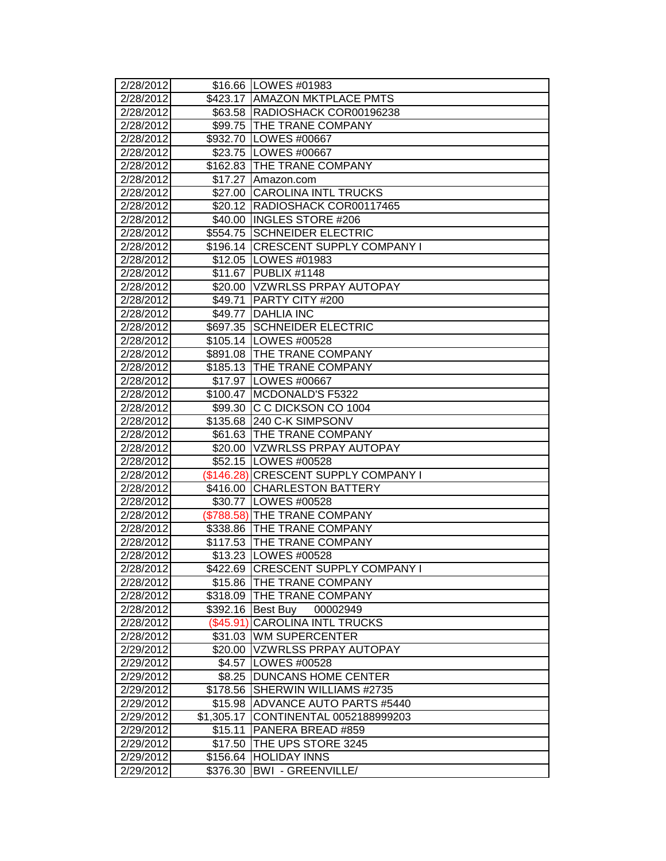| 2/28/2012 |            | \$16.66 LOWES #01983                 |
|-----------|------------|--------------------------------------|
| 2/28/2012 |            | \$423.17 AMAZON MKTPLACE PMTS        |
| 2/28/2012 |            | \$63.58  RADIOSHACK COR00196238      |
| 2/28/2012 |            | \$99.75   THE TRANE COMPANY          |
| 2/28/2012 |            | \$932.70 LOWES #00667                |
| 2/28/2012 |            | \$23.75   LOWES #00667               |
| 2/28/2012 |            | \$162.83 THE TRANE COMPANY           |
| 2/28/2012 | \$17.27    | Amazon.com                           |
| 2/28/2012 | \$27.00    | <b>CAROLINA INTL TRUCKS</b>          |
| 2/28/2012 | \$20.12    | RADIOSHACK COR00117465               |
| 2/28/2012 | \$40.00    | <b>INGLES STORE #206</b>             |
| 2/28/2012 |            | \$554.75 SCHNEIDER ELECTRIC          |
| 2/28/2012 | \$196.14   | <b>CRESCENT SUPPLY COMPANY I</b>     |
| 2/28/2012 |            | \$12.05   LOWES #01983               |
| 2/28/2012 |            | \$11.67 PUBLIX #1148                 |
| 2/28/2012 |            | \$20.00 VZWRLSS PRPAY AUTOPAY        |
| 2/28/2012 | \$49.71    | <b>PARTY CITY #200</b>               |
| 2/28/2012 | \$49.77    | <b>DAHLIA INC</b>                    |
| 2/28/2012 |            | \$697.35 SCHNEIDER ELECTRIC          |
| 2/28/2012 |            | \$105.14   LOWES #00528              |
| 2/28/2012 |            | \$891.08 THE TRANE COMPANY           |
| 2/28/2012 |            | \$185.13 THE TRANE COMPANY           |
| 2/28/2012 |            | \$17.97   LOWES #00667               |
| 2/28/2012 | \$100.47   | MCDONALD'S F5322                     |
| 2/28/2012 | \$99.30    | IC C DICKSON CO 1004                 |
| 2/28/2012 | \$135.68   | 240 C-K SIMPSONV                     |
| 2/28/2012 |            | \$61.63 THE TRANE COMPANY            |
| 2/28/2012 | \$20.00    | VZWRLSS PRPAY AUTOPAY                |
| 2/28/2012 |            | \$52.15   LOWES #00528               |
| 2/28/2012 |            | (\$146.28) CRESCENT SUPPLY COMPANY I |
| 2/28/2012 |            | \$416.00 CHARLESTON BATTERY          |
| 2/28/2012 |            | \$30.77   LOWES #00528               |
| 2/28/2012 |            | (\$788.58) THE TRANE COMPANY         |
| 2/28/2012 |            |                                      |
|           |            | \$338.86 THE TRANE COMPANY           |
| 2/28/2012 | \$117.53   | <b>THE TRANE COMPANY</b>             |
| 2/28/2012 |            | \$13.23   LOWES #00528               |
| 2/28/2012 |            | \$422.69  CRESCENT SUPPLY COMPANY I  |
| 2/28/2012 |            | \$15.86 THE TRANE COMPANY            |
| 2/28/2012 |            | \$318.09 THE TRANE COMPANY           |
| 2/28/2012 |            | \$392.16   Best Buy<br>00002949      |
| 2/28/2012 | (\$45.91)  | <b>CAROLINA INTL TRUCKS</b>          |
| 2/28/2012 |            | \$31.03 WM SUPERCENTER               |
| 2/29/2012 | \$20.00    | VZWRLSS PRPAY AUTOPAY                |
| 2/29/2012 | \$4.57     | LOWES #00528                         |
| 2/29/2012 | \$8.25     | <b>DUNCANS HOME CENTER</b>           |
| 2/29/2012 | \$178.56   | <b>SHERWIN WILLIAMS #2735</b>        |
| 2/29/2012 | \$15.98    | ADVANCE AUTO PARTS #5440             |
| 2/29/2012 | \$1,305.17 | CONTINENTAL 0052188999203            |
| 2/29/2012 | \$15.11    | PANERA BREAD #859                    |
| 2/29/2012 | \$17.50    | THE UPS STORE 3245                   |
| 2/29/2012 | \$156.64   | <b>HOLIDAY INNS</b>                  |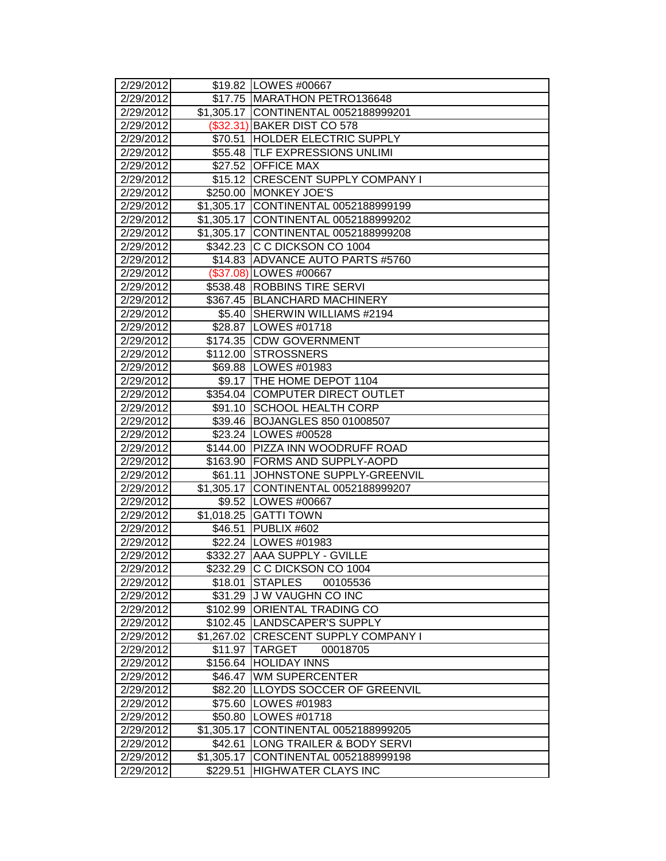| 2/29/2012          |            | \$19.82 LOWES #00667                 |
|--------------------|------------|--------------------------------------|
| 2/29/2012          |            | \$17.75 MARATHON PETRO136648         |
| 2/29/2012          |            | \$1,305.17 CONTINENTAL 0052188999201 |
| 2/29/2012          |            | (\$32.31) BAKER DIST CO 578          |
| 2/29/2012          |            | \$70.51 HOLDER ELECTRIC SUPPLY       |
| 2/29/2012          |            | \$55.48 TLF EXPRESSIONS UNLIMI       |
| 2/29/2012          |            | \$27.52 OFFICE MAX                   |
| 2/29/2012          |            | \$15.12 CRESCENT SUPPLY COMPANY I    |
| 2/29/2012          |            | \$250.00 MONKEY JOE'S                |
| 2/29/2012          |            | \$1,305.17 CONTINENTAL 0052188999199 |
| 2/29/2012          |            | \$1,305.17 CONTINENTAL 0052188999202 |
| 2/29/2012          |            | \$1,305.17 CONTINENTAL 0052188999208 |
| 2/29/2012          |            | \$342.23 C C DICKSON CO 1004         |
| 2/29/2012          |            | \$14.83 ADVANCE AUTO PARTS #5760     |
| 2/29/2012          |            | (\$37.08) LOWES #00667               |
| 2/29/2012          |            | \$538.48 ROBBINS TIRE SERVI          |
| 2/29/2012          |            | \$367.45   BLANCHARD MACHINERY       |
| 2/29/2012          | \$5.40     | <b>SHERWIN WILLIAMS #2194</b>        |
| 2/29/2012          |            | \$28.87   LOWES #01718               |
| 2/29/2012          |            | \$174.35 CDW GOVERNMENT              |
| 2/29/2012          | \$112.00   | <b>STROSSNERS</b>                    |
| 2/29/2012          |            | \$69.88   LOWES #01983               |
| 2/29/2012          |            | \$9.17  THE HOME DEPOT 1104          |
| 2/29/2012          |            | \$354.04 COMPUTER DIRECT OUTLET      |
| 2/29/2012          |            | \$91.10 SCHOOL HEALTH CORP           |
| 2/29/2012          |            | \$39.46 BOJANGLES 850 01008507       |
| 2/29/2012          |            | \$23.24   LOWES #00528               |
| 2/29/2012          | \$144.00   | <b>PIZZA INN WOODRUFF ROAD</b>       |
| 2/29/2012          | \$163.90   | <b>FORMS AND SUPPLY-AOPD</b>         |
| $\sqrt{2}/29/2012$ | \$61.11    | <b>JOHNSTONE SUPPLY-GREENVIL</b>     |
| $\sqrt{2}/29/2012$ |            | \$1,305.17 CONTINENTAL 0052188999207 |
| 2/29/2012          |            | \$9.52  LOWES #00667                 |
| 2/29/2012          |            | \$1,018.25 GATTI TOWN                |
| 2/29/2012          | \$46.51    | PUBLIX #602                          |
| 2/29/2012          |            | \$22.24 LOWES #01983                 |
| 2/29/2012          |            | \$332.27 AAA SUPPLY - GVILLE         |
| 2/29/2012          |            | \$232.29 IC C DICKSON CO 1004        |
| 2/29/2012          | \$18.01    | <b>STAPLES</b><br>00105536           |
| 2/29/2012          |            | \$31.29 J W VAUGHN CO INC            |
| 2/29/2012          |            | \$102.99 ORIENTAL TRADING CO         |
| 2/29/2012          |            | \$102.45  LANDSCAPER'S SUPPLY        |
| 2/29/2012          |            | \$1,267.02 CRESCENT SUPPLY COMPANY I |
| 2/29/2012          | \$11.97    | <b>TARGET</b><br>00018705            |
| 2/29/2012          |            | \$156.64 HOLIDAY INNS                |
| 2/29/2012          | \$46.47    | <b>WM SUPERCENTER</b>                |
| 2/29/2012          | \$82.20    | <b>LLOYDS SOCCER OF GREENVIL</b>     |
| 2/29/2012          | \$75.60    | <b>LOWES #01983</b>                  |
| 2/29/2012          |            | \$50.80 LOWES #01718                 |
| 2/29/2012          | \$1,305.17 | CONTINENTAL 0052188999205            |
| 2/29/2012          | \$42.61    | LONG TRAILER & BODY SERVI            |
| 2/29/2012          | \$1,305.17 | CONTINENTAL 0052188999198            |
| 2/29/2012          | \$229.51   | HIGHWATER CLAYS INC                  |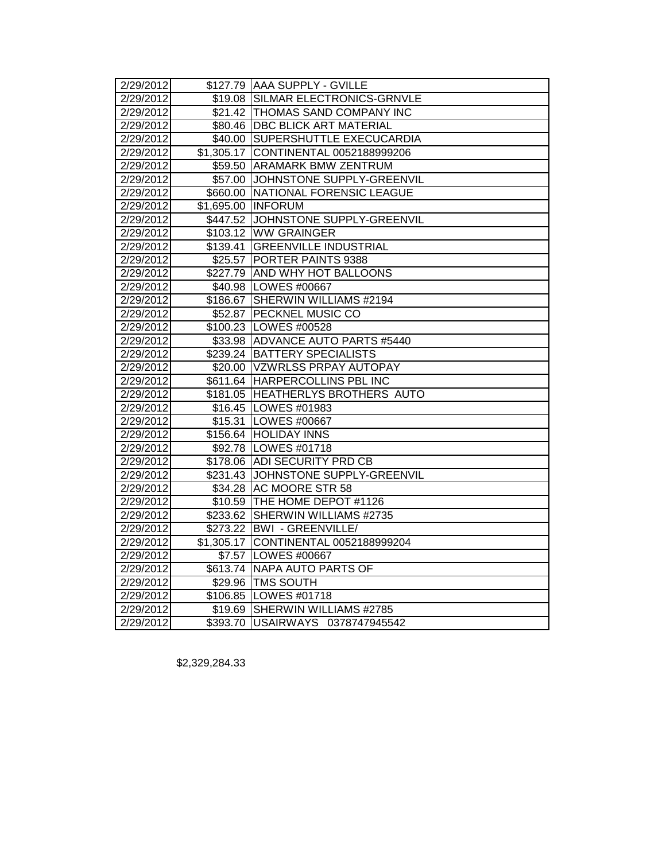| 2/29/2012 | \$127.79 AAA SUPPLY - GVILLE         |  |  |  |
|-----------|--------------------------------------|--|--|--|
| 2/29/2012 | \$19.08 SILMAR ELECTRONICS-GRNVLE    |  |  |  |
| 2/29/2012 | \$21.42 THOMAS SAND COMPANY INC      |  |  |  |
| 2/29/2012 | \$80.46 DBC BLICK ART MATERIAL       |  |  |  |
| 2/29/2012 | \$40.00 SUPERSHUTTLE EXECUCARDIA     |  |  |  |
| 2/29/2012 | \$1,305.17 CONTINENTAL 0052188999206 |  |  |  |
| 2/29/2012 | \$59.50 ARAMARK BMW ZENTRUM          |  |  |  |
| 2/29/2012 | \$57.00 JOHNSTONE SUPPLY-GREENVIL    |  |  |  |
| 2/29/2012 | \$660.00 NATIONAL FORENSIC LEAGUE    |  |  |  |
| 2/29/2012 | \$1,695.00 INFORUM                   |  |  |  |
| 2/29/2012 | \$447.52 JOHNSTONE SUPPLY-GREENVIL   |  |  |  |
| 2/29/2012 | \$103.12 WW GRAINGER                 |  |  |  |
| 2/29/2012 | \$139.41 GREENVILLE INDUSTRIAL       |  |  |  |
| 2/29/2012 | \$25.57 PORTER PAINTS 9388           |  |  |  |
| 2/29/2012 | \$227.79 AND WHY HOT BALLOONS        |  |  |  |
| 2/29/2012 | \$40.98 LOWES #00667                 |  |  |  |
| 2/29/2012 | \$186.67 SHERWIN WILLIAMS #2194      |  |  |  |
| 2/29/2012 | \$52.87 PECKNEL MUSIC CO             |  |  |  |
| 2/29/2012 | \$100.23 LOWES #00528                |  |  |  |
| 2/29/2012 | \$33.98 ADVANCE AUTO PARTS #5440     |  |  |  |
| 2/29/2012 | \$239.24 BATTERY SPECIALISTS         |  |  |  |
| 2/29/2012 | \$20.00 VZWRLSS PRPAY AUTOPAY        |  |  |  |
| 2/29/2012 | \$611.64 HARPERCOLLINS PBL INC       |  |  |  |
| 2/29/2012 | \$181.05 HEATHERLYS BROTHERS AUTO    |  |  |  |
| 2/29/2012 | \$16.45   LOWES #01983               |  |  |  |
| 2/29/2012 | \$15.31 LOWES #00667                 |  |  |  |
| 2/29/2012 | \$156.64 HOLIDAY INNS                |  |  |  |
| 2/29/2012 | \$92.78 LOWES #01718                 |  |  |  |
| 2/29/2012 | \$178.06 ADI SECURITY PRD CB         |  |  |  |
| 2/29/2012 | \$231.43 JOHNSTONE SUPPLY-GREENVIL   |  |  |  |
| 2/29/2012 | \$34.28 AC MOORE STR 58              |  |  |  |
| 2/29/2012 | \$10.59 THE HOME DEPOT #1126         |  |  |  |
| 2/29/2012 | \$233.62 SHERWIN WILLIAMS #2735      |  |  |  |
| 2/29/2012 | \$273.22   BWI - GREENVILLE/         |  |  |  |
| 2/29/2012 | \$1,305.17 CONTINENTAL 0052188999204 |  |  |  |
| 2/29/2012 | \$7.57 LOWES #00667                  |  |  |  |
| 2/29/2012 | \$613.74 NAPA AUTO PARTS OF          |  |  |  |
| 2/29/2012 | \$29.96 TMS SOUTH                    |  |  |  |
| 2/29/2012 | \$106.85 LOWES #01718                |  |  |  |
| 2/29/2012 | \$19.69 SHERWIN WILLIAMS #2785       |  |  |  |
| 2/29/2012 | \$393.70 USAIRWAYS 0378747945542     |  |  |  |

\$2,329,284.33